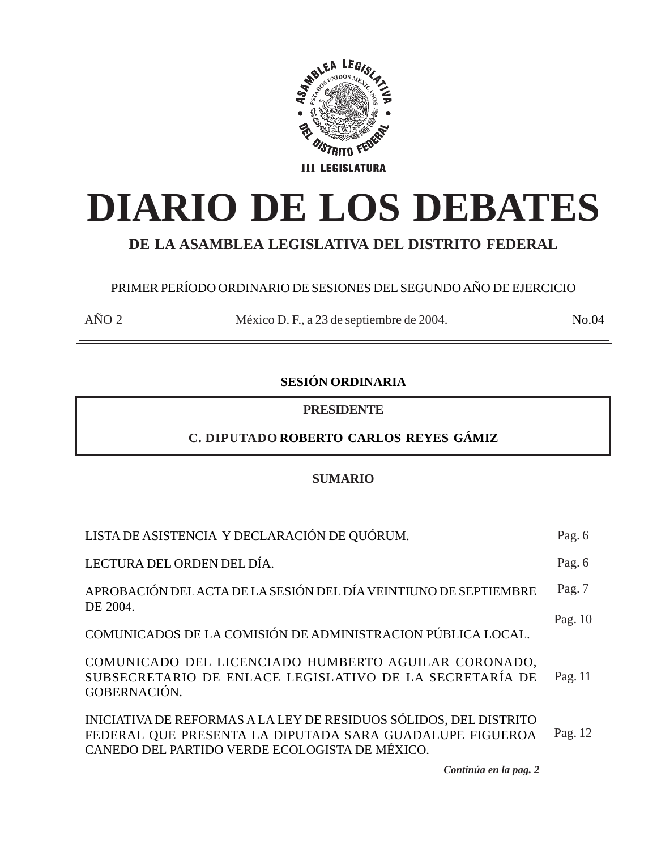

# **DIARIO DE LOS DEBATES**

## **DE LA ASAMBLEA LEGISLATIVA DEL DISTRITO FEDERAL**

## PRIMER PERÍODO ORDINARIO DE SESIONES DEL SEGUNDO AÑO DE EJERCICIO

AÑO 2 México D. F., a 23 de septiembre de 2004. No.04

## **SESIÓN ORDINARIA**

**PRESIDENTE**

## **C. DIPUTADO ROBERTO CARLOS REYES GÁMIZ**

## **SUMARIO**

| LISTA DE ASISTENCIA Y DECLARACIÓN DE QUÓRUM.                                                                                                                                    | Pag. 6  |
|---------------------------------------------------------------------------------------------------------------------------------------------------------------------------------|---------|
| LECTURA DEL ORDEN DEL DÍA.                                                                                                                                                      | Pag. 6  |
| APROBACIÓN DEL ACTA DE LA SESIÓN DEL DÍA VEINTIUNO DE SEPTIEMBRE<br>DE 2004.                                                                                                    | Pag. 7  |
| COMUNICADOS DE LA COMISIÓN DE ADMINISTRACION PÚBLICA LOCAL.                                                                                                                     | Pag. 10 |
| COMUNICADO DEL LICENCIADO HUMBERTO AGUILAR CORONADO,<br>SUBSECRETARIO DE ENLACE LEGISLATIVO DE LA SECRETARÍA DE<br>GOBERNACIÓN.                                                 | Pag. 11 |
| INICIATIVA DE REFORMAS A LA LEY DE RESIDUOS SÓLIDOS, DEL DISTRITO<br>FEDERAL QUE PRESENTA LA DIPUTADA SARA GUADALUPE FIGUEROA<br>CANEDO DEL PARTIDO VERDE ECOLOGISTA DE MÉXICO. | Pag. 12 |
| Continúa en la pag. 2                                                                                                                                                           |         |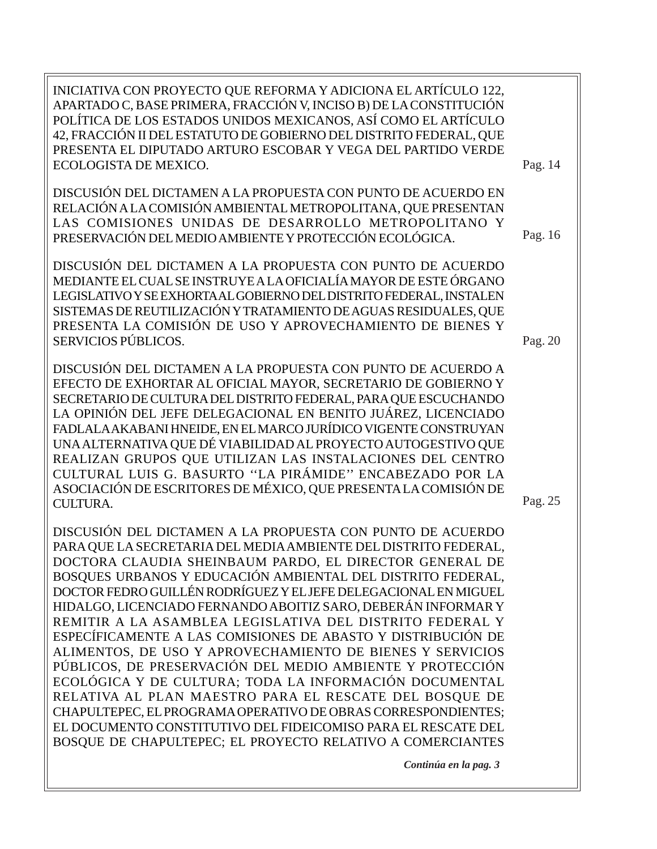INICIATIVA CON PROYECTO QUE REFORMA Y ADICIONA EL ARTÍCULO 122, APARTADO C, BASE PRIMERA, FRACCIÓN V, INCISO B) DE LA CONSTITUCIÓN POLÍTICA DE LOS ESTADOS UNIDOS MEXICANOS, ASÍ COMO EL ARTÍCULO 42, FRACCIÓN II DEL ESTATUTO DE GOBIERNO DEL DISTRITO FEDERAL, QUE PRESENTA EL DIPUTADO ARTURO ESCOBAR Y VEGA DEL PARTIDO VERDE ECOLOGISTA DE MEXICO.

DISCUSIÓN DEL DICTAMEN A LA PROPUESTA CON PUNTO DE ACUERDO EN RELACIÓN A LA COMISIÓN AMBIENTAL METROPOLITANA, QUE PRESENTAN LAS COMISIONES UNIDAS DE DESARROLLO METROPOLITANO Y PRESERVACIÓN DEL MEDIO AMBIENTE Y PROTECCIÓN ECOLÓGICA.

DISCUSIÓN DEL DICTAMEN A LA PROPUESTA CON PUNTO DE ACUERDO MEDIANTE EL CUAL SE INSTRUYE A LA OFICIALÍA MAYOR DE ESTE ÓRGANO LEGISLATIVO Y SE EXHORTA AL GOBIERNO DEL DISTRITO FEDERAL, INSTALEN SISTEMAS DE REUTILIZACIÓN Y TRATAMIENTO DE AGUAS RESIDUALES, QUE PRESENTA LA COMISIÓN DE USO Y APROVECHAMIENTO DE BIENES Y SERVICIOS PÚBLICOS.

DISCUSIÓN DEL DICTAMEN A LA PROPUESTA CON PUNTO DE ACUERDO A EFECTO DE EXHORTAR AL OFICIAL MAYOR, SECRETARIO DE GOBIERNO Y SECRETARIO DE CULTURA DEL DISTRITO FEDERAL, PARA QUE ESCUCHANDO LA OPINIÓN DEL JEFE DELEGACIONAL EN BENITO JUÁREZ, LICENCIADO FADLALA AKABANI HNEIDE, EN EL MARCO JURÍDICO VIGENTE CONSTRUYAN UNA ALTERNATIVA QUE DÉ VIABILIDAD AL PROYECTO AUTOGESTIVO QUE REALIZAN GRUPOS QUE UTILIZAN LAS INSTALACIONES DEL CENTRO CULTURAL LUIS G. BASURTO ''LA PIRÁMIDE'' ENCABEZADO POR LA ASOCIACIÓN DE ESCRITORES DE MÉXICO, QUE PRESENTA LA COMISIÓN DE CULTURA.

DISCUSIÓN DEL DICTAMEN A LA PROPUESTA CON PUNTO DE ACUERDO PARA QUE LA SECRETARIA DEL MEDIA AMBIENTE DEL DISTRITO FEDERAL, DOCTORA CLAUDIA SHEINBAUM PARDO, EL DIRECTOR GENERAL DE BOSQUES URBANOS Y EDUCACIÓN AMBIENTAL DEL DISTRITO FEDERAL, DOCTOR FEDRO GUILLÉN RODRÍGUEZ Y EL JEFE DELEGACIONAL EN MIGUEL HIDALGO, LICENCIADO FERNANDO ABOITIZ SARO, DEBERÁN INFORMAR Y REMITIR A LA ASAMBLEA LEGISLATIVA DEL DISTRITO FEDERAL Y ESPECÍFICAMENTE A LAS COMISIONES DE ABASTO Y DISTRIBUCIÓN DE ALIMENTOS, DE USO Y APROVECHAMIENTO DE BIENES Y SERVICIOS PÚBLICOS, DE PRESERVACIÓN DEL MEDIO AMBIENTE Y PROTECCIÓN ECOLÓGICA Y DE CULTURA; TODA LA INFORMACIÓN DOCUMENTAL RELATIVA AL PLAN MAESTRO PARA EL RESCATE DEL BOSQUE DE CHAPULTEPEC, EL PROGRAMA OPERATIVO DE OBRAS CORRESPONDIENTES; EL DOCUMENTO CONSTITUTIVO DEL FIDEICOMISO PARA EL RESCATE DEL BOSQUE DE CHAPULTEPEC; EL PROYECTO RELATIVO A COMERCIANTES

Pag. 20

Pag. 14

Pag. 16

Pag. 25

*Continúa en la pag. 3*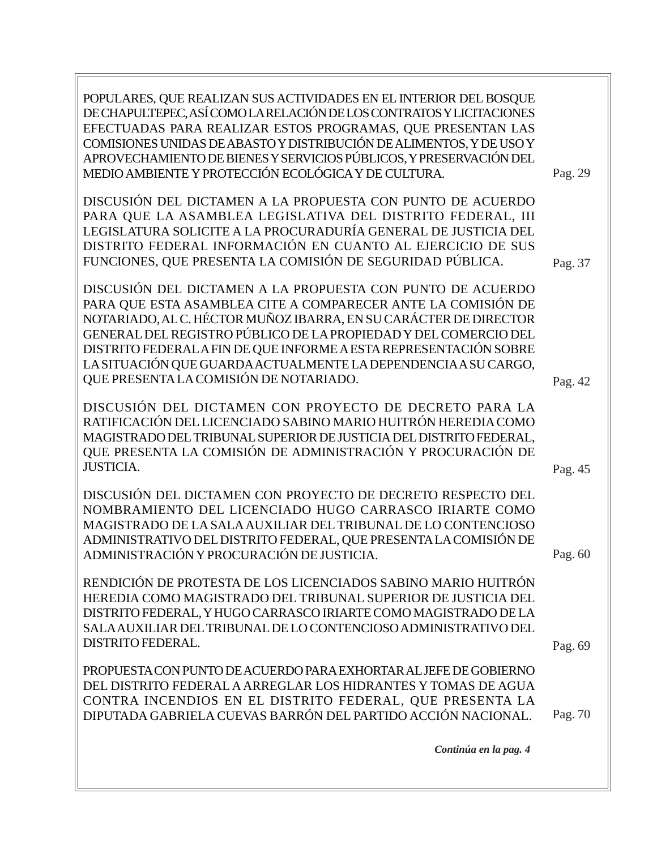Pag. 69 Pag. 70 POPULARES, QUE REALIZAN SUS ACTIVIDADES EN EL INTERIOR DEL BOSQUE DE CHAPULTEPEC, ASÍ COMO LA RELACIÓN DE LOS CONTRATOS Y LICITACIONES EFECTUADAS PARA REALIZAR ESTOS PROGRAMAS, QUE PRESENTAN LAS COMISIONES UNIDAS DE ABASTO Y DISTRIBUCIÓN DE ALIMENTOS, Y DE USO Y APROVECHAMIENTO DE BIENES Y SERVICIOS PÚBLICOS, Y PRESERVACIÓN DEL MEDIO AMBIENTE Y PROTECCIÓN ECOLÓGICA Y DE CULTURA. DISCUSIÓN DEL DICTAMEN A LA PROPUESTA CON PUNTO DE ACUERDO PARA QUE LA ASAMBLEA LEGISLATIVA DEL DISTRITO FEDERAL, III LEGISLATURA SOLICITE A LA PROCURADURÍA GENERAL DE JUSTICIA DEL DISTRITO FEDERAL INFORMACIÓN EN CUANTO AL EJERCICIO DE SUS FUNCIONES, QUE PRESENTA LA COMISIÓN DE SEGURIDAD PÚBLICA. DISCUSIÓN DEL DICTAMEN A LA PROPUESTA CON PUNTO DE ACUERDO PARA QUE ESTA ASAMBLEA CITE A COMPARECER ANTE LA COMISIÓN DE NOTARIADO, AL C. HÉCTOR MUÑOZ IBARRA, EN SU CARÁCTER DE DIRECTOR GENERAL DEL REGISTRO PÚBLICO DE LA PROPIEDAD Y DEL COMERCIO DEL DISTRITO FEDERAL A FIN DE QUE INFORME A ESTA REPRESENTACIÓN SOBRE LA SITUACIÓN QUE GUARDA ACTUALMENTE LA DEPENDENCIA A SU CARGO, QUE PRESENTA LA COMISIÓN DE NOTARIADO. DISCUSIÓN DEL DICTAMEN CON PROYECTO DE DECRETO PARA LA RATIFICACIÓN DEL LICENCIADO SABINO MARIO HUITRÓN HEREDIA COMO MAGISTRADO DEL TRIBUNAL SUPERIOR DE JUSTICIA DEL DISTRITO FEDERAL, QUE PRESENTA LA COMISIÓN DE ADMINISTRACIÓN Y PROCURACIÓN DE JUSTICIA. DISCUSIÓN DEL DICTAMEN CON PROYECTO DE DECRETO RESPECTO DEL NOMBRAMIENTO DEL LICENCIADO HUGO CARRASCO IRIARTE COMO MAGISTRADO DE LA SALA AUXILIAR DEL TRIBUNAL DE LO CONTENCIOSO ADMINISTRATIVO DEL DISTRITO FEDERAL, QUE PRESENTA LA COMISIÓN DE ADMINISTRACIÓN Y PROCURACIÓN DE JUSTICIA. RENDICIÓN DE PROTESTA DE LOS LICENCIADOS SABINO MARIO HUITRÓN HEREDIA COMO MAGISTRADO DEL TRIBUNAL SUPERIOR DE JUSTICIA DEL DISTRITO FEDERAL, Y HUGO CARRASCO IRIARTE COMO MAGISTRADO DE LA SALA AUXILIAR DEL TRIBUNAL DE LO CONTENCIOSO ADMINISTRATIVO DEL DISTRITO FEDERAL. PROPUESTA CON PUNTO DE ACUERDO PARA EXHORTAR AL JEFE DE GOBIERNO DEL DISTRITO FEDERAL A ARREGLAR LOS HIDRANTES Y TOMAS DE AGUA CONTRA INCENDIOS EN EL DISTRITO FEDERAL, QUE PRESENTA LA DIPUTADA GABRIELA CUEVAS BARRÓN DEL PARTIDO ACCIÓN NACIONAL. *Continúa en la pag. 4* Pag. 29 Pag. 37 Pag. 42 Pag. 45 Pag. 60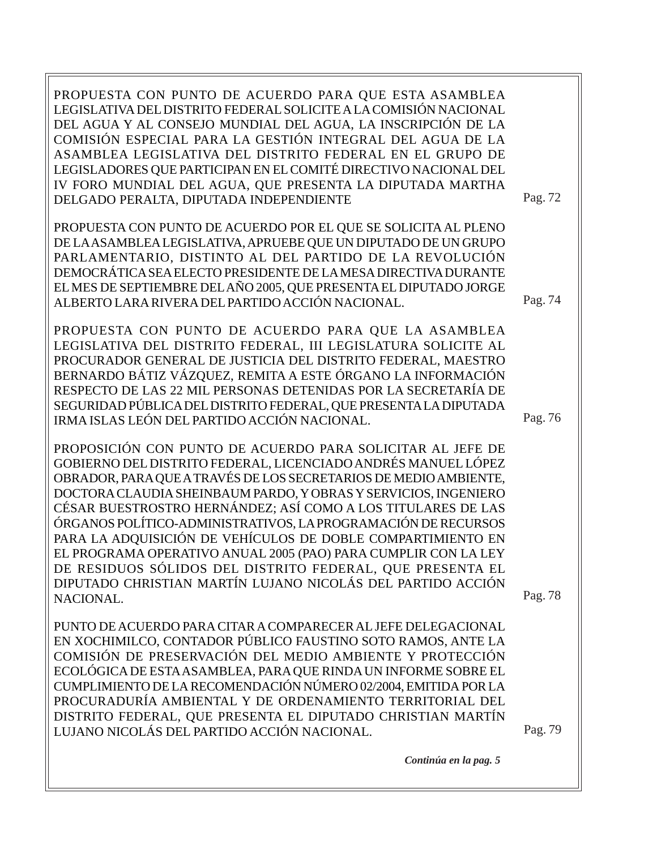Pag. 79 PROPUESTA CON PUNTO DE ACUERDO PARA QUE ESTA ASAMBLEA LEGISLATIVA DEL DISTRITO FEDERAL SOLICITE A LA COMISIÓN NACIONAL DEL AGUA Y AL CONSEJO MUNDIAL DEL AGUA, LA INSCRIPCIÓN DE LA COMISIÓN ESPECIAL PARA LA GESTIÓN INTEGRAL DEL AGUA DE LA ASAMBLEA LEGISLATIVA DEL DISTRITO FEDERAL EN EL GRUPO DE LEGISLADORES QUE PARTICIPAN EN EL COMITÉ DIRECTIVO NACIONAL DEL IV FORO MUNDIAL DEL AGUA, QUE PRESENTA LA DIPUTADA MARTHA DELGADO PERALTA, DIPUTADA INDEPENDIENTE PROPUESTA CON PUNTO DE ACUERDO POR EL QUE SE SOLICITA AL PLENO DE LA ASAMBLEA LEGISLATIVA, APRUEBE QUE UN DIPUTADO DE UN GRUPO PARLAMENTARIO, DISTINTO AL DEL PARTIDO DE LA REVOLUCIÓN DEMOCRÁTICA SEA ELECTO PRESIDENTE DE LA MESA DIRECTIVA DURANTE EL MES DE SEPTIEMBRE DEL AÑO 2005, QUE PRESENTA EL DIPUTADO JORGE ALBERTO LARA RIVERA DEL PARTIDO ACCIÓN NACIONAL. PROPUESTA CON PUNTO DE ACUERDO PARA QUE LA ASAMBLEA LEGISLATIVA DEL DISTRITO FEDERAL, III LEGISLATURA SOLICITE AL PROCURADOR GENERAL DE JUSTICIA DEL DISTRITO FEDERAL, MAESTRO BERNARDO BÁTIZ VÁZQUEZ, REMITA A ESTE ÓRGANO LA INFORMACIÓN RESPECTO DE LAS 22 MIL PERSONAS DETENIDAS POR LA SECRETARÍA DE SEGURIDAD PÚBLICA DEL DISTRITO FEDERAL, QUE PRESENTA LA DIPUTADA IRMA ISLAS LEÓN DEL PARTIDO ACCIÓN NACIONAL. PROPOSICIÓN CON PUNTO DE ACUERDO PARA SOLICITAR AL JEFE DE GOBIERNO DEL DISTRITO FEDERAL, LICENCIADO ANDRÉS MANUEL LÓPEZ OBRADOR, PARA QUE A TRAVÉS DE LOS SECRETARIOS DE MEDIO AMBIENTE, DOCTORA CLAUDIA SHEINBAUM PARDO, Y OBRAS Y SERVICIOS, INGENIERO CÉSAR BUESTROSTRO HERNÁNDEZ; ASÍ COMO A LOS TITULARES DE LAS ÓRGANOS POLÍTICO-ADMINISTRATIVOS, LA PROGRAMACIÓN DE RECURSOS PARA LA ADQUISICIÓN DE VEHÍCULOS DE DOBLE COMPARTIMIENTO EN EL PROGRAMA OPERATIVO ANUAL 2005 (PAO) PARA CUMPLIR CON LA LEY DE RESIDUOS SÓLIDOS DEL DISTRITO FEDERAL, QUE PRESENTA EL DIPUTADO CHRISTIAN MARTÍN LUJANO NICOLÁS DEL PARTIDO ACCIÓN NACIONAL. PUNTO DE ACUERDO PARA CITAR A COMPARECER AL JEFE DELEGACIONAL EN XOCHIMILCO, CONTADOR PÚBLICO FAUSTINO SOTO RAMOS, ANTE LA COMISIÓN DE PRESERVACIÓN DEL MEDIO AMBIENTE Y PROTECCIÓN ECOLÓGICA DE ESTA ASAMBLEA, PARA QUE RINDA UN INFORME SOBRE EL CUMPLIMIENTO DE LA RECOMENDACIÓN NÚMERO 02/2004, EMITIDA POR LA PROCURADURÍA AMBIENTAL Y DE ORDENAMIENTO TERRITORIAL DEL DISTRITO FEDERAL, QUE PRESENTA EL DIPUTADO CHRISTIAN MARTÍN LUJANO NICOLÁS DEL PARTIDO ACCIÓN NACIONAL. Pag. 72 Pag. 74 Pag. 76 Pag. 78

*Continúa en la pag. 5*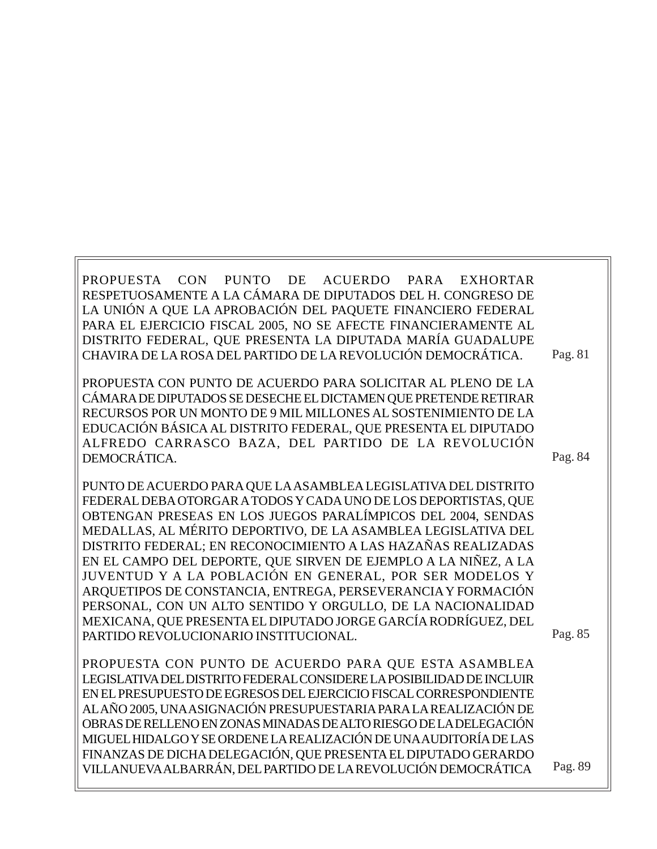| RESPETUOSAMENTE A LA CÁMARA DE DIPUTADOS DEL H. CONGRESO DE          |         |
|----------------------------------------------------------------------|---------|
| LA UNIÓN A QUE LA APROBACIÓN DEL PAQUETE FINANCIERO FEDERAL          |         |
| PARA EL EJERCICIO FISCAL 2005, NO SE AFECTE FINANCIERAMENTE AL       |         |
| DISTRITO FEDERAL, QUE PRESENTA LA DIPUTADA MARÍA GUADALUPE           |         |
| CHAVIRA DE LA ROSA DEL PARTIDO DE LA REVOLUCIÓN DEMOCRÁTICA.         | Pag. 81 |
| PROPUESTA CON PUNTO DE ACUERDO PARA SOLICITAR AL PLENO DE LA         |         |
| CÁMARA DE DIPUTADOS SE DESECHE EL DICTAMEN QUE PRETENDE RETIRAR      |         |
| RECURSOS POR UN MONTO DE 9 MIL MILLONES AL SOSTENIMIENTO DE LA       |         |
|                                                                      |         |
| EDUCACIÓN BÁSICA AL DISTRITO FEDERAL, QUE PRESENTA EL DIPUTADO       |         |
| ALFREDO CARRASCO BAZA, DEL PARTIDO DE LA REVOLUCIÓN<br>DEMOCRÁTICA.  | Pag. 84 |
|                                                                      |         |
| PUNTO DE ACUERDO PARA QUE LA ASAMBLEA LEGISLATIVA DEL DISTRITO       |         |
| FEDERAL DEBA OTORGAR A TODOS Y CADA UNO DE LOS DEPORTISTAS, QUE      |         |
| OBTENGAN PRESEAS EN LOS JUEGOS PARALÍMPICOS DEL 2004, SENDAS         |         |
| MEDALLAS, AL MÉRITO DEPORTIVO, DE LA ASAMBLEA LEGISLATIVA DEL        |         |
| DISTRITO FEDERAL; EN RECONOCIMIENTO A LAS HAZAÑAS REALIZADAS         |         |
| EN EL CAMPO DEL DEPORTE, QUE SIRVEN DE EJEMPLO A LA NIÑEZ, A LA      |         |
| JUVENTUD Y A LA POBLACIÓN EN GENERAL, POR SER MODELOS Y              |         |
| ARQUETIPOS DE CONSTANCIA, ENTREGA, PERSEVERANCIA Y FORMACIÓN         |         |
| PERSONAL, CON UN ALTO SENTIDO Y ORGULLO, DE LA NACIONALIDAD          |         |
| MEXICANA, QUE PRESENTA EL DIPUTADO JORGE GARCÍA RODRÍGUEZ, DEL       |         |
| PARTIDO REVOLUCIONARIO INSTITUCIONAL.                                | Pag. 85 |
|                                                                      |         |
| PROPUESTA CON PUNTO DE ACUERDO PARA QUE ESTA ASAMBLEA                |         |
| LEGISLATIVA DEL DISTRITO FEDERAL CONSIDERE LA POSIBILIDAD DE INCLUIR |         |
| EN EL PRESUPUESTO DE EGRESOS DEL EJERCICIO FISCAL CORRESPONDIENTE    |         |
| ALAÑO 2005, UNA ASIGNACIÓN PRESUPUESTARIA PARA LA REALIZACIÓN DE     |         |
| OBRAS DE RELLENO EN ZONAS MINADAS DE ALTO RIESGO DE LA DELEGACIÓN    |         |
| MIGUEL HIDALGO Y SE ORDENE LA REALIZACIÓN DE UNA AUDITORÍA DE LAS    |         |
| FINANZAS DE DICHA DELEGACIÓN, QUE PRESENTA EL DIPUTADO GERARDO       |         |
| VILLANUEVA ALBARRÁN, DEL PARTIDO DE LA REVOLUCIÓN DEMOCRÁTICA        | Pag. 89 |
|                                                                      |         |

PROPUESTA CON PUNTO DE ACUERDO PARA EXHORTAR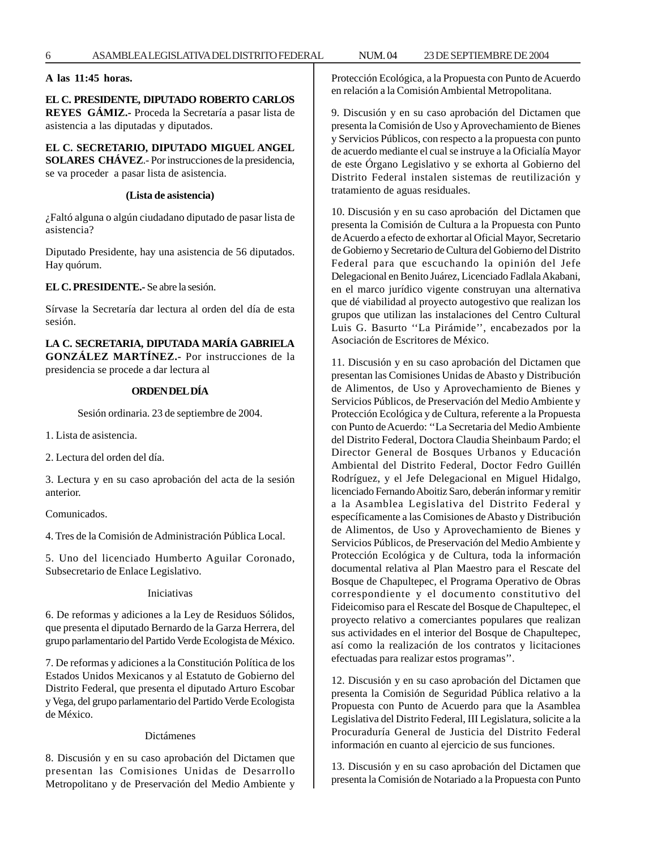**A las 11:45 horas.**

#### **EL C. PRESIDENTE, DIPUTADO ROBERTO CARLOS**

**REYES GÁMIZ.-** Proceda la Secretaría a pasar lista de asistencia a las diputadas y diputados.

**EL C. SECRETARIO, DIPUTADO MIGUEL ANGEL SOLARES CHÁVEZ**.- Por instrucciones de la presidencia, se va proceder a pasar lista de asistencia.

#### **(Lista de asistencia)**

¿Faltó alguna o algún ciudadano diputado de pasar lista de asistencia?

Diputado Presidente, hay una asistencia de 56 diputados. Hay quórum.

**EL C. PRESIDENTE.-** Se abre la sesión.

Sírvase la Secretaría dar lectura al orden del día de esta sesión.

**LA C. SECRETARIA, DIPUTADA MARÍA GABRIELA GONZÁLEZ MARTÍNEZ.-** Por instrucciones de la presidencia se procede a dar lectura al

#### **ORDEN DEL DÍA**

Sesión ordinaria. 23 de septiembre de 2004.

1. Lista de asistencia.

2. Lectura del orden del día.

3. Lectura y en su caso aprobación del acta de la sesión anterior.

Comunicados.

4. Tres de la Comisión de Administración Pública Local.

5. Uno del licenciado Humberto Aguilar Coronado, Subsecretario de Enlace Legislativo.

Iniciativas

6. De reformas y adiciones a la Ley de Residuos Sólidos, que presenta el diputado Bernardo de la Garza Herrera, del grupo parlamentario del Partido Verde Ecologista de México.

7. De reformas y adiciones a la Constitución Política de los Estados Unidos Mexicanos y al Estatuto de Gobierno del Distrito Federal, que presenta el diputado Arturo Escobar y Vega, del grupo parlamentario del Partido Verde Ecologista de México.

#### Dictámenes

8. Discusión y en su caso aprobación del Dictamen que presentan las Comisiones Unidas de Desarrollo Metropolitano y de Preservación del Medio Ambiente y Protección Ecológica, a la Propuesta con Punto de Acuerdo en relación a la Comisión Ambiental Metropolitana.

9. Discusión y en su caso aprobación del Dictamen que presenta la Comisión de Uso y Aprovechamiento de Bienes y Servicios Públicos, con respecto a la propuesta con punto de acuerdo mediante el cual se instruye a la Oficialía Mayor de este Órgano Legislativo y se exhorta al Gobierno del Distrito Federal instalen sistemas de reutilización y tratamiento de aguas residuales.

10. Discusión y en su caso aprobación del Dictamen que presenta la Comisión de Cultura a la Propuesta con Punto de Acuerdo a efecto de exhortar al Oficial Mayor, Secretario de Gobierno y Secretario de Cultura del Gobierno del Distrito Federal para que escuchando la opinión del Jefe Delegacional en Benito Juárez, Licenciado Fadlala Akabani, en el marco jurídico vigente construyan una alternativa que dé viabilidad al proyecto autogestivo que realizan los grupos que utilizan las instalaciones del Centro Cultural Luis G. Basurto ''La Pirámide'', encabezados por la Asociación de Escritores de México.

11. Discusión y en su caso aprobación del Dictamen que presentan las Comisiones Unidas de Abasto y Distribución de Alimentos, de Uso y Aprovechamiento de Bienes y Servicios Públicos, de Preservación del Medio Ambiente y Protección Ecológica y de Cultura, referente a la Propuesta con Punto de Acuerdo: ''La Secretaria del Medio Ambiente del Distrito Federal, Doctora Claudia Sheinbaum Pardo; el Director General de Bosques Urbanos y Educación Ambiental del Distrito Federal, Doctor Fedro Guillén Rodríguez, y el Jefe Delegacional en Miguel Hidalgo, licenciado Fernando Aboitiz Saro, deberán informar y remitir a la Asamblea Legislativa del Distrito Federal y específicamente a las Comisiones de Abasto y Distribución de Alimentos, de Uso y Aprovechamiento de Bienes y Servicios Públicos, de Preservación del Medio Ambiente y Protección Ecológica y de Cultura, toda la información documental relativa al Plan Maestro para el Rescate del Bosque de Chapultepec, el Programa Operativo de Obras correspondiente y el documento constitutivo del Fideicomiso para el Rescate del Bosque de Chapultepec, el proyecto relativo a comerciantes populares que realizan sus actividades en el interior del Bosque de Chapultepec, así como la realización de los contratos y licitaciones efectuadas para realizar estos programas''.

12. Discusión y en su caso aprobación del Dictamen que presenta la Comisión de Seguridad Pública relativo a la Propuesta con Punto de Acuerdo para que la Asamblea Legislativa del Distrito Federal, III Legislatura, solicite a la Procuraduría General de Justicia del Distrito Federal información en cuanto al ejercicio de sus funciones.

13. Discusión y en su caso aprobación del Dictamen que presenta la Comisión de Notariado a la Propuesta con Punto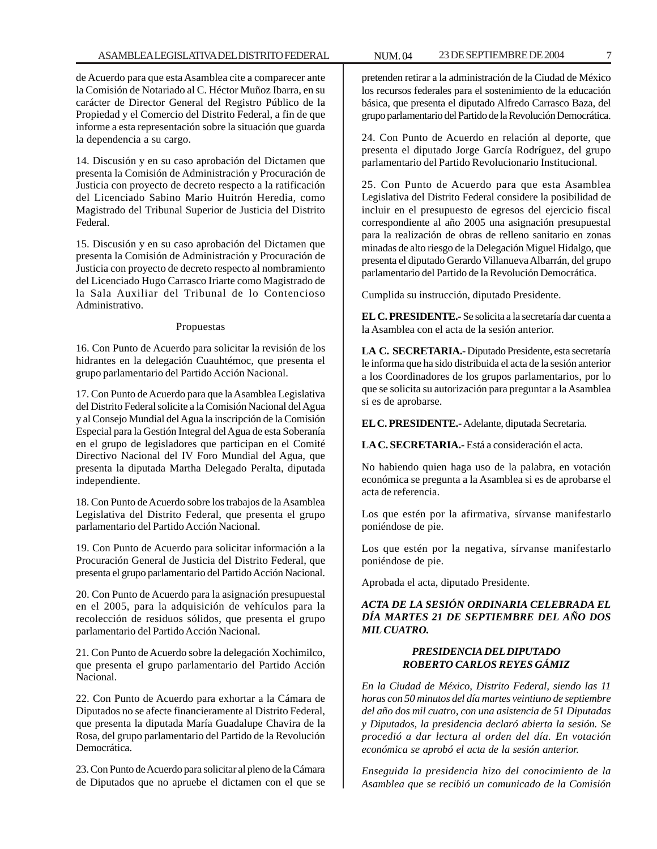de Acuerdo para que esta Asamblea cite a comparecer ante la Comisión de Notariado al C. Héctor Muñoz Ibarra, en su carácter de Director General del Registro Público de la Propiedad y el Comercio del Distrito Federal, a fin de que informe a esta representación sobre la situación que guarda la dependencia a su cargo.

14. Discusión y en su caso aprobación del Dictamen que presenta la Comisión de Administración y Procuración de Justicia con proyecto de decreto respecto a la ratificación del Licenciado Sabino Mario Huitrón Heredia, como Magistrado del Tribunal Superior de Justicia del Distrito Federal.

15. Discusión y en su caso aprobación del Dictamen que presenta la Comisión de Administración y Procuración de Justicia con proyecto de decreto respecto al nombramiento del Licenciado Hugo Carrasco Iriarte como Magistrado de la Sala Auxiliar del Tribunal de lo Contencioso Administrativo.

#### Propuestas

16. Con Punto de Acuerdo para solicitar la revisión de los hidrantes en la delegación Cuauhtémoc, que presenta el grupo parlamentario del Partido Acción Nacional.

17. Con Punto de Acuerdo para que la Asamblea Legislativa del Distrito Federal solicite a la Comisión Nacional del Agua y al Consejo Mundial del Agua la inscripción de la Comisión Especial para la Gestión Integral del Agua de esta Soberanía en el grupo de legisladores que participan en el Comité Directivo Nacional del IV Foro Mundial del Agua, que presenta la diputada Martha Delegado Peralta, diputada independiente.

18. Con Punto de Acuerdo sobre los trabajos de la Asamblea Legislativa del Distrito Federal, que presenta el grupo parlamentario del Partido Acción Nacional.

19. Con Punto de Acuerdo para solicitar información a la Procuración General de Justicia del Distrito Federal, que presenta el grupo parlamentario del Partido Acción Nacional.

20. Con Punto de Acuerdo para la asignación presupuestal en el 2005, para la adquisición de vehículos para la recolección de residuos sólidos, que presenta el grupo parlamentario del Partido Acción Nacional.

21. Con Punto de Acuerdo sobre la delegación Xochimilco, que presenta el grupo parlamentario del Partido Acción Nacional.

22. Con Punto de Acuerdo para exhortar a la Cámara de Diputados no se afecte financieramente al Distrito Federal, que presenta la diputada María Guadalupe Chavira de la Rosa, del grupo parlamentario del Partido de la Revolución Democrática.

23. Con Punto de Acuerdo para solicitar al pleno de la Cámara de Diputados que no apruebe el dictamen con el que se pretenden retirar a la administración de la Ciudad de México los recursos federales para el sostenimiento de la educación básica, que presenta el diputado Alfredo Carrasco Baza, del grupo parlamentario del Partido de la Revolución Democrática.

24. Con Punto de Acuerdo en relación al deporte, que presenta el diputado Jorge García Rodríguez, del grupo parlamentario del Partido Revolucionario Institucional.

25. Con Punto de Acuerdo para que esta Asamblea Legislativa del Distrito Federal considere la posibilidad de incluir en el presupuesto de egresos del ejercicio fiscal correspondiente al año 2005 una asignación presupuestal para la realización de obras de relleno sanitario en zonas minadas de alto riesgo de la Delegación Miguel Hidalgo, que presenta el diputado Gerardo Villanueva Albarrán, del grupo parlamentario del Partido de la Revolución Democrática.

Cumplida su instrucción, diputado Presidente.

**EL C. PRESIDENTE.-** Se solicita a la secretaría dar cuenta a la Asamblea con el acta de la sesión anterior.

**LA C. SECRETARIA.-** Diputado Presidente, esta secretaría le informa que ha sido distribuida el acta de la sesión anterior a los Coordinadores de los grupos parlamentarios, por lo que se solicita su autorización para preguntar a la Asamblea si es de aprobarse.

**EL C. PRESIDENTE.-** Adelante, diputada Secretaria.

**LA C. SECRETARIA.-** Está a consideración el acta.

No habiendo quien haga uso de la palabra, en votación económica se pregunta a la Asamblea si es de aprobarse el acta de referencia.

Los que estén por la afirmativa, sírvanse manifestarlo poniéndose de pie.

Los que estén por la negativa, sírvanse manifestarlo poniéndose de pie.

Aprobada el acta, diputado Presidente.

### *ACTA DE LA SESIÓN ORDINARIA CELEBRADA EL DÍA MARTES 21 DE SEPTIEMBRE DEL AÑO DOS MIL CUATRO.*

#### *PRESIDENCIA DEL DIPUTADO ROBERTO CARLOS REYES GÁMIZ*

*En la Ciudad de México, Distrito Federal, siendo las 11 horas con 50 minutos del día martes veintiuno de septiembre del año dos mil cuatro, con una asistencia de 51 Diputadas y Diputados, la presidencia declaró abierta la sesión. Se procedió a dar lectura al orden del día. En votación económica se aprobó el acta de la sesión anterior.*

*Enseguida la presidencia hizo del conocimiento de la Asamblea que se recibió un comunicado de la Comisión*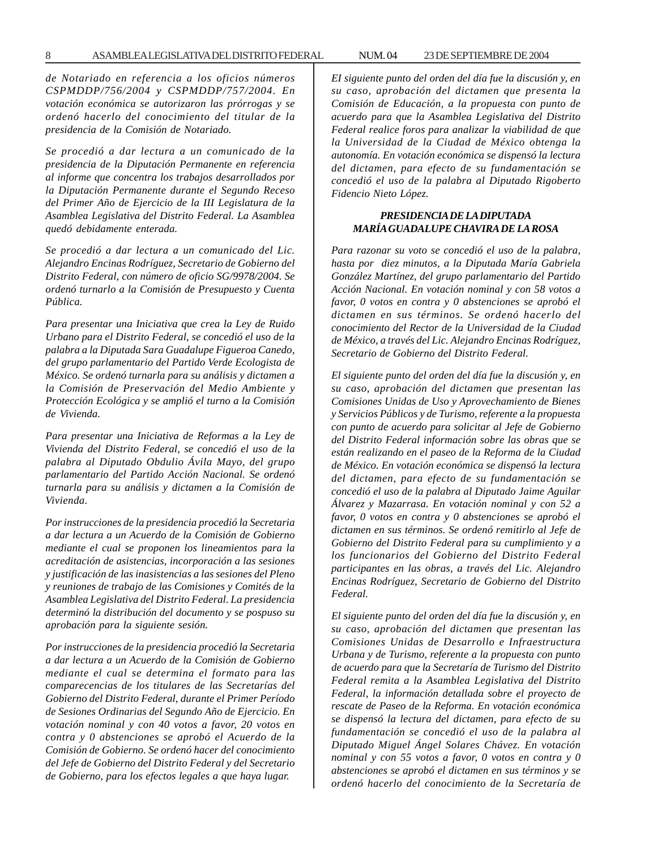*de Notariado en referencia a los oficios números CSPMDDP/756/2004 y CSPMDDP/757/2004. En votación económica se autorizaron las prórrogas y se ordenó hacerlo del conocimiento del titular de la presidencia de la Comisión de Notariado.*

*Se procedió a dar lectura a un comunicado de la presidencia de la Diputación Permanente en referencia al informe que concentra los trabajos desarrollados por la Diputación Permanente durante el Segundo Receso del Primer Año de Ejercicio de la III Legislatura de la Asamblea Legislativa del Distrito Federal. La Asamblea quedó debidamente enterada.*

*Se procedió a dar lectura a un comunicado del Lic. Alejandro Encinas Rodríguez, Secretario de Gobierno del Distrito Federal, con número de oficio SG/9978/2004. Se ordenó turnarlo a la Comisión de Presupuesto y Cuenta Pública.*

*Para presentar una Iniciativa que crea la Ley de Ruido Urbano para el Distrito Federal, se concedió el uso de la palabra a la Diputada Sara Guadalupe Figueroa Canedo, del grupo parlamentario del Partido Verde Ecologista de México. Se ordenó turnarla para su análisis y dictamen a la Comisión de Preservación del Medio Ambiente y Protección Ecológica y se amplió el turno a la Comisión de Vivienda.*

*Para presentar una Iniciativa de Reformas a la Ley de Vivienda del Distrito Federal, se concedió el uso de la palabra al Diputado Obdulio Ávila Mayo, del grupo parlamentario del Partido Acción Nacional. Se ordenó turnarla para su análisis y dictamen a la Comisión de Vivienda.*

*Por instrucciones de la presidencia procedió la Secretaria a dar lectura a un Acuerdo de la Comisión de Gobierno mediante el cual se proponen los lineamientos para la acreditación de asistencias, incorporación a las sesiones y justificación de las inasistencias a las sesiones del Pleno y reuniones de trabajo de las Comisiones y Comités de la Asamblea Legislativa del Distrito Federal. La presidencia determinó la distribución del documento y se pospuso su aprobación para la siguiente sesión.*

*Por instrucciones de la presidencia procedió la Secretaria a dar lectura a un Acuerdo de la Comisión de Gobierno mediante el cual se determina el formato para las comparecencias de los titulares de las Secretarías del Gobierno del Distrito Federal, durante el Primer Período de Sesiones Ordinarias del Segundo Año de Ejercicio. En votación nominal y con 40 votos a favor, 20 votos en contra y 0 abstenciones se aprobó el Acuerdo de la Comisión de Gobierno. Se ordenó hacer del conocimiento del Jefe de Gobierno del Distrito Federal y del Secretario de Gobierno, para los efectos legales a que haya lugar.*

*EI siguiente punto del orden del día fue la discusión y, en su caso, aprobación del dictamen que presenta la Comisión de Educación, a la propuesta con punto de acuerdo para que la Asamblea Legislativa del Distrito Federal realice foros para analizar la viabilidad de que la Universidad de la Ciudad de México obtenga la autonomía. En votación económica se dispensó la lectura del dictamen, para efecto de su fundamentación se concedió el uso de la palabra al Diputado Rigoberto Fidencio Nieto López.*

#### *PRESIDENCIA DE LA DIPUTADA MARÍA GUADALUPE CHAVIRA DE LA ROSA*

*Para razonar su voto se concedió el uso de la palabra, hasta por diez minutos, a la Diputada María Gabriela González Martínez, del grupo parlamentario del Partido Acción Nacional. En votación nominal y con 58 votos a favor, 0 votos en contra y 0 abstenciones se aprobó el dictamen en sus términos. Se ordenó hacerlo del conocimiento del Rector de la Universidad de la Ciudad de México, a través del Lic. Alejandro Encinas Rodríguez, Secretario de Gobierno del Distrito Federal.*

*El siguiente punto del orden del día fue la discusión y, en su caso, aprobación del dictamen que presentan las Comisiones Unidas de Uso y Aprovechamiento de Bienes y Servicios Públicos y de Turismo, referente a la propuesta con punto de acuerdo para solicitar al Jefe de Gobierno del Distrito Federal información sobre las obras que se están realizando en el paseo de la Reforma de la Ciudad de México. En votación económica se dispensó la lectura del dictamen, para efecto de su fundamentación se concedió el uso de la palabra al Diputado Jaime Aguilar Álvarez y Mazarrasa. En votación nominal y con 52 a favor, 0 votos en contra y 0 abstenciones se aprobó el dictamen en sus términos. Se ordenó remitirlo al Jefe de Gobierno del Distrito Federal para su cumplimiento y a los funcionarios del Gobierno del Distrito Federal participantes en las obras, a través del Lic. Alejandro Encinas Rodríguez, Secretario de Gobierno del Distrito Federal.*

*El siguiente punto del orden del día fue la discusión y, en su caso, aprobación del dictamen que presentan las Comisiones Unidas de Desarrollo e Infraestructura Urbana y de Turismo, referente a la propuesta con punto de acuerdo para que la Secretaría de Turismo del Distrito Federal remita a la Asamblea Legislativa del Distrito Federal, la información detallada sobre el proyecto de rescate de Paseo de la Reforma. En votación económica se dispensó la lectura del dictamen, para efecto de su fundamentación se concedió el uso de la palabra al Diputado Miguel Ángel Solares Chávez. En votación nominal y con 55 votos a favor, 0 votos en contra y 0 abstenciones se aprobó el dictamen en sus términos y se ordenó hacerlo del conocimiento de la Secretaría de*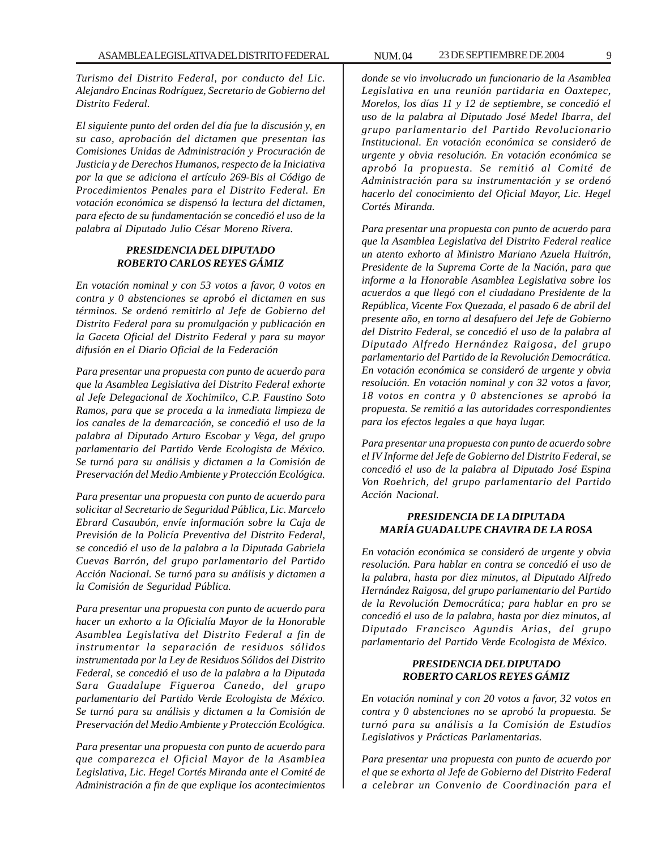*Turismo del Distrito Federal, por conducto del Lic. Alejandro Encinas Rodríguez, Secretario de Gobierno del Distrito Federal.*

*El siguiente punto del orden del día fue la discusión y, en su caso, aprobación del dictamen que presentan las Comisiones Unidas de Administración y Procuración de Justicia y de Derechos Humanos, respecto de la Iniciativa por la que se adiciona el artículo 269-Bis al Código de Procedimientos Penales para el Distrito Federal. En votación económica se dispensó la lectura del dictamen, para efecto de su fundamentación se concedió el uso de la palabra al Diputado Julio César Moreno Rivera.*

#### *PRESIDENCIA DEL DIPUTADO ROBERTO CARLOS REYES GÁMIZ*

*En votación nominal y con 53 votos a favor, 0 votos en contra y 0 abstenciones se aprobó el dictamen en sus términos. Se ordenó remitirlo al Jefe de Gobierno del Distrito Federal para su promulgación y publicación en la Gaceta Oficial del Distrito Federal y para su mayor difusión en el Diario Oficial de la Federación*

*Para presentar una propuesta con punto de acuerdo para que la Asamblea Legislativa del Distrito Federal exhorte al Jefe Delegacional de Xochimilco, C.P. Faustino Soto Ramos, para que se proceda a la inmediata limpieza de los canales de la demarcación, se concedió el uso de la palabra al Diputado Arturo Escobar y Vega, del grupo parlamentario del Partido Verde Ecologista de México. Se turnó para su análisis y dictamen a la Comisión de Preservación del Medio Ambiente y Protección Ecológica.*

*Para presentar una propuesta con punto de acuerdo para solicitar al Secretario de Seguridad Pública, Lic. Marcelo Ebrard Casaubón, envíe información sobre la Caja de Previsión de la Policía Preventiva del Distrito Federal, se concedió el uso de la palabra a la Diputada Gabriela Cuevas Barrón, del grupo parlamentario del Partido Acción Nacional. Se turnó para su análisis y dictamen a la Comisión de Seguridad Pública.*

*Para presentar una propuesta con punto de acuerdo para hacer un exhorto a la Oficialía Mayor de la Honorable Asamblea Legislativa del Distrito Federal a fin de instrumentar la separación de residuos sólidos instrumentada por la Ley de Residuos Sólidos del Distrito Federal, se concedió el uso de la palabra a la Diputada Sara Guadalupe Figueroa Canedo, del grupo parlamentario del Partido Verde Ecologista de México. Se turnó para su análisis y dictamen a la Comisión de Preservación del Medio Ambiente y Protección Ecológica.*

*Para presentar una propuesta con punto de acuerdo para que comparezca el Oficial Mayor de la Asamblea Legislativa, Lic. Hegel Cortés Miranda ante el Comité de Administración a fin de que explique los acontecimientos* *donde se vio involucrado un funcionario de la Asamblea Legislativa en una reunión partidaria en Oaxtepec, Morelos, los días 11 y 12 de septiembre, se concedió el uso de la palabra al Diputado José Medel Ibarra, del grupo parlamentario del Partido Revolucionario Institucional. En votación económica se consideró de urgente y obvia resolución. En votación económica se aprobó la propuesta. Se remitió al Comité de Administración para su instrumentación y se ordenó hacerlo del conocimiento del Oficial Mayor, Lic. Hegel Cortés Miranda.*

*Para presentar una propuesta con punto de acuerdo para que la Asamblea Legislativa del Distrito Federal realice un atento exhorto al Ministro Mariano Azuela Huitrón, Presidente de la Suprema Corte de la Nación, para que informe a la Honorable Asamblea Legislativa sobre los acuerdos a que llegó con el ciudadano Presidente de la República, Vicente Fox Quezada, el pasado 6 de abril del presente año, en torno al desafuero del Jefe de Gobierno del Distrito Federal, se concedió el uso de la palabra al Diputado Alfredo Hernández Raigosa, del grupo parlamentario del Partido de la Revolución Democrática. En votación económica se consideró de urgente y obvia resolución. En votación nominal y con 32 votos a favor, 18 votos en contra y 0 abstenciones se aprobó la propuesta. Se remitió a las autoridades correspondientes para los efectos legales a que haya lugar.*

*Para presentar una propuesta con punto de acuerdo sobre el IV Informe del Jefe de Gobierno del Distrito Federal, se concedió el uso de la palabra al Diputado José Espina Von Roehrich, del grupo parlamentario del Partido Acción Nacional.*

#### *PRESIDENCIA DE LA DIPUTADA MARÍA GUADALUPE CHAVIRA DE LA ROSA*

*En votación económica se consideró de urgente y obvia resolución. Para hablar en contra se concedió el uso de la palabra, hasta por diez minutos, al Diputado Alfredo Hernández Raigosa, del grupo parlamentario del Partido de la Revolución Democrática; para hablar en pro se concedió el uso de la palabra, hasta por diez minutos, al Diputado Francisco Agundis Arias, del grupo parlamentario del Partido Verde Ecologista de México.*

#### *PRESIDENCIA DEL DIPUTADO ROBERTO CARLOS REYES GÁMIZ*

*En votación nominal y con 20 votos a favor, 32 votos en contra y 0 abstenciones no se aprobó la propuesta. Se turnó para su análisis a la Comisión de Estudios Legislativos y Prácticas Parlamentarias.*

*Para presentar una propuesta con punto de acuerdo por el que se exhorta al Jefe de Gobierno del Distrito Federal a celebrar un Convenio de Coordinación para el*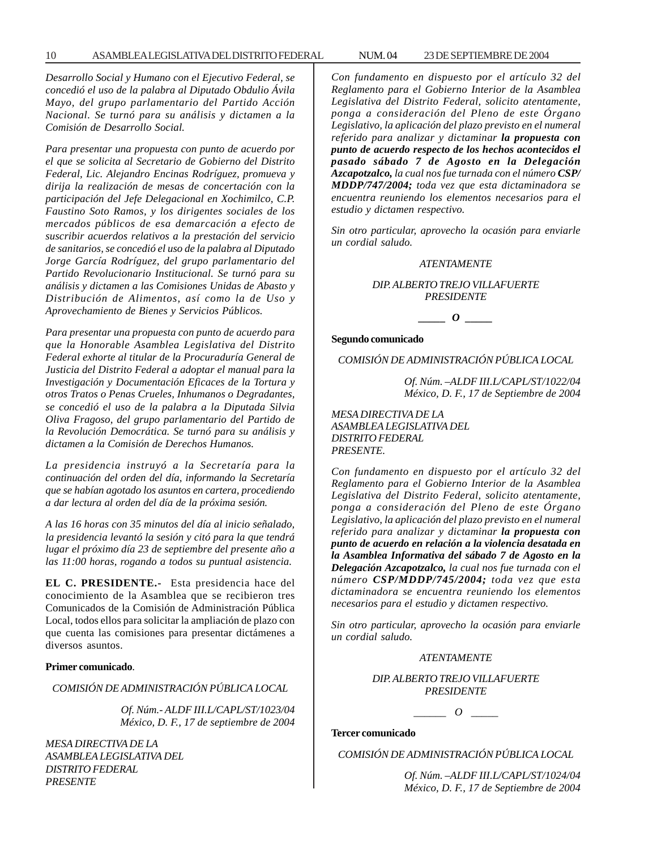*Desarrollo Social y Humano con el Ejecutivo Federal, se concedió el uso de la palabra al Diputado Obdulio Ávila Mayo, del grupo parlamentario del Partido Acción Nacional. Se turnó para su análisis y dictamen a la Comisión de Desarrollo Social.*

*Para presentar una propuesta con punto de acuerdo por el que se solicita al Secretario de Gobierno del Distrito Federal, Lic. Alejandro Encinas Rodríguez, promueva y dirija la realización de mesas de concertación con la participación del Jefe Delegacional en Xochimilco, C.P. Faustino Soto Ramos, y los dirigentes sociales de los mercados públicos de esa demarcación a efecto de suscribir acuerdos relativos a la prestación del servicio de sanitarios, se concedió el uso de la palabra al Diputado Jorge García Rodríguez, del grupo parlamentario del Partido Revolucionario Institucional. Se turnó para su análisis y dictamen a las Comisiones Unidas de Abasto y Distribución de Alimentos, así como la de Uso y Aprovechamiento de Bienes y Servicios Públicos.*

*Para presentar una propuesta con punto de acuerdo para que la Honorable Asamblea Legislativa del Distrito Federal exhorte al titular de la Procuraduría General de Justicia del Distrito Federal a adoptar el manual para la Investigación y Documentación Eficaces de la Tortura y otros Tratos o Penas Crueles, Inhumanos o Degradantes, se concedió el uso de la palabra a la Diputada Silvia Oliva Fragoso, del grupo parlamentario del Partido de la Revolución Democrática. Se turnó para su análisis y dictamen a la Comisión de Derechos Humanos.*

*La presidencia instruyó a la Secretaría para la continuación del orden del día, informando la Secretaría que se habían agotado los asuntos en cartera, procediendo a dar lectura al orden del día de la próxima sesión.*

*A las 16 horas con 35 minutos del día al inicio señalado, la presidencia levantó la sesión y citó para la que tendrá lugar el próximo día 23 de septiembre del presente año a las 11:00 horas, rogando a todos su puntual asistencia.*

**EL C. PRESIDENTE.-** Esta presidencia hace del conocimiento de la Asamblea que se recibieron tres Comunicados de la Comisión de Administración Pública Local, todos ellos para solicitar la ampliación de plazo con que cuenta las comisiones para presentar dictámenes a diversos asuntos.

#### **Primer comunicado**.

*COMISIÓN DE ADMINISTRACIÓN PÚBLICA LOCAL*

*Of. Núm.- ALDF III.L/CAPL/ST/1023/04 México, D. F., 17 de septiembre de 2004*

*MESA DIRECTIVA DE LA ASAMBLEA LEGISLATIVA DEL DISTRITO FEDERAL PRESENTE*

*Con fundamento en dispuesto por el artículo 32 del Reglamento para el Gobierno Interior de la Asamblea Legislativa del Distrito Federal, solicito atentamente, ponga a consideración del Pleno de este Órgano Legislativo, la aplicación del plazo previsto en el numeral referido para analizar y dictaminar la propuesta con punto de acuerdo respecto de los hechos acontecidos el pasado sábado 7 de Agosto en la Delegación Azcapotzalco, la cual nos fue turnada con el número CSP/ MDDP/747/2004; toda vez que esta dictaminadora se encuentra reuniendo los elementos necesarios para el estudio y dictamen respectivo.*

*Sin otro particular, aprovecho la ocasión para enviarle un cordial saludo.*

#### *ATENTAMENTE*

#### *DIP. ALBERTO TREJO VILLAFUERTE PRESIDENTE*

*\_\_\_\_\_ O \_\_\_\_\_*

**Segundo comunicado**

*COMISIÓN DE ADMINISTRACIÓN PÚBLICA LOCAL*

*Of. Núm. –ALDF III.L/CAPL/ST/1022/04 México, D. F., 17 de Septiembre de 2004*

*MESA DIRECTIVA DE LA ASAMBLEA LEGISLATIVA DEL DISTRITO FEDERAL PRESENTE.*

*Con fundamento en dispuesto por el artículo 32 del Reglamento para el Gobierno Interior de la Asamblea Legislativa del Distrito Federal, solicito atentamente, ponga a consideración del Pleno de este Órgano Legislativo, la aplicación del plazo previsto en el numeral referido para analizar y dictaminar la propuesta con punto de acuerdo en relación a la violencia desatada en la Asamblea Informativa del sábado 7 de Agosto en la Delegación Azcapotzalco, la cual nos fue turnada con el número CSP/MDDP/745/2004; toda vez que esta dictaminadora se encuentra reuniendo los elementos necesarios para el estudio y dictamen respectivo.*

*Sin otro particular, aprovecho la ocasión para enviarle un cordial saludo.*

#### *ATENTAMENTE*

*DIP. ALBERTO TREJO VILLAFUERTE PRESIDENTE*

*\_\_\_\_\_\_ O \_\_\_\_\_*

#### **Tercer comunicado**

*COMISIÓN DE ADMINISTRACIÓN PÚBLICA LOCAL*

*Of. Núm. –ALDF III.L/CAPL/ST/1024/04 México, D. F., 17 de Septiembre de 2004*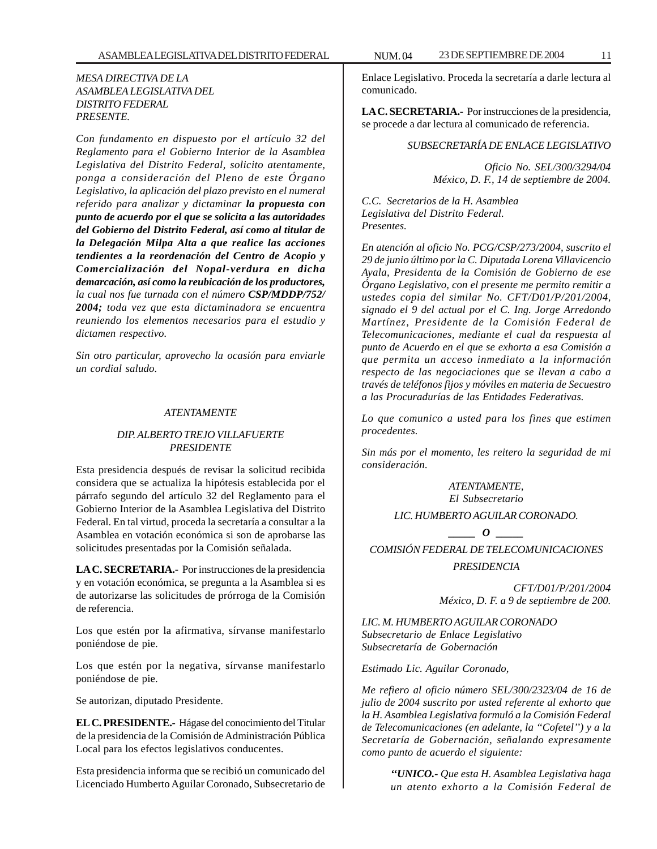#### *MESA DIRECTIVA DE LA ASAMBLEA LEGISLATIVA DEL DISTRITO FEDERAL PRESENTE.*

*Con fundamento en dispuesto por el artículo 32 del Reglamento para el Gobierno Interior de la Asamblea Legislativa del Distrito Federal, solicito atentamente, ponga a consideración del Pleno de este Órgano Legislativo, la aplicación del plazo previsto en el numeral referido para analizar y dictaminar la propuesta con punto de acuerdo por el que se solicita a las autoridades del Gobierno del Distrito Federal, así como al titular de la Delegación Milpa Alta a que realice las acciones tendientes a la reordenación del Centro de Acopio y Comercialización del Nopal-verdura en dicha demarcación, así como la reubicación de los productores, la cual nos fue turnada con el número CSP/MDDP/752/ 2004; toda vez que esta dictaminadora se encuentra reuniendo los elementos necesarios para el estudio y dictamen respectivo.*

*Sin otro particular, aprovecho la ocasión para enviarle un cordial saludo.*

#### *ATENTAMENTE*

#### *DIP. ALBERTO TREJO VILLAFUERTE PRESIDENTE*

Esta presidencia después de revisar la solicitud recibida considera que se actualiza la hipótesis establecida por el párrafo segundo del artículo 32 del Reglamento para el Gobierno Interior de la Asamblea Legislativa del Distrito Federal. En tal virtud, proceda la secretaría a consultar a la Asamblea en votación económica si son de aprobarse las solicitudes presentadas por la Comisión señalada.

**LA C. SECRETARIA.-** Por instrucciones de la presidencia y en votación económica, se pregunta a la Asamblea si es de autorizarse las solicitudes de prórroga de la Comisión de referencia.

Los que estén por la afirmativa, sírvanse manifestarlo poniéndose de pie.

Los que estén por la negativa, sírvanse manifestarlo poniéndose de pie.

Se autorizan, diputado Presidente.

**EL C. PRESIDENTE.-** Hágase del conocimiento del Titular de la presidencia de la Comisión de Administración Pública Local para los efectos legislativos conducentes.

Esta presidencia informa que se recibió un comunicado del Licenciado Humberto Aguilar Coronado, Subsecretario de

Enlace Legislativo. Proceda la secretaría a darle lectura al comunicado.

**LA C. SECRETARIA.-** Por instrucciones de la presidencia, se procede a dar lectura al comunicado de referencia.

#### *SUBSECRETARÍA DE ENLACE LEGISLATIVO*

*Oficio No. SEL/300/3294/04 México, D. F., 14 de septiembre de 2004.*

*C.C. Secretarios de la H. Asamblea Legislativa del Distrito Federal. Presentes.*

*En atención al oficio No. PCG/CSP/273/2004, suscrito el 29 de junio último por la C. Diputada Lorena Villavicencio Ayala, Presidenta de la Comisión de Gobierno de ese Órgano Legislativo, con el presente me permito remitir a ustedes copia del similar No. CFT/D01/P/201/2004, signado el 9 del actual por el C. Ing. Jorge Arredondo Martínez, Presidente de la Comisión Federal de Telecomunicaciones, mediante el cual da respuesta al punto de Acuerdo en el que se exhorta a esa Comisión a que permita un acceso inmediato a la información respecto de las negociaciones que se llevan a cabo a través de teléfonos fijos y móviles en materia de Secuestro a las Procuradurías de las Entidades Federativas.*

*Lo que comunico a usted para los fines que estimen procedentes.*

*Sin más por el momento, les reitero la seguridad de mi consideración.*

> *ATENTAMENTE, El Subsecretario LIC. HUMBERTO AGUILAR CORONADO.*

*\_\_\_\_\_ O \_\_\_\_\_ COMISIÓN FEDERAL DE TELECOMUNICACIONES PRESIDENCIA*

> *CFT/D01/P/201/2004 México, D. F. a 9 de septiembre de 200.*

*LIC. M. HUMBERTO AGUILAR CORONADO Subsecretario de Enlace Legislativo Subsecretaría de Gobernación*

*Estimado Lic. Aguilar Coronado,*

*Me refiero al oficio número SEL/300/2323/04 de 16 de julio de 2004 suscrito por usted referente al exhorto que la H. Asamblea Legislativa formuló a la Comisión Federal de Telecomunicaciones (en adelante, la ''Cofetel'') y a la Secretaría de Gobernación, señalando expresamente como punto de acuerdo el siguiente:*

> *''UNICO.- Que esta H. Asamblea Legislativa haga un atento exhorto a la Comisión Federal de*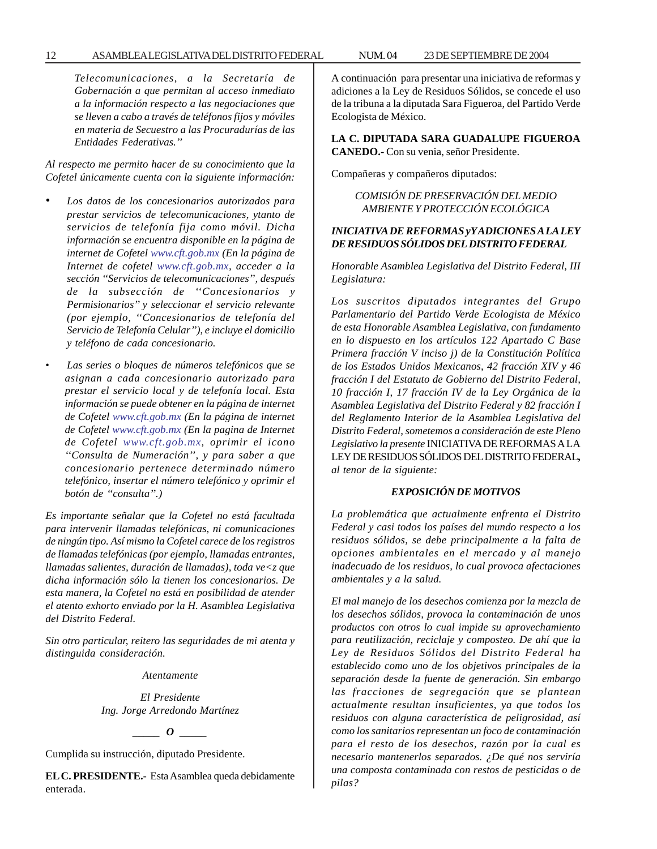#### 12 ASAMBLEA LEGISLATIVA DEL DISTRITO FEDERAL NUM. 04 23 DE SEPTIEMBRE DE 2004

*Telecomunicaciones, a la Secretaría de Gobernación a que permitan al acceso inmediato a la información respecto a las negociaciones que se lleven a cabo a través de teléfonos fijos y móviles en materia de Secuestro a las Procuradurías de las Entidades Federativas.''*

*Al respecto me permito hacer de su conocimiento que la Cofetel únicamente cuenta con la siguiente información:*

- *• Los datos de los concesionarios autorizados para prestar servicios de telecomunicaciones, ytanto de servicios de telefonía fija como móvil. Dicha información se encuentra disponible en la página de internet de Cofetel www.cft.gob.mx (En la página de Internet de cofetel www.cft.gob.mx, acceder a la sección ''Servicios de telecomunicaciones'', después de la subsección de ''Concesionarios y Permisionarios'' y seleccionar el servicio relevante (por ejemplo, ''Concesionarios de telefonía del Servicio de Telefonía Celular'')*, *e incluye el domicilio y teléfono de cada concesionario.*
- *Las series o bloques de números telefónicos que se asignan a cada concesionario autorizado para prestar el servicio local y de telefonía local. Esta información se puede obtener en la página de internet de Cofetel www.cft.gob.mx (En la página de internet de Cofetel www.cft.gob.mx (En la pagina de Internet de Cofetel www.cft.gob.mx, oprimir el icono ''Consulta de Numeración'', y para saber a que concesionario pertenece determinado número telefónico, insertar el número telefónico y oprimir el botón de ''consulta''.)*

*Es importante señalar que la Cofetel no está facultada para intervenir llamadas telefónicas, ni comunicaciones de ningún tipo. Así mismo la Cofetel carece de los registros de llamadas telefónicas (por ejemplo, llamadas entrantes, llamadas salientes, duración de llamadas), toda ve<z que dicha información sólo la tienen los concesionarios. De esta manera, la Cofetel no está en posibilidad de atender el atento exhorto enviado por la H. Asamblea Legislativa del Distrito Federal.*

*Sin otro particular, reitero las seguridades de mi atenta y distinguida consideración.*

*Atentamente*

*El Presidente Ing. Jorge Arredondo Martínez*

*\_\_\_\_\_ O \_\_\_\_\_*

Cumplida su instrucción, diputado Presidente.

**EL C. PRESIDENTE.-** Esta Asamblea queda debidamente enterada.

A continuación para presentar una iniciativa de reformas y adiciones a la Ley de Residuos Sólidos, se concede el uso de la tribuna a la diputada Sara Figueroa, del Partido Verde Ecologista de México.

**LA C. DIPUTADA SARA GUADALUPE FIGUEROA CANEDO.-** Con su venia, señor Presidente.

Compañeras y compañeros diputados:

*COMISIÓN DE PRESERVACIÓN DEL MEDIO AMBIENTE Y PROTECCIÓN ECOLÓGICA*

#### *INICIATIVA DE REFORMAS yY ADICIONES A LA LEY DE RESIDUOS SÓLIDOS DEL DISTRITO FEDERAL*

*Honorable Asamblea Legislativa del Distrito Federal, III Legislatura:*

*Los suscritos diputados integrantes del Grupo Parlamentario del Partido Verde Ecologista de México de esta Honorable Asamblea Legislativa, con fundamento en lo dispuesto en los artículos 122 Apartado C Base Primera fracción V inciso j) de la Constitución Política de los Estados Unidos Mexicanos, 42 fracción XIV y 46 fracción I del Estatuto de Gobierno del Distrito Federal, 10 fracción I, 17 fracción IV de la Ley Orgánica de la Asamblea Legislativa del Distrito Federal y 82 fracción I del Reglamento Interior de la Asamblea Legislativa del Distrito Federal, sometemos a consideración de este Pleno Legislativo la presente* INICIATIVA DE REFORMAS A LA LEY DE RESIDUOS SÓLIDOS DEL DISTRITO FEDERAL**,** *al tenor de la siguiente:*

#### *EXPOSICIÓN DE MOTIVOS*

*La problemática que actualmente enfrenta el Distrito Federal y casi todos los países del mundo respecto a los residuos sólidos, se debe principalmente a la falta de opciones ambientales en el mercado y al manejo inadecuado de los residuos, lo cual provoca afectaciones ambientales y a la salud.*

*El mal manejo de los desechos comienza por la mezcla de los desechos sólidos, provoca la contaminación de unos productos con otros lo cual impide su aprovechamiento para reutilización, reciclaje y composteo. De ahí que la Ley de Residuos Sólidos del Distrito Federal ha establecido como uno de los objetivos principales de la separación desde la fuente de generación. Sin embargo las fracciones de segregación que se plantean actualmente resultan insuficientes, ya que todos los residuos con alguna característica de peligrosidad, así como los sanitarios representan un foco de contaminación para el resto de los desechos, razón por la cual es necesario mantenerlos separados. ¿De qué nos serviría una composta contaminada con restos de pesticidas o de pilas?*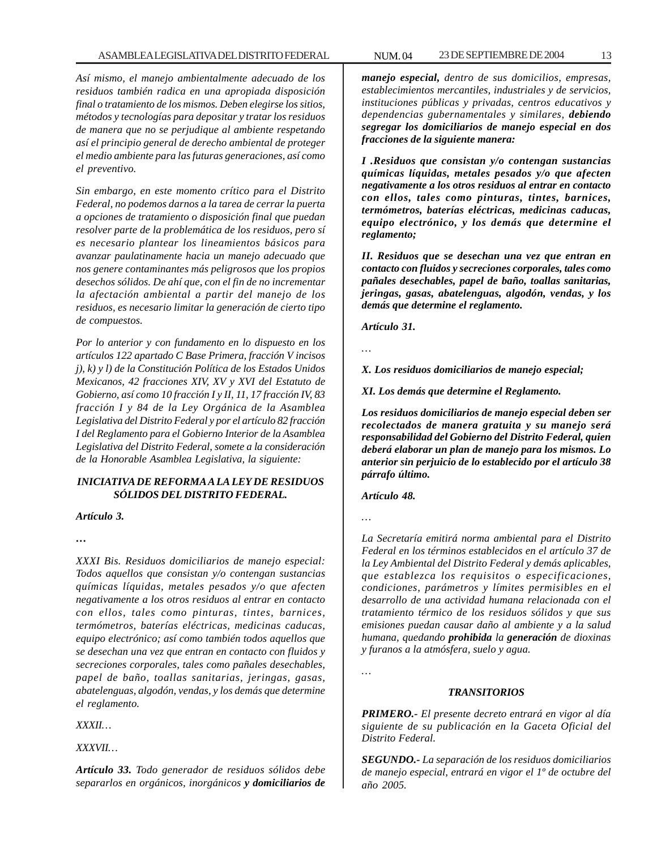*Así mismo, el manejo ambientalmente adecuado de los residuos también radica en una apropiada disposición final o tratamiento de los mismos. Deben elegirse los sitios, métodos y tecnologías para depositar y tratar los residuos de manera que no se perjudique al ambiente respetando así el principio general de derecho ambiental de proteger el medio ambiente para las futuras generaciones, así como el preventivo.*

*Sin embargo, en este momento crítico para el Distrito Federal, no podemos darnos a la tarea de cerrar la puerta a opciones de tratamiento o disposición final que puedan resolver parte de la problemática de los residuos, pero sí es necesario plantear los lineamientos básicos para avanzar paulatinamente hacia un manejo adecuado que nos genere contaminantes más peligrosos que los propios desechos sólidos. De ahí que, con el fin de no incrementar la afectación ambiental a partir del manejo de los residuos, es necesario limitar la generación de cierto tipo de compuestos.*

*Por lo anterior y con fundamento en lo dispuesto en los artículos 122 apartado C Base Primera, fracción V incisos j), k) y l) de la Constitución Política de los Estados Unidos Mexicanos, 42 fracciones XIV, XV y XVI del Estatuto de Gobierno, así como 10 fracción I y II, 11, 17 fracción IV, 83 fracción I y 84 de la Ley Orgánica de la Asamblea Legislativa del Distrito Federal y por el artículo 82 fracción I del Reglamento para el Gobierno Interior de la Asamblea Legislativa del Distrito Federal, somete a la consideración de la Honorable Asamblea Legislativa, la siguiente:*

#### *INICIATIVA DE REFORMA A LA LEY DE RESIDUOS SÓLIDOS DEL DISTRITO FEDERAL.*

*Artículo 3.*

*…*

*XXXI Bis. Residuos domiciliarios de manejo especial: Todos aquellos que consistan y/o contengan sustancias químicas líquidas, metales pesados y/o que afecten negativamente a los otros residuos al entrar en contacto con ellos, tales como pinturas, tintes, barnices, termómetros, baterías eléctricas, medicinas caducas, equipo electrónico; así como también todos aquellos que se desechan una vez que entran en contacto con fluidos y secreciones corporales, tales como pañales desechables, papel de baño, toallas sanitarias, jeringas, gasas, abatelenguas, algodón, vendas, y los demás que determine el reglamento.*

*XXXII…*

*XXXVII…*

*Artículo 33. Todo generador de residuos sólidos debe separarlos en orgánicos, inorgánicos y domiciliarios de*

*manejo especial, dentro de sus domicilios, empresas, establecimientos mercantiles, industriales y de servicios, instituciones públicas y privadas, centros educativos y dependencias gubernamentales y similares, debiendo segregar los domiciliarios de manejo especial en dos fracciones de la siguiente manera:*

*I .Residuos que consistan y/o contengan sustancias químicas líquidas, metales pesados y/o que afecten negativamente a los otros residuos al entrar en contacto con ellos, tales como pinturas, tintes, barnices, termómetros, baterías eléctricas, medicinas caducas, equipo electrónico, y los demás que determine el reglamento;*

*II. Residuos que se desechan una vez que entran en contacto con fluidos y secreciones corporales, tales como pañales desechables, papel de baño, toallas sanitarias, jeringas, gasas, abatelenguas, algodón, vendas, y los demás que determine el reglamento.*

*Artículo 31.*

*…*

*X. Los residuos domiciliarios de manejo especial;*

*XI. Los demás que determine el Reglamento.*

*Los residuos domiciliarios de manejo especial deben ser recolectados de manera gratuita y su manejo será responsabilidad del Gobierno del Distrito Federal, quien deberá elaborar un plan de manejo para los mismos. Lo anterior sin perjuicio de lo establecido por el artículo 38 párrafo último.*

*Artículo 48.*

*…*

*La Secretaría emitirá norma ambiental para el Distrito Federal en los términos establecidos en el artículo 37 de la Ley Ambiental del Distrito Federal y demás aplicables, que establezca los requisitos o especificaciones, condiciones, parámetros y límites permisibles en el desarrollo de una actividad humana relacionada con el tratamiento térmico de los residuos sólidos y que sus emisiones puedan causar daño al ambiente y a la salud humana, quedando prohibida la generación de dioxinas y furanos a la atmósfera, suelo y agua.*

*…*

#### *TRANSITORIOS*

*PRIMERO.- El presente decreto entrará en vigor al día siguiente de su publicación en la Gaceta Oficial del Distrito Federal.*

*SEGUNDO.- La separación de los residuos domiciliarios de manejo especial, entrará en vigor el 1º de octubre del año 2005.*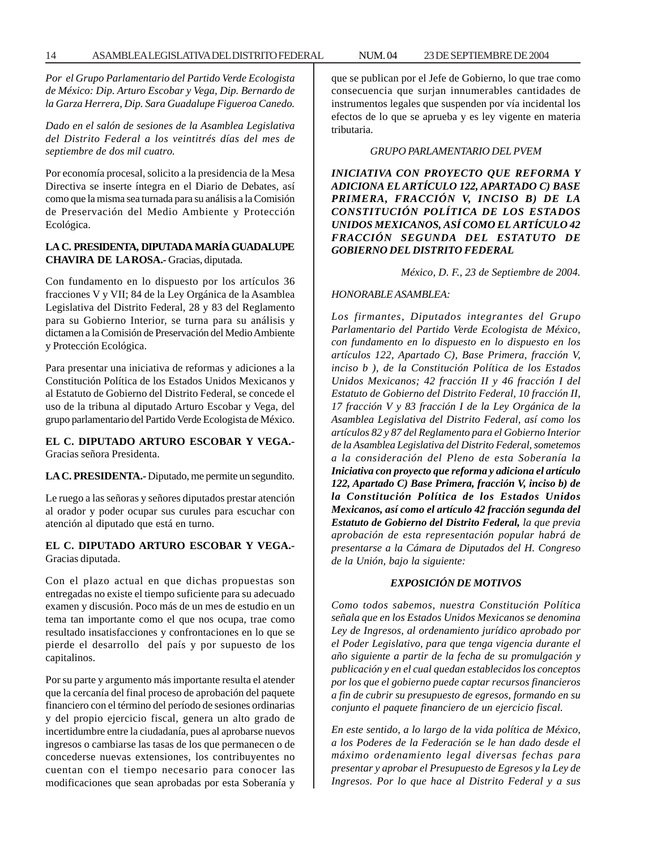*Por el Grupo Parlamentario del Partido Verde Ecologista de México: Dip. Arturo Escobar y Vega, Dip. Bernardo de la Garza Herrera, Dip. Sara Guadalupe Figueroa Canedo.*

*Dado en el salón de sesiones de la Asamblea Legislativa del Distrito Federal a los veintitrés días del mes de septiembre de dos mil cuatro.*

Por economía procesal, solicito a la presidencia de la Mesa Directiva se inserte íntegra en el Diario de Debates, así como que la misma sea turnada para su análisis a la Comisión de Preservación del Medio Ambiente y Protección Ecológica.

#### **LA C. PRESIDENTA, DIPUTADA MARÍA GUADALUPE CHAVIRA DE LA ROSA.-** Gracias, diputada.

Con fundamento en lo dispuesto por los artículos 36 fracciones V y VII; 84 de la Ley Orgánica de la Asamblea Legislativa del Distrito Federal, 28 y 83 del Reglamento para su Gobierno Interior, se turna para su análisis y dictamen a la Comisión de Preservación del Medio Ambiente y Protección Ecológica.

Para presentar una iniciativa de reformas y adiciones a la Constitución Política de los Estados Unidos Mexicanos y al Estatuto de Gobierno del Distrito Federal, se concede el uso de la tribuna al diputado Arturo Escobar y Vega, del grupo parlamentario del Partido Verde Ecologista de México.

#### **EL C. DIPUTADO ARTURO ESCOBAR Y VEGA.-** Gracias señora Presidenta.

#### **LA C. PRESIDENTA.-** Diputado, me permite un segundito.

Le ruego a las señoras y señores diputados prestar atención al orador y poder ocupar sus curules para escuchar con atención al diputado que está en turno.

#### **EL C. DIPUTADO ARTURO ESCOBAR Y VEGA.-** Gracias diputada.

Con el plazo actual en que dichas propuestas son entregadas no existe el tiempo suficiente para su adecuado examen y discusión. Poco más de un mes de estudio en un tema tan importante como el que nos ocupa, trae como resultado insatisfacciones y confrontaciones en lo que se pierde el desarrollo del país y por supuesto de los capitalinos.

Por su parte y argumento más importante resulta el atender que la cercanía del final proceso de aprobación del paquete financiero con el término del período de sesiones ordinarias y del propio ejercicio fiscal, genera un alto grado de incertidumbre entre la ciudadanía, pues al aprobarse nuevos ingresos o cambiarse las tasas de los que permanecen o de concederse nuevas extensiones, los contribuyentes no cuentan con el tiempo necesario para conocer las modificaciones que sean aprobadas por esta Soberanía y que se publican por el Jefe de Gobierno, lo que trae como consecuencia que surjan innumerables cantidades de instrumentos legales que suspenden por vía incidental los efectos de lo que se aprueba y es ley vigente en materia tributaria.

#### *GRUPO PARLAMENTARIO DEL PVEM*

*INICIATIVA CON PROYECTO QUE REFORMA Y ADICIONA EL ARTÍCULO 122, APARTADO C) BASE PRIMERA, FRACCIÓN V, INCISO B) DE LA CONSTITUCIÓN POLÍTICA DE LOS ESTADOS UNIDOS MEXICANOS, ASÍ COMO EL ARTÍCULO 42 FRACCIÓN SEGUNDA DEL ESTATUTO DE GOBIERNO DEL DISTRITO FEDERAL*

*México, D. F., 23 de Septiembre de 2004.*

#### *HONORABLE ASAMBLEA:*

*Los firmantes, Diputados integrantes del Grupo Parlamentario del Partido Verde Ecologista de México, con fundamento en lo dispuesto en lo dispuesto en los artículos 122, Apartado C), Base Primera, fracción V, inciso b ), de la Constitución Política de los Estados Unidos Mexicanos; 42 fracción II y 46 fracción I del Estatuto de Gobierno del Distrito Federal, 10 fracción II, 17 fracción V y 83 fracción I de la Ley Orgánica de la Asamblea Legislativa del Distrito Federal, así como los artículos 82 y 87 del Reglamento para el Gobierno Interior de la Asamblea Legislativa del Distrito Federal, sometemos a la consideración del Pleno de esta Soberanía la Iniciativa con proyecto que reforma y adiciona el artículo 122, Apartado C) Base Primera, fracción V, inciso b) de la Constitución Política de los Estados Unidos Mexicanos, así como el artículo 42 fracción segunda del Estatuto de Gobierno del Distrito Federal, la que previa aprobación de esta representación popular habrá de presentarse a la Cámara de Diputados del H. Congreso de la Unión, bajo la siguiente:*

#### *EXPOSICIÓN DE MOTIVOS*

*Como todos sabemos, nuestra Constitución Política señala que en los Estados Unidos Mexicanos se denomina Ley de Ingresos, al ordenamiento jurídico aprobado por el Poder Legislativo, para que tenga vigencia durante el año siguiente a partir de la fecha de su promulgación y publicación y en el cual quedan establecidos los conceptos por los que el gobierno puede captar recursos financieros a fin de cubrir su presupuesto de egresos, formando en su conjunto el paquete financiero de un ejercicio fiscal.*

*En este sentido, a lo largo de la vida política de México, a los Poderes de la Federación se le han dado desde el máximo ordenamiento legal diversas fechas para presentar y aprobar el Presupuesto de Egresos y la Ley de Ingresos. Por lo que hace al Distrito Federal y a sus*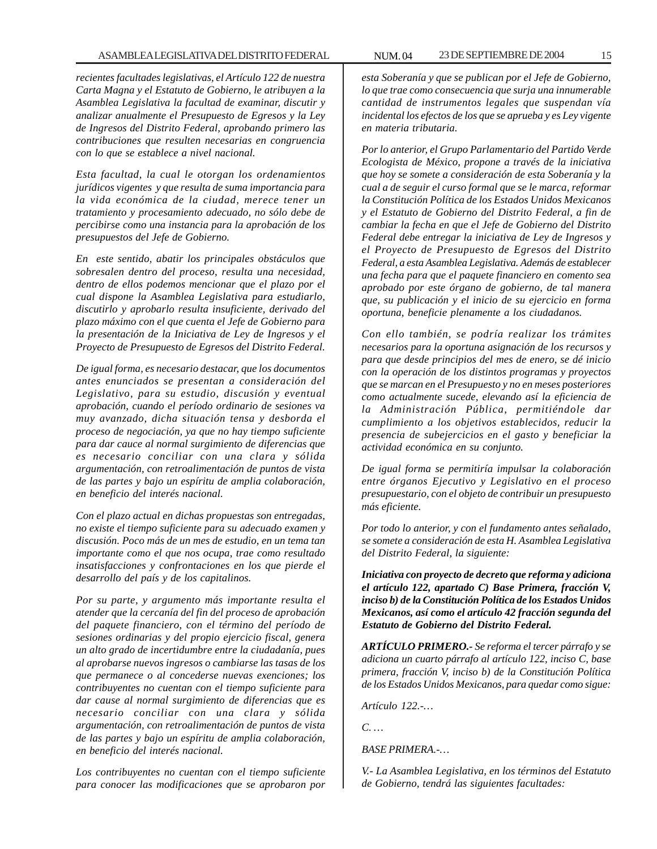#### ASAMBLEA LEGISLATIVA DEL DISTRITO FEDERAL NUM. 04 23 DE SEPTIEMBRE DE 2004 15

*recientes facultades legislativas, el Artículo 122 de nuestra Carta Magna y el Estatuto de Gobierno, le atribuyen a la Asamblea Legislativa la facultad de examinar, discutir y analizar anualmente el Presupuesto de Egresos y la Ley de Ingresos del Distrito Federal, aprobando primero las contribuciones que resulten necesarias en congruencia con lo que se establece a nivel nacional.*

*Esta facultad, la cual le otorgan los ordenamientos jurídicos vigentes y que resulta de suma importancia para la vida económica de la ciudad, merece tener un tratamiento y procesamiento adecuado, no sólo debe de percibirse como una instancia para la aprobación de los presupuestos del Jefe de Gobierno.*

*En este sentido, abatir los principales obstáculos que sobresalen dentro del proceso, resulta una necesidad, dentro de ellos podemos mencionar que el plazo por el cual dispone la Asamblea Legislativa para estudiarlo, discutirlo y aprobarlo resulta insuficiente, derivado del plazo máximo con el que cuenta el Jefe de Gobierno para la presentación de la Iniciativa de Ley de Ingresos y el Proyecto de Presupuesto de Egresos del Distrito Federal.*

*De igual forma, es necesario destacar, que los documentos antes enunciados se presentan a consideración del Legislativo, para su estudio, discusión y eventual aprobación, cuando el período ordinario de sesiones va muy avanzado, dicha situación tensa y desborda el proceso de negociación, ya que no hay tiempo suficiente para dar cauce al normal surgimiento de diferencias que es necesario conciliar con una clara y sólida argumentación, con retroalimentación de puntos de vista de las partes y bajo un espíritu de amplia colaboración, en beneficio del interés nacional.*

*Con el plazo actual en dichas propuestas son entregadas, no existe el tiempo suficiente para su adecuado examen y discusión. Poco más de un mes de estudio, en un tema tan importante como el que nos ocupa, trae como resultado insatisfacciones y confrontaciones en los que pierde el desarrollo del país y de los capitalinos.*

*Por su parte, y argumento más importante resulta el atender que la cercanía del fin del proceso de aprobación del paquete financiero, con el término del período de sesiones ordinarias y del propio ejercicio fiscal, genera un alto grado de incertidumbre entre la ciudadanía, pues al aprobarse nuevos ingresos o cambiarse las tasas de los que permanece o al concederse nuevas exenciones; los contribuyentes no cuentan con el tiempo suficiente para dar cause al normal surgimiento de diferencias que es necesario conciliar con una clara y sólida argumentación, con retroalimentación de puntos de vista de las partes y bajo un espíritu de amplia colaboración, en beneficio del interés nacional.*

*Los contribuyentes no cuentan con el tiempo suficiente para conocer las modificaciones que se aprobaron por* *esta Soberanía y que se publican por el Jefe de Gobierno, lo que trae como consecuencia que surja una innumerable cantidad de instrumentos legales que suspendan vía incidental los efectos de los que se aprueba y es Ley vigente en materia tributaria.*

*Por lo anterior, el Grupo Parlamentario del Partido Verde Ecologista de México, propone a través de la iniciativa que hoy se somete a consideración de esta Soberanía y la cual a de seguir el curso formal que se le marca, reformar la Constitución Política de los Estados Unidos Mexicanos y el Estatuto de Gobierno del Distrito Federal, a fin de cambiar la fecha en que el Jefe de Gobierno del Distrito Federal debe entregar la iniciativa de Ley de Ingresos y el Proyecto de Presupuesto de Egresos del Distrito Federal, a esta Asamblea Legislativa. Además de establecer una fecha para que el paquete financiero en comento sea aprobado por este órgano de gobierno, de tal manera que, su publicación y el inicio de su ejercicio en forma oportuna, beneficie plenamente a los ciudadanos.*

*Con ello también, se podría realizar los trámites necesarios para la oportuna asignación de los recursos y para que desde principios del mes de enero, se dé inicio con la operación de los distintos programas y proyectos que se marcan en el Presupuesto y no en meses posteriores como actualmente sucede, elevando así la eficiencia de la Administración Pública, permitiéndole dar cumplimiento a los objetivos establecidos, reducir la presencia de subejercicios en el gasto y beneficiar la actividad económica en su conjunto.*

*De igual forma se permitiría impulsar la colaboración entre órganos Ejecutivo y Legislativo en el proceso presupuestario, con el objeto de contribuir un presupuesto más eficiente.*

*Por todo lo anterior, y con el fundamento antes señalado, se somete a consideración de esta H. Asamblea Legislativa del Distrito Federal, la siguiente:*

*Iniciativa con proyecto de decreto que reforma y adiciona el artículo 122, apartado C) Base Primera, fracción V, inciso b) de la Constitución Política de los Estados Unidos Mexicanos, así como el artículo 42 fracción segunda del Estatuto de Gobierno del Distrito Federal.*

*ARTÍCULO PRIMERO.- Se reforma el tercer párrafo y se adiciona un cuarto párrafo al artículo 122, inciso C, base primera, fracción V, inciso b) de la Constitución Política de los Estados Unidos Mexicanos, para quedar como sigue:*

*Artículo 122.-…*

*C. …*

*BASE PRIMERA.-…*

*V.- La Asamblea Legislativa, en los términos del Estatuto de Gobierno, tendrá las siguientes facultades:*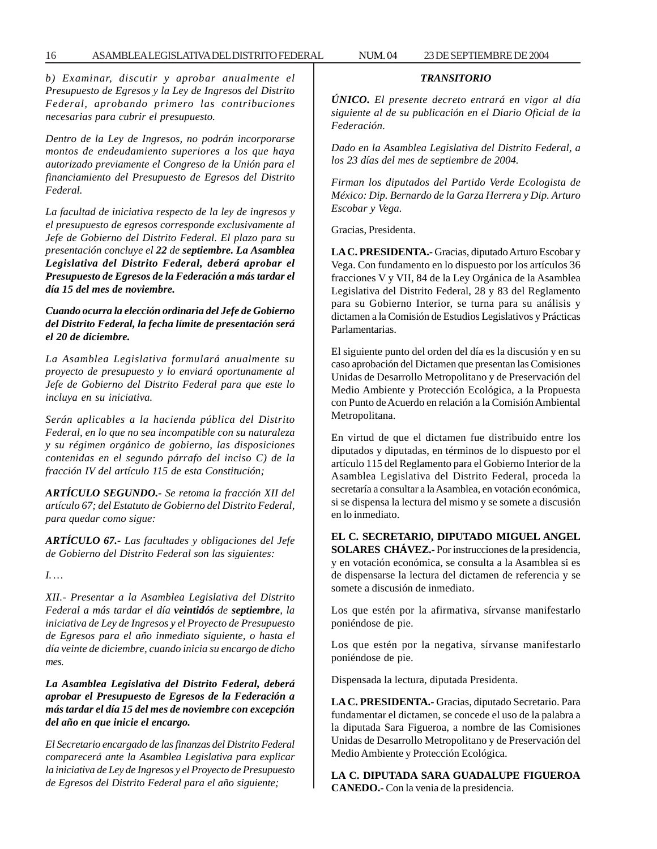*b) Examinar, discutir y aprobar anualmente el Presupuesto de Egresos y la Ley de Ingresos del Distrito Federal, aprobando primero las contribuciones necesarias para cubrir el presupuesto.*

*Dentro de la Ley de Ingresos, no podrán incorporarse montos de endeudamiento superiores a los que haya autorizado previamente el Congreso de la Unión para el financiamiento del Presupuesto de Egresos del Distrito Federal.*

*La facultad de iniciativa respecto de la ley de ingresos y el presupuesto de egresos corresponde exclusivamente al Jefe de Gobierno del Distrito Federal. El plazo para su presentación concluye el 22 de septiembre. La Asamblea Legislativa del Distrito Federal, deberá aprobar el Presupuesto de Egresos de la Federación a más tardar el día 15 del mes de noviembre.*

#### *Cuando ocurra la elección ordinaria del Jefe de Gobierno del Distrito Federal, la fecha límite de presentación será el 20 de diciembre.*

*La Asamblea Legislativa formulará anualmente su proyecto de presupuesto y lo enviará oportunamente al Jefe de Gobierno del Distrito Federal para que este lo incluya en su iniciativa.*

*Serán aplicables a la hacienda pública del Distrito Federal, en lo que no sea incompatible con su naturaleza y su régimen orgánico de gobierno, las disposiciones contenidas en el segundo párrafo del inciso C) de la fracción IV del artículo 115 de esta Constitución;*

*ARTÍCULO SEGUNDO.- Se retoma la fracción XII del artículo 67; del Estatuto de Gobierno del Distrito Federal, para quedar como sigue:*

*ARTÍCULO 67.- Las facultades y obligaciones del Jefe de Gobierno del Distrito Federal son las siguientes:*

*I. …*

*XII.- Presentar a la Asamblea Legislativa del Distrito Federal a más tardar el día veintidós de septiembre, la iniciativa de Ley de Ingresos y el Proyecto de Presupuesto de Egresos para el año inmediato siguiente, o hasta el día veinte de diciembre, cuando inicia su encargo de dicho mes.*

#### *La Asamblea Legislativa del Distrito Federal, deberá aprobar el Presupuesto de Egresos de la Federación a más tardar el día 15 del mes de noviembre con excepción del año en que inicie el encargo.*

*El Secretario encargado de las finanzas del Distrito Federal comparecerá ante la Asamblea Legislativa para explicar la iniciativa de Ley de Ingresos y el Proyecto de Presupuesto de Egresos del Distrito Federal para el año siguiente;*

#### *TRANSITORIO*

*ÚNICO. El presente decreto entrará en vigor al día siguiente al de su publicación en el Diario Oficial de la Federación.*

*Dado en la Asamblea Legislativa del Distrito Federal, a los 23 días del mes de septiembre de 2004.*

*Firman los diputados del Partido Verde Ecologista de México: Dip. Bernardo de la Garza Herrera y Dip. Arturo Escobar y Vega.*

Gracias, Presidenta.

**LA C. PRESIDENTA.-** Gracias, diputado Arturo Escobar y Vega. Con fundamento en lo dispuesto por los artículos 36 fracciones V y VII, 84 de la Ley Orgánica de la Asamblea Legislativa del Distrito Federal, 28 y 83 del Reglamento para su Gobierno Interior, se turna para su análisis y dictamen a la Comisión de Estudios Legislativos y Prácticas Parlamentarias.

El siguiente punto del orden del día es la discusión y en su caso aprobación del Dictamen que presentan las Comisiones Unidas de Desarrollo Metropolitano y de Preservación del Medio Ambiente y Protección Ecológica, a la Propuesta con Punto de Acuerdo en relación a la Comisión Ambiental Metropolitana.

En virtud de que el dictamen fue distribuido entre los diputados y diputadas, en términos de lo dispuesto por el artículo 115 del Reglamento para el Gobierno Interior de la Asamblea Legislativa del Distrito Federal, proceda la secretaría a consultar a la Asamblea, en votación económica, si se dispensa la lectura del mismo y se somete a discusión en lo inmediato.

**EL C. SECRETARIO, DIPUTADO MIGUEL ANGEL SOLARES CHÁVEZ.-** Por instrucciones de la presidencia, y en votación económica, se consulta a la Asamblea si es de dispensarse la lectura del dictamen de referencia y se somete a discusión de inmediato.

Los que estén por la afirmativa, sírvanse manifestarlo poniéndose de pie.

Los que estén por la negativa, sírvanse manifestarlo poniéndose de pie.

Dispensada la lectura, diputada Presidenta.

**LA C. PRESIDENTA.-** Gracias, diputado Secretario. Para fundamentar el dictamen, se concede el uso de la palabra a la diputada Sara Figueroa, a nombre de las Comisiones Unidas de Desarrollo Metropolitano y de Preservación del Medio Ambiente y Protección Ecológica.

**LA C. DIPUTADA SARA GUADALUPE FIGUEROA CANEDO.-** Con la venia de la presidencia.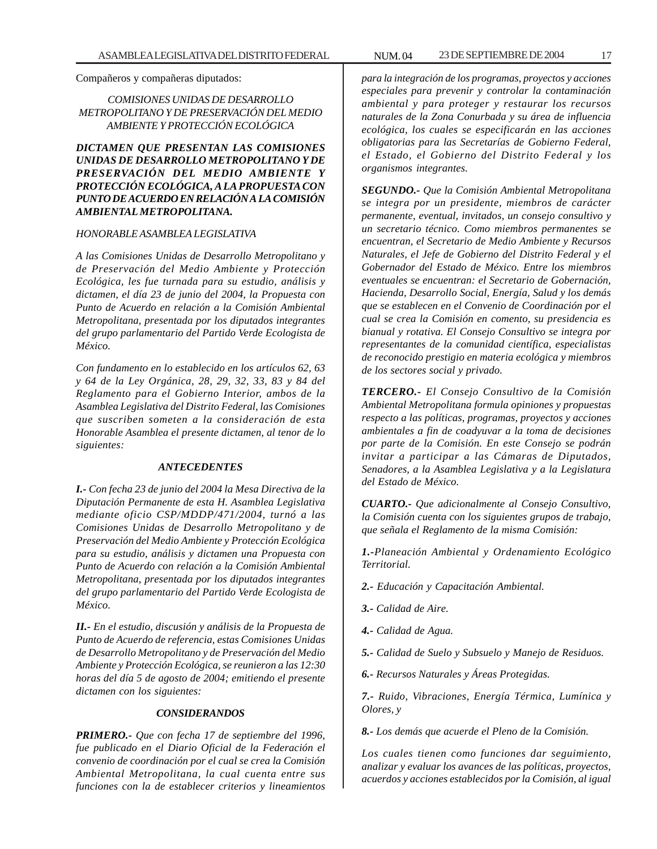Compañeros y compañeras diputados:

#### *COMISIONES UNIDAS DE DESARROLLO METROPOLITANO Y DE PRESERVACIÓN DEL MEDIO AMBIENTE Y PROTECCIÓN ECOLÓGICA*

*DICTAMEN QUE PRESENTAN LAS COMISIONES UNIDAS DE DESARROLLO METROPOLITANO Y DE PRESERVACIÓN DEL MEDIO AMBIENTE Y PROTECCIÓN ECOLÓGICA, A LA PROPUESTA CON PUNTO DE ACUERDO EN RELACIÓN A LA COMISIÓN AMBIENTAL METROPOLITANA.*

#### *HONORABLE ASAMBLEA LEGISLATIVA*

*A las Comisiones Unidas de Desarrollo Metropolitano y de Preservación del Medio Ambiente y Protección Ecológica, les fue turnada para su estudio, análisis y dictamen, el día 23 de junio del 2004, la Propuesta con Punto de Acuerdo en relación a la Comisión Ambiental Metropolitana, presentada por los diputados integrantes del grupo parlamentario del Partido Verde Ecologista de México.*

*Con fundamento en lo establecido en los artículos 62, 63 y 64 de la Ley Orgánica, 28, 29, 32, 33, 83 y 84 del Reglamento para el Gobierno Interior, ambos de la Asamblea Legislativa del Distrito Federal, las Comisiones que suscriben someten a la consideración de esta Honorable Asamblea el presente dictamen, al tenor de lo siguientes:*

#### *ANTECEDENTES*

*I.- Con fecha 23 de junio del 2004 la Mesa Directiva de la Diputación Permanente de esta H. Asamblea Legislativa mediante oficio CSP/MDDP/471/2004, turnó a las Comisiones Unidas de Desarrollo Metropolitano y de Preservación del Medio Ambiente y Protección Ecológica para su estudio, análisis y dictamen una Propuesta con Punto de Acuerdo con relación a la Comisión Ambiental Metropolitana, presentada por los diputados integrantes del grupo parlamentario del Partido Verde Ecologista de México.*

*II.- En el estudio, discusión y análisis de la Propuesta de Punto de Acuerdo de referencia, estas Comisiones Unidas de Desarrollo Metropolitano y de Preservación del Medio Ambiente y Protección Ecológica, se reunieron a las 12:30 horas del día 5 de agosto de 2004; emitiendo el presente dictamen con los siguientes:*

#### *CONSIDERANDOS*

*PRIMERO.- Que con fecha 17 de septiembre del 1996, fue publicado en el Diario Oficial de la Federación el convenio de coordinación por el cual se crea la Comisión Ambiental Metropolitana, la cual cuenta entre sus funciones con la de establecer criterios y lineamientos*

*para la integración de los programas, proyectos y acciones especiales para prevenir y controlar la contaminación ambiental y para proteger y restaurar los recursos naturales de la Zona Conurbada y su área de influencia ecológica, los cuales se especificarán en las acciones obligatorias para las Secretarías de Gobierno Federal, el Estado, el Gobierno del Distrito Federal y los organismos integrantes.*

*SEGUNDO.- Que la Comisión Ambiental Metropolitana se integra por un presidente, miembros de carácter permanente, eventual, invitados, un consejo consultivo y un secretario técnico. Como miembros permanentes se encuentran, el Secretario de Medio Ambiente y Recursos Naturales, el Jefe de Gobierno del Distrito Federal y el Gobernador del Estado de México. Entre los miembros eventuales se encuentran: el Secretario de Gobernación, Hacienda, Desarrollo Social, Energía, Salud y los demás que se establecen en el Convenio de Coordinación por el cual se crea la Comisión en comento, su presidencia es bianual y rotativa. El Consejo Consultivo se integra por representantes de la comunidad científica, especialistas de reconocido prestigio en materia ecológica y miembros de los sectores social y privado.*

*TERCERO.- El Consejo Consultivo de la Comisión Ambiental Metropolitana formula opiniones y propuestas respecto a las políticas, programas, proyectos y acciones ambientales a fin de coadyuvar a la toma de decisiones por parte de la Comisión. En este Consejo se podrán invitar a participar a las Cámaras de Diputados, Senadores, a la Asamblea Legislativa y a la Legislatura del Estado de México.*

*CUARTO.- Que adicionalmente al Consejo Consultivo, la Comisión cuenta con los siguientes grupos de trabajo, que señala el Reglamento de la misma Comisión:*

*1.-Planeación Ambiental y Ordenamiento Ecológico Territorial.*

- *2.- Educación y Capacitación Ambiental.*
- *3.- Calidad de Aire.*
- *4.- Calidad de Agua.*
- *5.- Calidad de Suelo y Subsuelo y Manejo de Residuos.*
- *6.- Recursos Naturales y Áreas Protegidas.*

*7.- Ruido, Vibraciones, Energía Térmica, Lumínica y Olores, y*

*8.- Los demás que acuerde el Pleno de la Comisión.*

*Los cuales tienen como funciones dar seguimiento, analizar y evaluar los avances de las políticas, proyectos, acuerdos y acciones establecidos por la Comisión, al igual*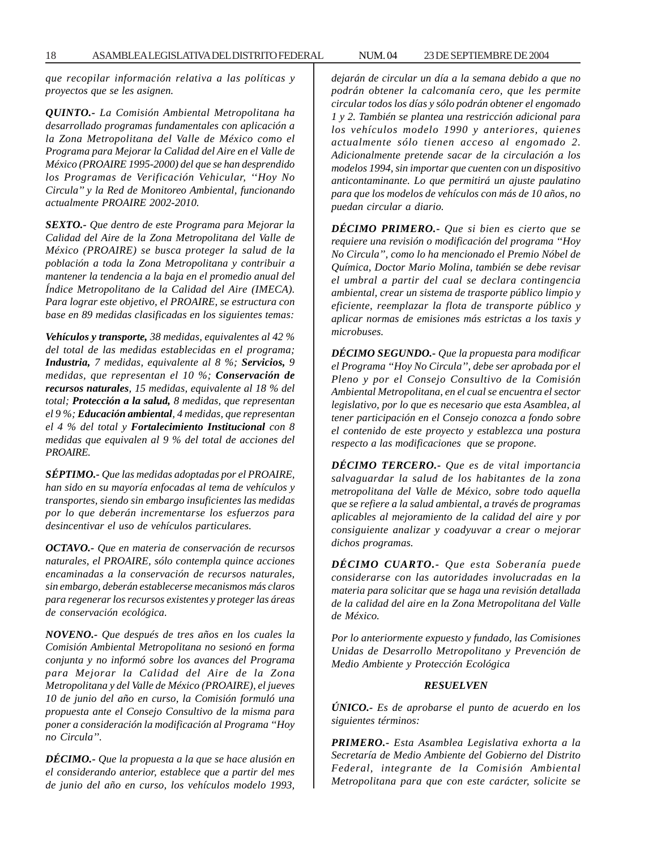18 ASAMBLEA LEGISLATIVA DEL DISTRITO FEDERAL NUM. 04 23 DE SEPTIEMBRE DE 2004

*que recopilar información relativa a las políticas y proyectos que se les asignen.*

*QUINTO.- La Comisión Ambiental Metropolitana ha desarrollado programas fundamentales con aplicación a la Zona Metropolitana del Valle de México como el Programa para Mejorar la Calidad del Aire en el Valle de México (PROAIRE 1995-2000) del que se han desprendido los Programas de Verificación Vehicular, ''Hoy No Circula'' y la Red de Monitoreo Ambiental, funcionando actualmente PROAIRE 2002-2010.*

*SEXTO.- Que dentro de este Programa para Mejorar la Calidad del Aire de la Zona Metropolitana del Valle de México (PROAIRE) se busca proteger la salud de la población a toda la Zona Metropolitana y contribuir a mantener la tendencia a la baja en el promedio anual del Índice Metropolitano de la Calidad del Aire (IMECA). Para lograr este objetivo, el PROAIRE, se estructura con base en 89 medidas clasificadas en los siguientes temas:*

*Vehículos y transporte, 38 medidas, equivalentes al 42 % del total de las medidas establecidas en el programa; Industria, 7 medidas, equivalente al 8 %; Servicios, 9 medidas, que representan el 10 %; Conservación de recursos naturales, 15 medidas, equivalente al 18 % del total; Protección a la salud, 8 medidas, que representan el 9 %; Educación ambiental, 4 medidas, que representan el 4 % del total y Fortalecimiento Institucional con 8 medidas que equivalen al 9 % del total de acciones del PROAIRE.*

*SÉPTIMO.- Que las medidas adoptadas por el PROAIRE, han sido en su mayoría enfocadas al tema de vehículos y transportes, siendo sin embargo insuficientes las medidas por lo que deberán incrementarse los esfuerzos para desincentivar el uso de vehículos particulares.*

*OCTAVO.- Que en materia de conservación de recursos naturales, el PROAIRE, sólo contempla quince acciones encaminadas a la conservación de recursos naturales, sin embargo, deberán establecerse mecanismos más claros para regenerar los recursos existentes y proteger las áreas de conservación ecológica.*

*NOVENO.- Que después de tres años en los cuales la Comisión Ambiental Metropolitana no sesionó en forma conjunta y no informó sobre los avances del Programa para Mejorar la Calidad del Aire de la Zona Metropolitana y del Valle de México (PROAIRE), el jueves 10 de junio del año en curso, la Comisión formuló una propuesta ante el Consejo Consultivo de la misma para poner a consideración la modificación al Programa ''Hoy no Circula''.*

*DÉCIMO.- Que la propuesta a la que se hace alusión en el considerando anterior, establece que a partir del mes de junio del año en curso, los vehículos modelo 1993,*

*dejarán de circular un día a la semana debido a que no podrán obtener la calcomanía cero, que les permite circular todos los días y sólo podrán obtener el engomado 1 y 2. También se plantea una restricción adicional para los vehículos modelo 1990 y anteriores, quienes actualmente sólo tienen acceso al engomado 2. Adicionalmente pretende sacar de la circulación a los modelos 1994, sin importar que cuenten con un dispositivo anticontaminante. Lo que permitirá un ajuste paulatino para que los modelos de vehículos con más de 10 años, no puedan circular a diario.*

*DÉCIMO PRIMERO.- Que si bien es cierto que se requiere una revisión o modificación del programa ''Hoy No Circula'', como lo ha mencionado el Premio Nóbel de Química, Doctor Mario Molina, también se debe revisar el umbral a partir del cual se declara contingencia ambiental, crear un sistema de trasporte público limpio y eficiente, reemplazar la flota de transporte público y aplicar normas de emisiones más estrictas a los taxis y microbuses.*

*DÉCIMO SEGUNDO.- Que la propuesta para modificar el Programa ''Hoy No Circula'', debe ser aprobada por el Pleno y por el Consejo Consultivo de la Comisión Ambiental Metropolitana, en el cual se encuentra el sector legislativo, por lo que es necesario que esta Asamblea, al tener participación en el Consejo conozca a fondo sobre el contenido de este proyecto y establezca una postura respecto a las modificaciones que se propone.*

*DÉCIMO TERCERO.- Que es de vital importancia salvaguardar la salud de los habitantes de la zona metropolitana del Valle de México, sobre todo aquella que se refiere a la salud ambiental, a través de programas aplicables al mejoramiento de la calidad del aire y por consiguiente analizar y coadyuvar a crear o mejorar dichos programas.*

*DÉCIMO CUARTO.- Que esta Soberanía puede considerarse con las autoridades involucradas en la materia para solicitar que se haga una revisión detallada de la calidad del aire en la Zona Metropolitana del Valle de México.*

*Por lo anteriormente expuesto y fundado, las Comisiones Unidas de Desarrollo Metropolitano y Prevención de Medio Ambiente y Protección Ecológica*

#### *RESUELVEN*

*ÚNICO.- Es de aprobarse el punto de acuerdo en los siguientes términos:*

*PRIMERO.- Esta Asamblea Legislativa exhorta a la Secretaría de Medio Ambiente del Gobierno del Distrito Federal, integrante de la Comisión Ambiental Metropolitana para que con este carácter, solicite se*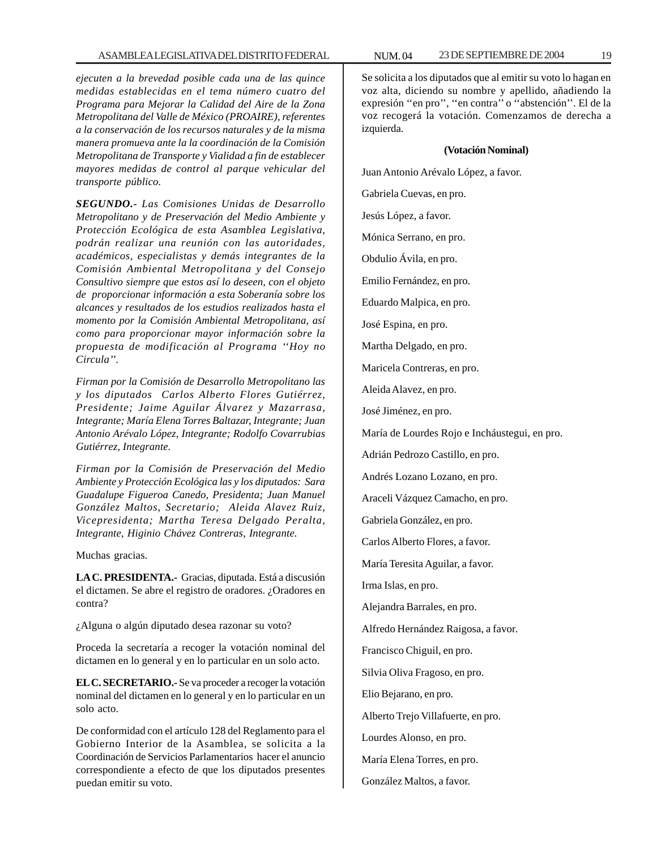*ejecuten a la brevedad posible cada una de las quince medidas establecidas en el tema número cuatro del Programa para Mejorar la Calidad del Aire de la Zona Metropolitana del Valle de México (PROAIRE), referentes a la conservación de los recursos naturales y de la misma manera promueva ante la la coordinación de la Comisión Metropolitana de Transporte y Vialidad a fin de establecer mayores medidas de control al parque vehicular del transporte público.*

*SEGUNDO.- Las Comisiones Unidas de Desarrollo Metropolitano y de Preservación del Medio Ambiente y Protección Ecológica de esta Asamblea Legislativa, podrán realizar una reunión con las autoridades, académicos, especialistas y demás integrantes de la Comisión Ambiental Metropolitana y del Consejo Consultivo siempre que estos así lo deseen, con el objeto de proporcionar información a esta Soberanía sobre los alcances y resultados de los estudios realizados hasta el momento por la Comisión Ambiental Metropolitana, así como para proporcionar mayor información sobre la propuesta de modificación al Programa ''Hoy no Circula''.*

*Firman por la Comisión de Desarrollo Metropolitano las y los diputados Carlos Alberto Flores Gutiérrez, Presidente; Jaime Aguilar Álvarez y Mazarrasa, Integrante; María Elena Torres Baltazar, Integrante; Juan Antonio Arévalo López, Integrante; Rodolfo Covarrubias Gutiérrez, Integrante.*

*Firman por la Comisión de Preservación del Medio Ambiente y Protección Ecológica las y los diputados: Sara Guadalupe Figueroa Canedo, Presidenta; Juan Manuel González Maltos, Secretario; Aleida Alavez Ruiz, Vicepresidenta; Martha Teresa Delgado Peralta, Integrante, Higinio Chávez Contreras*, *Integrante.*

Muchas gracias.

**LA C. PRESIDENTA.-** Gracias, diputada. Está a discusión el dictamen. Se abre el registro de oradores. ¿Oradores en contra?

¿Alguna o algún diputado desea razonar su voto?

Proceda la secretaría a recoger la votación nominal del dictamen en lo general y en lo particular en un solo acto.

**EL C. SECRETARIO.-** Se va proceder a recoger la votación nominal del dictamen en lo general y en lo particular en un solo acto.

De conformidad con el artículo 128 del Reglamento para el Gobierno Interior de la Asamblea, se solicita a la Coordinación de Servicios Parlamentarios hacer el anuncio correspondiente a efecto de que los diputados presentes puedan emitir su voto.

Se solicita a los diputados que al emitir su voto lo hagan en voz alta, diciendo su nombre y apellido, añadiendo la expresión ''en pro'', ''en contra'' o ''abstención''. El de la voz recogerá la votación. Comenzamos de derecha a izquierda.

#### **(Votación Nominal)**

Juan Antonio Arévalo López, a favor. Gabriela Cuevas, en pro. Jesús López, a favor. Mónica Serrano, en pro. Obdulio Ávila, en pro. Emilio Fernández, en pro. Eduardo Malpica, en pro. José Espina, en pro. Martha Delgado, en pro. Maricela Contreras, en pro. Aleida Alavez, en pro. José Jiménez, en pro. María de Lourdes Rojo e Incháustegui, en pro. Adrián Pedrozo Castillo, en pro. Andrés Lozano Lozano, en pro. Araceli Vázquez Camacho, en pro. Gabriela González, en pro. Carlos Alberto Flores, a favor. María Teresita Aguilar, a favor. Irma Islas, en pro. Alejandra Barrales, en pro. Alfredo Hernández Raigosa, a favor. Francisco Chiguil, en pro. Silvia Oliva Fragoso, en pro. Elio Bejarano, en pro. Alberto Trejo Villafuerte, en pro. Lourdes Alonso, en pro. María Elena Torres, en pro. González Maltos, a favor.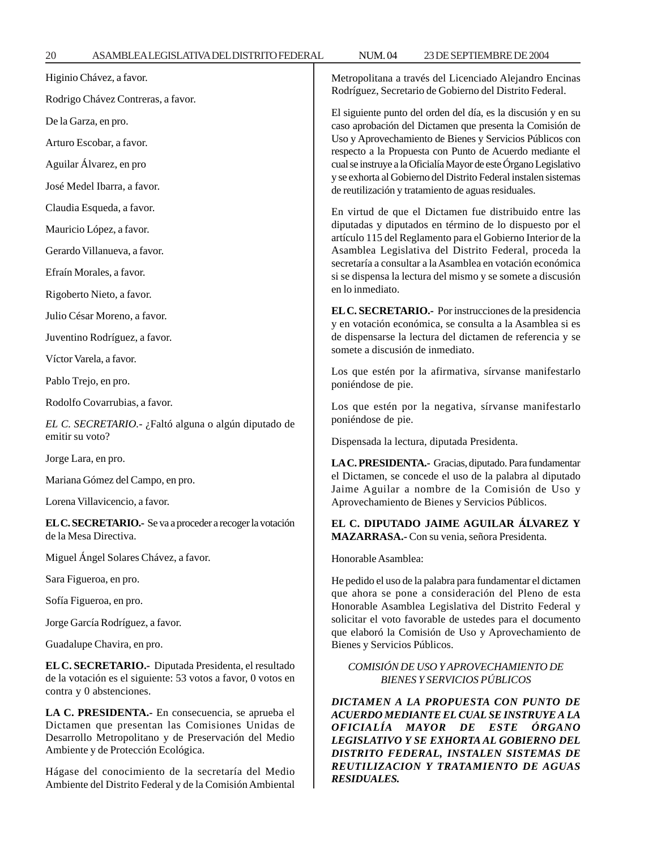*DISTRITO FEDERAL, INSTALEN SISTEMAS DE REUTILIZACION Y TRATAMIENTO DE AGUAS*

*RESIDUALES.*

| Higinio Chávez, a favor.                                                                                                                                     | Metropolitana a través del Licenciado Alejandro Encinas<br>Rodríguez, Secretario de Gobierno del Distrito Federal.<br>El siguiente punto del orden del día, es la discusión y en su<br>caso aprobación del Dictamen que presenta la Comisión de<br>Uso y Aprovechamiento de Bienes y Servicios Públicos con<br>respecto a la Propuesta con Punto de Acuerdo mediante el<br>cual se instruye a la Oficialía Mayor de este Órgano Legislativo<br>y se exhorta al Gobierno del Distrito Federal instalen sistemas<br>de reutilización y tratamiento de aguas residuales. |  |
|--------------------------------------------------------------------------------------------------------------------------------------------------------------|-----------------------------------------------------------------------------------------------------------------------------------------------------------------------------------------------------------------------------------------------------------------------------------------------------------------------------------------------------------------------------------------------------------------------------------------------------------------------------------------------------------------------------------------------------------------------|--|
| Rodrigo Chávez Contreras, a favor.                                                                                                                           |                                                                                                                                                                                                                                                                                                                                                                                                                                                                                                                                                                       |  |
| De la Garza, en pro.                                                                                                                                         |                                                                                                                                                                                                                                                                                                                                                                                                                                                                                                                                                                       |  |
| Arturo Escobar, a favor.                                                                                                                                     |                                                                                                                                                                                                                                                                                                                                                                                                                                                                                                                                                                       |  |
| Aguilar Álvarez, en pro                                                                                                                                      |                                                                                                                                                                                                                                                                                                                                                                                                                                                                                                                                                                       |  |
| José Medel Ibarra, a favor.                                                                                                                                  |                                                                                                                                                                                                                                                                                                                                                                                                                                                                                                                                                                       |  |
| Claudia Esqueda, a favor.                                                                                                                                    | En virtud de que el Dictamen fue distribuido entre las                                                                                                                                                                                                                                                                                                                                                                                                                                                                                                                |  |
| Mauricio López, a favor.                                                                                                                                     | diputadas y diputados en término de lo dispuesto por el<br>artículo 115 del Reglamento para el Gobierno Interior de la<br>Asamblea Legislativa del Distrito Federal, proceda la<br>secretaría a consultar a la Asamblea en votación económica<br>si se dispensa la lectura del mismo y se somete a discusión<br>en lo inmediato.                                                                                                                                                                                                                                      |  |
| Gerardo Villanueva, a favor.                                                                                                                                 |                                                                                                                                                                                                                                                                                                                                                                                                                                                                                                                                                                       |  |
| Efraín Morales, a favor.                                                                                                                                     |                                                                                                                                                                                                                                                                                                                                                                                                                                                                                                                                                                       |  |
| Rigoberto Nieto, a favor.                                                                                                                                    |                                                                                                                                                                                                                                                                                                                                                                                                                                                                                                                                                                       |  |
| Julio César Moreno, a favor.                                                                                                                                 | EL C. SECRETARIO.- Por instrucciones de la presidencia<br>y en votación económica, se consulta a la Asamblea si es<br>de dispensarse la lectura del dictamen de referencia y se<br>somete a discusión de inmediato.<br>Los que estén por la afirmativa, sírvanse manifestarlo<br>poniéndose de pie.                                                                                                                                                                                                                                                                   |  |
| Juventino Rodríguez, a favor.                                                                                                                                |                                                                                                                                                                                                                                                                                                                                                                                                                                                                                                                                                                       |  |
| Víctor Varela, a favor.                                                                                                                                      |                                                                                                                                                                                                                                                                                                                                                                                                                                                                                                                                                                       |  |
| Pablo Trejo, en pro.                                                                                                                                         |                                                                                                                                                                                                                                                                                                                                                                                                                                                                                                                                                                       |  |
| Rodolfo Covarrubias, a favor.                                                                                                                                | Los que estén por la negativa, sírvanse manifestarlo<br>poniéndose de pie.                                                                                                                                                                                                                                                                                                                                                                                                                                                                                            |  |
| EL C. SECRETARIO.- ¿Faltó alguna o algún diputado de                                                                                                         |                                                                                                                                                                                                                                                                                                                                                                                                                                                                                                                                                                       |  |
| emitir su voto?                                                                                                                                              | Dispensada la lectura, diputada Presidenta.                                                                                                                                                                                                                                                                                                                                                                                                                                                                                                                           |  |
| Jorge Lara, en pro.                                                                                                                                          | LA C. PRESIDENTA.- Gracias, diputado. Para fundamentar<br>el Dictamen, se concede el uso de la palabra al diputado<br>Jaime Aguilar a nombre de la Comisión de Uso y<br>Aprovechamiento de Bienes y Servicios Públicos.                                                                                                                                                                                                                                                                                                                                               |  |
| Mariana Gómez del Campo, en pro.                                                                                                                             |                                                                                                                                                                                                                                                                                                                                                                                                                                                                                                                                                                       |  |
| Lorena Villavicencio, a favor.                                                                                                                               |                                                                                                                                                                                                                                                                                                                                                                                                                                                                                                                                                                       |  |
| EL C. SECRETARIO.- Se va a proceder a recoger la votación<br>de la Mesa Directiva.                                                                           | EL C. DIPUTADO JAIME AGUILAR ÁLVAREZ Y<br>MAZARRASA.- Con su venia, señora Presidenta.                                                                                                                                                                                                                                                                                                                                                                                                                                                                                |  |
| Miguel Ángel Solares Chávez, a favor.                                                                                                                        | Honorable Asamblea:                                                                                                                                                                                                                                                                                                                                                                                                                                                                                                                                                   |  |
| Sara Figueroa, en pro.                                                                                                                                       | He pedido el uso de la palabra para fundamentar el dictamen<br>que ahora se pone a consideración del Pleno de esta<br>Honorable Asamblea Legislativa del Distrito Federal y<br>solicitar el voto favorable de ustedes para el documento<br>que elaboró la Comisión de Uso y Aprovechamiento de<br>Bienes y Servicios Públicos.                                                                                                                                                                                                                                        |  |
| Sofía Figueroa, en pro.                                                                                                                                      |                                                                                                                                                                                                                                                                                                                                                                                                                                                                                                                                                                       |  |
| Jorge García Rodríguez, a favor.                                                                                                                             |                                                                                                                                                                                                                                                                                                                                                                                                                                                                                                                                                                       |  |
| Guadalupe Chavira, en pro.                                                                                                                                   |                                                                                                                                                                                                                                                                                                                                                                                                                                                                                                                                                                       |  |
| EL C. SECRETARIO.- Diputada Presidenta, el resultado<br>de la votación es el siguiente: 53 votos a favor, 0 votos en<br>contra y 0 abstenciones.             | COMISIÓN DE USO Y APROVECHAMIENTO DE<br><b>BIENES Y SERVICIOS PÚBLICOS</b>                                                                                                                                                                                                                                                                                                                                                                                                                                                                                            |  |
| LA C. PRESIDENTA.- En consecuencia, se aprueba el<br>Dictamen que presentan las Comisiones Unidas de<br>Desarrollo Metropolitano y de Preservación del Medio | DICTAMEN A LA PROPUESTA CON PUNTO DE<br>ACUERDO MEDIANTE EL CUAL SE INSTRUYE A LA<br><i><b>OFICIALÍA</b></i><br>MAYOR DE<br><i>ESTE</i><br>ÓRGANO<br>LEGISLATIVO Y SE EXHORTA AL GOBIERNO DEL                                                                                                                                                                                                                                                                                                                                                                         |  |

Hágase del conocimiento de la secretaría del Medio Ambiente del Distrito Federal y de la Comisión Ambiental

Ambiente y de Protección Ecológica.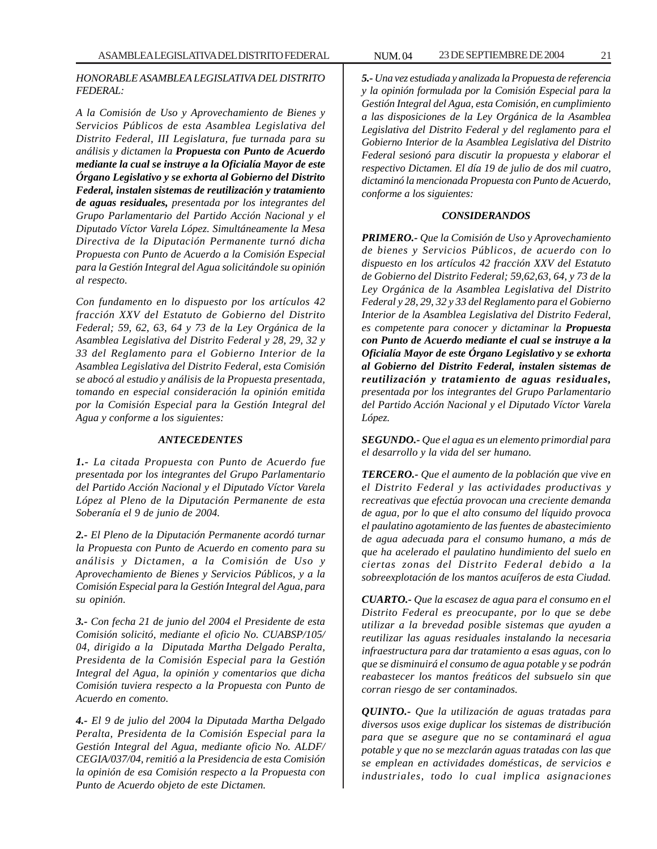#### *HONORABLE ASAMBLEA LEGISLATIVA DEL DISTRITO FEDERAL:*

*A la Comisión de Uso y Aprovechamiento de Bienes y Servicios Públicos de esta Asamblea Legislativa del Distrito Federal, III Legislatura, fue turnada para su análisis y dictamen la Propuesta con Punto de Acuerdo mediante la cual se instruye a la Oficialía Mayor de este Órgano Legislativo y se exhorta al Gobierno del Distrito Federal, instalen sistemas de reutilización y tratamiento de aguas residuales, presentada por los integrantes del Grupo Parlamentario del Partido Acción Nacional y el Diputado Víctor Varela López. Simultáneamente la Mesa Directiva de la Diputación Permanente turnó dicha Propuesta con Punto de Acuerdo a la Comisión Especial para la Gestión Integral del Agua solicitándole su opinión al respecto.*

*Con fundamento en lo dispuesto por los artículos 42 fracción XXV del Estatuto de Gobierno del Distrito Federal; 59, 62, 63, 64 y 73 de la Ley Orgánica de la Asamblea Legislativa del Distrito Federal y 28, 29, 32 y 33 del Reglamento para el Gobierno Interior de la Asamblea Legislativa del Distrito Federal, esta Comisión se abocó al estudio y análisis de la Propuesta presentada, tomando en especial consideración la opinión emitida por la Comisión Especial para la Gestión Integral del Agua y conforme a los siguientes:*

#### *ANTECEDENTES*

*1.- La citada Propuesta con Punto de Acuerdo fue presentada por los integrantes del Grupo Parlamentario del Partido Acción Nacional y el Diputado Víctor Varela López al Pleno de la Diputación Permanente de esta Soberanía el 9 de junio de 2004.*

*2.- El Pleno de la Diputación Permanente acordó turnar la Propuesta con Punto de Acuerdo en comento para su análisis y Dictamen, a la Comisión de Uso y Aprovechamiento de Bienes y Servicios Públicos, y a la Comisión Especial para la Gestión Integral del Agua, para su opinión.*

*3.- Con fecha 21 de junio del 2004 el Presidente de esta Comisión solicitó, mediante el oficio No. CUABSP/105/ 04, dirigido a la Diputada Martha Delgado Peralta, Presidenta de la Comisión Especial para la Gestión Integral del Agua, la opinión y comentarios que dicha Comisión tuviera respecto a la Propuesta con Punto de Acuerdo en comento.*

*4.- El 9 de julio del 2004 la Diputada Martha Delgado Peralta, Presidenta de la Comisión Especial para la Gestión Integral del Agua, mediante oficio No. ALDF/ CEGIA/037/04, remitió a la Presidencia de esta Comisión la opinión de esa Comisión respecto a la Propuesta con Punto de Acuerdo objeto de este Dictamen.*

*5.- Una vez estudiada y analizada la Propuesta de referencia y la opinión formulada por la Comisión Especial para la Gestión Integral del Agua, esta Comisión, en cumplimiento a las disposiciones de la Ley Orgánica de la Asamblea Legislativa del Distrito Federal y del reglamento para el Gobierno Interior de la Asamblea Legislativa del Distrito Federal sesionó para discutir la propuesta y elaborar el respectivo Dictamen. El día 19 de julio de dos mil cuatro, dictaminó la mencionada Propuesta con Punto de Acuerdo, conforme a los siguientes:*

#### *CONSIDERANDOS*

*PRIMERO.- Que la Comisión de Uso y Aprovechamiento de bienes y Servicios Públicos, de acuerdo con lo dispuesto en los artículos 42 fracción XXV del Estatuto de Gobierno del Distrito Federal; 59,62,63, 64, y 73 de la Ley Orgánica de la Asamblea Legislativa del Distrito Federal y 28, 29, 32 y 33 del Reglamento para el Gobierno Interior de la Asamblea Legislativa del Distrito Federal, es competente para conocer y dictaminar la Propuesta con Punto de Acuerdo mediante el cual se instruye a la Oficialía Mayor de este Órgano Legislativo y se exhorta al Gobierno del Distrito Federal, instalen sistemas de reutilización y tratamiento de aguas residuales, presentada por los integrantes del Grupo Parlamentario del Partido Acción Nacional y el Diputado Víctor Varela López.*

*SEGUNDO.- Que el agua es un elemento primordial para el desarrollo y la vida del ser humano.*

*TERCERO.- Que el aumento de la población que vive en el Distrito Federal y las actividades productivas y recreativas que efectúa provocan una creciente demanda de agua, por lo que el alto consumo del líquido provoca el paulatino agotamiento de las fuentes de abastecimiento de agua adecuada para el consumo humano, a más de que ha acelerado el paulatino hundimiento del suelo en ciertas zonas del Distrito Federal debido a la sobreexplotación de los mantos acuíferos de esta Ciudad.*

*CUARTO.- Que la escasez de agua para el consumo en el Distrito Federal es preocupante, por lo que se debe utilizar a la brevedad posible sistemas que ayuden a reutilizar las aguas residuales instalando la necesaria infraestructura para dar tratamiento a esas aguas, con lo que se disminuirá el consumo de agua potable y se podrán reabastecer los mantos freáticos del subsuelo sin que corran riesgo de ser contaminados.*

*QUINTO.- Que la utilización de aguas tratadas para diversos usos exige duplicar los sistemas de distribución para que se asegure que no se contaminará el agua potable y que no se mezclarán aguas tratadas con las que se emplean en actividades domésticas, de servicios e industriales, todo lo cual implica asignaciones*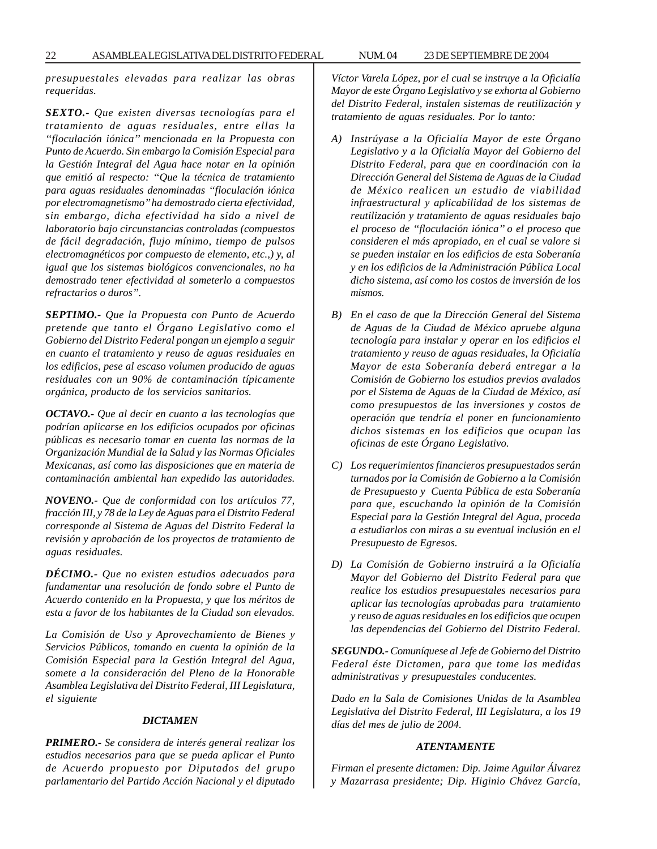*presupuestales elevadas para realizar las obras requeridas.*

*SEXTO.- Que existen diversas tecnologías para el tratamiento de aguas residuales, entre ellas la ''floculación iónica'' mencionada en la Propuesta con Punto de Acuerdo. Sin embargo la Comisión Especial para la Gestión Integral del Agua hace notar en la opinión que emitió al respecto: ''Que la técnica de tratamiento para aguas residuales denominadas ''floculación iónica por electromagnetismo'' ha demostrado cierta efectividad, sin embargo, dicha efectividad ha sido a nivel de laboratorio bajo circunstancias controladas (compuestos de fácil degradación, flujo mínimo, tiempo de pulsos electromagnéticos por compuesto de elemento, etc.,) y, al igual que los sistemas biológicos convencionales, no ha demostrado tener efectividad al someterlo a compuestos refractarios o duros''.*

*SEPTIMO.- Que la Propuesta con Punto de Acuerdo pretende que tanto el Órgano Legislativo como el Gobierno del Distrito Federal pongan un ejemplo a seguir en cuanto el tratamiento y reuso de aguas residuales en los edificios, pese al escaso volumen producido de aguas residuales con un 90% de contaminación típicamente orgánica, producto de los servicios sanitarios.*

*OCTAVO.- Que al decir en cuanto a las tecnologías que podrían aplicarse en los edificios ocupados por oficinas públicas es necesario tomar en cuenta las normas de la Organización Mundial de la Salud y las Normas Oficiales Mexicanas, así como las disposiciones que en materia de contaminación ambiental han expedido las autoridades.*

*NOVENO.- Que de conformidad con los artículos 77, fracción III, y 78 de la Ley de Aguas para el Distrito Federal corresponde al Sistema de Aguas del Distrito Federal la revisión y aprobación de los proyectos de tratamiento de aguas residuales.*

*DÉCIMO.- Que no existen estudios adecuados para fundamentar una resolución de fondo sobre el Punto de Acuerdo contenido en la Propuesta, y que los méritos de esta a favor de los habitantes de la Ciudad son elevados.*

*La Comisión de Uso y Aprovechamiento de Bienes y Servicios Públicos, tomando en cuenta la opinión de la Comisión Especial para la Gestión Integral del Agua, somete a la consideración del Pleno de la Honorable Asamblea Legislativa del Distrito Federal, III Legislatura, el siguiente*

#### *DICTAMEN*

*PRIMERO.- Se considera de interés general realizar los estudios necesarios para que se pueda aplicar el Punto de Acuerdo propuesto por Diputados del grupo parlamentario del Partido Acción Nacional y el diputado*

*Víctor Varela López, por el cual se instruye a la Oficialía Mayor de este Órgano Legislativo y se exhorta al Gobierno del Distrito Federal, instalen sistemas de reutilización y tratamiento de aguas residuales. Por lo tanto:*

- *A) Instrúyase a la Oficialía Mayor de este Órgano Legislativo y a la Oficialía Mayor del Gobierno del Distrito Federal, para que en coordinación con la Dirección General del Sistema de Aguas de la Ciudad de México realicen un estudio de viabilidad infraestructural y aplicabilidad de los sistemas de reutilización y tratamiento de aguas residuales bajo el proceso de ''floculación iónica'' o el proceso que consideren el más apropiado, en el cual se valore si se pueden instalar en los edificios de esta Soberanía y en los edificios de la Administración Pública Local dicho sistema, así como los costos de inversión de los mismos.*
- *B) En el caso de que la Dirección General del Sistema de Aguas de la Ciudad de México apruebe alguna tecnología para instalar y operar en los edificios el tratamiento y reuso de aguas residuales, la Oficialía Mayor de esta Soberanía deberá entregar a la Comisión de Gobierno los estudios previos avalados por el Sistema de Aguas de la Ciudad de México, así como presupuestos de las inversiones y costos de operación que tendría el poner en funcionamiento dichos sistemas en los edificios que ocupan las oficinas de este Órgano Legislativo.*
- *C) Los requerimientos financieros presupuestados serán turnados por la Comisión de Gobierno a la Comisión de Presupuesto y Cuenta Pública de esta Soberanía para que, escuchando la opinión de la Comisión Especial para la Gestión Integral del Agua, proceda a estudiarlos con miras a su eventual inclusión en el Presupuesto de Egresos.*
- *D) La Comisión de Gobierno instruirá a la Oficialía Mayor del Gobierno del Distrito Federal para que realice los estudios presupuestales necesarios para aplicar las tecnologías aprobadas para tratamiento y reuso de aguas residuales en los edificios que ocupen las dependencias del Gobierno del Distrito Federal.*

*SEGUNDO.- Comuníquese al Jefe de Gobierno del Distrito Federal éste Dictamen, para que tome las medidas administrativas y presupuestales conducentes.*

*Dado en la Sala de Comisiones Unidas de la Asamblea Legislativa del Distrito Federal, III Legislatura, a los 19 días del mes de julio de 2004.*

#### *ATENTAMENTE*

*Firman el presente dictamen: Dip. Jaime Aguilar Álvarez y Mazarrasa presidente; Dip. Higinio Chávez García,*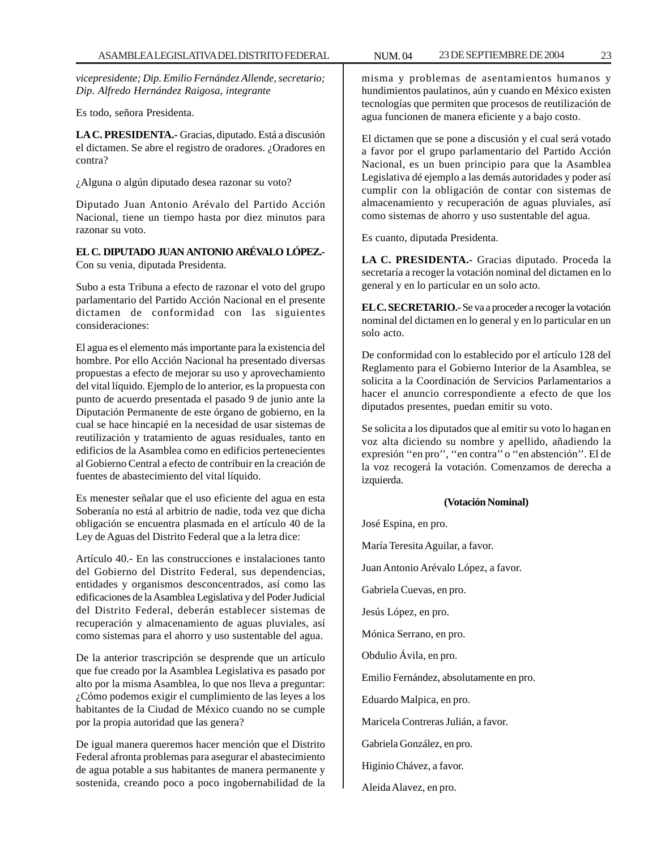*vicepresidente; Dip. Emilio Fernández Allende, secretario; Dip. Alfredo Hernández Raigosa, integrante*

Es todo, señora Presidenta.

**LA C. PRESIDENTA.-** Gracias, diputado. Está a discusión el dictamen. Se abre el registro de oradores. ¿Oradores en contra?

¿Alguna o algún diputado desea razonar su voto?

Diputado Juan Antonio Arévalo del Partido Acción Nacional, tiene un tiempo hasta por diez minutos para razonar su voto.

#### **EL C. DIPUTADO JUAN ANTONIO ARÉVALO LÓPEZ.-** Con su venia, diputada Presidenta.

Subo a esta Tribuna a efecto de razonar el voto del grupo parlamentario del Partido Acción Nacional en el presente dictamen de conformidad con las siguientes consideraciones:

El agua es el elemento más importante para la existencia del hombre. Por ello Acción Nacional ha presentado diversas propuestas a efecto de mejorar su uso y aprovechamiento del vital líquido. Ejemplo de lo anterior, es la propuesta con punto de acuerdo presentada el pasado 9 de junio ante la Diputación Permanente de este órgano de gobierno, en la cual se hace hincapié en la necesidad de usar sistemas de reutilización y tratamiento de aguas residuales, tanto en edificios de la Asamblea como en edificios pertenecientes al Gobierno Central a efecto de contribuir en la creación de fuentes de abastecimiento del vital líquido.

Es menester señalar que el uso eficiente del agua en esta Soberanía no está al arbitrio de nadie, toda vez que dicha obligación se encuentra plasmada en el artículo 40 de la Ley de Aguas del Distrito Federal que a la letra dice:

Artículo 40.- En las construcciones e instalaciones tanto del Gobierno del Distrito Federal, sus dependencias, entidades y organismos desconcentrados, así como las edificaciones de la Asamblea Legislativa y del Poder Judicial del Distrito Federal, deberán establecer sistemas de recuperación y almacenamiento de aguas pluviales, así como sistemas para el ahorro y uso sustentable del agua.

De la anterior trascripción se desprende que un artículo que fue creado por la Asamblea Legislativa es pasado por alto por la misma Asamblea, lo que nos lleva a preguntar: ¿Cómo podemos exigir el cumplimiento de las leyes a los habitantes de la Ciudad de México cuando no se cumple por la propia autoridad que las genera?

De igual manera queremos hacer mención que el Distrito Federal afronta problemas para asegurar el abastecimiento de agua potable a sus habitantes de manera permanente y sostenida, creando poco a poco ingobernabilidad de la misma y problemas de asentamientos humanos y hundimientos paulatinos, aún y cuando en México existen tecnologías que permiten que procesos de reutilización de agua funcionen de manera eficiente y a bajo costo.

El dictamen que se pone a discusión y el cual será votado a favor por el grupo parlamentario del Partido Acción Nacional, es un buen principio para que la Asamblea Legislativa dé ejemplo a las demás autoridades y poder así cumplir con la obligación de contar con sistemas de almacenamiento y recuperación de aguas pluviales, así como sistemas de ahorro y uso sustentable del agua.

Es cuanto, diputada Presidenta.

**LA C. PRESIDENTA.-** Gracias diputado. Proceda la secretaría a recoger la votación nominal del dictamen en lo general y en lo particular en un solo acto.

**EL C. SECRETARIO.-** Se va a proceder a recoger la votación nominal del dictamen en lo general y en lo particular en un solo acto.

De conformidad con lo establecido por el artículo 128 del Reglamento para el Gobierno Interior de la Asamblea, se solicita a la Coordinación de Servicios Parlamentarios a hacer el anuncio correspondiente a efecto de que los diputados presentes, puedan emitir su voto.

Se solicita a los diputados que al emitir su voto lo hagan en voz alta diciendo su nombre y apellido, añadiendo la expresión ''en pro'', ''en contra'' o ''en abstención''. El de la voz recogerá la votación. Comenzamos de derecha a izquierda.

#### **(Votación Nominal)**

José Espina, en pro.

María Teresita Aguilar, a favor.

Juan Antonio Arévalo López, a favor.

Gabriela Cuevas, en pro.

Jesús López, en pro.

Mónica Serrano, en pro.

Obdulio Ávila, en pro.

Emilio Fernández, absolutamente en pro.

Eduardo Malpica, en pro.

Maricela Contreras Julián, a favor.

Gabriela González, en pro.

Higinio Chávez, a favor.

Aleida Alavez, en pro.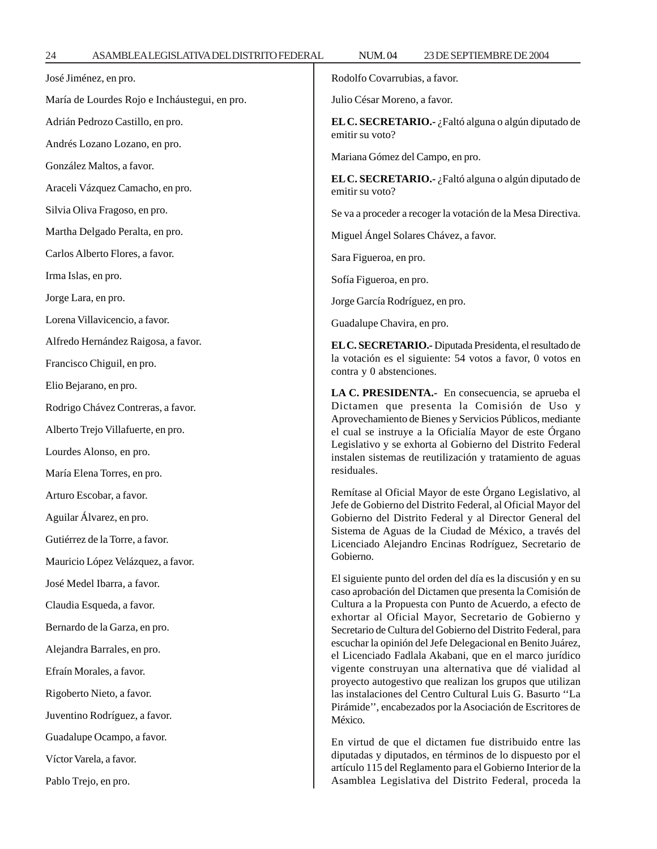José Jiménez, en pro.

Adrián Pedrozo Castillo, en pro.

Andrés Lozano Lozano, en pro.

Araceli Vázquez Camacho, en pro.

González Maltos, a favor.

Silvia Oliva Fragoso, en pro.

Martha Delgado Peralta, en pro.

Carlos Alberto Flores, a favor.

María de Lourdes Rojo e Incháustegui, en pro.

Rodolfo Covarrubias, a favor.

Julio César Moreno, a favor.

**EL C. SECRETARIO.-** ¿Faltó alguna o algún diputado de emitir su voto?

Mariana Gómez del Campo, en pro.

**EL C. SECRETARIO.-** ¿Faltó alguna o algún diputado de emitir su voto?

Se va a proceder a recoger la votación de la Mesa Directiva.

Miguel Ángel Solares Chávez, a favor.

Sara Figueroa, en pro.

Sofía Figueroa, en pro.

Jorge García Rodríguez, en pro.

Guadalupe Chavira, en pro.

**EL C. SECRETARIO.-** Diputada Presidenta, el resultado de la votación es el siguiente: 54 votos a favor, 0 votos en contra y 0 abstenciones.

**LA C. PRESIDENTA.-** En consecuencia, se aprueba el Dictamen que presenta la Comisión de Uso y Aprovechamiento de Bienes y Servicios Públicos, mediante el cual se instruye a la Oficialía Mayor de este Órgano Legislativo y se exhorta al Gobierno del Distrito Federal instalen sistemas de reutilización y tratamiento de aguas residuales.

Remítase al Oficial Mayor de este Órgano Legislativo, al Jefe de Gobierno del Distrito Federal, al Oficial Mayor del Gobierno del Distrito Federal y al Director General del Sistema de Aguas de la Ciudad de México, a través del Licenciado Alejandro Encinas Rodríguez, Secretario de Gobierno.

El siguiente punto del orden del día es la discusión y en su caso aprobación del Dictamen que presenta la Comisión de Cultura a la Propuesta con Punto de Acuerdo, a efecto de exhortar al Oficial Mayor, Secretario de Gobierno y Secretario de Cultura del Gobierno del Distrito Federal, para escuchar la opinión del Jefe Delegacional en Benito Juárez, el Licenciado Fadlala Akabani, que en el marco jurídico vigente construyan una alternativa que dé vialidad al proyecto autogestivo que realizan los grupos que utilizan las instalaciones del Centro Cultural Luis G. Basurto ''La Pirámide'', encabezados por la Asociación de Escritores de México.

En virtud de que el dictamen fue distribuido entre las diputadas y diputados, en términos de lo dispuesto por el artículo 115 del Reglamento para el Gobierno Interior de la Asamblea Legislativa del Distrito Federal, proceda la

Lorena Villavicencio, a favor. Alfredo Hernández Raigosa, a favor.

Francisco Chiguil, en pro.

Elio Bejarano, en pro.

Irma Islas, en pro.

Jorge Lara, en pro.

Rodrigo Chávez Contreras, a favor.

Alberto Trejo Villafuerte, en pro.

Lourdes Alonso, en pro.

María Elena Torres, en pro.

Arturo Escobar, a favor.

Aguilar Álvarez, en pro.

Gutiérrez de la Torre, a favor.

Mauricio López Velázquez, a favor.

José Medel Ibarra, a favor.

Claudia Esqueda, a favor.

Bernardo de la Garza, en pro.

Alejandra Barrales, en pro.

Efraín Morales, a favor.

Rigoberto Nieto, a favor.

Juventino Rodríguez, a favor.

Guadalupe Ocampo, a favor.

Víctor Varela, a favor.

Pablo Trejo, en pro.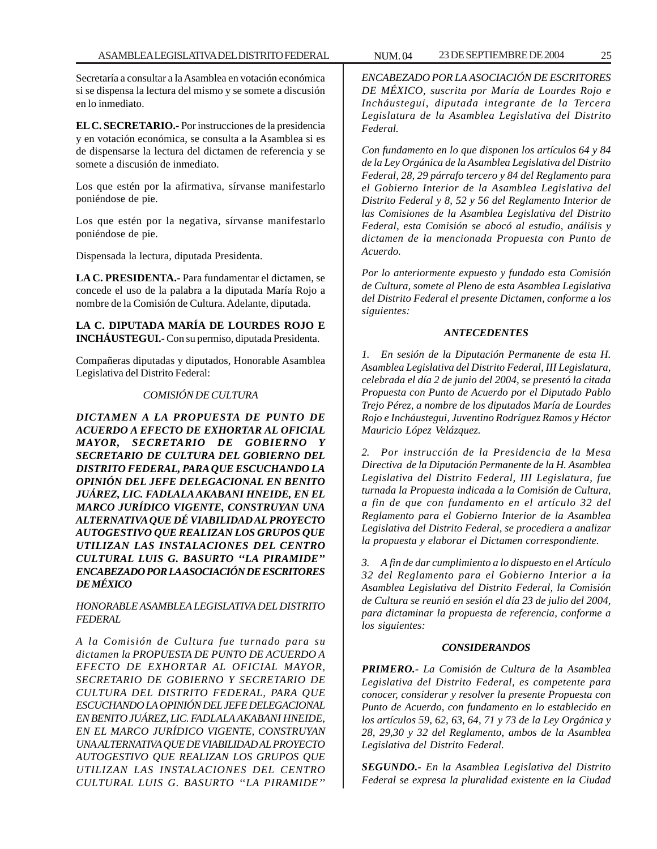Secretaría a consultar a la Asamblea en votación económica si se dispensa la lectura del mismo y se somete a discusión en lo inmediato.

**EL C. SECRETARIO.-** Por instrucciones de la presidencia y en votación económica, se consulta a la Asamblea si es de dispensarse la lectura del dictamen de referencia y se somete a discusión de inmediato.

Los que estén por la afirmativa, sírvanse manifestarlo poniéndose de pie.

Los que estén por la negativa, sírvanse manifestarlo poniéndose de pie.

Dispensada la lectura, diputada Presidenta.

**LA C. PRESIDENTA.-** Para fundamentar el dictamen, se concede el uso de la palabra a la diputada María Rojo a nombre de la Comisión de Cultura. Adelante, diputada.

**LA C. DIPUTADA MARÍA DE LOURDES ROJO E INCHÁUSTEGUI.-** Con su permiso, diputada Presidenta.

Compañeras diputadas y diputados, Honorable Asamblea Legislativa del Distrito Federal:

#### *COMISIÓN DE CULTURA*

*DICTAMEN A LA PROPUESTA DE PUNTO DE ACUERDO A EFECTO DE EXHORTAR AL OFICIAL MAYOR, SECRETARIO DE GOBIERNO Y SECRETARIO DE CULTURA DEL GOBIERNO DEL DISTRITO FEDERAL, PARA QUE ESCUCHANDO LA OPINIÓN DEL JEFE DELEGACIONAL EN BENITO JUÁREZ, LIC. FADLALA AKABANI HNEIDE, EN EL MARCO JURÍDICO VIGENTE, CONSTRUYAN UNA ALTERNATIVA QUE DÉ VIABILIDAD AL PROYECTO AUTOGESTIVO QUE REALIZAN LOS GRUPOS QUE UTILIZAN LAS INSTALACIONES DEL CENTRO CULTURAL LUIS G. BASURTO ''LA PIRAMIDE'' ENCABEZADO POR LA ASOCIACIÓN DE ESCRITORES DE MÉXICO*

*HONORABLE ASAMBLEA LEGISLATIVA DEL DISTRITO FEDERAL*

*A la Comisión de Cultura fue turnado para su dictamen la PROPUESTA DE PUNTO DE ACUERDO A EFECTO DE EXHORTAR AL OFICIAL MAYOR, SECRETARIO DE GOBIERNO Y SECRETARIO DE CULTURA DEL DISTRITO FEDERAL, PARA QUE ESCUCHANDO LA OPINIÓN DEL JEFE DELEGACIONAL EN BENITO JUÁREZ, LIC. FADLALA AKABANI HNEIDE, EN EL MARCO JURÍDICO VIGENTE, CONSTRUYAN UNA ALTERNATIVA QUE DE VIABILIDAD AL PROYECTO AUTOGESTIVO QUE REALIZAN LOS GRUPOS QUE UTILIZAN LAS INSTALACIONES DEL CENTRO CULTURAL LUIS G. BASURTO ''LA PIRAMIDE''*

*ENCABEZADO POR LA ASOCIACIÓN DE ESCRITORES DE MÉXICO, suscrita por María de Lourdes Rojo e Incháustegui, diputada integrante de la Tercera Legislatura de la Asamblea Legislativa del Distrito Federal.*

*Con fundamento en lo que disponen los artículos 64 y 84 de la Ley Orgánica de la Asamblea Legislativa del Distrito Federal, 28, 29 párrafo tercero y 84 del Reglamento para el Gobierno Interior de la Asamblea Legislativa del Distrito Federal y 8, 52 y 56 del Reglamento Interior de las Comisiones de la Asamblea Legislativa del Distrito Federal, esta Comisión se abocó al estudio, análisis y dictamen de la mencionada Propuesta con Punto de Acuerdo.*

*Por lo anteriormente expuesto y fundado esta Comisión de Cultura, somete al Pleno de esta Asamblea Legislativa del Distrito Federal el presente Dictamen, conforme a los siguientes:*

#### *ANTECEDENTES*

*1. En sesión de la Diputación Permanente de esta H. Asamblea Legislativa del Distrito Federal, III Legislatura, celebrada el día 2 de junio del 2004, se presentó la citada Propuesta con Punto de Acuerdo por el Diputado Pablo Trejo Pérez, a nombre de los diputados María de Lourdes Rojo e Incháustegui, Juventino Rodríguez Ramos y Héctor Mauricio López Velázquez.*

*2. Por instrucción de la Presidencia de la Mesa Directiva de la Diputación Permanente de la H. Asamblea Legislativa del Distrito Federal, III Legislatura, fue turnada la Propuesta indicada a la Comisión de Cultura, a fin de que con fundamento en el artículo 32 del Reglamento para el Gobierno Interior de la Asamblea Legislativa del Distrito Federal, se procediera a analizar la propuesta y elaborar el Dictamen correspondiente.*

*3. A fin de dar cumplimiento a lo dispuesto en el Artículo 32 del Reglamento para el Gobierno Interior a la Asamblea Legislativa del Distrito Federal, la Comisión de Cultura se reunió en sesión el día 23 de julio del 2004, para dictaminar la propuesta de referencia, conforme a los siguientes:*

#### *CONSIDERANDOS*

*PRIMERO.- La Comisión de Cultura de la Asamblea Legislativa del Distrito Federal, es competente para conocer, considerar y resolver la presente Propuesta con Punto de Acuerdo, con fundamento en lo establecido en los artículos 59, 62, 63, 64, 71 y 73 de la Ley Orgánica y 28, 29,30 y 32 del Reglamento, ambos de la Asamblea Legislativa del Distrito Federal.*

*SEGUNDO.- En la Asamblea Legislativa del Distrito Federal se expresa la pluralidad existente en la Ciudad*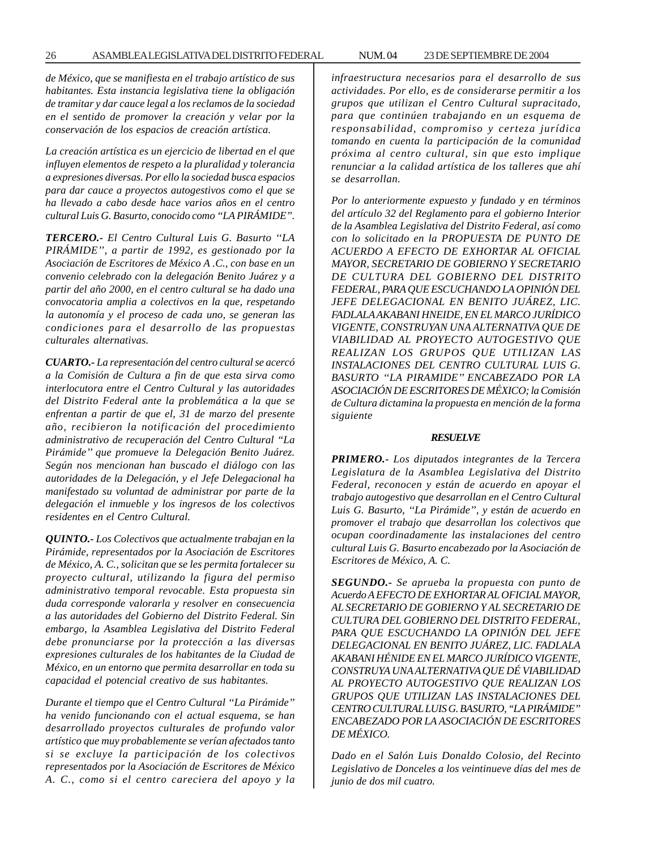*de México, que se manifiesta en el trabajo artístico de sus habitantes. Esta instancia legislativa tiene la obligación de tramitar y dar cauce legal a los reclamos de la sociedad en el sentido de promover la creación y velar por la conservación de los espacios de creación artística.*

*La creación artística es un ejercicio de libertad en el que influyen elementos de respeto a la pluralidad y tolerancia a expresiones diversas. Por ello la sociedad busca espacios para dar cauce a proyectos autogestivos como el que se ha llevado a cabo desde hace varios años en el centro cultural Luis G. Basurto, conocido como ''LA PIRÁMIDE''.*

*TERCERO.- El Centro Cultural Luis G. Basurto ''LA PIRÁMIDE'', a partir de 1992, es gestionado por la Asociación de Escritores de México A .C., con base en un convenio celebrado con la delegación Benito Juárez y a partir del año 2000, en el centro cultural se ha dado una convocatoria amplia a colectivos en la que, respetando la autonomía y el proceso de cada uno, se generan las condiciones para el desarrollo de las propuestas culturales alternativas.*

*CUARTO.- La representación del centro cultural se acercó a la Comisión de Cultura a fin de que esta sirva como interlocutora entre el Centro Cultural y las autoridades del Distrito Federal ante la problemática a la que se enfrentan a partir de que el, 31 de marzo del presente año, recibieron la notificación del procedimiento administrativo de recuperación del Centro Cultural ''La Pirámide'' que promueve la Delegación Benito Juárez. Según nos mencionan han buscado el diálogo con las autoridades de la Delegación, y el Jefe Delegacional ha manifestado su voluntad de administrar por parte de la delegación el inmueble y los ingresos de los colectivos residentes en el Centro Cultural.*

*QUINTO.- Los Colectivos que actualmente trabajan en la Pirámide, representados por la Asociación de Escritores de México, A. C., solicitan que se les permita fortalecer su proyecto cultural, utilizando la figura del permiso administrativo temporal revocable. Esta propuesta sin duda corresponde valorarla y resolver en consecuencia a las autoridades del Gobierno del Distrito Federal. Sin embargo, la Asamblea Legislativa del Distrito Federal debe pronunciarse por la protección a las diversas expresiones culturales de los habitantes de la Ciudad de México, en un entorno que permita desarrollar en toda su capacidad el potencial creativo de sus habitantes.*

*Durante el tiempo que el Centro Cultural ''La Pirámide'' ha venido funcionando con el actual esquema, se han desarrollado proyectos culturales de profundo valor artístico que muy probablemente se verían afectados tanto si se excluye la participación de los colectivos representados por la Asociación de Escritores de México A. C., como si el centro careciera del apoyo y la* *infraestructura necesarios para el desarrollo de sus actividades. Por ello, es de considerarse permitir a los grupos que utilizan el Centro Cultural supracitado, para que continúen trabajando en un esquema de responsabilidad, compromiso y certeza jurídica tomando en cuenta la participación de la comunidad próxima al centro cultural, sin que esto implique renunciar a la calidad artística de los talleres que ahí*

*se desarrollan.*

*Por lo anteriormente expuesto y fundado y en términos del artículo 32 del Reglamento para el gobierno Interior de la Asamblea Legislativa del Distrito Federal, así como con lo solicitado en la PROPUESTA DE PUNTO DE ACUERDO A EFECTO DE EXHORTAR AL OFICIAL MAYOR, SECRETARIO DE GOBIERNO Y SECRETARIO DE CULTURA DEL GOBIERNO DEL DISTRITO FEDERAL, PARA QUE ESCUCHANDO LA OPINIÓN DEL JEFE DELEGACIONAL EN BENITO JUÁREZ, LIC. FADLALA AKABANI HNEIDE, EN EL MARCO JURÍDICO VIGENTE, CONSTRUYAN UNA ALTERNATIVA QUE DE VIABILIDAD AL PROYECTO AUTOGESTIVO QUE REALIZAN LOS GRUPOS QUE UTILIZAN LAS INSTALACIONES DEL CENTRO CULTURAL LUIS G. BASURTO ''LA PIRAMIDE'' ENCABEZADO POR LA ASOCIACIÓN DE ESCRITORES DE MÉXICO; la Comisión de Cultura dictamina la propuesta en mención de la forma siguiente*

#### *RESUELVE*

*PRIMERO.- Los diputados integrantes de la Tercera Legislatura de la Asamblea Legislativa del Distrito Federal, reconocen y están de acuerdo en apoyar el trabajo autogestivo que desarrollan en el Centro Cultural Luis G. Basurto, ''La Pirámide'', y están de acuerdo en promover el trabajo que desarrollan los colectivos que ocupan coordinadamente las instalaciones del centro cultural Luis G. Basurto encabezado por la Asociación de Escritores de México, A. C.*

*SEGUNDO.- Se aprueba la propuesta con punto de Acuerdo A EFECTO DE EXHORTAR AL OFICIAL MAYOR, AL SECRETARIO DE GOBIERNO Y AL SECRETARIO DE CULTURA DEL GOBIERNO DEL DISTRITO FEDERAL, PARA QUE ESCUCHANDO LA OPINIÓN DEL JEFE DELEGACIONAL EN BENITO JUÁREZ, LIC. FADLALA AKABANI HÉNIDE EN EL MARCO JURÍDICO VIGENTE, CONSTRUYA UNA ALTERNATIVA QUE DÉ VIABILIDAD AL PROYECTO AUTOGESTIVO QUE REALIZAN LOS GRUPOS QUE UTILIZAN LAS INSTALACIONES DEL CENTRO CULTURAL LUIS G. BASURTO, ''LA PIRÁMIDE'' ENCABEZADO POR LA ASOCIACIÓN DE ESCRITORES DE MÉXICO.*

*Dado en el Salón Luis Donaldo Colosio, del Recinto Legislativo de Donceles a los veintinueve días del mes de junio de dos mil cuatro.*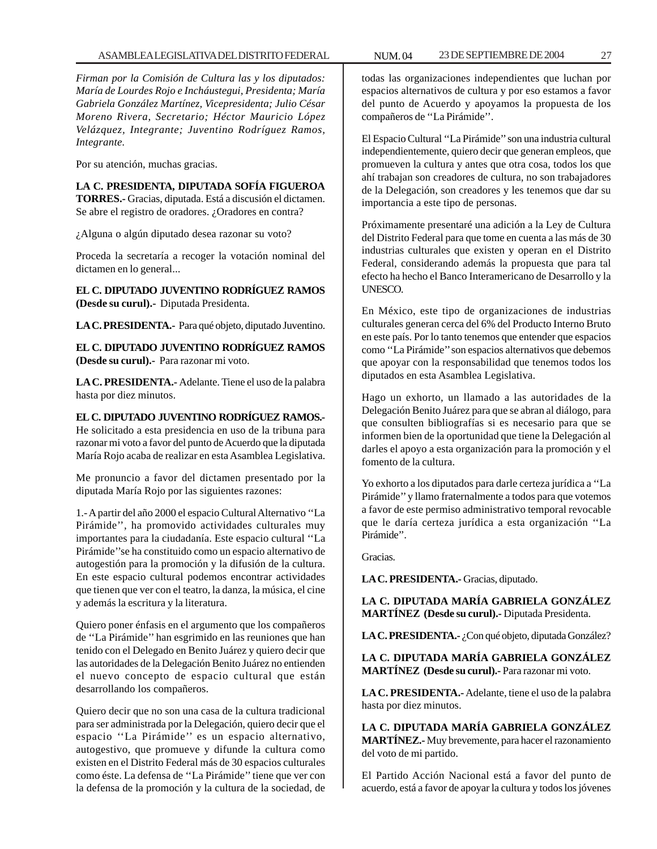*Firman por la Comisión de Cultura las y los diputados: María de Lourdes Rojo e Incháustegui, Presidenta; María Gabriela González Martínez, Vicepresidenta; Julio César Moreno Rivera, Secretario; Héctor Mauricio López Velázquez, Integrante; Juventino Rodríguez Ramos, Integrante.*

Por su atención, muchas gracias.

**LA C. PRESIDENTA, DIPUTADA SOFÍA FIGUEROA TORRES.-** Gracias, diputada. Está a discusión el dictamen. Se abre el registro de oradores. ¿Oradores en contra?

¿Alguna o algún diputado desea razonar su voto?

Proceda la secretaría a recoger la votación nominal del dictamen en lo general...

**EL C. DIPUTADO JUVENTINO RODRÍGUEZ RAMOS (Desde su curul).-** Diputada Presidenta.

**LA C. PRESIDENTA.-** Para qué objeto, diputado Juventino.

**EL C. DIPUTADO JUVENTINO RODRÍGUEZ RAMOS (Desde su curul).-** Para razonar mi voto.

**LA C. PRESIDENTA.-** Adelante. Tiene el uso de la palabra hasta por diez minutos.

**EL C. DIPUTADO JUVENTINO RODRÍGUEZ RAMOS.-** He solicitado a esta presidencia en uso de la tribuna para razonar mi voto a favor del punto de Acuerdo que la diputada María Rojo acaba de realizar en esta Asamblea Legislativa.

Me pronuncio a favor del dictamen presentado por la diputada María Rojo por las siguientes razones:

1.- A partir del año 2000 el espacio Cultural Alternativo ''La Pirámide'', ha promovido actividades culturales muy importantes para la ciudadanía. Este espacio cultural ''La Pirámide''se ha constituido como un espacio alternativo de autogestión para la promoción y la difusión de la cultura. En este espacio cultural podemos encontrar actividades que tienen que ver con el teatro, la danza, la música, el cine y además la escritura y la literatura.

Quiero poner énfasis en el argumento que los compañeros de ''La Pirámide'' han esgrimido en las reuniones que han tenido con el Delegado en Benito Juárez y quiero decir que las autoridades de la Delegación Benito Juárez no entienden el nuevo concepto de espacio cultural que están desarrollando los compañeros.

Quiero decir que no son una casa de la cultura tradicional para ser administrada por la Delegación, quiero decir que el espacio ''La Pirámide'' es un espacio alternativo, autogestivo, que promueve y difunde la cultura como existen en el Distrito Federal más de 30 espacios culturales como éste. La defensa de ''La Pirámide'' tiene que ver con la defensa de la promoción y la cultura de la sociedad, de

todas las organizaciones independientes que luchan por espacios alternativos de cultura y por eso estamos a favor del punto de Acuerdo y apoyamos la propuesta de los compañeros de ''La Pirámide''.

El Espacio Cultural ''La Pirámide'' son una industria cultural independientemente, quiero decir que generan empleos, que promueven la cultura y antes que otra cosa, todos los que ahí trabajan son creadores de cultura, no son trabajadores de la Delegación, son creadores y les tenemos que dar su importancia a este tipo de personas.

Próximamente presentaré una adición a la Ley de Cultura del Distrito Federal para que tome en cuenta a las más de 30 industrias culturales que existen y operan en el Distrito Federal, considerando además la propuesta que para tal efecto ha hecho el Banco Interamericano de Desarrollo y la UNESCO.

En México, este tipo de organizaciones de industrias culturales generan cerca del 6% del Producto Interno Bruto en este país. Por lo tanto tenemos que entender que espacios como ''La Pirámide'' son espacios alternativos que debemos que apoyar con la responsabilidad que tenemos todos los diputados en esta Asamblea Legislativa.

Hago un exhorto, un llamado a las autoridades de la Delegación Benito Juárez para que se abran al diálogo, para que consulten bibliografías si es necesario para que se informen bien de la oportunidad que tiene la Delegación al darles el apoyo a esta organización para la promoción y el fomento de la cultura.

Yo exhorto a los diputados para darle certeza jurídica a ''La Pirámide'' y llamo fraternalmente a todos para que votemos a favor de este permiso administrativo temporal revocable que le daría certeza jurídica a esta organización ''La Pirámide''.

Gracias.

**LA C. PRESIDENTA.-** Gracias, diputado.

**LA C. DIPUTADA MARÍA GABRIELA GONZÁLEZ MARTÍNEZ (Desde su curul).-** Diputada Presidenta.

**LA C. PRESIDENTA.-** ¿Con qué objeto, diputada González?

**LA C. DIPUTADA MARÍA GABRIELA GONZÁLEZ MARTÍNEZ (Desde su curul).-** Para razonar mi voto.

**LA C. PRESIDENTA.-** Adelante, tiene el uso de la palabra hasta por diez minutos.

**LA C. DIPUTADA MARÍA GABRIELA GONZÁLEZ MARTÍNEZ.-** Muy brevemente, para hacer el razonamiento del voto de mi partido.

El Partido Acción Nacional está a favor del punto de acuerdo, está a favor de apoyar la cultura y todos los jóvenes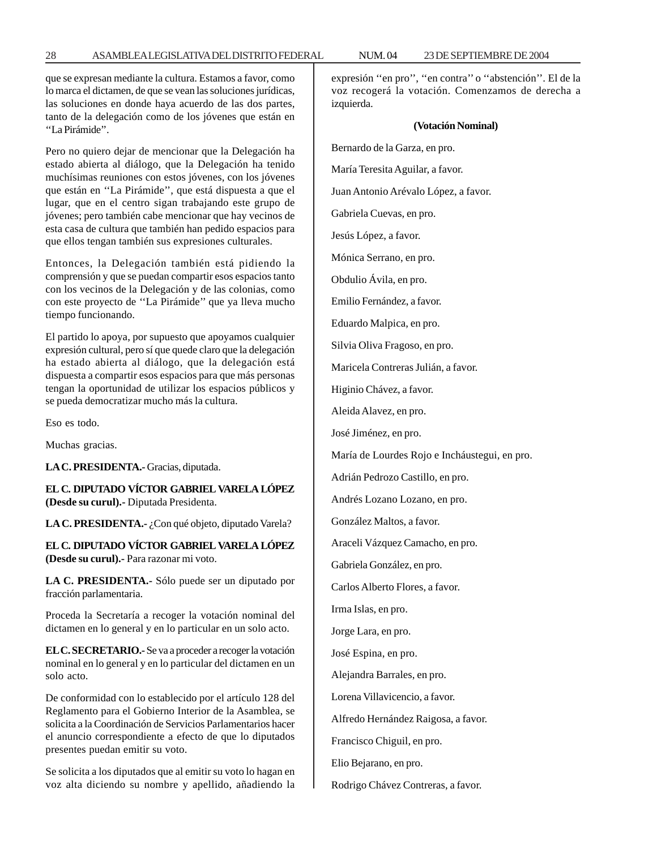que se expresan mediante la cultura. Estamos a favor, como lo marca el dictamen, de que se vean las soluciones jurídicas, las soluciones en donde haya acuerdo de las dos partes, tanto de la delegación como de los jóvenes que están en ''La Pirámide''.

Pero no quiero dejar de mencionar que la Delegación ha estado abierta al diálogo, que la Delegación ha tenido muchísimas reuniones con estos jóvenes, con los jóvenes que están en ''La Pirámide'', que está dispuesta a que el lugar, que en el centro sigan trabajando este grupo de jóvenes; pero también cabe mencionar que hay vecinos de esta casa de cultura que también han pedido espacios para que ellos tengan también sus expresiones culturales.

Entonces, la Delegación también está pidiendo la comprensión y que se puedan compartir esos espacios tanto con los vecinos de la Delegación y de las colonias, como con este proyecto de ''La Pirámide'' que ya lleva mucho tiempo funcionando.

El partido lo apoya, por supuesto que apoyamos cualquier expresión cultural, pero sí que quede claro que la delegación ha estado abierta al diálogo, que la delegación está dispuesta a compartir esos espacios para que más personas tengan la oportunidad de utilizar los espacios públicos y se pueda democratizar mucho más la cultura.

Eso es todo.

Muchas gracias.

**LA C. PRESIDENTA.-** Gracias, diputada.

**EL C. DIPUTADO VÍCTOR GABRIEL VARELA LÓPEZ (Desde su curul).-** Diputada Presidenta.

LA C. PRESIDENTA.- ¿Con qué objeto, diputado Varela?

**EL C. DIPUTADO VÍCTOR GABRIEL VARELA LÓPEZ (Desde su curul).-** Para razonar mi voto.

**LA C. PRESIDENTA.-** Sólo puede ser un diputado por fracción parlamentaria.

Proceda la Secretaría a recoger la votación nominal del dictamen en lo general y en lo particular en un solo acto.

**EL C. SECRETARIO.-** Se va a proceder a recoger la votación nominal en lo general y en lo particular del dictamen en un solo acto.

De conformidad con lo establecido por el artículo 128 del Reglamento para el Gobierno Interior de la Asamblea, se solicita a la Coordinación de Servicios Parlamentarios hacer el anuncio correspondiente a efecto de que lo diputados presentes puedan emitir su voto.

Se solicita a los diputados que al emitir su voto lo hagan en voz alta diciendo su nombre y apellido, añadiendo la expresión ''en pro'', ''en contra'' o ''abstención''. El de la voz recogerá la votación. Comenzamos de derecha a izquierda.

#### **(Votación Nominal)**

Bernardo de la Garza, en pro.

María Teresita Aguilar, a favor.

Juan Antonio Arévalo López, a favor.

Gabriela Cuevas, en pro.

Jesús López, a favor.

Mónica Serrano, en pro.

Obdulio Ávila, en pro.

Emilio Fernández, a favor.

Eduardo Malpica, en pro.

Silvia Oliva Fragoso, en pro.

Maricela Contreras Julián, a favor.

Higinio Chávez, a favor.

Aleida Alavez, en pro.

José Jiménez, en pro.

María de Lourdes Rojo e Incháustegui, en pro.

Adrián Pedrozo Castillo, en pro.

Andrés Lozano Lozano, en pro.

González Maltos, a favor.

Araceli Vázquez Camacho, en pro.

Gabriela González, en pro.

Carlos Alberto Flores, a favor.

Irma Islas, en pro.

Jorge Lara, en pro.

José Espina, en pro.

Alejandra Barrales, en pro.

Lorena Villavicencio, a favor.

Alfredo Hernández Raigosa, a favor.

Francisco Chiguil, en pro.

Elio Bejarano, en pro.

Rodrigo Chávez Contreras, a favor.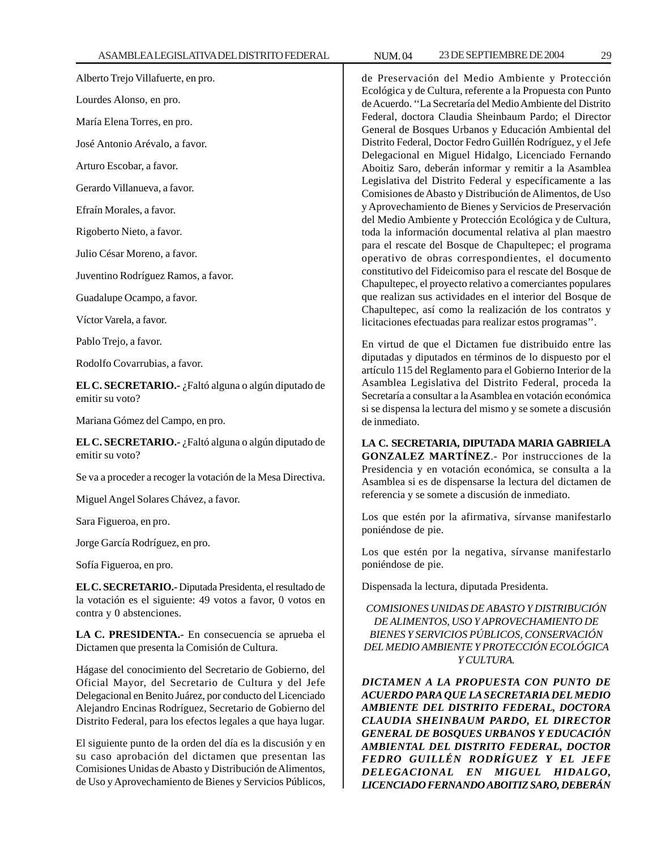Alberto Trejo Villafuerte, en pro.

Lourdes Alonso, en pro.

María Elena Torres, en pro.

José Antonio Arévalo, a favor.

Arturo Escobar, a favor.

Gerardo Villanueva, a favor.

Efraín Morales, a favor.

Rigoberto Nieto, a favor.

Julio César Moreno, a favor.

Juventino Rodríguez Ramos, a favor.

Guadalupe Ocampo, a favor.

Víctor Varela, a favor.

Pablo Trejo, a favor.

Rodolfo Covarrubias, a favor.

**EL C. SECRETARIO.-** ¿Faltó alguna o algún diputado de emitir su voto?

Mariana Gómez del Campo, en pro.

**EL C. SECRETARIO.-** ¿Faltó alguna o algún diputado de emitir su voto?

Se va a proceder a recoger la votación de la Mesa Directiva.

Miguel Angel Solares Chávez, a favor.

Sara Figueroa, en pro.

Jorge García Rodríguez, en pro.

Sofía Figueroa, en pro.

**EL C. SECRETARIO.-** Diputada Presidenta, el resultado de la votación es el siguiente: 49 votos a favor, 0 votos en contra y 0 abstenciones.

**LA C. PRESIDENTA.-** En consecuencia se aprueba el Dictamen que presenta la Comisión de Cultura.

Hágase del conocimiento del Secretario de Gobierno, del Oficial Mayor, del Secretario de Cultura y del Jefe Delegacional en Benito Juárez, por conducto del Licenciado Alejandro Encinas Rodríguez, Secretario de Gobierno del Distrito Federal, para los efectos legales a que haya lugar.

El siguiente punto de la orden del día es la discusión y en su caso aprobación del dictamen que presentan las Comisiones Unidas de Abasto y Distribución de Alimentos, de Uso y Aprovechamiento de Bienes y Servicios Públicos,

de Preservación del Medio Ambiente y Protección Ecológica y de Cultura, referente a la Propuesta con Punto de Acuerdo. ''La Secretaría del Medio Ambiente del Distrito Federal, doctora Claudia Sheinbaum Pardo; el Director General de Bosques Urbanos y Educación Ambiental del Distrito Federal, Doctor Fedro Guillén Rodríguez, y el Jefe Delegacional en Miguel Hidalgo, Licenciado Fernando Aboitiz Saro, deberán informar y remitir a la Asamblea Legislativa del Distrito Federal y específicamente a las Comisiones de Abasto y Distribución de Alimentos, de Uso y Aprovechamiento de Bienes y Servicios de Preservación del Medio Ambiente y Protección Ecológica y de Cultura, toda la información documental relativa al plan maestro para el rescate del Bosque de Chapultepec; el programa operativo de obras correspondientes, el documento constitutivo del Fideicomiso para el rescate del Bosque de Chapultepec, el proyecto relativo a comerciantes populares que realizan sus actividades en el interior del Bosque de Chapultepec, así como la realización de los contratos y licitaciones efectuadas para realizar estos programas''.

En virtud de que el Dictamen fue distribuido entre las diputadas y diputados en términos de lo dispuesto por el artículo 115 del Reglamento para el Gobierno Interior de la Asamblea Legislativa del Distrito Federal, proceda la Secretaría a consultar a la Asamblea en votación económica si se dispensa la lectura del mismo y se somete a discusión de inmediato.

**LA C. SECRETARIA, DIPUTADA MARIA GABRIELA GONZALEZ MARTÍNEZ**.- Por instrucciones de la Presidencia y en votación económica, se consulta a la Asamblea si es de dispensarse la lectura del dictamen de referencia y se somete a discusión de inmediato.

Los que estén por la afirmativa, sírvanse manifestarlo poniéndose de pie.

Los que estén por la negativa, sírvanse manifestarlo poniéndose de pie.

Dispensada la lectura, diputada Presidenta.

*COMISIONES UNIDAS DE ABASTO Y DISTRIBUCIÓN DE ALIMENTOS, USO Y APROVECHAMIENTO DE BIENES Y SERVICIOS PÚBLICOS, CONSERVACIÓN DEL MEDIO AMBIENTE Y PROTECCIÓN ECOLÓGICA Y CULTURA.*

*DICTAMEN A LA PROPUESTA CON PUNTO DE ACUERDO PARA QUE LA SECRETARIA DEL MEDIO AMBIENTE DEL DISTRITO FEDERAL, DOCTORA CLAUDIA SHEINBAUM PARDO, EL DIRECTOR GENERAL DE BOSQUES URBANOS Y EDUCACIÓN AMBIENTAL DEL DISTRITO FEDERAL, DOCTOR FEDRO GUILLÉN RODRÍGUEZ Y EL JEFE DELEGACIONAL EN MIGUEL HIDALGO, LICENCIADO FERNANDO ABOITIZ SARO, DEBERÁN*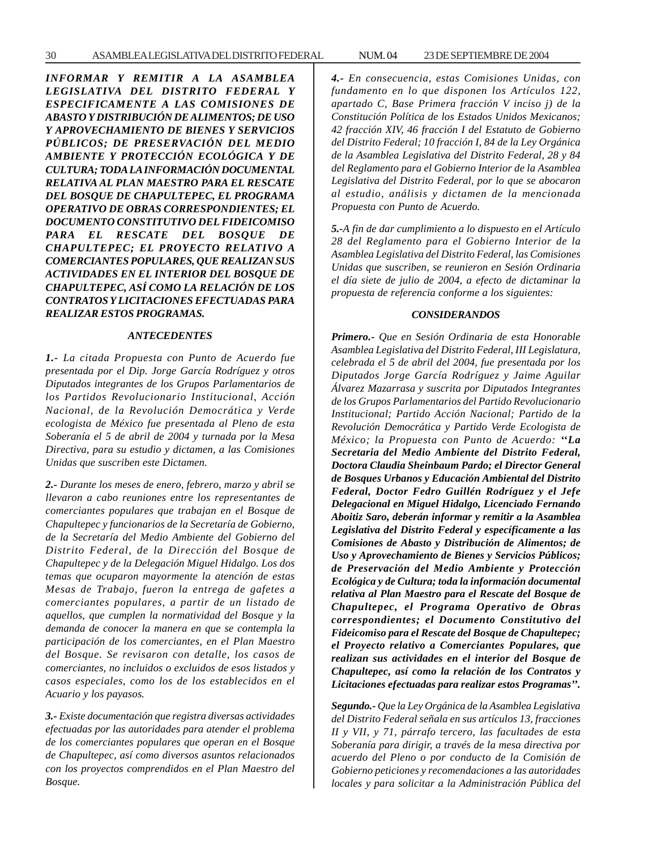*INFORMAR Y REMITIR A LA ASAMBLEA LEGISLATIVA DEL DISTRITO FEDERAL Y ESPECIFICAMENTE A LAS COMISIONES DE ABASTO Y DISTRIBUCIÓN DE ALIMENTOS; DE USO Y APROVECHAMIENTO DE BIENES Y SERVICIOS PÚBLICOS; DE PRESERVACIÓN DEL MEDIO AMBIENTE Y PROTECCIÓN ECOLÓGICA Y DE CULTURA; TODA LA INFORMACIÓN DOCUMENTAL RELATIVA AL PLAN MAESTRO PARA EL RESCATE DEL BOSQUE DE CHAPULTEPEC, EL PROGRAMA OPERATIVO DE OBRAS CORRESPONDIENTES; EL DOCUMENTO CONSTITUTIVO DEL FIDEICOMISO PARA EL RESCATE DEL BOSQUE DE CHAPULTEPEC; EL PROYECTO RELATIVO A COMERCIANTES POPULARES, QUE REALIZAN SUS ACTIVIDADES EN EL INTERIOR DEL BOSQUE DE CHAPULTEPEC, ASÍ COMO LA RELACIÓN DE LOS CONTRATOS Y LICITACIONES EFECTUADAS PARA REALIZAR ESTOS PROGRAMAS.*

#### *ANTECEDENTES*

*1.- La citada Propuesta con Punto de Acuerdo fue presentada por el Dip. Jorge García Rodríguez y otros Diputados integrantes de los Grupos Parlamentarios de los Partidos Revolucionario Institucional, Acción Nacional, de la Revolución Democrática y Verde ecologista de México fue presentada al Pleno de esta Soberanía el 5 de abril de 2004 y turnada por la Mesa Directiva, para su estudio y dictamen, a las Comisiones Unidas que suscriben este Dictamen.*

*2.- Durante los meses de enero, febrero, marzo y abril se llevaron a cabo reuniones entre los representantes de comerciantes populares que trabajan en el Bosque de Chapultepec y funcionarios de la Secretaría de Gobierno, de la Secretaría del Medio Ambiente del Gobierno del Distrito Federal, de la Dirección del Bosque de Chapultepec y de la Delegación Miguel Hidalgo. Los dos temas que ocuparon mayormente la atención de estas Mesas de Trabajo, fueron la entrega de gafetes a comerciantes populares, a partir de un listado de aquellos, que cumplen la normatividad del Bosque y la demanda de conocer la manera en que se contempla la participación de los comerciantes, en el Plan Maestro del Bosque. Se revisaron con detalle, los casos de comerciantes, no incluidos o excluidos de esos listados y casos especiales, como los de los establecidos en el Acuario y los payasos.*

*3.- Existe documentación que registra diversas actividades efectuadas por las autoridades para atender el problema de los comerciantes populares que operan en el Bosque de Chapultepec, así como diversos asuntos relacionados con los proyectos comprendidos en el Plan Maestro del Bosque.*

*4.- En consecuencia, estas Comisiones Unidas, con fundamento en lo que disponen los Artículos 122, apartado C, Base Primera fracción V inciso j) de la Constitución Política de los Estados Unidos Mexicanos; 42 fracción XIV, 46 fracción I del Estatuto de Gobierno del Distrito Federal; 10 fracción I, 84 de la Ley Orgánica de la Asamblea Legislativa del Distrito Federal, 28 y 84 del Reglamento para el Gobierno Interior de la Asamblea Legislativa del Distrito Federal, por lo que se abocaron al estudio, análisis y dictamen de la mencionada Propuesta con Punto de Acuerdo.*

*5.-A fin de dar cumplimiento a lo dispuesto en el Artículo 28 del Reglamento para el Gobierno Interior de la Asamblea Legislativa del Distrito Federal, las Comisiones Unidas que suscriben, se reunieron en Sesión Ordinaria el día siete de julio de 2004, a efecto de dictaminar la propuesta de referencia conforme a los siguientes:*

#### *CONSIDERANDOS*

*Primero.- Que en Sesión Ordinaria de esta Honorable Asamblea Legislativa del Distrito Federal, III Legislatura, celebrada el 5 de abril del 2004, fue presentada por los Diputados Jorge García Rodríguez y Jaime Aguilar Álvarez Mazarrasa y suscrita por Diputados Integrantes de los Grupos Parlamentarios del Partido Revolucionario Institucional; Partido Acción Nacional; Partido de la Revolución Democrática y Partido Verde Ecologista de México; la Propuesta con Punto de Acuerdo: ''La Secretaria del Medio Ambiente del Distrito Federal, Doctora Claudia Sheinbaum Pardo; el Director General de Bosques Urbanos y Educación Ambiental del Distrito Federal, Doctor Fedro Guillén Rodríguez y el Jefe Delegacional en Miguel Hidalgo, Licenciado Fernando Aboitiz Saro, deberán informar y remitir a la Asamblea Legislativa del Distrito Federal y específicamente a las Comisiones de Abasto y Distribución de Alimentos; de Uso y Aprovechamiento de Bienes y Servicios Públicos; de Preservación del Medio Ambiente y Protección Ecológica y de Cultura; toda la información documental relativa al Plan Maestro para el Rescate del Bosque de Chapultepec, el Programa Operativo de Obras correspondientes; el Documento Constitutivo del Fideicomiso para el Rescate del Bosque de Chapultepec; el Proyecto relativo a Comerciantes Populares, que realizan sus actividades en el interior del Bosque de Chapultepec, así como la relación de los Contratos y Licitaciones efectuadas para realizar estos Programas''.*

*Segundo.- Que la Ley Orgánica de la Asamblea Legislativa del Distrito Federal señala en sus artículos 13, fracciones II y VII, y 71, párrafo tercero, las facultades de esta Soberanía para dirigir, a través de la mesa directiva por acuerdo del Pleno o por conducto de la Comisión de Gobierno peticiones y recomendaciones a las autoridades locales y para solicitar a la Administración Pública del*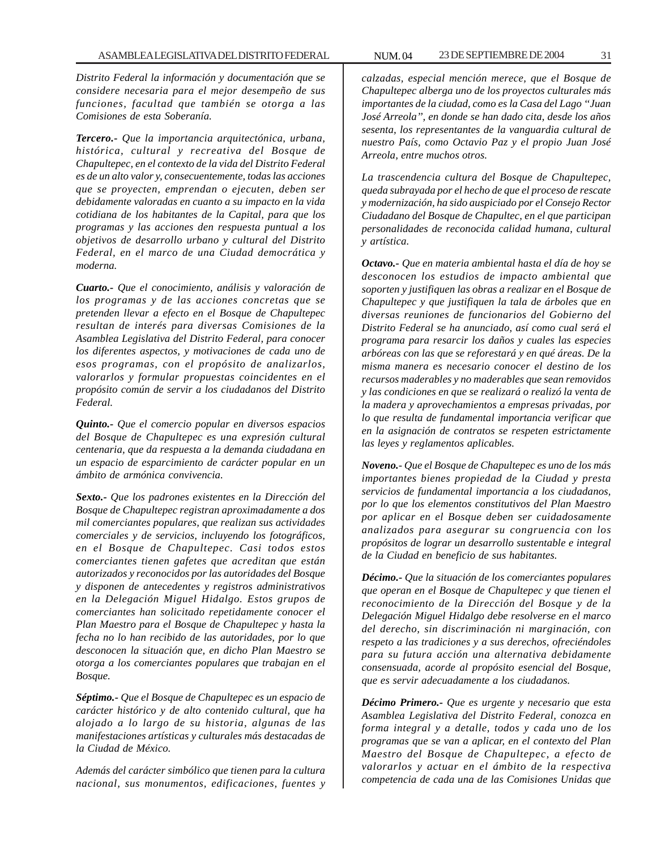*Distrito Federal la información y documentación que se considere necesaria para el mejor desempeño de sus funciones, facultad que también se otorga a las Comisiones de esta Soberanía.*

*Tercero.- Que la importancia arquitectónica, urbana, histórica, cultural y recreativa del Bosque de Chapultepec, en el contexto de la vida del Distrito Federal es de un alto valor y, consecuentemente, todas las acciones que se proyecten, emprendan o ejecuten, deben ser debidamente valoradas en cuanto a su impacto en la vida cotidiana de los habitantes de la Capital, para que los programas y las acciones den respuesta puntual a los objetivos de desarrollo urbano y cultural del Distrito Federal, en el marco de una Ciudad democrática y moderna.*

*Cuarto.- Que el conocimiento, análisis y valoración de los programas y de las acciones concretas que se pretenden llevar a efecto en el Bosque de Chapultepec resultan de interés para diversas Comisiones de la Asamblea Legislativa del Distrito Federal, para conocer los diferentes aspectos, y motivaciones de cada uno de esos programas, con el propósito de analizarlos, valorarlos y formular propuestas coincidentes en el propósito común de servir a los ciudadanos del Distrito Federal.*

*Quinto.- Que el comercio popular en diversos espacios del Bosque de Chapultepec es una expresión cultural centenaria, que da respuesta a la demanda ciudadana en un espacio de esparcimiento de carácter popular en un ámbito de armónica convivencia.*

*Sexto.- Que los padrones existentes en la Dirección del Bosque de Chapultepec registran aproximadamente a dos mil comerciantes populares, que realizan sus actividades comerciales y de servicios, incluyendo los fotográficos, en el Bosque de Chapultepec. Casi todos estos comerciantes tienen gafetes que acreditan que están autorizados y reconocidos por las autoridades del Bosque y disponen de antecedentes y registros administrativos en la Delegación Miguel Hidalgo. Estos grupos de comerciantes han solicitado repetidamente conocer el Plan Maestro para el Bosque de Chapultepec y hasta la fecha no lo han recibido de las autoridades, por lo que desconocen la situación que, en dicho Plan Maestro se otorga a los comerciantes populares que trabajan en el Bosque.*

*Séptimo.- Que el Bosque de Chapultepec es un espacio de carácter histórico y de alto contenido cultural, que ha alojado a lo largo de su historia, algunas de las manifestaciones artísticas y culturales más destacadas de la Ciudad de México.*

*Además del carácter simbólico que tienen para la cultura nacional, sus monumentos, edificaciones, fuentes y* *calzadas, especial mención merece, que el Bosque de Chapultepec alberga uno de los proyectos culturales más importantes de la ciudad, como es la Casa del Lago ''Juan José Arreola'', en donde se han dado cita, desde los años sesenta, los representantes de la vanguardia cultural de nuestro País, como Octavio Paz y el propio Juan José Arreola, entre muchos otros.*

*La trascendencia cultura del Bosque de Chapultepec, queda subrayada por el hecho de que el proceso de rescate y modernización, ha sido auspiciado por el Consejo Rector Ciudadano del Bosque de Chapultec, en el que participan personalidades de reconocida calidad humana, cultural y artística.*

*Octavo.- Que en materia ambiental hasta el día de hoy se desconocen los estudios de impacto ambiental que soporten y justifiquen las obras a realizar en el Bosque de Chapultepec y que justifiquen la tala de árboles que en diversas reuniones de funcionarios del Gobierno del Distrito Federal se ha anunciado, así como cual será el programa para resarcir los daños y cuales las especies arbóreas con las que se reforestará y en qué áreas. De la misma manera es necesario conocer el destino de los recursos maderables y no maderables que sean removidos y las condiciones en que se realizará o realizó la venta de la madera y aprovechamientos a empresas privadas, por lo que resulta de fundamental importancia verificar que en la asignación de contratos se respeten estrictamente las leyes y reglamentos aplicables.*

*Noveno.- Que el Bosque de Chapultepec es uno de los más importantes bienes propiedad de la Ciudad y presta servicios de fundamental importancia a los ciudadanos, por lo que los elementos constitutivos del Plan Maestro por aplicar en el Bosque deben ser cuidadosamente analizados para asegurar su congruencia con los propósitos de lograr un desarrollo sustentable e integral de la Ciudad en beneficio de sus habitantes.*

*Décimo.- Que la situación de los comerciantes populares que operan en el Bosque de Chapultepec y que tienen el reconocimiento de la Dirección del Bosque y de la Delegación Miguel Hidalgo debe resolverse en el marco del derecho, sin discriminación ni marginación, con respeto a las tradiciones y a sus derechos, ofreciéndoles para su futura acción una alternativa debidamente consensuada, acorde al propósito esencial del Bosque, que es servir adecuadamente a los ciudadanos.*

*Décimo Primero.- Que es urgente y necesario que esta Asamblea Legislativa del Distrito Federal, conozca en forma integral y a detalle, todos y cada uno de los programas que se van a aplicar, en el contexto del Plan Maestro del Bosque de Chapultepec, a efecto de valorarlos y actuar en el ámbito de la respectiva competencia de cada una de las Comisiones Unidas que*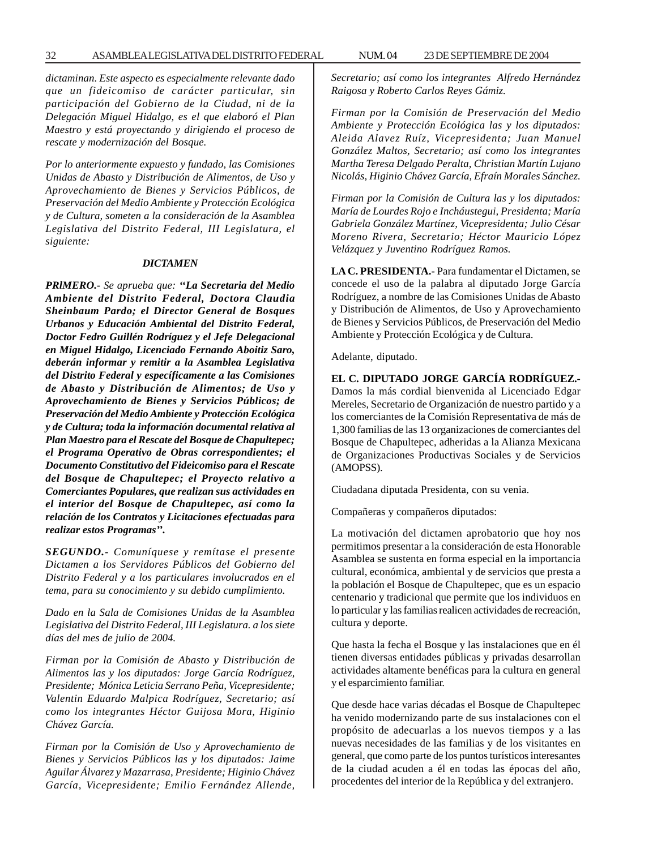*dictaminan. Este aspecto es especialmente relevante dado que un fideicomiso de carácter particular, sin participación del Gobierno de la Ciudad, ni de la Delegación Miguel Hidalgo, es el que elaboró el Plan Maestro y está proyectando y dirigiendo el proceso de rescate y modernización del Bosque.*

*Por lo anteriormente expuesto y fundado, las Comisiones Unidas de Abasto y Distribución de Alimentos, de Uso y Aprovechamiento de Bienes y Servicios Públicos, de Preservación del Medio Ambiente y Protección Ecológica y de Cultura, someten a la consideración de la Asamblea Legislativa del Distrito Federal, III Legislatura, el siguiente:*

#### *DICTAMEN*

*PRlMERO.- Se aprueba que: ''La Secretaria del Medio Ambiente del Distrito Federal, Doctora Claudia Sheinbaum Pardo; el Director General de Bosques Urbanos y Educación Ambiental del Distrito Federal, Doctor Fedro Guillén Rodríguez y el Jefe Delegacional en Miguel Hidalgo, Licenciado Fernando Aboitiz Saro, deberán informar y remitir a la Asamblea Legislativa del Distrito Federal y específicamente a las Comisiones de Abasto y Distribución de Alimentos; de Uso y Aprovechamiento de Bienes y Servicios Públicos; de Preservación del Medio Ambiente y Protección Ecológica y de Cultura; toda la información documental relativa al Plan Maestro para el Rescate del Bosque de Chapultepec; el Programa Operativo de Obras correspondientes; el Documento Constitutivo del Fideicomiso para el Rescate del Bosque de Chapultepec; el Proyecto relativo a Comerciantes Populares, que realizan sus actividades en el interior del Bosque de Chapultepec, así como la relación de los Contratos y Licitaciones efectuadas para realizar estos Programas''.*

*SEGUNDO.- Comuníquese y remítase el presente Dictamen a los Servidores Públicos del Gobierno del Distrito Federal y a los particulares involucrados en el tema, para su conocimiento y su debido cumplimiento.*

*Dado en la Sala de Comisiones Unidas de la Asamblea Legislativa del Distrito Federal, III Legislatura. a los siete días del mes de julio de 2004.*

*Firman por la Comisión de Abasto y Distribución de Alimentos las y los diputados: Jorge García Rodríguez, Presidente; Mónica Leticia Serrano Peña, Vicepresidente; Valentin Eduardo Malpica Rodríguez, Secretario; así como los integrantes Héctor Guijosa Mora, Higinio Chávez García.*

*Firman por la Comisión de Uso y Aprovechamiento de Bienes y Servicios Públicos las y los diputados: Jaime Aguilar Álvarez y Mazarrasa, Presidente; Higinio Chávez García, Vicepresidente; Emilio Fernández Allende,*

*Secretario; así como los integrantes Alfredo Hernández Raigosa y Roberto Carlos Reyes Gámiz.*

*Firman por la Comisión de Preservación del Medio Ambiente y Protección Ecológica las y los diputados: Aleida Alavez Ruíz, Vicepresidenta; Juan Manuel González Maltos, Secretario; así como los integrantes Martha Teresa Delgado Peralta, Christian Martín Lujano Nicolás, Higinio Chávez García, Efraín Morales Sánchez.*

*Firman por la Comisión de Cultura las y los diputados: María de Lourdes Rojo e Incháustegui, Presidenta; María Gabriela González Martínez, Vicepresidenta; Julio César Moreno Rivera, Secretario; Héctor Mauricio López Velázquez y Juventino Rodríguez Ramos.*

**LA C. PRESIDENTA.-** Para fundamentar el Dictamen, se concede el uso de la palabra al diputado Jorge García Rodríguez, a nombre de las Comisiones Unidas de Abasto y Distribución de Alimentos, de Uso y Aprovechamiento de Bienes y Servicios Públicos, de Preservación del Medio Ambiente y Protección Ecológica y de Cultura.

Adelante, diputado.

**EL C. DIPUTADO JORGE GARCÍA RODRÍGUEZ.-** Damos la más cordial bienvenida al Licenciado Edgar Mereles, Secretario de Organización de nuestro partido y a los comerciantes de la Comisión Representativa de más de 1,300 familias de las 13 organizaciones de comerciantes del Bosque de Chapultepec, adheridas a la Alianza Mexicana de Organizaciones Productivas Sociales y de Servicios (AMOPSS).

Ciudadana diputada Presidenta, con su venia.

Compañeras y compañeros diputados:

La motivación del dictamen aprobatorio que hoy nos permitimos presentar a la consideración de esta Honorable Asamblea se sustenta en forma especial en la importancia cultural, económica, ambiental y de servicios que presta a la población el Bosque de Chapultepec, que es un espacio centenario y tradicional que permite que los individuos en lo particular y las familias realicen actividades de recreación, cultura y deporte.

Que hasta la fecha el Bosque y las instalaciones que en él tienen diversas entidades públicas y privadas desarrollan actividades altamente benéficas para la cultura en general y el esparcimiento familiar.

Que desde hace varias décadas el Bosque de Chapultepec ha venido modernizando parte de sus instalaciones con el propósito de adecuarlas a los nuevos tiempos y a las nuevas necesidades de las familias y de los visitantes en general, que como parte de los puntos turísticos interesantes de la ciudad acuden a él en todas las épocas del año, procedentes del interior de la República y del extranjero.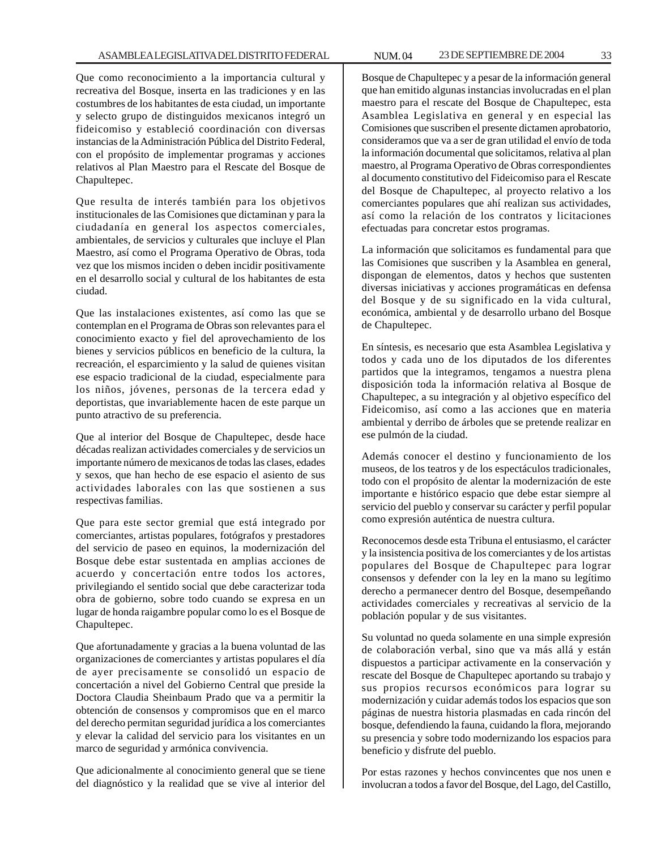Que como reconocimiento a la importancia cultural y recreativa del Bosque, inserta en las tradiciones y en las costumbres de los habitantes de esta ciudad, un importante y selecto grupo de distinguidos mexicanos integró un fideicomiso y estableció coordinación con diversas instancias de la Administración Pública del Distrito Federal, con el propósito de implementar programas y acciones relativos al Plan Maestro para el Rescate del Bosque de Chapultepec.

Que resulta de interés también para los objetivos institucionales de las Comisiones que dictaminan y para la ciudadanía en general los aspectos comerciales, ambientales, de servicios y culturales que incluye el Plan Maestro, así como el Programa Operativo de Obras, toda vez que los mismos inciden o deben incidir positivamente en el desarrollo social y cultural de los habitantes de esta ciudad.

Que las instalaciones existentes, así como las que se contemplan en el Programa de Obras son relevantes para el conocimiento exacto y fiel del aprovechamiento de los bienes y servicios públicos en beneficio de la cultura, la recreación, el esparcimiento y la salud de quienes visitan ese espacio tradicional de la ciudad, especialmente para los niños, jóvenes, personas de la tercera edad y deportistas, que invariablemente hacen de este parque un punto atractivo de su preferencia.

Que al interior del Bosque de Chapultepec, desde hace décadas realizan actividades comerciales y de servicios un importante número de mexicanos de todas las clases, edades y sexos, que han hecho de ese espacio el asiento de sus actividades laborales con las que sostienen a sus respectivas familias.

Que para este sector gremial que está integrado por comerciantes, artistas populares, fotógrafos y prestadores del servicio de paseo en equinos, la modernización del Bosque debe estar sustentada en amplias acciones de acuerdo y concertación entre todos los actores, privilegiando el sentido social que debe caracterizar toda obra de gobierno, sobre todo cuando se expresa en un lugar de honda raigambre popular como lo es el Bosque de Chapultepec.

Que afortunadamente y gracias a la buena voluntad de las organizaciones de comerciantes y artistas populares el día de ayer precisamente se consolidó un espacio de concertación a nivel del Gobierno Central que preside la Doctora Claudia Sheinbaum Prado que va a permitir la obtención de consensos y compromisos que en el marco del derecho permitan seguridad jurídica a los comerciantes y elevar la calidad del servicio para los visitantes en un marco de seguridad y armónica convivencia.

Que adicionalmente al conocimiento general que se tiene del diagnóstico y la realidad que se vive al interior del

Bosque de Chapultepec y a pesar de la información general que han emitido algunas instancias involucradas en el plan maestro para el rescate del Bosque de Chapultepec, esta Asamblea Legislativa en general y en especial las Comisiones que suscriben el presente dictamen aprobatorio, consideramos que va a ser de gran utilidad el envío de toda la información documental que solicitamos, relativa al plan maestro, al Programa Operativo de Obras correspondientes al documento constitutivo del Fideicomiso para el Rescate del Bosque de Chapultepec, al proyecto relativo a los comerciantes populares que ahí realizan sus actividades, así como la relación de los contratos y licitaciones efectuadas para concretar estos programas.

La información que solicitamos es fundamental para que las Comisiones que suscriben y la Asamblea en general, dispongan de elementos, datos y hechos que sustenten diversas iniciativas y acciones programáticas en defensa del Bosque y de su significado en la vida cultural, económica, ambiental y de desarrollo urbano del Bosque de Chapultepec.

En síntesis, es necesario que esta Asamblea Legislativa y todos y cada uno de los diputados de los diferentes partidos que la integramos, tengamos a nuestra plena disposición toda la información relativa al Bosque de Chapultepec, a su integración y al objetivo específico del Fideicomiso, así como a las acciones que en materia ambiental y derribo de árboles que se pretende realizar en ese pulmón de la ciudad.

Además conocer el destino y funcionamiento de los museos, de los teatros y de los espectáculos tradicionales, todo con el propósito de alentar la modernización de este importante e histórico espacio que debe estar siempre al servicio del pueblo y conservar su carácter y perfil popular como expresión auténtica de nuestra cultura.

Reconocemos desde esta Tribuna el entusiasmo, el carácter y la insistencia positiva de los comerciantes y de los artistas populares del Bosque de Chapultepec para lograr consensos y defender con la ley en la mano su legítimo derecho a permanecer dentro del Bosque, desempeñando actividades comerciales y recreativas al servicio de la población popular y de sus visitantes.

Su voluntad no queda solamente en una simple expresión de colaboración verbal, sino que va más allá y están dispuestos a participar activamente en la conservación y rescate del Bosque de Chapultepec aportando su trabajo y sus propios recursos económicos para lograr su modernización y cuidar además todos los espacios que son páginas de nuestra historia plasmadas en cada rincón del bosque, defendiendo la fauna, cuidando la flora, mejorando su presencia y sobre todo modernizando los espacios para beneficio y disfrute del pueblo.

Por estas razones y hechos convincentes que nos unen e involucran a todos a favor del Bosque, del Lago, del Castillo,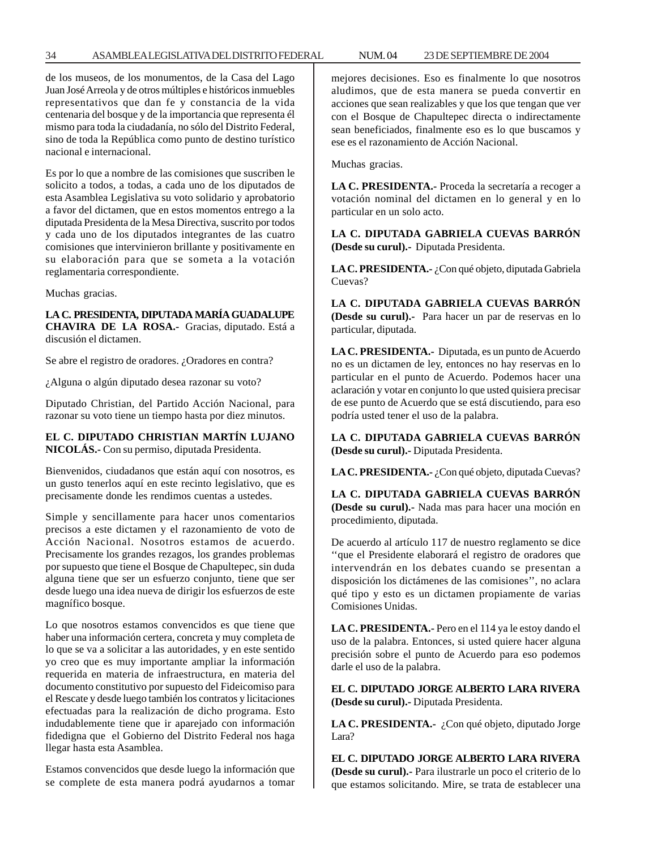#### 34 ASAMBLEA LEGISLATIVA DEL DISTRITO FEDERAL NUM. 04 23 DE SEPTIEMBRE DE 2004

de los museos, de los monumentos, de la Casa del Lago Juan José Arreola y de otros múltiples e históricos inmuebles representativos que dan fe y constancia de la vida centenaria del bosque y de la importancia que representa él mismo para toda la ciudadanía, no sólo del Distrito Federal, sino de toda la República como punto de destino turístico nacional e internacional.

Es por lo que a nombre de las comisiones que suscriben le solicito a todos, a todas, a cada uno de los diputados de esta Asamblea Legislativa su voto solidario y aprobatorio a favor del dictamen, que en estos momentos entrego a la diputada Presidenta de la Mesa Directiva, suscrito por todos y cada uno de los diputados integrantes de las cuatro comisiones que intervinieron brillante y positivamente en su elaboración para que se someta a la votación reglamentaria correspondiente.

Muchas gracias.

**LA C. PRESIDENTA, DIPUTADA MARÍA GUADALUPE CHAVIRA DE LA ROSA.-** Gracias, diputado. Está a discusión el dictamen.

Se abre el registro de oradores. ¿Oradores en contra?

¿Alguna o algún diputado desea razonar su voto?

Diputado Christian, del Partido Acción Nacional, para razonar su voto tiene un tiempo hasta por diez minutos.

#### **EL C. DIPUTADO CHRISTIAN MARTÍN LUJANO NICOLÁS.-** Con su permiso, diputada Presidenta.

Bienvenidos, ciudadanos que están aquí con nosotros, es un gusto tenerlos aquí en este recinto legislativo, que es precisamente donde les rendimos cuentas a ustedes.

Simple y sencillamente para hacer unos comentarios precisos a este dictamen y el razonamiento de voto de Acción Nacional. Nosotros estamos de acuerdo. Precisamente los grandes rezagos, los grandes problemas por supuesto que tiene el Bosque de Chapultepec, sin duda alguna tiene que ser un esfuerzo conjunto, tiene que ser desde luego una idea nueva de dirigir los esfuerzos de este magnífico bosque.

Lo que nosotros estamos convencidos es que tiene que haber una información certera, concreta y muy completa de lo que se va a solicitar a las autoridades, y en este sentido yo creo que es muy importante ampliar la información requerida en materia de infraestructura, en materia del documento constitutivo por supuesto del Fideicomiso para el Rescate y desde luego también los contratos y licitaciones efectuadas para la realización de dicho programa. Esto indudablemente tiene que ir aparejado con información fidedigna que el Gobierno del Distrito Federal nos haga llegar hasta esta Asamblea.

Estamos convencidos que desde luego la información que se complete de esta manera podrá ayudarnos a tomar mejores decisiones. Eso es finalmente lo que nosotros aludimos, que de esta manera se pueda convertir en acciones que sean realizables y que los que tengan que ver con el Bosque de Chapultepec directa o indirectamente sean beneficiados, finalmente eso es lo que buscamos y ese es el razonamiento de Acción Nacional.

Muchas gracias.

**LA C. PRESIDENTA.-** Proceda la secretaría a recoger a votación nominal del dictamen en lo general y en lo particular en un solo acto.

**LA C. DIPUTADA GABRIELA CUEVAS BARRÓN (Desde su curul).-** Diputada Presidenta.

**LA C. PRESIDENTA.-** ¿Con qué objeto, diputada Gabriela Cuevas?

**LA C. DIPUTADA GABRIELA CUEVAS BARRÓN (Desde su curul).-** Para hacer un par de reservas en lo particular, diputada.

**LA C. PRESIDENTA.-** Diputada, es un punto de Acuerdo no es un dictamen de ley, entonces no hay reservas en lo particular en el punto de Acuerdo. Podemos hacer una aclaración y votar en conjunto lo que usted quisiera precisar de ese punto de Acuerdo que se está discutiendo, para eso podría usted tener el uso de la palabra.

**LA C. DIPUTADA GABRIELA CUEVAS BARRÓN (Desde su curul).-** Diputada Presidenta.

LA C. PRESIDENTA.- ¿Con qué objeto, diputada Cuevas?

**LA C. DIPUTADA GABRIELA CUEVAS BARRÓN (Desde su curul).-** Nada mas para hacer una moción en procedimiento, diputada.

De acuerdo al artículo 117 de nuestro reglamento se dice ''que el Presidente elaborará el registro de oradores que intervendrán en los debates cuando se presentan a disposición los dictámenes de las comisiones'', no aclara qué tipo y esto es un dictamen propiamente de varias Comisiones Unidas.

**LA C. PRESIDENTA.-** Pero en el 114 ya le estoy dando el uso de la palabra. Entonces, si usted quiere hacer alguna precisión sobre el punto de Acuerdo para eso podemos darle el uso de la palabra.

**EL C. DIPUTADO JORGE ALBERTO LARA RIVERA (Desde su curul).-** Diputada Presidenta.

LA C. PRESIDENTA.- ¿Con qué objeto, diputado Jorge Lara?

**EL C. DIPUTADO JORGE ALBERTO LARA RIVERA (Desde su curul).-** Para ilustrarle un poco el criterio de lo que estamos solicitando. Mire, se trata de establecer una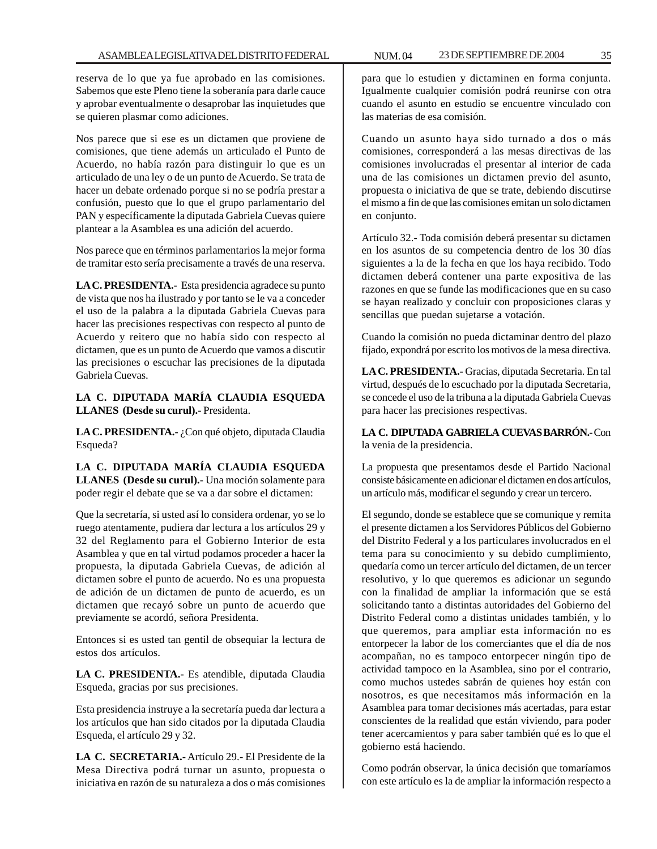reserva de lo que ya fue aprobado en las comisiones. Sabemos que este Pleno tiene la soberanía para darle cauce y aprobar eventualmente o desaprobar las inquietudes que se quieren plasmar como adiciones.

Nos parece que si ese es un dictamen que proviene de comisiones, que tiene además un articulado el Punto de Acuerdo, no había razón para distinguir lo que es un articulado de una ley o de un punto de Acuerdo. Se trata de hacer un debate ordenado porque si no se podría prestar a confusión, puesto que lo que el grupo parlamentario del PAN y específicamente la diputada Gabriela Cuevas quiere plantear a la Asamblea es una adición del acuerdo.

Nos parece que en términos parlamentarios la mejor forma de tramitar esto sería precisamente a través de una reserva.

**LA C. PRESIDENTA.-** Esta presidencia agradece su punto de vista que nos ha ilustrado y por tanto se le va a conceder el uso de la palabra a la diputada Gabriela Cuevas para hacer las precisiones respectivas con respecto al punto de Acuerdo y reitero que no había sido con respecto al dictamen, que es un punto de Acuerdo que vamos a discutir las precisiones o escuchar las precisiones de la diputada Gabriela Cuevas.

**LA C. DIPUTADA MARÍA CLAUDIA ESQUEDA LLANES (Desde su curul).-** Presidenta.

LA C. PRESIDENTA.- ¿Con qué objeto, diputada Claudia Esqueda?

**LA C. DIPUTADA MARÍA CLAUDIA ESQUEDA LLANES (Desde su curul).-** Una moción solamente para poder regir el debate que se va a dar sobre el dictamen:

Que la secretaría, si usted así lo considera ordenar, yo se lo ruego atentamente, pudiera dar lectura a los artículos 29 y 32 del Reglamento para el Gobierno Interior de esta Asamblea y que en tal virtud podamos proceder a hacer la propuesta, la diputada Gabriela Cuevas, de adición al dictamen sobre el punto de acuerdo. No es una propuesta de adición de un dictamen de punto de acuerdo, es un dictamen que recayó sobre un punto de acuerdo que previamente se acordó, señora Presidenta.

Entonces si es usted tan gentil de obsequiar la lectura de estos dos artículos.

**LA C. PRESIDENTA.-** Es atendible, diputada Claudia Esqueda, gracias por sus precisiones.

Esta presidencia instruye a la secretaría pueda dar lectura a los artículos que han sido citados por la diputada Claudia Esqueda, el artículo 29 y 32.

**LA C. SECRETARIA.-** Artículo 29.- El Presidente de la Mesa Directiva podrá turnar un asunto, propuesta o iniciativa en razón de su naturaleza a dos o más comisiones

para que lo estudien y dictaminen en forma conjunta. Igualmente cualquier comisión podrá reunirse con otra cuando el asunto en estudio se encuentre vinculado con las materias de esa comisión.

Cuando un asunto haya sido turnado a dos o más comisiones, corresponderá a las mesas directivas de las comisiones involucradas el presentar al interior de cada una de las comisiones un dictamen previo del asunto, propuesta o iniciativa de que se trate, debiendo discutirse el mismo a fin de que las comisiones emitan un solo dictamen en conjunto.

Artículo 32.- Toda comisión deberá presentar su dictamen en los asuntos de su competencia dentro de los 30 días siguientes a la de la fecha en que los haya recibido. Todo dictamen deberá contener una parte expositiva de las razones en que se funde las modificaciones que en su caso se hayan realizado y concluir con proposiciones claras y sencillas que puedan sujetarse a votación.

Cuando la comisión no pueda dictaminar dentro del plazo fijado, expondrá por escrito los motivos de la mesa directiva.

**LA C. PRESIDENTA.-** Gracias, diputada Secretaria. En tal virtud, después de lo escuchado por la diputada Secretaria, se concede el uso de la tribuna a la diputada Gabriela Cuevas para hacer las precisiones respectivas.

**LA C. DIPUTADA GABRIELA CUEVAS BARRÓN.-** Con la venia de la presidencia.

La propuesta que presentamos desde el Partido Nacional consiste básicamente en adicionar el dictamen en dos artículos, un artículo más, modificar el segundo y crear un tercero.

El segundo, donde se establece que se comunique y remita el presente dictamen a los Servidores Públicos del Gobierno del Distrito Federal y a los particulares involucrados en el tema para su conocimiento y su debido cumplimiento, quedaría como un tercer artículo del dictamen, de un tercer resolutivo, y lo que queremos es adicionar un segundo con la finalidad de ampliar la información que se está solicitando tanto a distintas autoridades del Gobierno del Distrito Federal como a distintas unidades también, y lo que queremos, para ampliar esta información no es entorpecer la labor de los comerciantes que el día de nos acompañan, no es tampoco entorpecer ningún tipo de actividad tampoco en la Asamblea, sino por el contrario, como muchos ustedes sabrán de quienes hoy están con nosotros, es que necesitamos más información en la Asamblea para tomar decisiones más acertadas, para estar conscientes de la realidad que están viviendo, para poder tener acercamientos y para saber también qué es lo que el gobierno está haciendo.

Como podrán observar, la única decisión que tomaríamos con este artículo es la de ampliar la información respecto a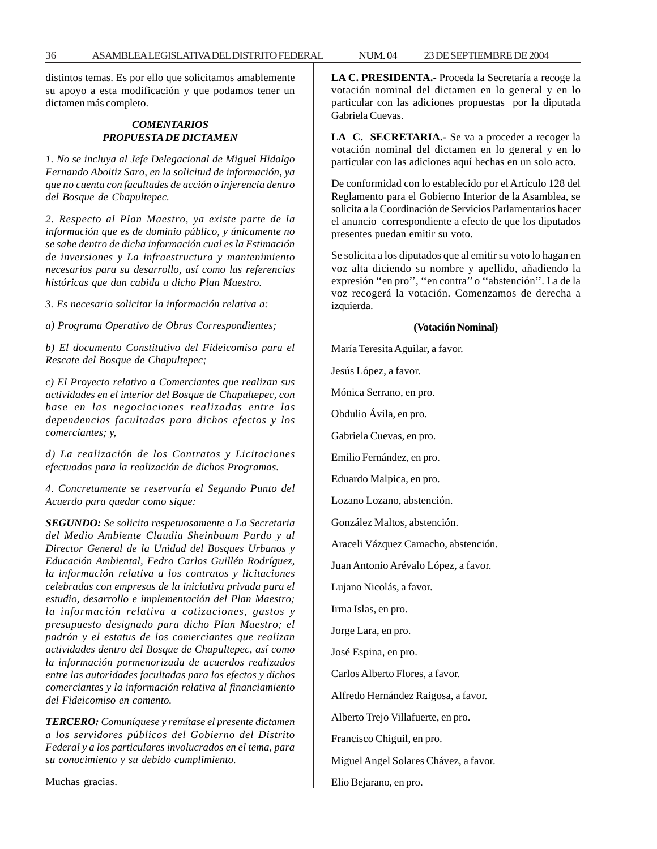distintos temas. Es por ello que solicitamos amablemente su apoyo a esta modificación y que podamos tener un dictamen más completo.

#### *COMENTARIOS PROPUESTA DE DICTAMEN*

*1. No se incluya al Jefe Delegacional de Miguel Hidalgo Fernando Aboitiz Saro, en la solicitud de información, ya que no cuenta con facultades de acción o injerencia dentro del Bosque de Chapultepec.*

*2. Respecto al Plan Maestro, ya existe parte de la información que es de dominio público, y únicamente no se sabe dentro de dicha información cual es la Estimación de inversiones y La infraestructura y mantenimiento necesarios para su desarrollo, así como las referencias históricas que dan cabida a dicho Plan Maestro.*

*3. Es necesario solicitar la información relativa a:*

*a) Programa Operativo de Obras Correspondientes;*

*b) El documento Constitutivo del Fideicomiso para el Rescate del Bosque de Chapultepec;*

*c) El Proyecto relativo a Comerciantes que realizan sus actividades en el interior del Bosque de Chapultepec, con base en las negociaciones realizadas entre las dependencias facultadas para dichos efectos y los comerciantes; y,*

*d) La realización de los Contratos y Licitaciones efectuadas para la realización de dichos Programas.*

*4. Concretamente se reservaría el Segundo Punto del Acuerdo para quedar como sigue:*

*SEGUNDO: Se solicita respetuosamente a La Secretaria del Medio Ambiente Claudia Sheinbaum Pardo y al Director General de la Unidad del Bosques Urbanos y Educación Ambiental, Fedro Carlos Guillén Rodríguez, la información relativa a los contratos y licitaciones celebradas con empresas de la iniciativa privada para el estudio, desarrollo e implementación del Plan Maestro; la información relativa a cotizaciones, gastos y presupuesto designado para dicho Plan Maestro; el padrón y el estatus de los comerciantes que realizan actividades dentro del Bosque de Chapultepec, así como la información pormenorizada de acuerdos realizados entre las autoridades facultadas para los efectos y dichos comerciantes y la información relativa al financiamiento del Fideicomiso en comento.*

*TERCERO: Comuníquese y remítase el presente dictamen a los servidores públicos del Gobierno del Distrito Federal y a los particulares involucrados en el tema, para su conocimiento y su debido cumplimiento.*

Muchas gracias.

**LA C. PRESIDENTA.-** Proceda la Secretaría a recoge la votación nominal del dictamen en lo general y en lo particular con las adiciones propuestas por la diputada Gabriela Cuevas.

**LA C. SECRETARIA.-** Se va a proceder a recoger la votación nominal del dictamen en lo general y en lo particular con las adiciones aquí hechas en un solo acto.

De conformidad con lo establecido por el Artículo 128 del Reglamento para el Gobierno Interior de la Asamblea, se solicita a la Coordinación de Servicios Parlamentarios hacer el anuncio correspondiente a efecto de que los diputados presentes puedan emitir su voto.

Se solicita a los diputados que al emitir su voto lo hagan en voz alta diciendo su nombre y apellido, añadiendo la expresión ''en pro'', ''en contra'' o ''abstención''. La de la voz recogerá la votación. Comenzamos de derecha a izquierda.

#### **(Votación Nominal)**

María Teresita Aguilar, a favor.

Jesús López, a favor.

Mónica Serrano, en pro.

Obdulio Ávila, en pro.

Gabriela Cuevas, en pro.

Emilio Fernández, en pro.

Eduardo Malpica, en pro.

Lozano Lozano, abstención.

González Maltos, abstención.

Araceli Vázquez Camacho, abstención.

Juan Antonio Arévalo López, a favor.

Lujano Nicolás, a favor.

Irma Islas, en pro.

Jorge Lara, en pro.

José Espina, en pro.

Carlos Alberto Flores, a favor.

Alfredo Hernández Raigosa, a favor.

Alberto Trejo Villafuerte, en pro.

Francisco Chiguil, en pro.

Miguel Angel Solares Chávez, a favor.

Elio Bejarano, en pro.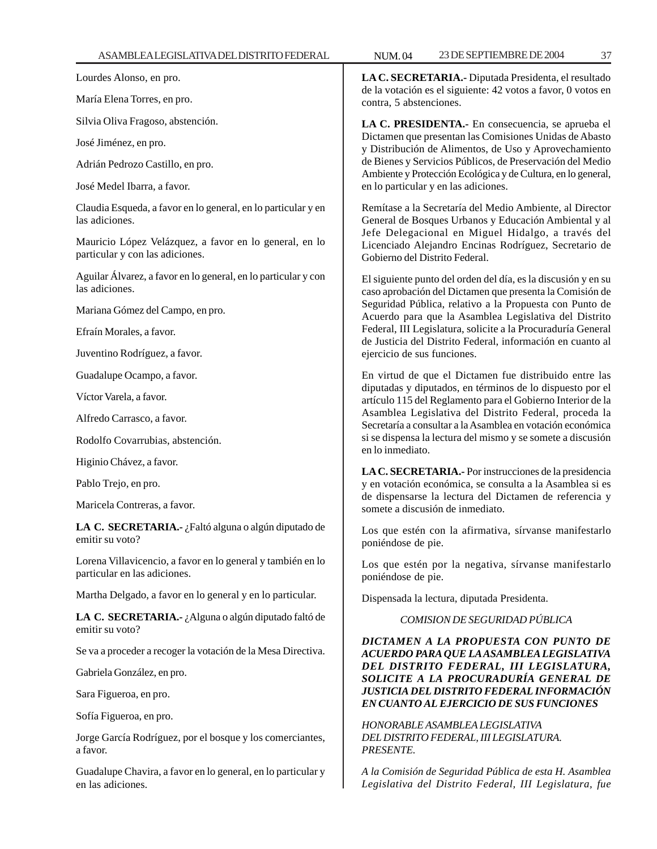Lourdes Alonso, en pro.

María Elena Torres, en pro.

Silvia Oliva Fragoso, abstención.

José Jiménez, en pro.

Adrián Pedrozo Castillo, en pro.

José Medel Ibarra, a favor.

Claudia Esqueda, a favor en lo general, en lo particular y en las adiciones.

Mauricio López Velázquez, a favor en lo general, en lo particular y con las adiciones.

Aguilar Álvarez, a favor en lo general, en lo particular y con las adiciones.

Mariana Gómez del Campo, en pro.

Efraín Morales, a favor.

Juventino Rodríguez, a favor.

Guadalupe Ocampo, a favor.

Víctor Varela, a favor.

Alfredo Carrasco, a favor.

Rodolfo Covarrubias, abstención.

Higinio Chávez, a favor.

Pablo Trejo, en pro.

Maricela Contreras, a favor.

**LA C. SECRETARIA.-** ¿Faltó alguna o algún diputado de emitir su voto?

Lorena Villavicencio, a favor en lo general y también en lo particular en las adiciones.

Martha Delgado, a favor en lo general y en lo particular.

**LA C. SECRETARIA.-** ¿Alguna o algún diputado faltó de emitir su voto?

Se va a proceder a recoger la votación de la Mesa Directiva.

Gabriela González, en pro.

Sara Figueroa, en pro.

Sofía Figueroa, en pro.

Jorge García Rodríguez, por el bosque y los comerciantes, a favor.

Guadalupe Chavira, a favor en lo general, en lo particular y en las adiciones.

**LA C. SECRETARIA.-** Diputada Presidenta, el resultado de la votación es el siguiente: 42 votos a favor, 0 votos en contra, 5 abstenciones.

**LA C. PRESIDENTA.-** En consecuencia, se aprueba el Dictamen que presentan las Comisiones Unidas de Abasto y Distribución de Alimentos, de Uso y Aprovechamiento de Bienes y Servicios Públicos, de Preservación del Medio Ambiente y Protección Ecológica y de Cultura, en lo general, en lo particular y en las adiciones.

Remítase a la Secretaría del Medio Ambiente, al Director General de Bosques Urbanos y Educación Ambiental y al Jefe Delegacional en Miguel Hidalgo, a través del Licenciado Alejandro Encinas Rodríguez, Secretario de Gobierno del Distrito Federal.

El siguiente punto del orden del día, es la discusión y en su caso aprobación del Dictamen que presenta la Comisión de Seguridad Pública, relativo a la Propuesta con Punto de Acuerdo para que la Asamblea Legislativa del Distrito Federal, III Legislatura, solicite a la Procuraduría General de Justicia del Distrito Federal, información en cuanto al ejercicio de sus funciones.

En virtud de que el Dictamen fue distribuido entre las diputadas y diputados, en términos de lo dispuesto por el artículo 115 del Reglamento para el Gobierno Interior de la Asamblea Legislativa del Distrito Federal, proceda la Secretaría a consultar a la Asamblea en votación económica si se dispensa la lectura del mismo y se somete a discusión en lo inmediato.

**LA C. SECRETARIA.-** Por instrucciones de la presidencia y en votación económica, se consulta a la Asamblea si es de dispensarse la lectura del Dictamen de referencia y somete a discusión de inmediato.

Los que estén con la afirmativa, sírvanse manifestarlo poniéndose de pie.

Los que estén por la negativa, sírvanse manifestarlo poniéndose de pie.

Dispensada la lectura, diputada Presidenta.

*COMISION DE SEGURIDAD PÚBLICA*

*DICTAMEN A LA PROPUESTA CON PUNTO DE ACUERDO PARA QUE LA ASAMBLEA LEGISLATIVA DEL DISTRITO FEDERAL, III LEGISLATURA, SOLICITE A LA PROCURADURÍA GENERAL DE JUSTICIA DEL DISTRITO FEDERAL INFORMACIÓN EN CUANTO AL EJERCICIO DE SUS FUNCIONES*

*HONORABLE ASAMBLEA LEGISLATIVA DEL DISTRITO FEDERAL, III LEGISLATURA. PRESENTE.*

*A la Comisión de Seguridad Pública de esta H. Asamblea Legislativa del Distrito Federal, III Legislatura, fue*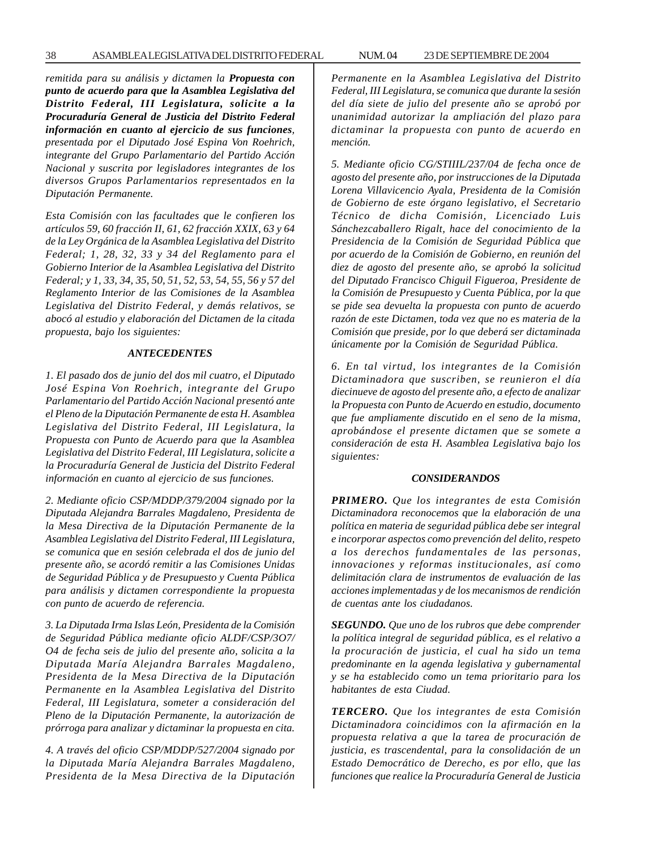*remitida para su análisis y dictamen la Propuesta con punto de acuerdo para que la Asamblea Legislativa del Distrito Federal, III Legislatura, solicite a la Procuraduría General de Justicia del Distrito Federal información en cuanto al ejercicio de sus funciones, presentada por el Diputado José Espina Von Roehrich, integrante del Grupo Parlamentario del Partido Acción Nacional y suscrita por legisladores integrantes de los diversos Grupos Parlamentarios representados en la Diputación Permanente.*

*Esta Comisión con las facultades que le confieren los artículos 59, 60 fracción II, 61, 62 fracción XXIX, 63 y 64 de la Ley Orgánica de la Asamblea Legislativa del Distrito Federal; 1, 28, 32, 33 y 34 del Reglamento para el Gobierno Interior de la Asamblea Legislativa del Distrito Federal; y 1, 33, 34, 35, 50, 51, 52, 53, 54, 55, 56 y 57 del Reglamento Interior de las Comisiones de la Asamblea Legislativa del Distrito Federal, y demás relativos, se abocó al estudio y elaboración del Dictamen de la citada propuesta, bajo los siguientes:*

#### *ANTECEDENTES*

*1. El pasado dos de junio del dos mil cuatro, el Diputado José Espina Von Roehrich, integrante del Grupo Parlamentario del Partido Acción Nacional presentó ante el Pleno de la Diputación Permanente de esta H. Asamblea Legislativa del Distrito Federal, III Legislatura, la Propuesta con Punto de Acuerdo para que la Asamblea Legislativa del Distrito Federal, III Legislatura, solicite a la Procuraduría General de Justicia del Distrito Federal información en cuanto al ejercicio de sus funciones.*

*2. Mediante oficio CSP/MDDP/379/2004 signado por la Diputada Alejandra Barrales Magdaleno, Presidenta de la Mesa Directiva de la Diputación Permanente de la Asamblea Legislativa del Distrito Federal, III Legislatura, se comunica que en sesión celebrada el dos de junio del presente año, se acordó remitir a las Comisiones Unidas de Seguridad Pública y de Presupuesto y Cuenta Pública para análisis y dictamen correspondiente la propuesta con punto de acuerdo de referencia.*

*3. La Diputada Irma Islas León, Presidenta de la Comisión de Seguridad Pública mediante oficio ALDF/CSP/3O7/ O4 de fecha seis de julio del presente año, solicita a la Diputada María Alejandra Barrales Magdaleno, Presidenta de la Mesa Directiva de la Diputación Permanente en la Asamblea Legislativa del Distrito Federal, III Legislatura, someter a consideración del Pleno de la Diputación Permanente, la autorización de prórroga para analizar y dictaminar la propuesta en cita.*

*4. A través del oficio CSP/MDDP/527/2004 signado por la Diputada María Alejandra Barrales Magdaleno, Presidenta de la Mesa Directiva de la Diputación*

*Permanente en la Asamblea Legislativa del Distrito Federal, III Legislatura, se comunica que durante la sesión del día siete de julio del presente año se aprobó por unanimidad autorizar la ampliación del plazo para dictaminar la propuesta con punto de acuerdo en mención.*

*5. Mediante oficio CG/STIIIL/237/04 de fecha once de agosto del presente año, por instrucciones de la Diputada Lorena Villavicencio Ayala, Presidenta de la Comisión de Gobierno de este órgano legislativo, el Secretario Técnico de dicha Comisión, Licenciado Luis Sánchezcaballero Rigalt, hace del conocimiento de la Presidencia de la Comisión de Seguridad Pública que por acuerdo de la Comisión de Gobierno, en reunión del diez de agosto del presente año, se aprobó la solicitud del Diputado Francisco Chiguil Figueroa, Presidente de la Comisión de Presupuesto y Cuenta Pública, por la que se pide sea devuelta la propuesta con punto de acuerdo razón de este Dictamen, toda vez que no es materia de la Comisión que preside, por lo que deberá ser dictaminada únicamente por la Comisión de Seguridad Pública.*

*6. En tal virtud, los integrantes de la Comisión Dictaminadora que suscriben, se reunieron el día diecinueve de agosto del presente año, a efecto de analizar la Propuesta con Punto de Acuerdo en estudio, documento que fue ampliamente discutido en el seno de la misma, aprobándose el presente dictamen que se somete a consideración de esta H. Asamblea Legislativa bajo los siguientes:*

#### *CONSIDERANDOS*

*PRIMERO. Que los integrantes de esta Comisión Dictaminadora reconocemos que la elaboración de una política en materia de seguridad pública debe ser integral e incorporar aspectos como prevención del delito, respeto a los derechos fundamentales de las personas, innovaciones y reformas institucionales, así como delimitación clara de instrumentos de evaluación de las acciones implementadas y de los mecanismos de rendición de cuentas ante los ciudadanos.*

*SEGUNDO. Que uno de los rubros que debe comprender la política integral de seguridad pública, es el relativo a la procuración de justicia, el cual ha sido un tema predominante en la agenda legislativa y gubernamental y se ha establecido como un tema prioritario para los habitantes de esta Ciudad.*

*TERCERO. Que los integrantes de esta Comisión Dictaminadora coincidimos con la afirmación en la propuesta relativa a que la tarea de procuración de justicia, es trascendental, para la consolidación de un Estado Democrático de Derecho, es por ello, que las funciones que realice la Procuraduría General de Justicia*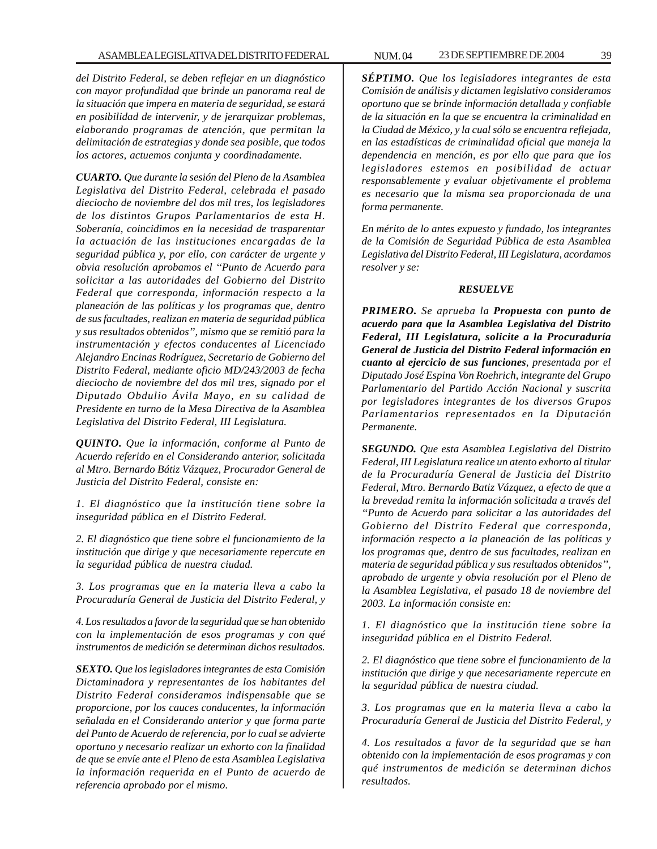*del Distrito Federal, se deben reflejar en un diagnóstico con mayor profundidad que brinde un panorama real de la situación que impera en materia de seguridad, se estará en posibilidad de intervenir, y de jerarquizar problemas, elaborando programas de atención, que permitan la delimitación de estrategias y donde sea posible, que todos los actores, actuemos conjunta y coordinadamente.*

*CUARTO. Que durante la sesión del Pleno de la Asamblea Legislativa del Distrito Federal, celebrada el pasado dieciocho de noviembre del dos mil tres, los legisladores de los distintos Grupos Parlamentarios de esta H. Soberanía, coincidimos en la necesidad de trasparentar la actuación de las instituciones encargadas de la seguridad pública y, por ello, con carácter de urgente y obvia resolución aprobamos el ''Punto de Acuerdo para solicitar a las autoridades del Gobierno del Distrito Federal que corresponda, información respecto a la planeación de las políticas y los programas que, dentro de sus facultades, realizan en materia de seguridad pública y sus resultados obtenidos'', mismo que se remitió para la instrumentación y efectos conducentes al Licenciado Alejandro Encinas Rodríguez, Secretario de Gobierno del Distrito Federal, mediante oficio MD/243/2003 de fecha dieciocho de noviembre del dos mil tres, signado por el Diputado Obdulio Ávila Mayo, en su calidad de Presidente en turno de la Mesa Directiva de la Asamblea Legislativa del Distrito Federal, III Legislatura.*

*QUINTO. Que la información, conforme al Punto de Acuerdo referido en el Considerando anterior, solicitada al Mtro. Bernardo Bátiz Vázquez, Procurador General de Justicia del Distrito Federal, consiste en:*

*1. El diagnóstico que la institución tiene sobre la inseguridad pública en el Distrito Federal.*

*2. El diagnóstico que tiene sobre el funcionamiento de la institución que dirige y que necesariamente repercute en la seguridad pública de nuestra ciudad.*

*3. Los programas que en la materia lleva a cabo la Procuraduría General de Justicia del Distrito Federal, y*

*4. Los resultados a favor de la seguridad que se han obtenido con la implementación de esos programas y con qué instrumentos de medición se determinan dichos resultados.*

*SEXTO. Que los legisladores integrantes de esta Comisión Dictaminadora y representantes de los habitantes del Distrito Federal consideramos indispensable que se proporcione, por los cauces conducentes, la información señalada en el Considerando anterior y que forma parte del Punto de Acuerdo de referencia, por lo cual se advierte oportuno y necesario realizar un exhorto con la finalidad de que se envíe ante el Pleno de esta Asamblea Legislativa la información requerida en el Punto de acuerdo de referencia aprobado por el mismo.*

*SÉPTIMO. Que los legisladores integrantes de esta Comisión de análisis y dictamen legislativo consideramos oportuno que se brinde información detallada y confiable de la situación en la que se encuentra la criminalidad en la Ciudad de México, y la cual sólo se encuentra reflejada, en las estadísticas de criminalidad oficial que maneja la dependencia en mención, es por ello que para que los legisladores estemos en posibilidad de actuar responsablemente y evaluar objetivamente el problema es necesario que la misma sea proporcionada de una forma permanente.*

*En mérito de lo antes expuesto y fundado, los integrantes de la Comisión de Seguridad Pública de esta Asamblea Legislativa del Distrito Federal, III Legislatura, acordamos resolver y se:*

## *RESUELVE*

*PRIMERO. Se aprueba la Propuesta con punto de acuerdo para que la Asamblea Legislativa del Distrito Federal, III Legislatura, solicite a la Procuraduría General de Justicia del Distrito Federal información en cuanto al ejercicio de sus funciones, presentada por el Diputado José Espina Von Roehrich, integrante del Grupo Parlamentario del Partido Acción Nacional y suscrita por legisladores integrantes de los diversos Grupos Parlamentarios representados en la Diputación Permanente.*

*SEGUNDO. Que esta Asamblea Legislativa del Distrito Federal, III Legislatura realice un atento exhorto al titular de la Procuraduría General de Justicia del Distrito Federal, Mtro. Bernardo Batiz Vázquez, a efecto de que a la brevedad remita la información solicitada a través del ''Punto de Acuerdo para solicitar a las autoridades del Gobierno del Distrito Federal que corresponda, información respecto a la planeación de las políticas y los programas que, dentro de sus facultades, realizan en materia de seguridad pública y sus resultados obtenidos'', aprobado de urgente y obvia resolución por el Pleno de la Asamblea Legislativa, el pasado 18 de noviembre del 2003. La información consiste en:*

*1. El diagnóstico que la institución tiene sobre la inseguridad pública en el Distrito Federal.*

*2. El diagnóstico que tiene sobre el funcionamiento de la institución que dirige y que necesariamente repercute en la seguridad pública de nuestra ciudad.*

*3. Los programas que en la materia lleva a cabo la Procuraduría General de Justicia del Distrito Federal, y*

*4. Los resultados a favor de la seguridad que se han obtenido con la implementación de esos programas y con qué instrumentos de medición se determinan dichos resultados.*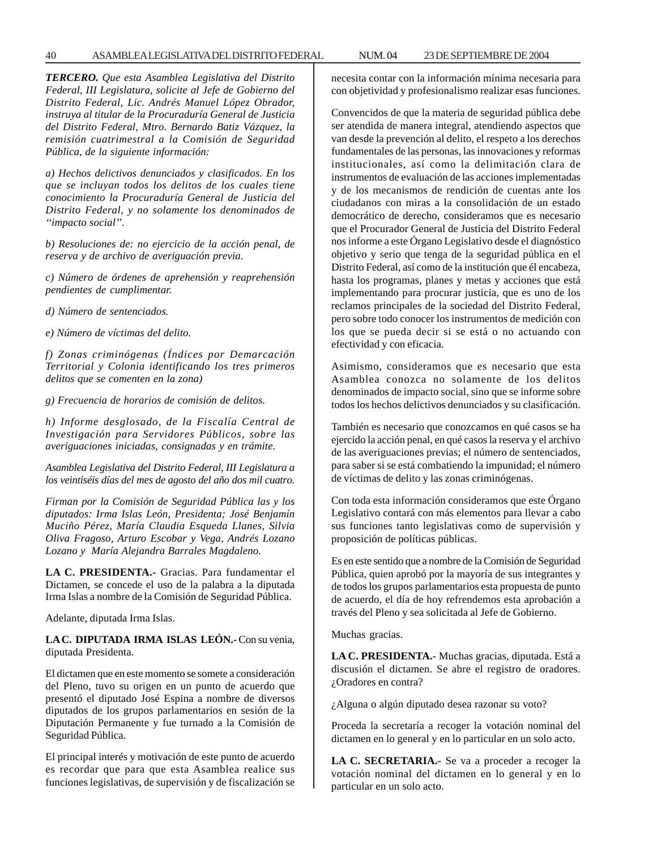### 40 ASAMBLEA LEGISLATIVA DEL DISTRITO FEDERAL NUM. 04 23 DE SEPTIEMBRE DE 2004

*TERCERO. Que esta Asamblea Legislativa del Distrito Federal, III Legislatura, solicite al Jefe de Gobierno del Distrito Federal, Lic. Andrés Manuel López Obrador, instruya al titular de la Procuraduría General de Justicia del Distrito Federal, Mtro. Bernardo Batiz Vázquez, la remisión cuatrimestral a la Comisión de Seguridad Pública, de la siguiente información:*

*a) Hechos delictivos denunciados y clasificados. En los que se incluyan todos los delitos de los cuales tiene conocimiento la Procuraduría General de Justicia del Distrito Federal, y no solamente los denominados de ''impacto social''.*

*b) Resoluciones de: no ejercicio de la acción penal, de reserva y de archivo de averiguación previa.*

*c) Número de órdenes de aprehensión y reaprehensión pendientes de cumplimentar.*

*d) Número de sentenciados.*

*e) Número de víctimas del delito.*

*f) Zonas criminógenas (Índices por Demarcación Territorial y Colonia identificando los tres primeros delitos que se comenten en la zona)*

*g) Frecuencia de horarios de comisión de delitos.*

*h) Informe desglosado, de la Fiscalía Central de Investigación para Servidores Públicos, sobre las averiguaciones iniciadas, consignadas y en trámite.*

*Asamblea Legislativa del Distrito Federal, III Legislatura a los veintiséis días del mes de agosto del año dos mil cuatro.*

*Firman por la Comisión de Seguridad Pública las y los diputados: Irma Islas León, Presidenta; José Benjamín Muciño Pérez, María Claudia Esqueda Llanes, Silvia Oliva Fragoso, Arturo Escobar y Vega, Andrés Lozano Lozano y María Alejandra Barrales Magdaleno.*

**LA C. PRESIDENTA.-** Gracias. Para fundamentar el Dictamen, se concede el uso de la palabra a la diputada Irma Islas a nombre de la Comisión de Seguridad Pública.

Adelante, diputada Irma Islas.

**LA C. DIPUTADA IRMA ISLAS LEÓN.-** Con su venia, diputada Presidenta.

El dictamen que en este momento se somete a consideración del Pleno, tuvo su origen en un punto de acuerdo que presentó el diputado José Espina a nombre de diversos diputados de los grupos parlamentarios en sesión de la Diputación Permanente y fue turnado a la Comisión de Seguridad Pública.

El principal interés y motivación de este punto de acuerdo es recordar que para que esta Asamblea realice sus funciones legislativas, de supervisión y de fiscalización se necesita contar con la información mínima necesaria para con objetividad y profesionalismo realizar esas funciones.

Convencidos de que la materia de seguridad pública debe ser atendida de manera integral, atendiendo aspectos que van desde la prevención al delito, el respeto a los derechos fundamentales de las personas, las innovaciones y reformas institucionales, así como la delimitación clara de instrumentos de evaluación de las acciones implementadas y de los mecanismos de rendición de cuentas ante los ciudadanos con miras a la consolidación de un estado democrático de derecho, consideramos que es necesario que el Procurador General de Justicia del Distrito Federal nos informe a este Órgano Legislativo desde el diagnóstico objetivo y serio que tenga de la seguridad pública en el Distrito Federal, así como de la institución que él encabeza, hasta los programas, planes y metas y acciones que está implementando para procurar justicia, que es uno de los reclamos principales de la sociedad del Distrito Federal, pero sobre todo conocer los instrumentos de medición con los que se pueda decir si se está o no actuando con efectividad y con eficacia.

Asimismo, consideramos que es necesario que esta Asamblea conozca no solamente de los delitos denominados de impacto social, sino que se informe sobre todos los hechos delictivos denunciados y su clasificación.

También es necesario que conozcamos en qué casos se ha ejercido la acción penal, en qué casos la reserva y el archivo de las averiguaciones previas; el número de sentenciados, para saber si se está combatiendo la impunidad; el número de víctimas de delito y las zonas criminógenas.

Con toda esta información consideramos que este Órgano Legislativo contará con más elementos para llevar a cabo sus funciones tanto legislativas como de supervisión y proposición de políticas públicas.

Es en este sentido que a nombre de la Comisión de Seguridad Pública, quien aprobó por la mayoría de sus integrantes y de todos los grupos parlamentarios esta propuesta de punto de acuerdo, el día de hoy refrendemos esta aprobación a través del Pleno y sea solicitada al Jefe de Gobierno.

Muchas gracias.

**LA C. PRESIDENTA.-** Muchas gracias, diputada. Está a discusión el dictamen. Se abre el registro de oradores. ¿Oradores en contra?

¿Alguna o algún diputado desea razonar su voto?

Proceda la secretaría a recoger la votación nominal del dictamen en lo general y en lo particular en un solo acto.

**LA C. SECRETARIA.-** Se va a proceder a recoger la votación nominal del dictamen en lo general y en lo particular en un solo acto.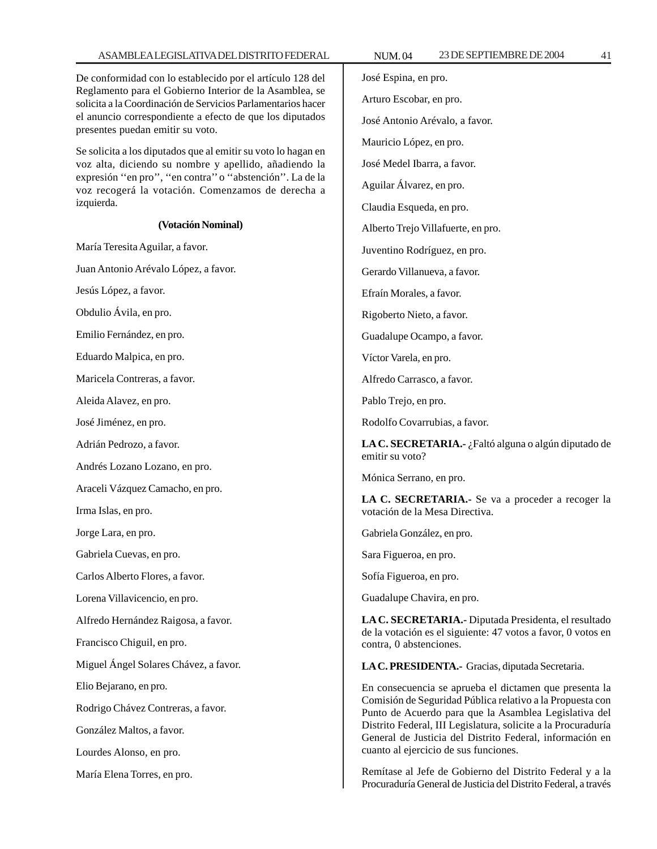## ASAMBLEA LEGISLATIVA DEL DISTRITO FEDERAL NUM. 04 23 DE SEPTIEMBRE DE 2004 41

De conformidad con lo establecido por el artículo 128 del Reglamento para el Gobierno Interior de la Asamblea, se solicita a la Coordinación de Servicios Parlamentarios hacer el anuncio correspondiente a efecto de que los diputados presentes puedan emitir su voto.

Se solicita a los diputados que al emitir su voto lo hagan en voz alta, diciendo su nombre y apellido, añadiendo la expresión ''en pro'', ''en contra'' o ''abstención''. La de la voz recogerá la votación. Comenzamos de derecha a izquierda.

#### **(Votación Nominal)**

María Teresita Aguilar, a favor.

Juan Antonio Arévalo López, a favor.

Jesús López, a favor.

Obdulio Ávila, en pro.

Emilio Fernández, en pro.

Eduardo Malpica, en pro.

Maricela Contreras, a favor.

Aleida Alavez, en pro.

José Jiménez, en pro.

Adrián Pedrozo, a favor.

Andrés Lozano Lozano, en pro.

Araceli Vázquez Camacho, en pro.

Irma Islas, en pro.

Jorge Lara, en pro.

Gabriela Cuevas, en pro.

Carlos Alberto Flores, a favor.

Lorena Villavicencio, en pro.

Alfredo Hernández Raigosa, a favor.

Francisco Chiguil, en pro.

Miguel Ángel Solares Chávez, a favor.

Elio Bejarano, en pro.

Rodrigo Chávez Contreras, a favor.

González Maltos, a favor.

Lourdes Alonso, en pro.

María Elena Torres, en pro.

José Espina, en pro. Arturo Escobar, en pro. José Antonio Arévalo, a favor. Mauricio López, en pro. José Medel Ibarra, a favor. Aguilar Álvarez, en pro. Claudia Esqueda, en pro. Alberto Trejo Villafuerte, en pro. Juventino Rodríguez, en pro. Gerardo Villanueva, a favor. Efraín Morales, a favor. Rigoberto Nieto, a favor. Guadalupe Ocampo, a favor. Víctor Varela, en pro. Alfredo Carrasco, a favor. Pablo Trejo, en pro. Rodolfo Covarrubias, a favor. **LA C. SECRETARIA.-** ¿Faltó alguna o algún diputado de emitir su voto? Mónica Serrano, en pro.

**LA C. SECRETARIA.-** Se va a proceder a recoger la votación de la Mesa Directiva.

Gabriela González, en pro.

Sara Figueroa, en pro.

Sofía Figueroa, en pro.

Guadalupe Chavira, en pro.

**LA C. SECRETARIA.-** Diputada Presidenta, el resultado de la votación es el siguiente: 47 votos a favor, 0 votos en contra, 0 abstenciones.

**LA C. PRESIDENTA.-** Gracias, diputada Secretaria.

En consecuencia se aprueba el dictamen que presenta la Comisión de Seguridad Pública relativo a la Propuesta con Punto de Acuerdo para que la Asamblea Legislativa del Distrito Federal, III Legislatura, solicite a la Procuraduría General de Justicia del Distrito Federal, información en cuanto al ejercicio de sus funciones.

Remítase al Jefe de Gobierno del Distrito Federal y a la Procuraduría General de Justicia del Distrito Federal, a través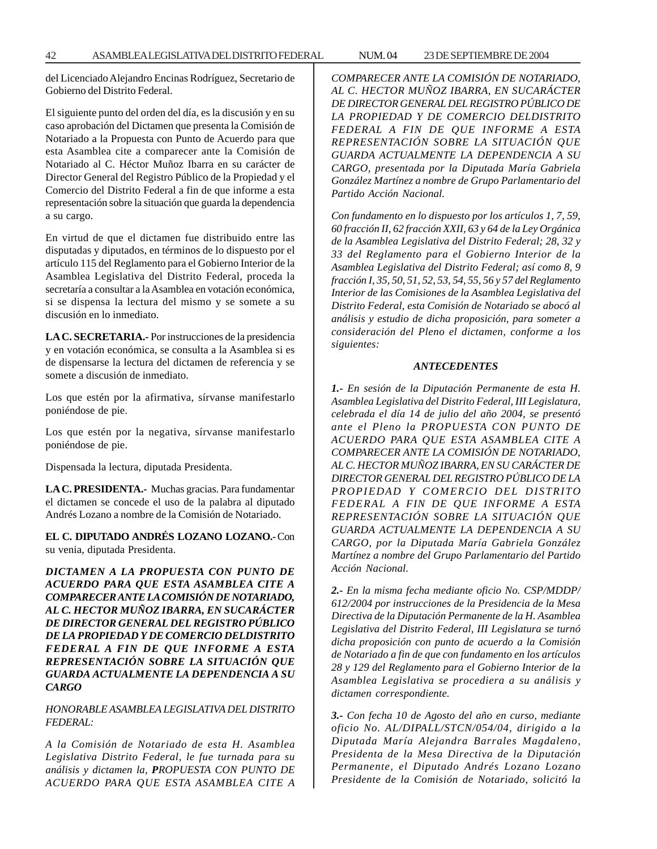del Licenciado Alejandro Encinas Rodríguez, Secretario de Gobierno del Distrito Federal.

El siguiente punto del orden del día, es la discusión y en su caso aprobación del Dictamen que presenta la Comisión de Notariado a la Propuesta con Punto de Acuerdo para que esta Asamblea cite a comparecer ante la Comisión de Notariado al C. Héctor Muñoz Ibarra en su carácter de Director General del Registro Público de la Propiedad y el Comercio del Distrito Federal a fin de que informe a esta representación sobre la situación que guarda la dependencia a su cargo.

En virtud de que el dictamen fue distribuido entre las disputadas y diputados, en términos de lo dispuesto por el artículo 115 del Reglamento para el Gobierno Interior de la Asamblea Legislativa del Distrito Federal, proceda la secretaría a consultar a la Asamblea en votación económica, si se dispensa la lectura del mismo y se somete a su discusión en lo inmediato.

**LA C. SECRETARIA.-** Por instrucciones de la presidencia y en votación económica, se consulta a la Asamblea si es de dispensarse la lectura del dictamen de referencia y se somete a discusión de inmediato.

Los que estén por la afirmativa, sírvanse manifestarlo poniéndose de pie.

Los que estén por la negativa, sírvanse manifestarlo poniéndose de pie.

Dispensada la lectura, diputada Presidenta.

**LA C. PRESIDENTA.-** Muchas gracias. Para fundamentar el dictamen se concede el uso de la palabra al diputado Andrés Lozano a nombre de la Comisión de Notariado.

**EL C. DIPUTADO ANDRÉS LOZANO LOZANO.-** Con su venia, diputada Presidenta.

*DICTAMEN A LA PROPUESTA CON PUNTO DE ACUERDO PARA QUE ESTA ASAMBLEA CITE A COMPARECER ANTE LA COMISIÓN DE NOTARIADO, AL C. HECTOR MUÑOZ IBARRA, EN SUCARÁCTER DE DIRECTOR GENERAL DEL REGISTRO PÚBLICO DE LA PROPIEDAD Y DE COMERCIO DELDISTRITO FEDERAL A FIN DE QUE INFORME A ESTA REPRESENTACIÓN SOBRE LA SITUACIÓN QUE GUARDA ACTUALMENTE LA DEPENDENCIA A SU CARGO*

*HONORABLE ASAMBLEA LEGISLATIVA DEL DISTRITO FEDERAL:*

*A la Comisión de Notariado de esta H. Asamblea Legislativa Distrito Federal, le fue turnada para su análisis y dictamen la, PROPUESTA CON PUNTO DE ACUERDO PARA QUE ESTA ASAMBLEA CITE A*

*COMPARECER ANTE LA COMISIÓN DE NOTARIADO, AL C. HECTOR MUÑOZ IBARRA, EN SUCARÁCTER DE DIRECTOR GENERAL DEL REGISTRO PÚBLICO DE LA PROPIEDAD Y DE COMERCIO DELDISTRITO FEDERAL A FIN DE QUE INFORME A ESTA REPRESENTACIÓN SOBRE LA SITUACIÓN QUE GUARDA ACTUALMENTE LA DEPENDENCIA A SU CARGO, presentada por la Diputada María Gabriela González Martínez a nombre de Grupo Parlamentario del Partido Acción Nacional.*

*Con fundamento en lo dispuesto por los artículos 1, 7, 59, 60 fracción II, 62 fracción XXII, 63 y 64 de la Ley Orgánica de la Asamblea Legislativa del Distrito Federal; 28, 32 y 33 del Reglamento para el Gobierno Interior de la Asamblea Legislativa del Distrito Federal; así como 8, 9 fracción I, 35, 50, 51, 52, 53, 54, 55, 56 y 57 del Reglamento Interior de las Comisiones de la Asamblea Legislativa del Distrito Federal, esta Comisión de Notariado se abocó al análisis y estudio de dicha proposición, para someter a consideración del Pleno el dictamen, conforme a los siguientes:*

## *ANTECEDENTES*

*1.- En sesión de la Diputación Permanente de esta H. Asamblea Legislativa del Distrito Federal, III Legislatura, celebrada el día 14 de julio del año 2004, se presentó ante el Pleno la PROPUESTA CON PUNTO DE ACUERDO PARA QUE ESTA ASAMBLEA CITE A COMPARECER ANTE LA COMISIÓN DE NOTARIADO, AL C. HECTOR MUÑOZ IBARRA, EN SU CARÁCTER DE DIRECTOR GENERAL DEL REGISTRO PÚBLICO DE LA PROPIEDAD Y COMERCIO DEL DISTRITO FEDERAL A FIN DE QUE INFORME A ESTA REPRESENTACIÓN SOBRE LA SITUACIÓN QUE GUARDA ACTUALMENTE LA DEPENDENCIA A SU CARGO, por la Diputada María Gabriela González Martínez a nombre del Grupo Parlamentario del Partido Acción Nacional.*

*2.- En la misma fecha mediante oficio No. CSP/MDDP/ 612/2004 por instrucciones de la Presidencia de la Mesa Directiva de la Diputación Permanente de la H. Asamblea Legislativa del Distrito Federal, III Legislatura se turnó dicha proposición con punto de acuerdo a la Comisión de Notariado a fin de que con fundamento en los artículos 28 y 129 del Reglamento para el Gobierno Interior de la Asamblea Legislativa se procediera a su análisis y dictamen correspondiente.*

*3.- Con fecha 10 de Agosto del año en curso, mediante oficio No. AL/DIPALL/STCN/054/04, dirigido a la Diputada María Alejandra Barrales Magdaleno, Presidenta de la Mesa Directiva de la Diputación Permanente, el Diputado Andrés Lozano Lozano Presidente de la Comisión de Notariado, solicitó la*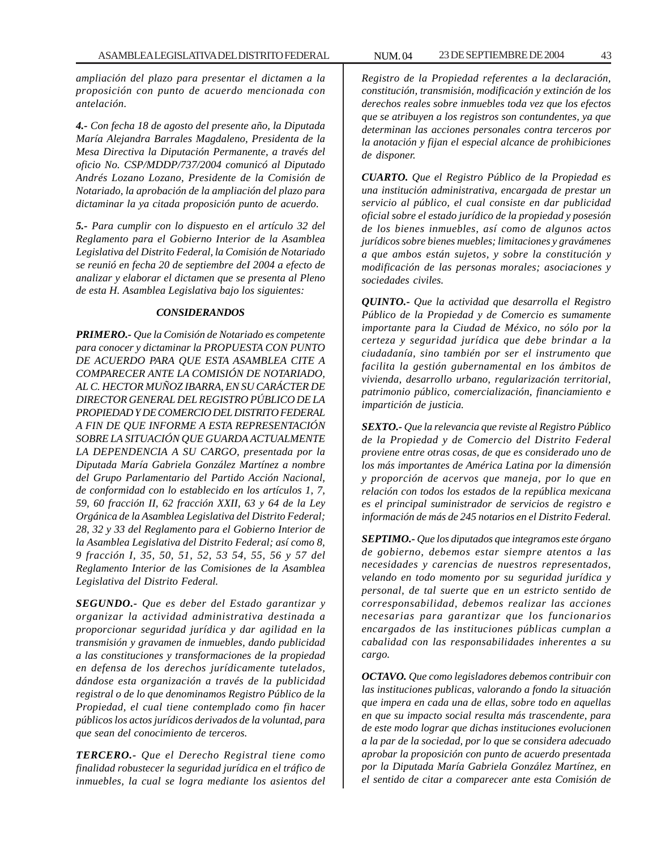*ampliación del plazo para presentar el dictamen a la proposición con punto de acuerdo mencionada con antelación.*

*4.- Con fecha 18 de agosto del presente año, la Diputada María Alejandra Barrales Magdaleno, Presidenta de la Mesa Directiva la Diputación Permanente, a través del oficio No. CSP/MDDP/737/2004 comunicó al Diputado Andrés Lozano Lozano, Presidente de la Comisión de Notariado, la aprobación de la ampliación del plazo para dictaminar la ya citada proposición punto de acuerdo.*

*5.- Para cumplir con lo dispuesto en el artículo 32 del Reglamento para el Gobierno Interior de la Asamblea Legislativa del Distrito Federal, la Comisión de Notariado se reunió en fecha 20 de septiembre deI 2004 a efecto de analizar y elaborar el dictamen que se presenta al Pleno de esta H. Asamblea Legislativa bajo los siguientes:*

## *CONSIDERANDOS*

*PRIMERO.- Que la Comisión de Notariado es competente para conocer y dictaminar la PROPUESTA CON PUNTO DE ACUERDO PARA QUE ESTA ASAMBLEA CITE A COMPARECER ANTE LA COMISIÓN DE NOTARIADO, AL C. HECTOR MUÑOZ IBARRA, EN SU CARÁCTER DE DIRECTOR GENERAL DEL REGISTRO PÚBLICO DE LA PROPIEDAD Y DE COMERCIO DEL DISTRITO FEDERAL A FIN DE QUE INFORME A ESTA REPRESENTACIÓN SOBRE LA SITUACIÓN QUE GUARDA ACTUALMENTE LA DEPENDENCIA A SU CARGO, presentada por la Diputada María Gabriela González Martínez a nombre del Grupo Parlamentario del Partido Acción Nacional, de conformidad con lo establecido en los artículos 1, 7, 59, 60 fracción II, 62 fracción XXII, 63 y 64 de la Ley Orgánica de la Asamblea Legislativa del Distrito Federal; 28, 32 y 33 del Reglamento para el Gobierno Interior de la Asamblea Legislativa del Distrito Federal; así como 8, 9 fracción I, 35, 50, 51, 52, 53 54, 55, 56 y 57 del Reglamento Interior de las Comisiones de la Asamblea Legislativa del Distrito Federal.*

*SEGUNDO.- Que es deber del Estado garantizar y organizar la actividad administrativa destinada a proporcionar seguridad jurídica y dar agilidad en la transmisión y gravamen de inmuebles, dando publicidad a las constituciones y transformaciones de la propiedad en defensa de los derechos jurídicamente tutelados, dándose esta organización a través de la publicidad registral o de lo que denominamos Registro Público de la Propiedad, el cual tiene contemplado como fin hacer públicos los actos jurídicos derivados de la voluntad, para que sean del conocimiento de terceros.*

*TERCERO.- Que el Derecho Registral tiene como finalidad robustecer la seguridad jurídica en el tráfico de inmuebles, la cual se logra mediante los asientos del* *Registro de la Propiedad referentes a la declaración, constitución, transmisión, modificación y extinción de los derechos reales sobre inmuebles toda vez que los efectos que se atribuyen a los registros son contundentes, ya que determinan las acciones personales contra terceros por la anotación y fijan el especial alcance de prohibiciones de disponer.*

*CUARTO. Que el Registro Público de la Propiedad es una institución administrativa, encargada de prestar un servicio al público, el cual consiste en dar publicidad oficial sobre el estado jurídico de la propiedad y posesión de los bienes inmuebles, así como de algunos actos jurídicos sobre bienes muebles; limitaciones y gravámenes a que ambos están sujetos, y sobre la constitución y modificación de las personas morales; asociaciones y sociedades civiles.*

*QUINTO.- Que la actividad que desarrolla el Registro Público de la Propiedad y de Comercio es sumamente importante para la Ciudad de México, no sólo por la certeza y seguridad jurídica que debe brindar a la ciudadanía, sino también por ser el instrumento que facilita la gestión gubernamental en los ámbitos de vivienda, desarrollo urbano, regularización territorial, patrimonio público, comercialización, financiamiento e impartición de justicia.*

*SEXTO.- Que la relevancia que reviste al Registro Público de la Propiedad y de Comercio del Distrito Federal proviene entre otras cosas, de que es considerado uno de los más importantes de América Latina por la dimensión y proporción de acervos que maneja, por lo que en relación con todos los estados de la república mexicana es el principal suministrador de servicios de registro e información de más de 245 notarios en el Distrito Federal.*

*SEPTIMO.- Que los diputados que integramos este órgano de gobierno, debemos estar siempre atentos a las necesidades y carencias de nuestros representados, velando en todo momento por su seguridad jurídica y personal, de tal suerte que en un estricto sentido de corresponsabilidad, debemos realizar las acciones necesarias para garantizar que los funcionarios encargados de las instituciones públicas cumplan a cabalidad con las responsabilidades inherentes a su cargo.*

*OCTAVO. Que como legisladores debemos contribuir con las instituciones publicas, valorando a fondo la situación que impera en cada una de ellas, sobre todo en aquellas en que su impacto social resulta más trascendente, para de este modo lograr que dichas instituciones evolucionen a la par de la sociedad, por lo que se considera adecuado aprobar la proposición con punto de acuerdo presentada por la Diputada María Gabriela González Martínez, en el sentido de citar a comparecer ante esta Comisión de*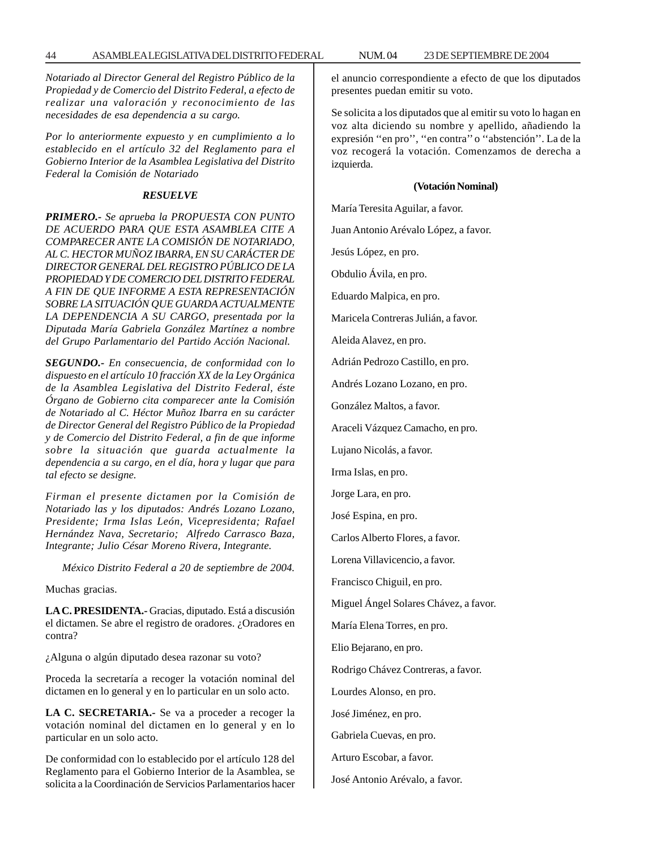*Notariado al Director General del Registro Público de la Propiedad y de Comercio del Distrito Federal, a efecto de realizar una valoración y reconocimiento de las necesidades de esa dependencia a su cargo.*

*Por lo anteriormente expuesto y en cumplimiento a lo establecido en el artículo 32 del Reglamento para el Gobierno Interior de la Asamblea Legislativa del Distrito Federal la Comisión de Notariado*

## *RESUELVE*

*PRIMERO.- Se aprueba la PROPUESTA CON PUNTO DE ACUERDO PARA QUE ESTA ASAMBLEA CITE A COMPARECER ANTE LA COMISIÓN DE NOTARIADO, AL C. HECTOR MUÑOZ IBARRA, EN SU CARÁCTER DE DIRECTOR GENERAL DEL REGISTRO PÚBLICO DE LA PROPIEDAD Y DE COMERCIO DEL DISTRITO FEDERAL A FIN DE QUE INFORME A ESTA REPRESENTACIÓN SOBRE LA SITUACIÓN QUE GUARDA ACTUALMENTE LA DEPENDENCIA A SU CARGO, presentada por la Diputada María Gabriela González Martínez a nombre del Grupo Parlamentario del Partido Acción Nacional.*

*SEGUNDO.- En consecuencia, de conformidad con lo dispuesto en el artículo 10 fracción XX de la Ley Orgánica de la Asamblea Legislativa del Distrito Federal, éste Órgano de Gobierno cita comparecer ante la Comisión de Notariado al C. Héctor Muñoz Ibarra en su carácter de Director General del Registro Público de la Propiedad y de Comercio del Distrito Federal, a fin de que informe sobre la situación que guarda actualmente la dependencia a su cargo, en el día, hora y lugar que para tal efecto se designe.*

*Firman el presente dictamen por la Comisión de Notariado las y los diputados: Andrés Lozano Lozano, Presidente; Irma Islas León, Vicepresidenta; Rafael Hernández Nava, Secretario; Alfredo Carrasco Baza, Integrante; Julio César Moreno Rivera, Integrante.*

*México Distrito Federal a 20 de septiembre de 2004.*

Muchas gracias.

**LA C. PRESIDENTA.-** Gracias, diputado. Está a discusión el dictamen. Se abre el registro de oradores. ¿Oradores en contra?

¿Alguna o algún diputado desea razonar su voto?

Proceda la secretaría a recoger la votación nominal del dictamen en lo general y en lo particular en un solo acto.

**LA C. SECRETARIA.-** Se va a proceder a recoger la votación nominal del dictamen en lo general y en lo particular en un solo acto.

De conformidad con lo establecido por el artículo 128 del Reglamento para el Gobierno Interior de la Asamblea, se solicita a la Coordinación de Servicios Parlamentarios hacer el anuncio correspondiente a efecto de que los diputados presentes puedan emitir su voto.

Se solicita a los diputados que al emitir su voto lo hagan en voz alta diciendo su nombre y apellido, añadiendo la expresión ''en pro'', ''en contra'' o ''abstención''. La de la voz recogerá la votación. Comenzamos de derecha a izquierda.

#### **(Votación Nominal)**

María Teresita Aguilar, a favor.

Juan Antonio Arévalo López, a favor.

Jesús López, en pro.

Obdulio Ávila, en pro.

Eduardo Malpica, en pro.

Maricela Contreras Julián, a favor.

Aleida Alavez, en pro.

Adrián Pedrozo Castillo, en pro.

Andrés Lozano Lozano, en pro.

González Maltos, a favor.

Araceli Vázquez Camacho, en pro.

Lujano Nicolás, a favor.

Irma Islas, en pro.

Jorge Lara, en pro.

José Espina, en pro.

Carlos Alberto Flores, a favor.

Lorena Villavicencio, a favor.

Francisco Chiguil, en pro.

Miguel Ángel Solares Chávez, a favor.

María Elena Torres, en pro.

Elio Bejarano, en pro.

Rodrigo Chávez Contreras, a favor.

Lourdes Alonso, en pro.

José Jiménez, en pro.

Gabriela Cuevas, en pro.

Arturo Escobar, a favor.

José Antonio Arévalo, a favor.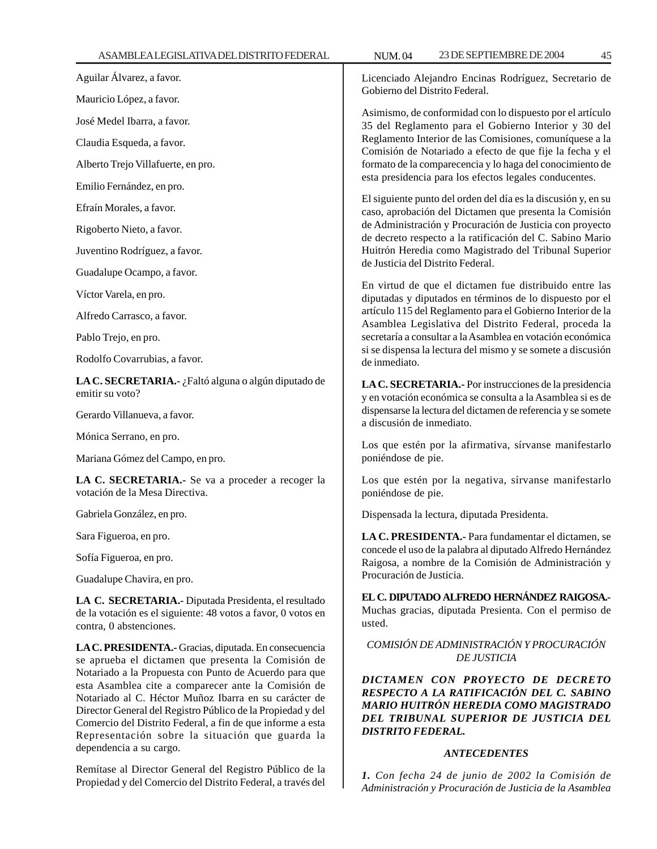Aguilar Álvarez, a favor.

Mauricio López, a favor.

José Medel Ibarra, a favor.

Claudia Esqueda, a favor.

Alberto Trejo Villafuerte, en pro.

Emilio Fernández, en pro.

Efraín Morales, a favor.

Rigoberto Nieto, a favor.

Juventino Rodríguez, a favor.

Guadalupe Ocampo, a favor.

Víctor Varela, en pro.

Alfredo Carrasco, a favor.

Pablo Trejo, en pro.

Rodolfo Covarrubias, a favor.

**LA C. SECRETARIA.-** ¿Faltó alguna o algún diputado de emitir su voto?

Gerardo Villanueva, a favor.

Mónica Serrano, en pro.

Mariana Gómez del Campo, en pro.

**LA C. SECRETARIA.-** Se va a proceder a recoger la votación de la Mesa Directiva.

Gabriela González, en pro.

Sara Figueroa, en pro.

Sofía Figueroa, en pro.

Guadalupe Chavira, en pro.

**LA C. SECRETARIA.-** Diputada Presidenta, el resultado de la votación es el siguiente: 48 votos a favor, 0 votos en contra, 0 abstenciones.

**LA C. PRESIDENTA.-** Gracias, diputada. En consecuencia se aprueba el dictamen que presenta la Comisión de Notariado a la Propuesta con Punto de Acuerdo para que esta Asamblea cite a comparecer ante la Comisión de Notariado al C. Héctor Muñoz Ibarra en su carácter de Director General del Registro Público de la Propiedad y del Comercio del Distrito Federal, a fin de que informe a esta Representación sobre la situación que guarda la dependencia a su cargo.

Remítase al Director General del Registro Público de la Propiedad y del Comercio del Distrito Federal, a través del

Licenciado Alejandro Encinas Rodríguez, Secretario de Gobierno del Distrito Federal.

Asimismo, de conformidad con lo dispuesto por el artículo 35 del Reglamento para el Gobierno Interior y 30 del Reglamento Interior de las Comisiones, comuníquese a la Comisión de Notariado a efecto de que fije la fecha y el formato de la comparecencia y lo haga del conocimiento de esta presidencia para los efectos legales conducentes.

El siguiente punto del orden del día es la discusión y, en su caso, aprobación del Dictamen que presenta la Comisión de Administración y Procuración de Justicia con proyecto de decreto respecto a la ratificación del C. Sabino Mario Huitrón Heredia como Magistrado del Tribunal Superior de Justicia del Distrito Federal.

En virtud de que el dictamen fue distribuido entre las diputadas y diputados en términos de lo dispuesto por el artículo 115 del Reglamento para el Gobierno Interior de la Asamblea Legislativa del Distrito Federal, proceda la secretaría a consultar a la Asamblea en votación económica si se dispensa la lectura del mismo y se somete a discusión de inmediato.

**LA C. SECRETARIA.-** Por instrucciones de la presidencia y en votación económica se consulta a la Asamblea si es de dispensarse la lectura del dictamen de referencia y se somete a discusión de inmediato.

Los que estén por la afirmativa, sírvanse manifestarlo poniéndose de pie.

Los que estén por la negativa, sírvanse manifestarlo poniéndose de pie.

Dispensada la lectura, diputada Presidenta.

**LA C. PRESIDENTA.-** Para fundamentar el dictamen, se concede el uso de la palabra al diputado Alfredo Hernández Raigosa, a nombre de la Comisión de Administración y Procuración de Justicia.

**EL C. DIPUTADO ALFREDO HERNÁNDEZ RAIGOSA.-** Muchas gracias, diputada Presienta. Con el permiso de usted.

# *COMISIÓN DE ADMINISTRACIÓN Y PROCURACIÓN DE JUSTICIA*

*DICTAMEN CON PROYECTO DE DECRETO RESPECTO A LA RATIFICACIÓN DEL C. SABINO MARIO HUITRÓN HEREDIA COMO MAGISTRADO DEL TRIBUNAL SUPERIOR DE JUSTICIA DEL DISTRITO FEDERAL.*

### *ANTECEDENTES*

*1. Con fecha 24 de junio de 2002 la Comisión de Administración y Procuración de Justicia de la Asamblea*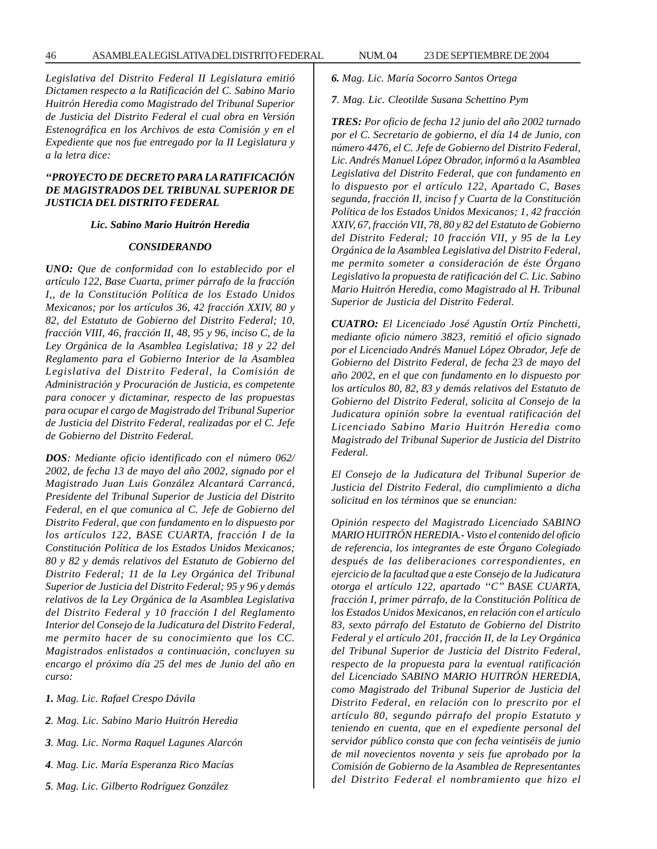*Legislativa del Distrito Federal II Legislatura emitió Dictamen respecto a la Ratificación del C. Sabino Mario Huitrón Heredia como Magistrado del Tribunal Superior de Justicia del Distrito Federal el cual obra en Versión Estenográfica en los Archivos de esta Comisión y en el Expediente que nos fue entregado por la II Legislatura y a la letra dice:*

# *''PROYECTO DE DECRETO PARA LA RATIFICACIÓN DE MAGISTRADOS DEL TRIBUNAL SUPERIOR DE JUSTICIA DEL DISTRITO FEDERAL*

## *Lic. Sabino Mario Huitrón Heredia*

### *CONSIDERANDO*

*UNO: Que de conformidad con lo establecido por el artículo 122, Base Cuarta, primer párrafo de la fracción I,, de la Constitución Política de los Estado Unidos Mexicanos; por los artículos 36, 42 fracción XXIV, 80 y 82, del Estatuto de Gobierno del Distrito Federal; 10, fracción VIII, 46, fracción II, 48, 95 y 96, inciso C, de la Ley Orgánica de la Asamblea Legislativa; 18 y 22 del Reglamento para el Gobierno Interior de la Asamblea Legislativa del Distrito Federal, la Comisión de Administración y Procuración de Justicia, es competente para conocer y dictaminar, respecto de las propuestas para ocupar el cargo de Magistrado del Tribunal Superior de Justicia del Distrito Federal, realizadas por el C. Jefe de Gobierno del Distrito Federal.*

*DOS: Mediante oficio identificado con el número 062/ 2002, de fecha 13 de mayo del año 2002, signado por el Magistrado Juan Luis González Alcantará Carrancá, Presidente del Tribunal Superior de Justicia del Distrito Federal, en el que comunica al C. Jefe de Gobierno del Distrito Federal, que con fundamento en lo dispuesto por los artículos 122, BASE CUARTA, fracción I de la Constitución Política de los Estados Unidos Mexicanos; 80 y 82 y demás relativos del Estatuto de Gobierno del Distrito Federal; 11 de la Ley Orgánica del Tribunal Superior de Justicia del Distrito Federal; 95 y 96 y demás relativos de la Ley Orgánica de la Asamblea Legislativa del Distrito Federal y 10 fracción I del Reglamento Interior del Consejo de la Judicatura del Distrito Federal, me permito hacer de su conocimiento que los CC. Magistrados enlistados a continuación, concluyen su encargo el próximo día 25 del mes de Junio del año en curso:*

- *1. Mag. Lic. Rafael Crespo Dávila*
- *2. Mag. Lic. Sabino Mario Huitrón Heredia*
- *3. Mag. Lic. Norma Raquel Lagunes Alarcón*
- *4. Mag. Lic. María Esperanza Rico Macías*
- *5. Mag. Lic. Gilberto Rodríguez González*
- *6. Mag. Lic. María Socorro Santos Ortega*
- *7. Mag. Lic. Cleotilde Susana Schettino Pym*

*TRES: Por oficio de fecha 12 junio del año 2002 turnado por el C. Secretario de gobierno, el día 14 de Junio, con número 4476, el C. Jefe de Gobierno del Distrito Federal, Lic. Andrés Manuel López Obrador, informó a la Asamblea Legislativa del Distrito Federal, que con fundamento en lo dispuesto por el artículo 122, Apartado C, Bases segunda, fracción II, inciso f y Cuarta de la Constitución Política de los Estados Unidos Mexicanos; 1, 42 fracción XXIV, 67, fracción VII, 78, 80 y 82 del Estatuto de Gobierno del Distrito Federal; 10 fracción VII, y 95 de la Ley Orgánica de la Asamblea Legislativa del Distrito Federal, me permito someter a consideración de éste Órgano Legislativo la propuesta de ratificación del C. Lic. Sabino Mario Huitrón Heredia, como Magistrado al H. Tribunal Superior de Justicia del Distrito Federal.*

*CUATRO: El Licenciado José Agustín Ortíz Pinchetti, mediante oficio número 3823, remitió el oficio signado por el Licenciado Andrés Manuel López Obrador, Jefe de Gobierno del Distrito Federal, de fecha 23 de mayo del año 2002, en el que con fundamento en lo dispuesto por los artículos 80, 82, 83 y demás relativos del Estatuto de Gobierno del Distrito Federal, solicita al Consejo de la Judicatura opinión sobre la eventual ratificación del Licenciado Sabino Mario Huitrón Heredia como Magistrado del Tribunal Superior de Justicia del Distrito Federal.*

*El Consejo de la Judicatura del Tribunal Superior de Justicia del Distrito Federal, dio cumplimiento a dicha solicitud en los términos que se enuncian:*

*Opinión respecto del Magistrado Licenciado SABINO MARIO HUITRÓN HEREDIA.- Visto el contenido del oficio de referencia, los integrantes de este Órgano Colegiado después de las deliberaciones correspondientes, en ejercicio de la facultad que a este Consejo de la Judicatura otorga el artículo 122, apartado ''C'' BASE CUARTA, fracción I, primer párrafo, de la Constitución Política de los Estados Unidos Mexicanos, en relación con el artículo 83, sexto párrafo del Estatuto de Gobierno del Distrito Federal y el artículo 201, fracción II, de la Ley Orgánica del Tribunal Superior de Justicia del Distrito Federal, respecto de la propuesta para la eventual ratificación del Licenciado SABINO MARIO HUITRÓN HEREDIA, como Magistrado del Tribunal Superior de Justicia del Distrito Federal, en relación con lo prescrito por el artículo 80, segundo párrafo del propio Estatuto y teniendo en cuenta, que en el expediente personal del servidor público consta que con fecha veintiséis de junio de mil novecientos noventa y seis fue aprobado por la Comisión de Gobierno de la Asamblea de Representantes del Distrito Federal el nombramiento que hizo el*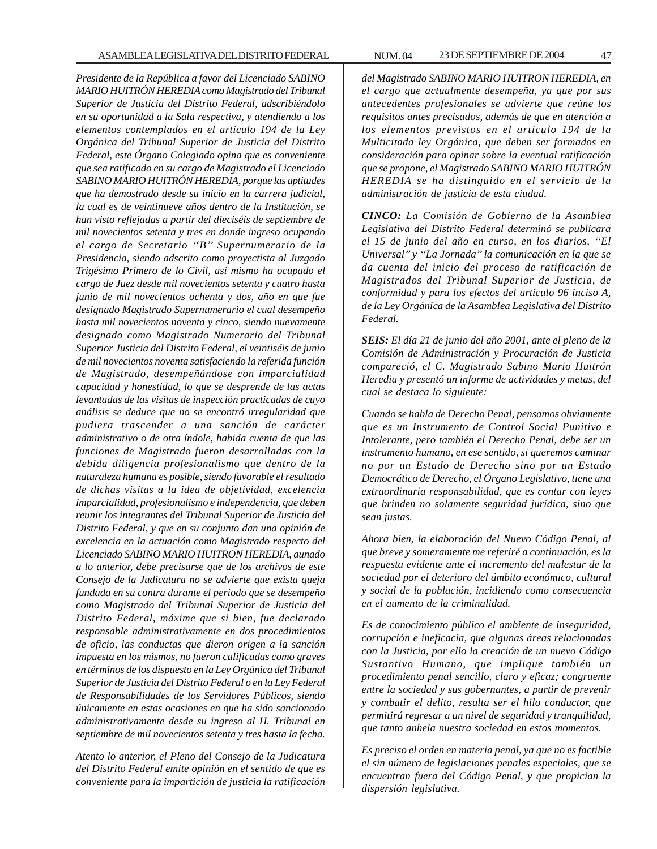*Presidente de la República a favor del Licenciado SABINO MARIO HUITRÓN HEREDIA como Magistrado del Tribunal Superior de Justicia del Distrito Federal, adscribiéndolo en su oportunidad a la Sala respectiva, y atendiendo a los elementos contemplados en el artículo 194 de la Ley Orgánica del Tribunal Superior de Justicia del Distrito Federal, este Órgano Colegiado opina que es conveniente que sea ratificado en su cargo de Magistrado el Licenciado SABINO MARIO HUITRÓN HEREDIA, porque las aptitudes que ha demostrado desde su inicio en la carrera judicial, la cual es de veintinueve años dentro de la Institución, se han visto reflejadas a partir del dieciséis de septiembre de mil novecientos setenta y tres en donde ingreso ocupando el cargo de Secretario ''B'' Supernumerario de la Presidencia, siendo adscrito como proyectista al Juzgado Trigésimo Primero de lo Civil, así mismo ha ocupado el cargo de Juez desde mil novecientos setenta y cuatro hasta junio de mil novecientos ochenta y dos, año en que fue designado Magistrado Supernumerario el cual desempeño hasta mil novecientos noventa y cinco, siendo nuevamente designado como Magistrado Numerario del Tribunal Superior Justicia del Distrito Federal, el veintiséis de junio de mil novecientos noventa satisfaciendo la referida función de Magistrado, desempeñándose con imparcialidad capacidad y honestidad, lo que se desprende de las actas levantadas de las visitas de inspección practicadas de cuyo análisis se deduce que no se encontró irregularidad que pudiera trascender a una sanción de carácter administrativo o de otra índole, habida cuenta de que las funciones de Magistrado fueron desarrolladas con la debida diligencia profesionalismo que dentro de la naturaleza humana es posible, siendo favorable el resultado de dichas visitas a la idea de objetividad, excelencia imparcialidad, profesionalismo e independencia, que deben reunir los integrantes del Tribunal Superior de Justicia del Distrito Federal, y que en su conjunto dan una opinión de excelencia en la actuación como Magistrado respecto del Licenciado SABINO MARIO HUITRON HEREDIA, aunado a lo anterior, debe precisarse que de los archivos de este Consejo de la Judicatura no se advierte que exista queja fundada en su contra durante el periodo que se desempeño como Magistrado del Tribunal Superior de Justicia del Distrito Federal, máxime que si bien, fue declarado responsable administrativamente en dos procedimientos de oficio, las conductas que dieron origen a la sanción impuesta en los mismos, no fueron calificadas como graves en términos de los dispuesto en la Ley Orgánica del Tribunal Superior de Justicia del Distrito Federal o en la Ley Federal de Responsabilidades de los Servidores Públicos, siendo únicamente en estas ocasiones en que ha sido sancionado administrativamente desde su ingreso al H. Tribunal en septiembre de mil novecientos setenta y tres hasta la fecha.*

*Atento lo anterior, el Pleno del Consejo de la Judicatura del Distrito Federal emite opinión en el sentido de que es conveniente para la impartición de justicia la ratificación* *del Magistrado SABINO MARIO HUITRON HEREDIA, en el cargo que actualmente desempeña, ya que por sus antecedentes profesionales se advierte que reúne los requisitos antes precisados, además de que en atención a los elementos previstos en el artículo 194 de la Multicitada ley Orgánica, que deben ser formados en consideración para opinar sobre la eventual ratificación que se propone, el Magistrado SABINO MARIO HUITRÓN HEREDIA se ha distinguido en el servicio de la administración de justicia de esta ciudad.*

*CINCO: La Comisión de Gobierno de la Asamblea Legislativa del Distrito Federal determinó se publicara el 15 de junio del año en curso, en los diarios, ''El Universal'' y ''La Jornada'' la comunicación en la que se da cuenta del inicio del proceso de ratificación de Magistrados del Tribunal Superior de Justicia, de conformidad y para los efectos del artículo 96 inciso A, de la Ley Orgánica de la Asamblea Legislativa del Distrito Federal.*

*SEIS: El día 21 de junio del año 2001, ante el pleno de la Comisión de Administración y Procuración de Justicia compareció, el C. Magistrado Sabino Mario Huitrón Heredia y presentó un informe de actividades y metas, del cual se destaca lo siguiente:*

*Cuando se habla de Derecho Penal, pensamos obviamente que es un Instrumento de Control Social Punitivo e Intolerante, pero también el Derecho Penal, debe ser un instrumento humano, en ese sentido, si queremos caminar no por un Estado de Derecho sino por un Estado Democrático de Derecho, el Órgano Legislativo, tiene una extraordinaria responsabilidad, que es contar con leyes que brinden no solamente seguridad jurídica, sino que sean justas.*

*Ahora bien, la elaboración del Nuevo Código Penal, al que breve y someramente me referiré a continuación, es la respuesta evidente ante el incremento del malestar de la sociedad por el deterioro del ámbito económico, cultural y social de la población, incidiendo como consecuencia en el aumento de la criminalidad.*

*Es de conocimiento público el ambiente de inseguridad, corrupción e ineficacia, que algunas áreas relacionadas con la Justicia, por ello la creación de un nuevo Código Sustantivo Humano, que implique también un procedimiento penal sencillo, claro y eficaz; congruente entre la sociedad y sus gobernantes, a partir de prevenir y combatir el delito, resulta ser el hilo conductor, que permitirá regresar a un nivel de seguridad y tranquilidad, que tanto anhela nuestra sociedad en estos momentos.*

*Es preciso el orden en materia penal, ya que no es factible el sin número de legislaciones penales especiales, que se encuentran fuera del Código Penal, y que propician la dispersión legislativa.*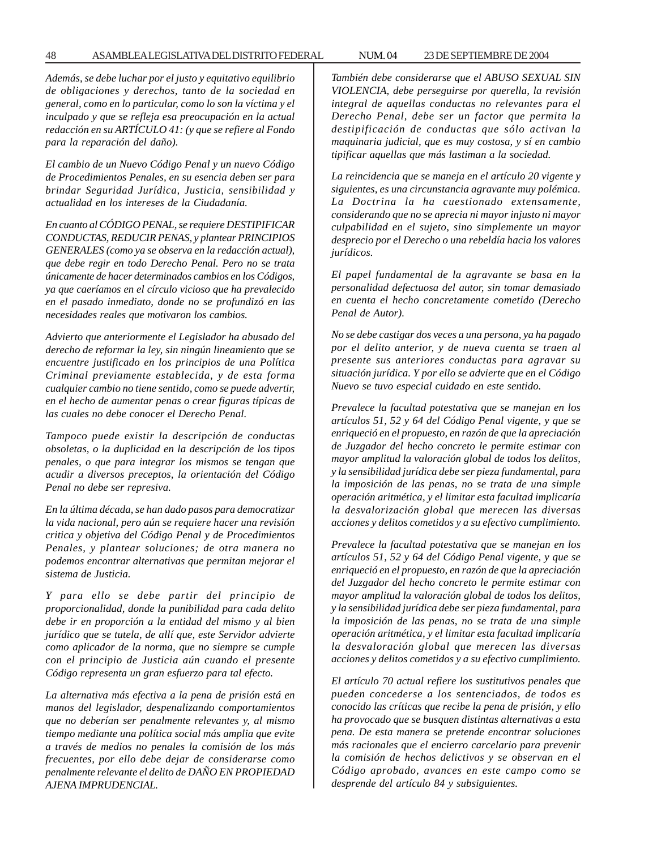#### 48 ASAMBLEA LEGISLATIVA DEL DISTRITO FEDERAL 23 NUM. 04 DE SEPTIEMBRE DE 2004

*Además, se debe luchar por el justo y equitativo equilibrio de obligaciones y derechos, tanto de la sociedad en general, como en lo particular, como lo son la víctima y el inculpado y que se refleja esa preocupación en la actual redacción en su ARTÍCULO 41: (y que se refiere al Fondo para la reparación del daño).*

*El cambio de un Nuevo Código Penal y un nuevo Código de Procedimientos Penales, en su esencia deben ser para brindar Seguridad Jurídica, Justicia, sensibilidad y actualidad en los intereses de la Ciudadanía.*

*En cuanto al CÓDIGO PENAL, se requiere DESTIPIFICAR CONDUCTAS, REDUCIR PENAS, y plantear PRINCIPIOS GENERALES (como ya se observa en la redacción actual), que debe regir en todo Derecho Penal. Pero no se trata únicamente de hacer determinados cambios en los Códigos, ya que caeríamos en el círculo vicioso que ha prevalecido en el pasado inmediato, donde no se profundizó en las necesidades reales que motivaron los cambios.*

*Advierto que anteriormente el Legislador ha abusado del derecho de reformar la ley, sin ningún lineamiento que se encuentre justificado en los principios de una Política Criminal previamente establecida, y de esta forma cualquier cambio no tiene sentido, como se puede advertir, en el hecho de aumentar penas o crear figuras típicas de las cuales no debe conocer el Derecho Penal.*

*Tampoco puede existir la descripción de conductas obsoletas, o la duplicidad en la descripción de los tipos penales, o que para integrar los mismos se tengan que acudir a diversos preceptos, la orientación del Código Penal no debe ser represiva.*

*En la última década, se han dado pasos para democratizar la vida nacional, pero aún se requiere hacer una revisión critica y objetiva del Código Penal y de Procedimientos Penales, y plantear soluciones; de otra manera no podemos encontrar alternativas que permitan mejorar el sistema de Justicia.*

*Y para ello se debe partir del principio de proporcionalidad, donde la punibilidad para cada delito debe ir en proporción a la entidad del mismo y al bien jurídico que se tutela, de allí que, este Servidor advierte como aplicador de la norma, que no siempre se cumple con el principio de Justicia aún cuando el presente Código representa un gran esfuerzo para tal efecto.*

*La alternativa más efectiva a la pena de prisión está en manos del legislador, despenalizando comportamientos que no deberían ser penalmente relevantes y, al mismo tiempo mediante una política social más amplia que evite a través de medios no penales la comisión de los más frecuentes, por ello debe dejar de considerarse como penalmente relevante el delito de DAÑO EN PROPIEDAD AJENA IMPRUDENCIAL.*

*También debe considerarse que el ABUSO SEXUAL SIN VIOLENCIA, debe perseguirse por querella, la revisión integral de aquellas conductas no relevantes para el Derecho Penal, debe ser un factor que permita la destipificación de conductas que sólo activan la maquinaria judicial, que es muy costosa, y sí en cambio tipificar aquellas que más lastiman a la sociedad.*

*La reincidencia que se maneja en el artículo 20 vigente y siguientes, es una circunstancia agravante muy polémica. La Doctrina la ha cuestionado extensamente, considerando que no se aprecia ni mayor injusto ni mayor culpabilidad en el sujeto, sino simplemente un mayor desprecio por el Derecho o una rebeldía hacia los valores jurídicos.*

*El papel fundamental de la agravante se basa en la personalidad defectuosa del autor, sin tomar demasiado en cuenta el hecho concretamente cometido (Derecho Penal de Autor).*

*No se debe castigar dos veces a una persona, ya ha pagado por el delito anterior, y de nueva cuenta se traen al presente sus anteriores conductas para agravar su situación jurídica. Y por ello se advierte que en el Código Nuevo se tuvo especial cuidado en este sentido.*

*Prevalece la facultad potestativa que se manejan en los artículos 51, 52 y 64 del Código Penal vigente, y que se enriqueció en el propuesto, en razón de que la apreciación de Juzgador del hecho concreto le permite estimar con mayor amplitud la valoración global de todos los delitos, y la sensibilidad jurídica debe ser pieza fundamental, para la imposición de las penas, no se trata de una simple operación aritmética, y el limitar esta facultad implicaría la desvalorización global que merecen las diversas acciones y delitos cometidos y a su efectivo cumplimiento.*

*Prevalece la facultad potestativa que se manejan en los artículos 51, 52 y 64 del Código Penal vigente, y que se enriqueció en el propuesto, en razón de que la apreciación del Juzgador del hecho concreto le permite estimar con mayor amplitud la valoración global de todos los delitos, y la sensibilidad jurídica debe ser pieza fundamental, para la imposición de las penas, no se trata de una simple operación aritmética, y el limitar esta facultad implicaría la desvaloración global que merecen las diversas acciones y delitos cometidos y a su efectivo cumplimiento.*

*El artículo 70 actual refiere los sustitutivos penales que pueden concederse a los sentenciados, de todos es conocido las críticas que recibe la pena de prisión, y ello ha provocado que se busquen distintas alternativas a esta pena. De esta manera se pretende encontrar soluciones más racionales que el encierro carcelario para prevenir la comisión de hechos delictivos y se observan en el Código aprobado, avances en este campo como se desprende del artículo 84 y subsiguientes.*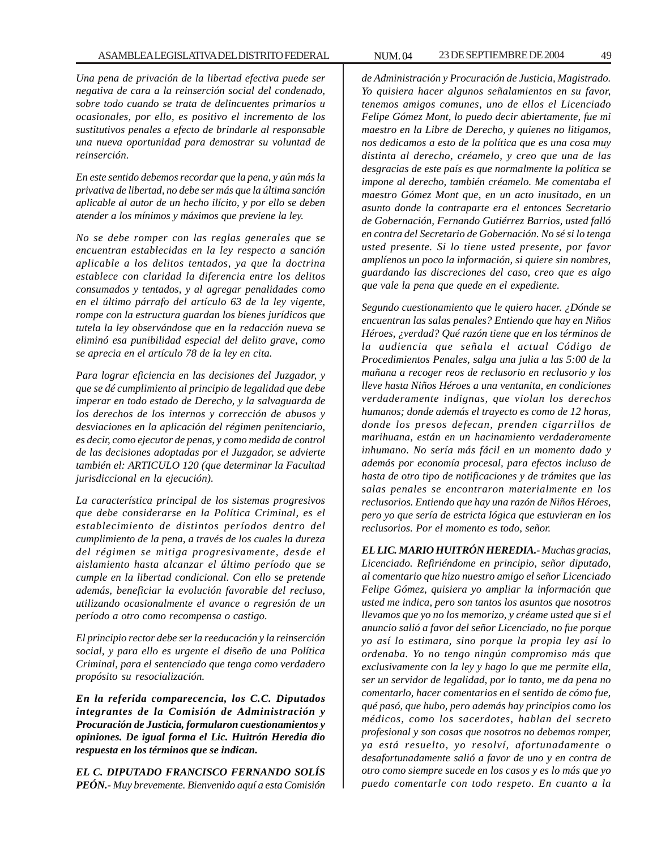## ASAMBLEA LEGISLATIVA DEL DISTRITO FEDERAL NUM. 04 23 DE SEPTIEMBRE DE 2004 49

*Una pena de privación de la libertad efectiva puede ser negativa de cara a la reinserción social del condenado, sobre todo cuando se trata de delincuentes primarios u ocasionales, por ello, es positivo el incremento de los sustitutivos penales a efecto de brindarle al responsable una nueva oportunidad para demostrar su voluntad de reinserción.*

*En este sentido debemos recordar que la pena, y aún más la privativa de libertad, no debe ser más que la última sanción aplicable al autor de un hecho ilícito, y por ello se deben atender a los mínimos y máximos que previene la ley.*

*No se debe romper con las reglas generales que se encuentran establecidas en la ley respecto a sanción aplicable a los delitos tentados, ya que la doctrina establece con claridad la diferencia entre los delitos consumados y tentados, y al agregar penalidades como en el último párrafo del artículo 63 de la ley vigente, rompe con la estructura guardan los bienes jurídicos que tutela la ley observándose que en la redacción nueva se eliminó esa punibilidad especial del delito grave, como se aprecia en el artículo 78 de la ley en cita.*

*Para lograr eficiencia en las decisiones del Juzgador, y que se dé cumplimiento al principio de legalidad que debe imperar en todo estado de Derecho, y la salvaguarda de los derechos de los internos y corrección de abusos y desviaciones en la aplicación del régimen penitenciario, es decir, como ejecutor de penas, y como medida de control de las decisiones adoptadas por el Juzgador, se advierte también el: ARTICULO 120 (que determinar la Facultad jurisdiccional en la ejecución).*

*La característica principal de los sistemas progresivos que debe considerarse en la Política Criminal, es el establecimiento de distintos períodos dentro del cumplimiento de la pena, a través de los cuales la dureza del régimen se mitiga progresivamente, desde el aislamiento hasta alcanzar el último período que se cumple en la libertad condicional. Con ello se pretende además, beneficiar la evolución favorable del recluso, utilizando ocasionalmente el avance o regresión de un período a otro como recompensa o castigo.*

*El principio rector debe ser la reeducación y la reinserción social, y para ello es urgente el diseño de una Política Criminal, para el sentenciado que tenga como verdadero propósito su resocialización.*

*En la referida comparecencia, los C.C. Diputados integrantes de la Comisión de Administración y Procuración de Justicia, formularon cuestionamientos y opiniones. De igual forma el Lic. Huitrón Heredia dio respuesta en los términos que se indican.*

*EL C. DIPUTADO FRANCISCO FERNANDO SOLÍS PEÓN.- Muy brevemente. Bienvenido aquí a esta Comisión*

*de Administración y Procuración de Justicia, Magistrado. Yo quisiera hacer algunos señalamientos en su favor, tenemos amigos comunes, uno de ellos el Licenciado Felipe Gómez Mont, lo puedo decir abiertamente, fue mi maestro en la Libre de Derecho, y quienes no litigamos, nos dedicamos a esto de la política que es una cosa muy distinta al derecho, créamelo, y creo que una de las desgracias de este país es que normalmente la política se impone al derecho, también créamelo. Me comentaba el maestro Gómez Mont que, en un acto inusitado, en un asunto donde la contraparte era el entonces Secretario de Gobernación, Fernando Gutiérrez Barrios, usted falló en contra del Secretario de Gobernación. No sé si lo tenga usted presente. Si lo tiene usted presente, por favor amplíenos un poco la información, si quiere sin nombres, guardando las discreciones del caso, creo que es algo que vale la pena que quede en el expediente.*

*Segundo cuestionamiento que le quiero hacer. ¿Dónde se encuentran las salas penales? Entiendo que hay en Niños Héroes, ¿verdad? Qué razón tiene que en los términos de la audiencia que señala el actual Código de Procedimientos Penales, salga una julia a las 5:00 de la mañana a recoger reos de reclusorio en reclusorio y los lleve hasta Niños Héroes a una ventanita, en condiciones verdaderamente indignas, que violan los derechos humanos; donde además el trayecto es como de 12 horas, donde los presos defecan, prenden cigarrillos de marihuana, están en un hacinamiento verdaderamente inhumano. No sería más fácil en un momento dado y además por economía procesal, para efectos incluso de hasta de otro tipo de notificaciones y de trámites que las salas penales se encontraron materialmente en los reclusorios. Entiendo que hay una razón de Niños Héroes, pero yo que sería de estricta lógica que estuvieran en los reclusorios. Por el momento es todo, señor.*

*EL LIC. MARIO HUITRÓN HEREDIA.- Muchas gracias, Licenciado. Refiriéndome en principio, señor diputado, al comentario que hizo nuestro amigo el señor Licenciado Felipe Gómez, quisiera yo ampliar la información que usted me indica, pero son tantos los asuntos que nosotros llevamos que yo no los memorizo, y créame usted que si el anuncio salió a favor del señor Licenciado, no fue porque yo así lo estimara, sino porque la propia ley así lo ordenaba. Yo no tengo ningún compromiso más que exclusivamente con la ley y hago lo que me permite ella, ser un servidor de legalidad, por lo tanto, me da pena no comentarlo, hacer comentarios en el sentido de cómo fue, qué pasó, que hubo, pero además hay principios como los médicos, como los sacerdotes, hablan del secreto profesional y son cosas que nosotros no debemos romper, ya está resuelto, yo resolví, afortunadamente o desafortunadamente salió a favor de uno y en contra de otro como siempre sucede en los casos y es lo más que yo puedo comentarle con todo respeto. En cuanto a la*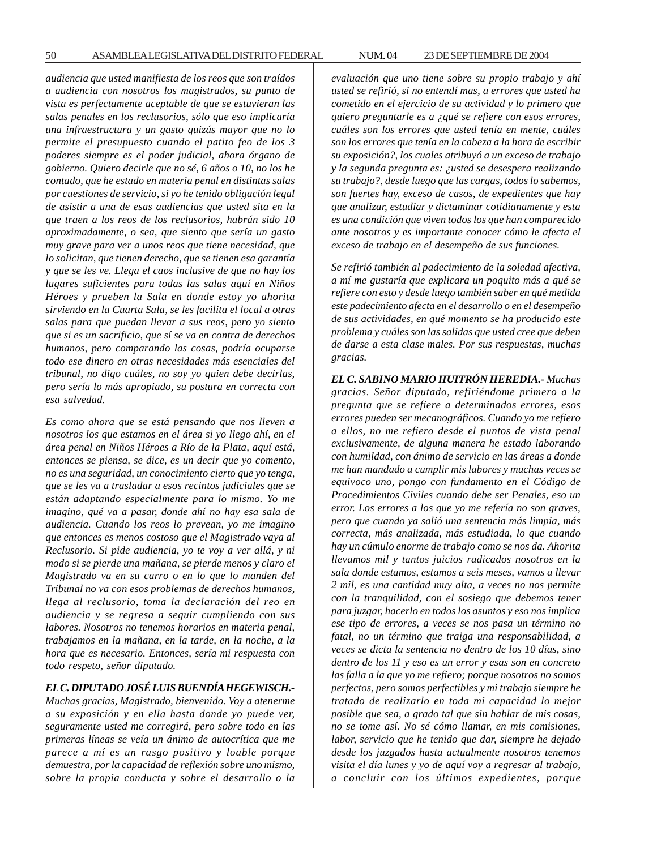*audiencia que usted manifiesta de los reos que son traídos a audiencia con nosotros los magistrados, su punto de vista es perfectamente aceptable de que se estuvieran las salas penales en los reclusorios, sólo que eso implicaría una infraestructura y un gasto quizás mayor que no lo permite el presupuesto cuando el patito feo de los 3 poderes siempre es el poder judicial, ahora órgano de gobierno. Quiero decirle que no sé, 6 años o 10, no los he contado, que he estado en materia penal en distintas salas por cuestiones de servicio, si yo he tenido obligación legal de asistir a una de esas audiencias que usted sita en la que traen a los reos de los reclusorios, habrán sido 10 aproximadamente, o sea, que siento que sería un gasto muy grave para ver a unos reos que tiene necesidad, que lo solicitan, que tienen derecho, que se tienen esa garantía y que se les ve. Llega el caos inclusive de que no hay los lugares suficientes para todas las salas aquí en Niños Héroes y prueben la Sala en donde estoy yo ahorita sirviendo en la Cuarta Sala, se les facilita el local a otras salas para que puedan llevar a sus reos, pero yo siento que si es un sacrificio, que sí se va en contra de derechos humanos, pero comparando las cosas, podría ocuparse todo ese dinero en otras necesidades más esenciales del tribunal, no digo cuáles, no soy yo quien debe decirlas, pero sería lo más apropiado, su postura en correcta con esa salvedad.*

*Es como ahora que se está pensando que nos lleven a nosotros los que estamos en el área si yo llego ahí, en el área penal en Niños Héroes a Río de la Plata, aquí está, entonces se piensa, se dice, es un decir que yo comento, no es una seguridad, un conocimiento cierto que yo tenga, que se les va a trasladar a esos recintos judiciales que se están adaptando especialmente para lo mismo. Yo me imagino, qué va a pasar, donde ahí no hay esa sala de audiencia. Cuando los reos lo prevean, yo me imagino que entonces es menos costoso que el Magistrado vaya al Reclusorio. Si pide audiencia, yo te voy a ver allá, y ni modo si se pierde una mañana, se pierde menos y claro el Magistrado va en su carro o en lo que lo manden del Tribunal no va con esos problemas de derechos humanos, llega al reclusorio, toma la declaración del reo en audiencia y se regresa a seguir cumpliendo con sus labores. Nosotros no tenemos horarios en materia penal, trabajamos en la mañana, en la tarde, en la noche, a la hora que es necesario. Entonces, sería mi respuesta con todo respeto, señor diputado.*

## *EL C. DIPUTADO JOSÉ LUIS BUENDÍA HEGEWISCH.-*

*Muchas gracias, Magistrado, bienvenido. Voy a atenerme a su exposición y en ella hasta donde yo puede ver, seguramente usted me corregirá, pero sobre todo en las primeras líneas se veía un ánimo de autocrítica que me parece a mí es un rasgo positivo y loable porque demuestra, por la capacidad de reflexión sobre uno mismo, sobre la propia conducta y sobre el desarrollo o la*

*evaluación que uno tiene sobre su propio trabajo y ahí usted se refirió, si no entendí mas, a errores que usted ha cometido en el ejercicio de su actividad y lo primero que quiero preguntarle es a ¿qué se refiere con esos errores, cuáles son los errores que usted tenía en mente, cuáles son los errores que tenía en la cabeza a la hora de escribir su exposición?, los cuales atribuyó a un exceso de trabajo y la segunda pregunta es: ¿usted se desespera realizando su trabajo?, desde luego que las cargas, todos lo sabemos, son fuertes hay, exceso de casos, de expedientes que hay que analizar, estudiar y dictaminar cotidianamente y esta es una condición que viven todos los que han comparecido ante nosotros y es importante conocer cómo le afecta el exceso de trabajo en el desempeño de sus funciones.*

*Se refirió también al padecimiento de la soledad afectiva, a mí me gustaría que explicara un poquito más a qué se refiere con esto y desde luego también saber en qué medida este padecimiento afecta en el desarrollo o en el desempeño de sus actividades, en qué momento se ha producido este problema y cuáles son las salidas que usted cree que deben de darse a esta clase males. Por sus respuestas, muchas gracias.*

*EL C. SABINO MARIO HUITRÓN HEREDIA.- Muchas gracias. Señor diputado, refiriéndome primero a la pregunta que se refiere a determinados errores, esos errores pueden ser mecanográficos. Cuando yo me refiero a ellos, no me refiero desde el puntos de vista penal exclusivamente, de alguna manera he estado laborando con humildad, con ánimo de servicio en las áreas a donde me han mandado a cumplir mis labores y muchas veces se equivoco uno, pongo con fundamento en el Código de Procedimientos Civiles cuando debe ser Penales, eso un error. Los errores a los que yo me refería no son graves, pero que cuando ya salió una sentencia más limpia, más correcta, más analizada, más estudiada, lo que cuando hay un cúmulo enorme de trabajo como se nos da. Ahorita llevamos mil y tantos juicios radicados nosotros en la sala donde estamos, estamos a seis meses, vamos a llevar 2 mil, es una cantidad muy alta, a veces no nos permite con la tranquilidad, con el sosiego que debemos tener para juzgar, hacerlo en todos los asuntos y eso nos implica ese tipo de errores, a veces se nos pasa un término no fatal, no un término que traiga una responsabilidad, a veces se dicta la sentencia no dentro de los 10 días, sino dentro de los 11 y eso es un error y esas son en concreto las falla a la que yo me refiero; porque nosotros no somos perfectos, pero somos perfectibles y mi trabajo siempre he tratado de realizarlo en toda mi capacidad lo mejor posible que sea, a grado tal que sin hablar de mis cosas, no se tome así. No sé cómo llamar, en mis comisiones, labor, servicio que he tenido que dar, siempre he dejado desde los juzgados hasta actualmente nosotros tenemos visita el día lunes y yo de aquí voy a regresar al trabajo, a concluir con los últimos expedientes, porque*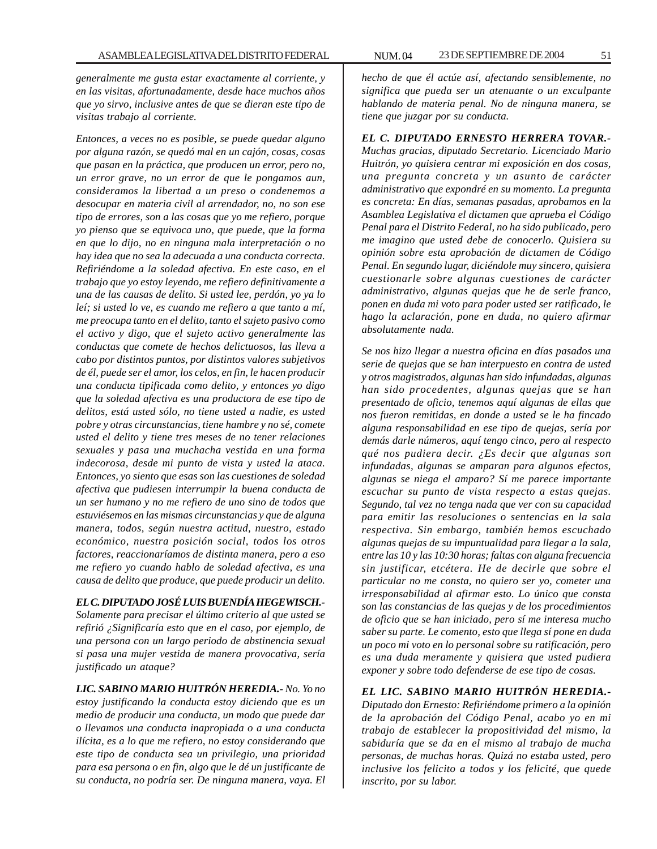*generalmente me gusta estar exactamente al corriente, y en las visitas, afortunadamente, desde hace muchos años que yo sirvo, inclusive antes de que se dieran este tipo de visitas trabajo al corriente.*

*Entonces, a veces no es posible, se puede quedar alguno por alguna razón, se quedó mal en un cajón, cosas, cosas que pasan en la práctica, que producen un error, pero no, un error grave, no un error de que le pongamos aun, consideramos la libertad a un preso o condenemos a desocupar en materia civil al arrendador, no, no son ese tipo de errores, son a las cosas que yo me refiero, porque yo pienso que se equivoca uno, que puede, que la forma en que lo dijo, no en ninguna mala interpretación o no hay idea que no sea la adecuada a una conducta correcta. Refiriéndome a la soledad afectiva. En este caso, en el trabajo que yo estoy leyendo, me refiero definitivamente a una de las causas de delito. Si usted lee, perdón, yo ya lo leí; si usted lo ve, es cuando me refiero a que tanto a mí, me preocupa tanto en el delito, tanto el sujeto pasivo como el activo y digo, que el sujeto activo generalmente las conductas que comete de hechos delictuosos, las lleva a cabo por distintos puntos, por distintos valores subjetivos de él, puede ser el amor, los celos, en fin, le hacen producir una conducta tipificada como delito, y entonces yo digo que la soledad afectiva es una productora de ese tipo de delitos, está usted sólo, no tiene usted a nadie, es usted pobre y otras circunstancias, tiene hambre y no sé, comete usted el delito y tiene tres meses de no tener relaciones sexuales y pasa una muchacha vestida en una forma indecorosa, desde mi punto de vista y usted la ataca. Entonces, yo siento que esas son las cuestiones de soledad afectiva que pudiesen interrumpir la buena conducta de un ser humano y no me refiero de uno sino de todos que estuviésemos en las mismas circunstancias y que de alguna manera, todos, según nuestra actitud, nuestro, estado económico, nuestra posición social, todos los otros factores, reaccionaríamos de distinta manera, pero a eso me refiero yo cuando hablo de soledad afectiva, es una causa de delito que produce, que puede producir un delito.*

### *EL C. DIPUTADO JOSÉ LUIS BUENDÍA HEGEWISCH.-*

*Solamente para precisar el último criterio al que usted se refirió ¿Significaría esto que en el caso, por ejemplo, de una persona con un largo periodo de abstinencia sexual si pasa una mujer vestida de manera provocativa, sería justificado un ataque?*

*LIC. SABINO MARIO HUITRÓN HEREDIA.- No. Yo no estoy justificando la conducta estoy diciendo que es un medio de producir una conducta, un modo que puede dar o llevamos una conducta inapropiada o a una conducta ilícita, es a lo que me refiero, no estoy considerando que este tipo de conducta sea un privilegio, una prioridad para esa persona o en fin, algo que le dé un justificante de su conducta, no podría ser. De ninguna manera, vaya. El* *hecho de que él actúe así, afectando sensiblemente, no significa que pueda ser un atenuante o un exculpante hablando de materia penal. No de ninguna manera, se tiene que juzgar por su conducta.*

*EL C. DIPUTADO ERNESTO HERRERA TOVAR.- Muchas gracias, diputado Secretario. Licenciado Mario Huitrón, yo quisiera centrar mi exposición en dos cosas, una pregunta concreta y un asunto de carácter administrativo que expondré en su momento. La pregunta es concreta: En días, semanas pasadas, aprobamos en la Asamblea Legislativa el dictamen que aprueba el Código Penal para el Distrito Federal, no ha sido publicado, pero me imagino que usted debe de conocerlo. Quisiera su opinión sobre esta aprobación de dictamen de Código Penal. En segundo lugar, diciéndole muy sincero, quisiera cuestionarle sobre algunas cuestiones de carácter administrativo, algunas quejas que he de serle franco, ponen en duda mi voto para poder usted ser ratificado, le hago la aclaración, pone en duda, no quiero afirmar absolutamente nada.*

*Se nos hizo llegar a nuestra oficina en días pasados una serie de quejas que se han interpuesto en contra de usted y otros magistrados, algunas han sido infundadas, algunas han sido procedentes, algunas quejas que se han presentado de oficio, tenemos aquí algunas de ellas que nos fueron remitidas, en donde a usted se le ha fincado alguna responsabilidad en ese tipo de quejas, sería por demás darle números, aquí tengo cinco, pero al respecto qué nos pudiera decir. ¿Es decir que algunas son infundadas, algunas se amparan para algunos efectos, algunas se niega el amparo? Sí me parece importante escuchar su punto de vista respecto a estas quejas. Segundo, tal vez no tenga nada que ver con su capacidad para emitir las resoluciones o sentencias en la sala respectiva. Sin embargo, también hemos escuchado algunas quejas de su impuntualidad para llegar a la sala, entre las 10 y las 10:30 horas; faltas con alguna frecuencia sin justificar, etcétera. He de decirle que sobre el particular no me consta, no quiero ser yo, cometer una irresponsabilidad al afirmar esto. Lo único que consta son las constancias de las quejas y de los procedimientos de oficio que se han iniciado, pero sí me interesa mucho saber su parte. Le comento, esto que llega sí pone en duda un poco mi voto en lo personal sobre su ratificación, pero es una duda meramente y quisiera que usted pudiera exponer y sobre todo defenderse de ese tipo de cosas.*

*EL LIC. SABINO MARIO HUITRÓN HEREDIA.- Diputado don Ernesto: Refiriéndome primero a la opinión de la aprobación del Código Penal, acabo yo en mi trabajo de establecer la propositividad del mismo, la sabiduría que se da en el mismo al trabajo de mucha personas, de muchas horas. Quizá no estaba usted, pero inclusive los felicito a todos y los felicité, que quede inscrito, por su labor.*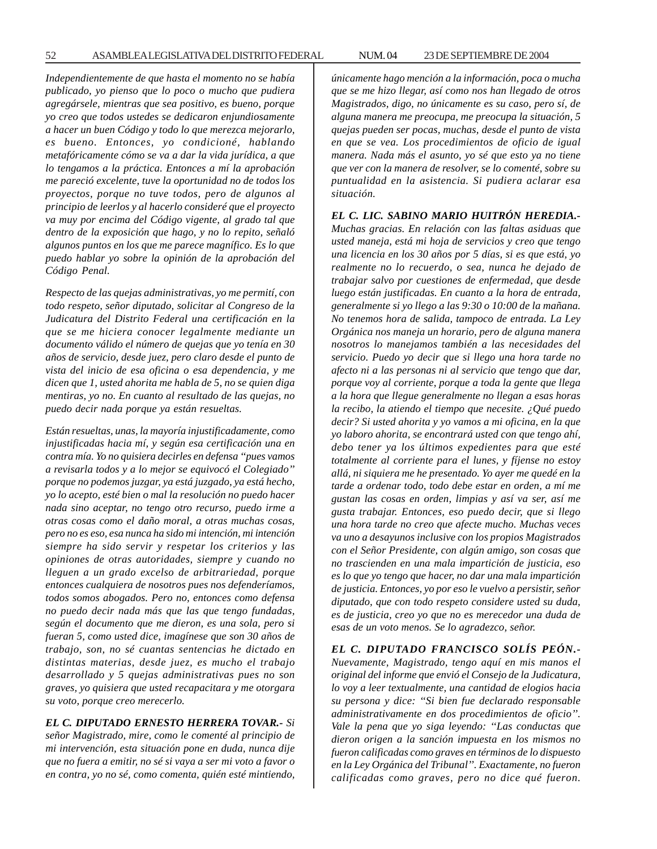*Independientemente de que hasta el momento no se había publicado, yo pienso que lo poco o mucho que pudiera agregársele, mientras que sea positivo, es bueno, porque yo creo que todos ustedes se dedicaron enjundiosamente a hacer un buen Código y todo lo que merezca mejorarlo, es bueno. Entonces, yo condicioné, hablando metafóricamente cómo se va a dar la vida jurídica, a que lo tengamos a la práctica. Entonces a mí la aprobación me pareció excelente, tuve la oportunidad no de todos los proyectos, porque no tuve todos, pero de algunos al principio de leerlos y al hacerlo consideré que el proyecto va muy por encima del Código vigente, al grado tal que dentro de la exposición que hago, y no lo repito, señaló algunos puntos en los que me parece magnífico. Es lo que puedo hablar yo sobre la opinión de la aprobación del Código Penal.*

*Respecto de las quejas administrativas, yo me permití, con todo respeto, señor diputado, solicitar al Congreso de la Judicatura del Distrito Federal una certificación en la que se me hiciera conocer legalmente mediante un documento válido el número de quejas que yo tenía en 30 años de servicio, desde juez, pero claro desde el punto de vista del inicio de esa oficina o esa dependencia, y me dicen que 1, usted ahorita me habla de 5, no se quien diga mentiras, yo no. En cuanto al resultado de las quejas, no puedo decir nada porque ya están resueltas.*

*Están resueltas, unas, la mayoría injustificadamente, como injustificadas hacia mí, y según esa certificación una en contra mía. Yo no quisiera decirles en defensa ''pues vamos a revisarla todos y a lo mejor se equivocó el Colegiado'' porque no podemos juzgar, ya está juzgado, ya está hecho, yo lo acepto, esté bien o mal la resolución no puedo hacer nada sino aceptar, no tengo otro recurso, puedo irme a otras cosas como el daño moral, a otras muchas cosas, pero no es eso, esa nunca ha sido mi intención, mi intención siempre ha sido servir y respetar los criterios y las opiniones de otras autoridades, siempre y cuando no lleguen a un grado excelso de arbitrariedad, porque entonces cualquiera de nosotros pues nos defenderíamos, todos somos abogados. Pero no, entonces como defensa no puedo decir nada más que las que tengo fundadas, según el documento que me dieron, es una sola, pero si fueran 5, como usted dice, imagínese que son 30 años de trabajo, son, no sé cuantas sentencias he dictado en distintas materias, desde juez, es mucho el trabajo desarrollado y 5 quejas administrativas pues no son graves, yo quisiera que usted recapacitara y me otorgara su voto, porque creo merecerlo.*

## *EL C. DIPUTADO ERNESTO HERRERA TOVAR.- Si*

*señor Magistrado, mire, como le comenté al principio de mi intervención, esta situación pone en duda, nunca dije que no fuera a emitir, no sé si vaya a ser mi voto a favor o en contra, yo no sé, como comenta, quién esté mintiendo,*

*únicamente hago mención a la información, poca o mucha que se me hizo llegar, así como nos han llegado de otros Magistrados, digo, no únicamente es su caso, pero sí, de alguna manera me preocupa, me preocupa la situación, 5 quejas pueden ser pocas, muchas, desde el punto de vista en que se vea. Los procedimientos de oficio de igual manera. Nada más el asunto, yo sé que esto ya no tiene que ver con la manera de resolver, se lo comenté, sobre su puntualidad en la asistencia. Si pudiera aclarar esa situación.*

## *EL C. LIC. SABINO MARIO HUITRÓN HEREDIA.-*

*Muchas gracias. En relación con las faltas asiduas que usted maneja, está mi hoja de servicios y creo que tengo una licencia en los 30 años por 5 días, si es que está, yo realmente no lo recuerdo, o sea, nunca he dejado de trabajar salvo por cuestiones de enfermedad, que desde luego están justificadas. En cuanto a la hora de entrada, generalmente si yo llego a las 9:30 o 10:00 de la mañana. No tenemos hora de salida, tampoco de entrada. La Ley Orgánica nos maneja un horario, pero de alguna manera nosotros lo manejamos también a las necesidades del servicio. Puedo yo decir que si llego una hora tarde no afecto ni a las personas ni al servicio que tengo que dar, porque voy al corriente, porque a toda la gente que llega a la hora que llegue generalmente no llegan a esas horas la recibo, la atiendo el tiempo que necesite. ¿Qué puedo decir? Si usted ahorita y yo vamos a mi oficina, en la que yo laboro ahorita, se encontrará usted con que tengo ahí, debo tener ya los últimos expedientes para que esté totalmente al corriente para el lunes, y fíjense no estoy allá, ni siquiera me he presentado. Yo ayer me quedé en la tarde a ordenar todo, todo debe estar en orden, a mí me gustan las cosas en orden, limpias y así va ser, así me gusta trabajar. Entonces, eso puedo decir, que si llego una hora tarde no creo que afecte mucho. Muchas veces va uno a desayunos inclusive con los propios Magistrados con el Señor Presidente, con algún amigo, son cosas que no trascienden en una mala impartición de justicia, eso es lo que yo tengo que hacer, no dar una mala impartición de justicia. Entonces, yo por eso le vuelvo a persistir, señor diputado, que con todo respeto considere usted su duda, es de justicia, creo yo que no es merecedor una duda de esas de un voto menos. Se lo agradezco, señor.*

*EL C. DIPUTADO FRANCISCO SOLÍS PEÓN.- Nuevamente, Magistrado, tengo aquí en mis manos el original del informe que envió el Consejo de la Judicatura, lo voy a leer textualmente, una cantidad de elogios hacia su persona y dice: ''Si bien fue declarado responsable administrativamente en dos procedimientos de oficio''. Vale la pena que yo siga leyendo: ''Las conductas que dieron origen a la sanción impuesta en los mismos no fueron calificadas como graves en términos de lo dispuesto en la Ley Orgánica del Tribunal''. Exactamente, no fueron calificadas como graves, pero no dice qué fueron.*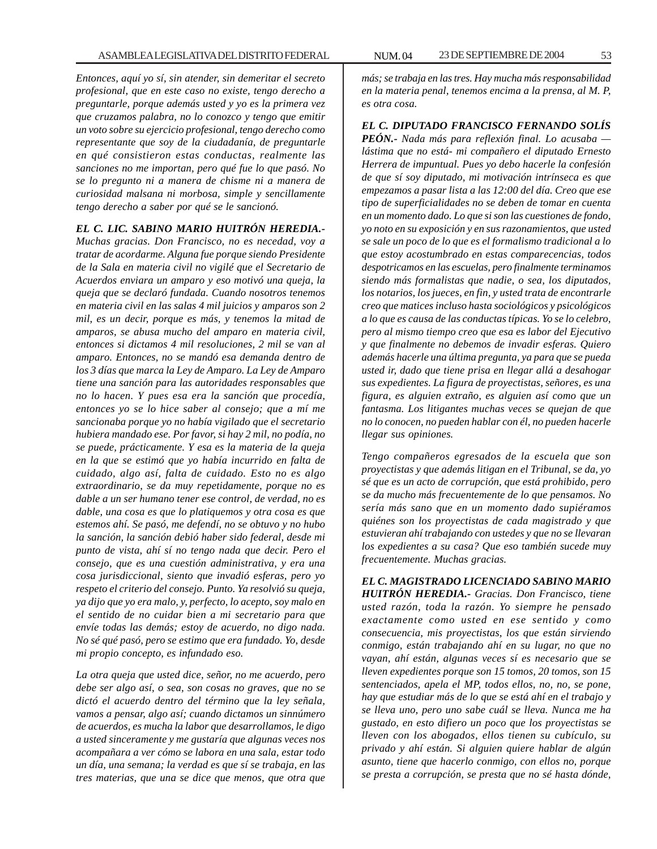*Entonces, aquí yo sí, sin atender, sin demeritar el secreto profesional, que en este caso no existe, tengo derecho a preguntarle, porque además usted y yo es la primera vez que cruzamos palabra, no lo conozco y tengo que emitir un voto sobre su ejercicio profesional, tengo derecho como representante que soy de la ciudadanía, de preguntarle en qué consistieron estas conductas, realmente las sanciones no me importan, pero qué fue lo que pasó. No se lo pregunto ni a manera de chisme ni a manera de curiosidad malsana ni morbosa, simple y sencillamente tengo derecho a saber por qué se le sancionó.*

## *EL C. LIC. SABINO MARIO HUITRÓN HEREDIA.-*

*Muchas gracias. Don Francisco, no es necedad, voy a tratar de acordarme. Alguna fue porque siendo Presidente de la Sala en materia civil no vigilé que el Secretario de Acuerdos enviara un amparo y eso motivó una queja, la queja que se declaró fundada. Cuando nosotros tenemos en materia civil en las salas 4 mil juicios y amparos son 2 mil, es un decir, porque es más, y tenemos la mitad de amparos, se abusa mucho del amparo en materia civil, entonces si dictamos 4 mil resoluciones, 2 mil se van al amparo. Entonces, no se mandó esa demanda dentro de los 3 días que marca la Ley de Amparo. La Ley de Amparo tiene una sanción para las autoridades responsables que no lo hacen. Y pues esa era la sanción que procedía, entonces yo se lo hice saber al consejo; que a mí me sancionaba porque yo no había vigilado que el secretario hubiera mandado ese. Por favor, si hay 2 mil, no podía, no se puede, prácticamente. Y esa es la materia de la queja en la que se estimó que yo había incurrido en falta de cuidado, algo así, falta de cuidado. Esto no es algo extraordinario, se da muy repetidamente, porque no es dable a un ser humano tener ese control, de verdad, no es dable, una cosa es que lo platiquemos y otra cosa es que estemos ahí. Se pasó, me defendí, no se obtuvo y no hubo la sanción, la sanción debió haber sido federal, desde mi punto de vista, ahí sí no tengo nada que decir. Pero el consejo, que es una cuestión administrativa, y era una cosa jurisdiccional, siento que invadió esferas, pero yo respeto el criterio del consejo. Punto. Ya resolvió su queja, ya dijo que yo era malo, y, perfecto, lo acepto, soy malo en el sentido de no cuidar bien a mi secretario para que envíe todas las demás; estoy de acuerdo, no digo nada. No sé qué pasó, pero se estimo que era fundado. Yo, desde mi propio concepto, es infundado eso.*

*La otra queja que usted dice, señor, no me acuerdo, pero debe ser algo así, o sea, son cosas no graves, que no se dictó el acuerdo dentro del término que la ley señala, vamos a pensar, algo así; cuando dictamos un sinnúmero de acuerdos, es mucha la labor que desarrollamos, le digo a usted sinceramente y me gustaría que algunas veces nos acompañara a ver cómo se labora en una sala, estar todo un día, una semana; la verdad es que sí se trabaja, en las tres materias, que una se dice que menos, que otra que* *más; se trabaja en las tres. Hay mucha más responsabilidad en la materia penal, tenemos encima a la prensa, al M. P, es otra cosa.*

*EL C. DIPUTADO FRANCISCO FERNANDO SOLÍS PEÓN.- Nada más para reflexión final. Lo acusaba lástima que no está- mi compañero el diputado Ernesto Herrera de impuntual. Pues yo debo hacerle la confesión de que sí soy diputado, mi motivación intrínseca es que empezamos a pasar lista a las 12:00 del día. Creo que ese tipo de superficialidades no se deben de tomar en cuenta en un momento dado. Lo que si son las cuestiones de fondo, yo noto en su exposición y en sus razonamientos, que usted se sale un poco de lo que es el formalismo tradicional a lo que estoy acostumbrado en estas comparecencias, todos despotricamos en las escuelas, pero finalmente terminamos siendo más formalistas que nadie, o sea, los diputados, los notarios, los jueces, en fin, y usted trata de encontrarle creo que matices incluso hasta sociológicos y psicológicos a lo que es causa de las conductas típicas. Yo se lo celebro, pero al mismo tiempo creo que esa es labor del Ejecutivo y que finalmente no debemos de invadir esferas. Quiero además hacerle una última pregunta, ya para que se pueda usted ir, dado que tiene prisa en llegar allá a desahogar sus expedientes. La figura de proyectistas, señores, es una figura, es alguien extraño, es alguien así como que un fantasma. Los litigantes muchas veces se quejan de que no lo conocen, no pueden hablar con él, no pueden hacerle llegar sus opiniones.*

*Tengo compañeros egresados de la escuela que son proyectistas y que además litigan en el Tribunal, se da, yo sé que es un acto de corrupción, que está prohibido, pero se da mucho más frecuentemente de lo que pensamos. No sería más sano que en un momento dado supiéramos quiénes son los proyectistas de cada magistrado y que estuvieran ahí trabajando con ustedes y que no se llevaran los expedientes a su casa? Que eso también sucede muy frecuentemente. Muchas gracias.*

*EL C. MAGISTRADO LICENCIADO SABINO MARIO HUITRÓN HEREDIA.- Gracias. Don Francisco, tiene usted razón, toda la razón. Yo siempre he pensado exactamente como usted en ese sentido y como consecuencia, mis proyectistas, los que están sirviendo conmigo, están trabajando ahí en su lugar, no que no vayan, ahí están, algunas veces sí es necesario que se lleven expedientes porque son 15 tomos, 20 tomos, son 15 sentenciados, apela el MP, todos ellos, no, no, se pone, hay que estudiar más de lo que se está ahí en el trabajo y se lleva uno, pero uno sabe cuál se lleva. Nunca me ha gustado, en esto difiero un poco que los proyectistas se lleven con los abogados, ellos tienen su cubículo, su privado y ahí están. Si alguien quiere hablar de algún asunto, tiene que hacerlo conmigo, con ellos no, porque se presta a corrupción, se presta que no sé hasta dónde,*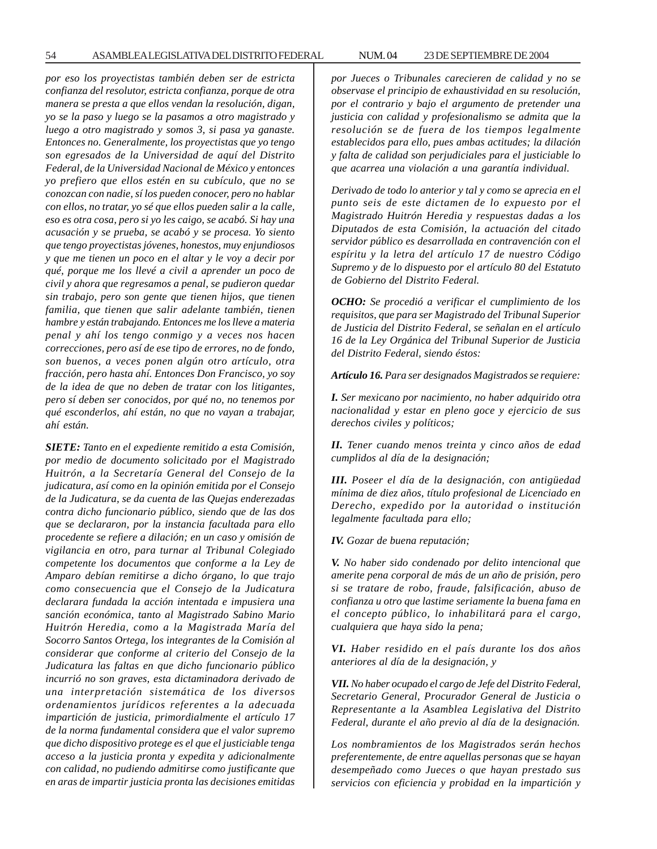54 ASAMBLEA LEGISLATIVA DEL DISTRITO FEDERAL NUM. 04 23 DE SEPTIEMBRE DE 2004

*por eso los proyectistas también deben ser de estricta confianza del resolutor, estricta confianza, porque de otra manera se presta a que ellos vendan la resolución, digan, yo se la paso y luego se la pasamos a otro magistrado y luego a otro magistrado y somos 3, si pasa ya ganaste. Entonces no. Generalmente, los proyectistas que yo tengo son egresados de la Universidad de aquí del Distrito Federal, de la Universidad Nacional de México y entonces yo prefiero que ellos estén en su cubículo, que no se conozcan con nadie, sí los pueden conocer, pero no hablar con ellos, no tratar, yo sé que ellos pueden salir a la calle, eso es otra cosa, pero si yo les caigo, se acabó. Si hay una acusación y se prueba, se acabó y se procesa. Yo siento que tengo proyectistas jóvenes, honestos, muy enjundiosos y que me tienen un poco en el altar y le voy a decir por qué, porque me los llevé a civil a aprender un poco de civil y ahora que regresamos a penal, se pudieron quedar sin trabajo, pero son gente que tienen hijos, que tienen familia, que tienen que salir adelante también, tienen hambre y están trabajando. Entonces me los lleve a materia penal y ahí los tengo conmigo y a veces nos hacen correcciones, pero así de ese tipo de errores, no de fondo, son buenos, a veces ponen algún otro artículo, otra fracción, pero hasta ahí. Entonces Don Francisco, yo soy de la idea de que no deben de tratar con los litigantes, pero sí deben ser conocidos, por qué no, no tenemos por qué esconderlos, ahí están, no que no vayan a trabajar, ahí están.*

*SIETE: Tanto en el expediente remitido a esta Comisión, por medio de documento solicitado por el Magistrado Huitrón, a la Secretaría General del Consejo de la judicatura, así como en la opinión emitida por el Consejo de la Judicatura, se da cuenta de las Quejas enderezadas contra dicho funcionario público, siendo que de las dos que se declararon, por la instancia facultada para ello procedente se refiere a dilación; en un caso y omisión de vigilancia en otro, para turnar al Tribunal Colegiado competente los documentos que conforme a la Ley de Amparo debían remitirse a dicho órgano, lo que trajo como consecuencia que el Consejo de la Judicatura declarara fundada la acción intentada e impusiera una sanción económica, tanto al Magistrado Sabino Mario Huitrón Heredia, como a la Magistrada María del Socorro Santos Ortega, los integrantes de la Comisión al considerar que conforme al criterio del Consejo de la Judicatura las faltas en que dicho funcionario público incurrió no son graves, esta dictaminadora derivado de una interpretación sistemática de los diversos ordenamientos jurídicos referentes a la adecuada impartición de justicia, primordialmente el artículo 17 de la norma fundamental considera que el valor supremo que dicho dispositivo protege es el que el justiciable tenga acceso a la justicia pronta y expedita y adicionalmente con calidad, no pudiendo admitirse como justificante que en aras de impartir justicia pronta las decisiones emitidas*

*por Jueces o Tribunales carecieren de calidad y no se observase el principio de exhaustividad en su resolución, por el contrario y bajo el argumento de pretender una justicia con calidad y profesionalismo se admita que la resolución se de fuera de los tiempos legalmente establecidos para ello, pues ambas actitudes; la dilación y falta de calidad son perjudiciales para el justiciable lo que acarrea una violación a una garantía individual.*

*Derivado de todo lo anterior y tal y como se aprecia en el punto seis de este dictamen de lo expuesto por el Magistrado Huitrón Heredia y respuestas dadas a los Diputados de esta Comisión, la actuación del citado servidor público es desarrollada en contravención con el espíritu y la letra del artículo 17 de nuestro Código Supremo y de lo dispuesto por el artículo 80 del Estatuto de Gobierno del Distrito Federal.*

*OCHO: Se procedió a verificar el cumplimiento de los requisitos, que para ser Magistrado del Tribunal Superior de Justicia del Distrito Federal, se señalan en el artículo 16 de la Ley Orgánica del Tribunal Superior de Justicia del Distrito Federal, siendo éstos:*

*Artículo 16. Para ser designados Magistrados se requiere:*

*I. Ser mexicano por nacimiento, no haber adquirido otra nacionalidad y estar en pleno goce y ejercicio de sus derechos civiles y políticos;*

*II. Tener cuando menos treinta y cinco años de edad cumplidos al día de la designación;*

*III. Poseer el día de la designación, con antigüedad mínima de diez años, título profesional de Licenciado en Derecho, expedido por la autoridad o institución legalmente facultada para ello;*

*IV. Gozar de buena reputación;*

*V. No haber sido condenado por delito intencional que amerite pena corporal de más de un año de prisión, pero si se tratare de robo, fraude, falsificación, abuso de confianza u otro que lastime seriamente la buena fama en el concepto público, lo inhabilitará para el cargo, cualquiera que haya sido la pena;*

*VI. Haber residido en el país durante los dos años anteriores al día de la designación, y*

*VII. No haber ocupado el cargo de Jefe del Distrito Federal, Secretario General, Procurador General de Justicia o Representante a la Asamblea Legislativa del Distrito Federal, durante el año previo al día de la designación.*

*Los nombramientos de los Magistrados serán hechos preferentemente, de entre aquellas personas que se hayan desempeñado como Jueces o que hayan prestado sus servicios con eficiencia y probidad en la impartición y*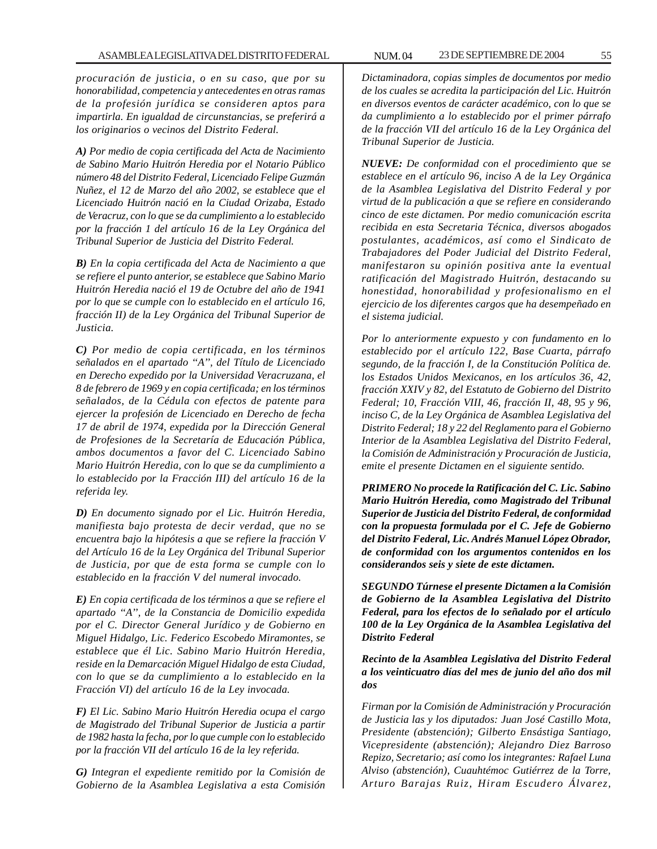*procuración de justicia, o en su caso, que por su honorabilidad, competencia y antecedentes en otras ramas de la profesión jurídica se consideren aptos para impartirla. En igualdad de circunstancias, se preferirá a los originarios o vecinos del Distrito Federal.*

*A) Por medio de copia certificada del Acta de Nacimiento de Sabino Mario Huitrón Heredia por el Notario Público número 48 del Distrito Federal, Licenciado Felipe Guzmán Nuñez, el 12 de Marzo del año 2002, se establece que el Licenciado Huitrón nació en la Ciudad Orizaba, Estado de Veracruz, con lo que se da cumplimiento a lo establecido por la fracción 1 del artículo 16 de la Ley Orgánica del Tribunal Superior de Justicia del Distrito Federal.*

*B) En la copia certificada del Acta de Nacimiento a que se refiere el punto anterior, se establece que Sabino Mario Huitrón Heredia nació el 19 de Octubre del año de 1941 por lo que se cumple con lo establecido en el artículo 16, fracción II) de la Ley Orgánica del Tribunal Superior de Justicia.*

*C) Por medio de copia certificada, en los términos señalados en el apartado ''A'', del Título de Licenciado en Derecho expedido por la Universidad Veracruzana, el 8 de febrero de 1969 y en copia certificada; en los términos señalados, de la Cédula con efectos de patente para ejercer la profesión de Licenciado en Derecho de fecha 17 de abril de 1974, expedida por la Dirección General de Profesiones de la Secretaría de Educación Pública, ambos documentos a favor del C. Licenciado Sabino Mario Huitrón Heredia, con lo que se da cumplimiento a lo establecido por la Fracción III) del artículo 16 de la referida ley.*

*D) En documento signado por el Lic. Huitrón Heredia, manifiesta bajo protesta de decir verdad, que no se encuentra bajo la hipótesis a que se refiere la fracción V del Artículo 16 de la Ley Orgánica del Tribunal Superior de Justicia, por que de esta forma se cumple con lo establecido en la fracción V del numeral invocado.*

*E) En copia certificada de los términos a que se refiere el apartado ''A'', de la Constancia de Domicilio expedida por el C. Director General Jurídico y de Gobierno en Miguel Hidalgo, Lic. Federico Escobedo Miramontes, se establece que él Lic. Sabino Mario Huitrón Heredia, reside en la Demarcación Miguel Hidalgo de esta Ciudad, con lo que se da cumplimiento a lo establecido en la Fracción VI) del artículo 16 de la Ley invocada.*

*F) El Lic. Sabino Mario Huitrón Heredia ocupa el cargo de Magistrado del Tribunal Superior de Justicia a partir de 1982 hasta la fecha, por lo que cumple con lo establecido por la fracción VII del artículo 16 de la ley referida.*

*G) Integran el expediente remitido por la Comisión de Gobierno de la Asamblea Legislativa a esta Comisión* *Dictaminadora, copias simples de documentos por medio de los cuales se acredita la participación del Lic. Huitrón en diversos eventos de carácter académico, con lo que se da cumplimiento a lo establecido por el primer párrafo de la fracción VII del artículo 16 de la Ley Orgánica del Tribunal Superior de Justicia.*

*NUEVE: De conformidad con el procedimiento que se establece en el artículo 96, inciso A de la Ley Orgánica de la Asamblea Legislativa del Distrito Federal y por virtud de la publicación a que se refiere en considerando cinco de este dictamen. Por medio comunicación escrita recibida en esta Secretaria Técnica, diversos abogados postulantes, académicos, así como el Sindicato de Trabajadores del Poder Judicial del Distrito Federal, manifestaron su opinión positiva ante la eventual ratificación del Magistrado Huitrón, destacando su honestidad, honorabilidad y profesionalismo en el ejercicio de los diferentes cargos que ha desempeñado en el sistema judicial.*

*Por lo anteriormente expuesto y con fundamento en lo establecido por el artículo 122, Base Cuarta, párrafo segundo, de la fracción I, de la Constitución Política de. los Estados Unidos Mexicanos, en los artículos 36, 42, fracción XXIV y 82, del Estatuto de Gobierno del Distrito Federal; 10, Fracción VIII, 46, fracción II, 48, 95 y 96, inciso C, de la Ley Orgánica de Asamblea Legislativa del Distrito Federal; 18 y 22 del Reglamento para el Gobierno Interior de la Asamblea Legislativa del Distrito Federal, la Comisión de Administración y Procuración de Justicia, emite el presente Dictamen en el siguiente sentido.*

*PRIMERO No procede la Ratificación del C. Lic. Sabino Mario Huitrón Heredia, como Magistrado del Tribunal Superior de Justicia del Distrito Federal, de conformidad con la propuesta formulada por el C. Jefe de Gobierno del Distrito Federal, Lic. Andrés Manuel López Obrador, de conformidad con los argumentos contenidos en los considerandos seis y siete de este dictamen.*

*SEGUNDO Túrnese el presente Dictamen a la Comisión de Gobierno de la Asamblea Legislativa del Distrito Federal, para los efectos de lo señalado por el artículo 100 de la Ley Orgánica de la Asamblea Legislativa del Distrito Federal*

*Recinto de la Asamblea Legislativa del Distrito Federal a los veinticuatro días del mes de junio del año dos mil dos*

*Firman por la Comisión de Administración y Procuración de Justicia las y los diputados: Juan José Castillo Mota, Presidente (abstención); Gilberto Ensástiga Santiago, Vicepresidente (abstención); Alejandro Diez Barroso Repizo, Secretario; así como los integrantes: Rafael Luna Alviso (abstención), Cuauhtémoc Gutiérrez de la Torre, Arturo Barajas Ruiz, Hiram Escudero Álvarez,*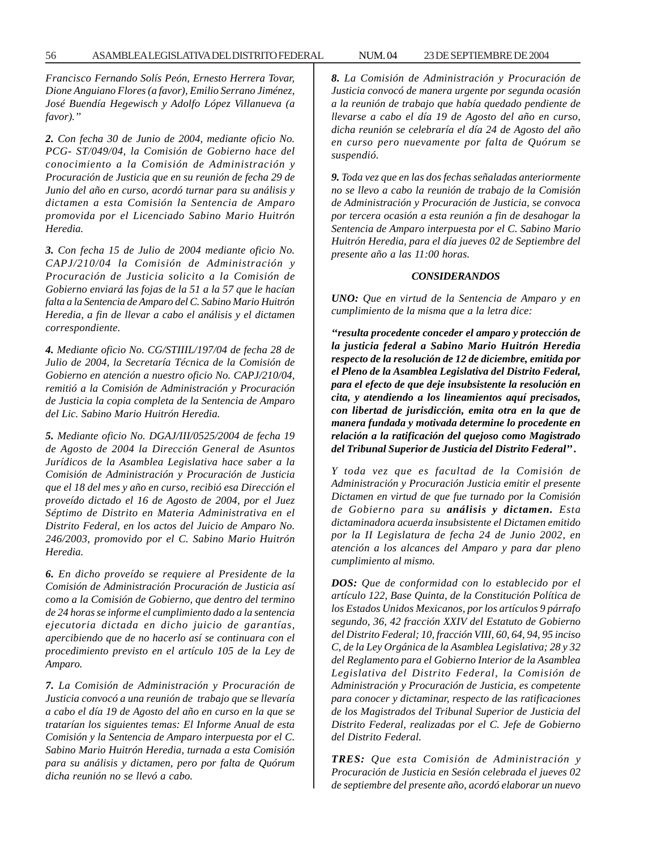*Francisco Fernando Solís Peón, Ernesto Herrera Tovar, Dione Anguiano Flores (a favor), Emilio Serrano Jiménez, José Buendía Hegewisch y Adolfo López Villanueva (a favor).''*

*2. Con fecha 30 de Junio de 2004, mediante oficio No. PCG- ST/049/04, la Comisión de Gobierno hace del conocimiento a la Comisión de Administración y Procuración de Justicia que en su reunión de fecha 29 de Junio del año en curso, acordó turnar para su análisis y dictamen a esta Comisión la Sentencia de Amparo promovida por el Licenciado Sabino Mario Huitrón Heredia.*

*3. Con fecha 15 de Julio de 2004 mediante oficio No. CAPJ/210/04 la Comisión de Administración y Procuración de Justicia solicito a la Comisión de Gobierno enviará las fojas de la 51 a la 57 que le hacían falta a la Sentencia de Amparo del C. Sabino Mario Huitrón Heredia, a fin de llevar a cabo el análisis y el dictamen correspondiente.*

*4. Mediante oficio No. CG/STIIIL/197/04 de fecha 28 de Julio de 2004, la Secretaría Técnica de la Comisión de Gobierno en atención a nuestro oficio No. CAPJ/210/04, remitió a la Comisión de Administración y Procuración de Justicia la copia completa de la Sentencia de Amparo del Lic. Sabino Mario Huitrón Heredia.*

*5. Mediante oficio No. DGAJ/III/0525/2004 de fecha 19 de Agosto de 2004 la Dirección General de Asuntos Jurídicos de la Asamblea Legislativa hace saber a la Comisión de Administración y Procuración de Justicia que el 18 del mes y año en curso, recibió esa Dirección el proveído dictado el 16 de Agosto de 2004, por el Juez Séptimo de Distrito en Materia Administrativa en el Distrito Federal, en los actos del Juicio de Amparo No. 246/2003, promovido por el C. Sabino Mario Huitrón Heredia.*

*6. En dicho proveído se requiere al Presidente de la Comisión de Administración Procuración de Justicia así como a la Comisión de Gobierno, que dentro del termino de 24 horas se informe el cumplimiento dado a la sentencia ejecutoria dictada en dicho juicio de garantías, apercibiendo que de no hacerlo así se continuara con el procedimiento previsto en el artículo 105 de la Ley de Amparo.*

*7. La Comisión de Administración y Procuración de Justicia convocó a una reunión de trabajo que se llevaría a cabo el día 19 de Agosto del año en curso en la que se tratarían los siguientes temas: El Informe Anual de esta Comisión y la Sentencia de Amparo interpuesta por el C. Sabino Mario Huitrón Heredia, turnada a esta Comisión para su análisis y dictamen, pero por falta de Quórum dicha reunión no se llevó a cabo.*

*8. La Comisión de Administración y Procuración de Justicia convocó de manera urgente por segunda ocasión a la reunión de trabajo que había quedado pendiente de llevarse a cabo el día 19 de Agosto del año en curso, dicha reunión se celebraría el día 24 de Agosto del año en curso pero nuevamente por falta de Quórum se suspendió.*

*9. Toda vez que en las dos fechas señaladas anteriormente no se llevo a cabo la reunión de trabajo de la Comisión de Administración y Procuración de Justicia, se convoca por tercera ocasión a esta reunión a fin de desahogar la Sentencia de Amparo interpuesta por el C. Sabino Mario Huitrón Heredia, para el día jueves 02 de Septiembre del presente año a las 11:00 horas.*

#### *CONSIDERANDOS*

*UNO: Que en virtud de la Sentencia de Amparo y en cumplimiento de la misma que a la letra dice:*

*''resulta procedente conceder el amparo y protección de la justicia federal a Sabino Mario Huitrón Heredia respecto de la resolución de 12 de diciembre, emitida por el Pleno de la Asamblea Legislativa del Distrito Federal, para el efecto de que deje insubsistente la resolución en cita, y atendiendo a los lineamientos aquí precisados, con libertad de jurisdicción, emita otra en la que de manera fundada y motivada determine lo procedente en relación a la ratificación del quejoso como Magistrado del Tribunal Superior de Justicia del Distrito Federal'' .*

*Y toda vez que es facultad de la Comisión de Administración y Procuración Justicia emitir el presente Dictamen en virtud de que fue turnado por la Comisión de Gobierno para su análisis y dictamen. Esta dictaminadora acuerda insubsistente el Dictamen emitido por la II Legislatura de fecha 24 de Junio 2002, en atención a los alcances del Amparo y para dar pleno cumplimiento al mismo.*

*DOS: Que de conformidad con lo establecido por el artículo 122, Base Quinta, de la Constitución Política de los Estados Unidos Mexicanos, por los artículos 9 párrafo segundo, 36, 42 fracción XXIV del Estatuto de Gobierno del Distrito Federal; 10, fracción VIII, 60, 64, 94, 95 inciso C, de la Ley Orgánica de la Asamblea Legislativa; 28 y 32 del Reglamento para el Gobierno Interior de la Asamblea Legislativa del Distrito Federal, la Comisión de Administración y Procuración de Justicia, es competente para conocer y dictaminar, respecto de las ratificaciones de los Magistrados del Tribunal Superior de Justicia del Distrito Federal, realizadas por el C. Jefe de Gobierno del Distrito Federal.*

*TRES: Que esta Comisión de Administración y Procuración de Justicia en Sesión celebrada el jueves 02 de septiembre del presente año, acordó elaborar un nuevo*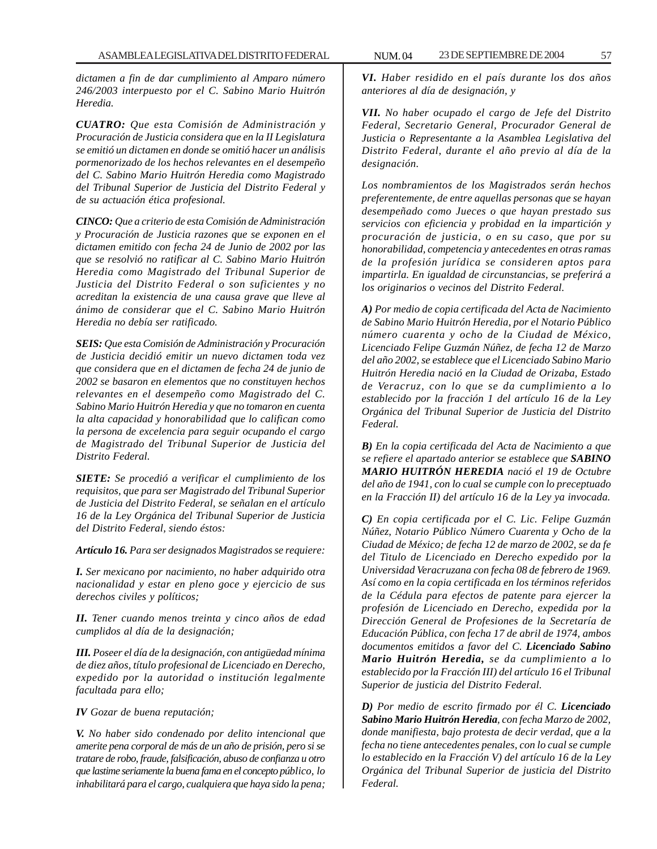*dictamen a fin de dar cumplimiento al Amparo número 246/2003 interpuesto por el C. Sabino Mario Huitrón Heredia.*

*CUATRO: Que esta Comisión de Administración y Procuración de Justicia considera que en la II Legislatura se emitió un dictamen en donde se omitió hacer un análisis pormenorizado de los hechos relevantes en el desempeño del C. Sabino Mario Huitrón Heredia como Magistrado del Tribunal Superior de Justicia del Distrito Federal y de su actuación ética profesional.*

*CINCO: Que a criterio de esta Comisión de Administración y Procuración de Justicia razones que se exponen en el dictamen emitido con fecha 24 de Junio de 2002 por las que se resolvió no ratificar al C. Sabino Mario Huitrón Heredia como Magistrado del Tribunal Superior de Justicia del Distrito Federal o son suficientes y no acreditan la existencia de una causa grave que lleve al ánimo de considerar que el C. Sabino Mario Huitrón Heredia no debía ser ratificado.*

*SEIS: Que esta Comisión de Administración y Procuración de Justicia decidió emitir un nuevo dictamen toda vez que considera que en el dictamen de fecha 24 de junio de 2002 se basaron en elementos que no constituyen hechos relevantes en el desempeño como Magistrado del C. Sabino Mario Huitrón Heredia y que no tomaron en cuenta la alta capacidad y honorabilidad que lo califican como la persona de excelencia para seguir ocupando el cargo de Magistrado del Tribunal Superior de Justicia del Distrito Federal.*

*SIETE: Se procedió a verificar el cumplimiento de los requisitos, que para ser Magistrado del Tribunal Superior de Justicia del Distrito Federal, se señalan en el artículo 16 de la Ley Orgánica del Tribunal Superior de Justicia del Distrito Federal, siendo éstos:*

*Artículo 16. Para ser designados Magistrados se requiere:*

*I. Ser mexicano por nacimiento, no haber adquirido otra nacionalidad y estar en pleno goce y ejercicio de sus derechos civiles y políticos;*

*II. Tener cuando menos treinta y cinco años de edad cumplidos al día de la designación;*

*III. Poseer el día de la designación, con antigüedad mínima de diez años, título profesional de Licenciado en Derecho, expedido por la autoridad o institución legalmente facultada para ello;*

*IV Gozar de buena reputación;*

*V. No haber sido condenado por delito intencional que amerite pena corporal de más de un año de prisión, pero si se tratare de robo, fraude, falsificación, abuso de confianza u otro que lastime seriamente la buena fama en el concepto público, lo inhabilitará para el cargo, cualquiera que haya sido la pena;*

*VI. Haber residido en el país durante los dos años anteriores al día de designación, y*

*VII. No haber ocupado el cargo de Jefe del Distrito Federal, Secretario General, Procurador General de Justicia o Representante a la Asamblea Legislativa del Distrito Federal, durante el año previo al día de la designación.*

*Los nombramientos de los Magistrados serán hechos preferentemente, de entre aquellas personas que se hayan desempeñado como Jueces o que hayan prestado sus servicios con eficiencia y probidad en la impartición y procuración de justicia, o en su caso, que por su honorabilidad, competencia y antecedentes en otras ramas de la profesión jurídica se consideren aptos para impartirla. En igualdad de circunstancias, se preferirá a los originarios o vecinos del Distrito Federal.*

*A) Por medio de copia certificada del Acta de Nacimiento de Sabino Mario Huitrón Heredia, por el Notario Público número cuarenta y ocho de la Ciudad de México, Licenciado Felipe Guzmán Núñez, de fecha 12 de Marzo del año 2002, se establece que el Licenciado Sabino Mario Huitrón Heredia nació en la Ciudad de Orizaba, Estado de Veracruz, con lo que se da cumplimiento a lo establecido por la fracción 1 del artículo 16 de la Ley Orgánica del Tribunal Superior de Justicia del Distrito Federal.*

*B) En la copia certificada del Acta de Nacimiento a que se refiere el apartado anterior se establece que SABINO MARIO HUITRÓN HEREDIA nació el 19 de Octubre del año de 1941, con lo cual se cumple con lo preceptuado en la Fracción II) del artículo 16 de la Ley ya invocada.*

*C) En copia certificada por el C. Lic. Felipe Guzmán Núñez, Notario Público Número Cuarenta y Ocho de la Ciudad de México; de fecha 12 de marzo de 2002, se da fe del Titulo de Licenciado en Derecho expedido por la Universidad Veracruzana con fecha 08 de febrero de 1969. Así como en la copia certificada en los términos referidos de la Cédula para efectos de patente para ejercer la profesión de Licenciado en Derecho, expedida por la Dirección General de Profesiones de la Secretaría de Educación Pública, con fecha 17 de abril de 1974, ambos documentos emitidos a favor del C. Licenciado Sabino Mario Huitrón Heredia, se da cumplimiento a lo establecido por la Fracción III) del artículo 16 el Tribunal Superior de justicia del Distrito Federal.*

*D) Por medio de escrito firmado por él C. Licenciado Sabino Mario Huitrón Heredia, con fecha Marzo de 2002, donde manifiesta, bajo protesta de decir verdad, que a la fecha no tiene antecedentes penales, con lo cual se cumple lo establecido en la Fracción V) del artículo 16 de la Ley Orgánica del Tribunal Superior de justicia del Distrito Federal.*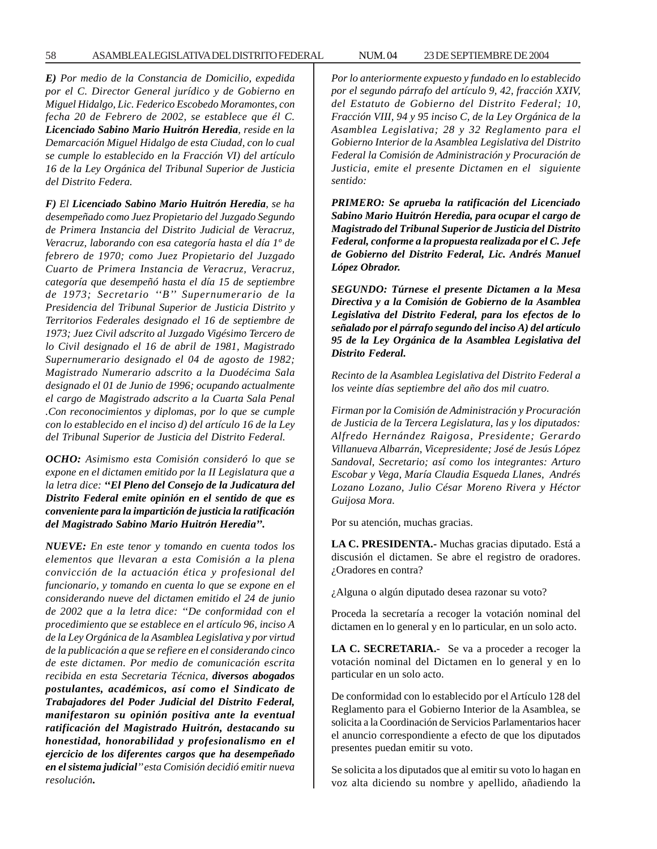*E) Por medio de la Constancia de Domicilio, expedida por el C. Director General jurídico y de Gobierno en Miguel Hidalgo, Lic. Federico Escobedo Moramontes, con fecha 20 de Febrero de 2002, se establece que él C. Licenciado Sabino Mario Huitrón Heredia, reside en la Demarcación Miguel Hidalgo de esta Ciudad, con lo cual se cumple lo establecido en la Fracción VI) del artículo 16 de la Ley Orgánica del Tribunal Superior de Justicia del Distrito Federa.*

*F) El Licenciado Sabino Mario Huitrón Heredia, se ha desempeñado como Juez Propietario del Juzgado Segundo de Primera Instancia del Distrito Judicial de Veracruz, Veracruz, laborando con esa categoría hasta el día 1º de febrero de 1970; como Juez Propietario del Juzgado Cuarto de Primera Instancia de Veracruz, Veracruz, categoría que desempeñó hasta el día 15 de septiembre de 1973; Secretario ''B'' Supernumerario de la Presidencia del Tribunal Superior de Justicia Distrito y Territorios Federales designado el 16 de septiembre de 1973; Juez Civil adscrito al Juzgado Vigésimo Tercero de lo Civil designado el 16 de abril de 1981, Magistrado Supernumerario designado el 04 de agosto de 1982; Magistrado Numerario adscrito a la Duodécima Sala designado el 01 de Junio de 1996; ocupando actualmente el cargo de Magistrado adscrito a la Cuarta Sala Penal .Con reconocimientos y diplomas, por lo que se cumple con lo establecido en el inciso d) del artículo 16 de la Ley del Tribunal Superior de Justicia del Distrito Federal.*

*OCHO: Asimismo esta Comisión consideró lo que se expone en el dictamen emitido por la II Legislatura que a la letra dice: ''El Pleno del Consejo de la Judicatura del Distrito Federal emite opinión en el sentido de que es conveniente para la impartición de justicia la ratificación del Magistrado Sabino Mario Huitrón Heredia''.*

*NUEVE: En este tenor y tomando en cuenta todos los elementos que llevaran a esta Comisión a la plena convicción de la actuación ética y profesional del funcionario, y tomando en cuenta lo que se expone en el considerando nueve del dictamen emitido el 24 de junio de 2002 que a la letra dice: ''De conformidad con el procedimiento que se establece en el artículo 96, inciso A de la Ley Orgánica de la Asamblea Legislativa y por virtud de la publicación a que se refiere en el considerando cinco de este dictamen. Por medio de comunicación escrita recibida en esta Secretaria Técnica, diversos abogados postulantes, académicos, así como el Sindicato de Trabajadores del Poder Judicial del Distrito Federal, manifestaron su opinión positiva ante la eventual ratificación del Magistrado Huitrón, destacando su honestidad, honorabilidad y profesionalismo en el ejercicio de los diferentes cargos que ha desempeñado en el sistema judicial'' esta Comisión decidió emitir nueva resolución.*

*Por lo anteriormente expuesto y fundado en lo establecido por el segundo párrafo del artículo 9, 42, fracción XXIV, del Estatuto de Gobierno del Distrito Federal; 10, Fracción VIII, 94 y 95 inciso C, de la Ley Orgánica de la Asamblea Legislativa; 28 y 32 Reglamento para el Gobierno Interior de la Asamblea Legislativa del Distrito Federal la Comisión de Administración y Procuración de Justicia, emite el presente Dictamen en el siguiente sentido:*

*PRIMERO: Se aprueba la ratificación del Licenciado Sabino Mario Huitrón Heredia, para ocupar el cargo de Magistrado del Tribunal Superior de Justicia del Distrito Federal, conforme a la propuesta realizada por el C. Jefe de Gobierno del Distrito Federal, Lic. Andrés Manuel López Obrador.*

*SEGUNDO: Túrnese el presente Dictamen a la Mesa Directiva y a la Comisión de Gobierno de la Asamblea Legislativa del Distrito Federal, para los efectos de lo señalado por el párrafo segundo del inciso A) del artículo 95 de la Ley Orgánica de la Asamblea Legislativa del Distrito Federal.*

*Recinto de la Asamblea Legislativa del Distrito Federal a los veinte días septiembre del año dos mil cuatro.*

*Firman por la Comisión de Administración y Procuración de Justicia de la Tercera Legislatura, las y los diputados: Alfredo Hernández Raigosa, Presidente; Gerardo Villanueva Albarrán, Vicepresidente; José de Jesús López Sandoval, Secretario; así como los integrantes: Arturo Escobar y Vega, María Claudia Esqueda Llanes, Andrés Lozano Lozano, Julio César Moreno Rivera y Héctor Guijosa Mora.*

Por su atención, muchas gracias.

**LA C. PRESIDENTA.-** Muchas gracias diputado. Está a discusión el dictamen. Se abre el registro de oradores. ¿Oradores en contra?

¿Alguna o algún diputado desea razonar su voto?

Proceda la secretaría a recoger la votación nominal del dictamen en lo general y en lo particular, en un solo acto.

**LA C. SECRETARIA.-** Se va a proceder a recoger la votación nominal del Dictamen en lo general y en lo particular en un solo acto.

De conformidad con lo establecido por el Artículo 128 del Reglamento para el Gobierno Interior de la Asamblea, se solicita a la Coordinación de Servicios Parlamentarios hacer el anuncio correspondiente a efecto de que los diputados presentes puedan emitir su voto.

Se solicita a los diputados que al emitir su voto lo hagan en voz alta diciendo su nombre y apellido, añadiendo la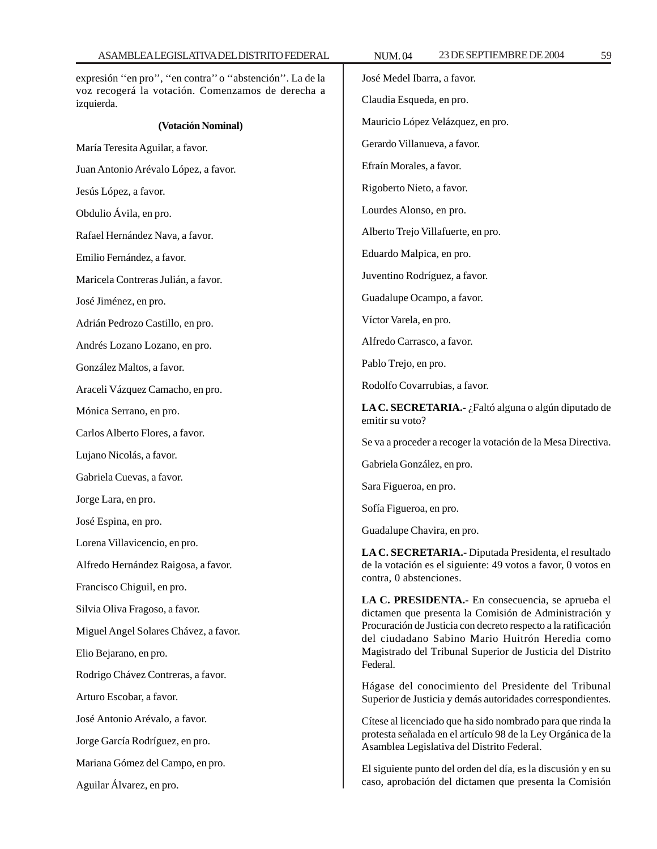expresión ''en pro'', ''en contra'' o ''abstención''. La de la voz recogerá la votación. Comenzamos de derecha a izquierda. **(Votación Nominal)** María Teresita Aguilar, a favor. Juan Antonio Arévalo López, a favor. Jesús López, a favor. Obdulio Ávila, en pro. Rafael Hernández Nava, a favor. Emilio Fernández, a favor. Maricela Contreras Julián, a favor. José Jiménez, en pro. Adrián Pedrozo Castillo, en pro. Andrés Lozano Lozano, en pro. González Maltos, a favor. Araceli Vázquez Camacho, en pro. Mónica Serrano, en pro. Carlos Alberto Flores, a favor. Lujano Nicolás, a favor. Gabriela Cuevas, a favor. Jorge Lara, en pro. José Espina, en pro. Lorena Villavicencio, en pro. Alfredo Hernández Raigosa, a favor. Francisco Chiguil, en pro. Silvia Oliva Fragoso, a favor. Miguel Angel Solares Chávez, a favor. Elio Bejarano, en pro. Rodrigo Chávez Contreras, a favor. Arturo Escobar, a favor. José Antonio Arévalo, a favor. Jorge García Rodríguez, en pro. Mariana Gómez del Campo, en pro. Aguilar Álvarez, en pro. José Medel Ibarra, a favor. Claudia Esqueda, en pro. Mauricio López Velázquez, en pro. Gerardo Villanueva, a favor. Efraín Morales, a favor. Rigoberto Nieto, a favor. Lourdes Alonso, en pro. Alberto Trejo Villafuerte, en pro. Eduardo Malpica, en pro. Juventino Rodríguez, a favor. Guadalupe Ocampo, a favor. Víctor Varela, en pro. Alfredo Carrasco, a favor. Pablo Trejo, en pro. Rodolfo Covarrubias, a favor. **LA C. SECRETARIA.-** ¿Faltó alguna o algún diputado de emitir su voto? Se va a proceder a recoger la votación de la Mesa Directiva. Gabriela González, en pro. Sara Figueroa, en pro. Sofía Figueroa, en pro. Guadalupe Chavira, en pro. **LA C. SECRETARIA.-** Diputada Presidenta, el resultado de la votación es el siguiente: 49 votos a favor, 0 votos en contra, 0 abstenciones. **LA C. PRESIDENTA.-** En consecuencia, se aprueba el dictamen que presenta la Comisión de Administración y Procuración de Justicia con decreto respecto a la ratificación del ciudadano Sabino Mario Huitrón Heredia como Magistrado del Tribunal Superior de Justicia del Distrito Federal. Hágase del conocimiento del Presidente del Tribunal Superior de Justicia y demás autoridades correspondientes. Cítese al licenciado que ha sido nombrado para que rinda la protesta señalada en el artículo 98 de la Ley Orgánica de la Asamblea Legislativa del Distrito Federal. El siguiente punto del orden del día, es la discusión y en su caso, aprobación del dictamen que presenta la Comisión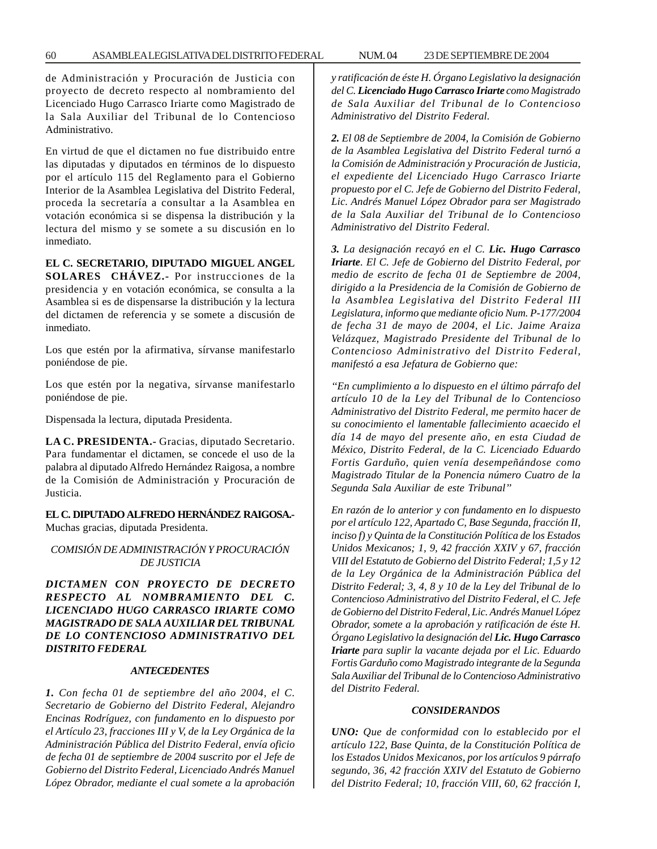de Administración y Procuración de Justicia con proyecto de decreto respecto al nombramiento del Licenciado Hugo Carrasco Iriarte como Magistrado de la Sala Auxiliar del Tribunal de lo Contencioso Administrativo.

En virtud de que el dictamen no fue distribuido entre las diputadas y diputados en términos de lo dispuesto por el artículo 115 del Reglamento para el Gobierno Interior de la Asamblea Legislativa del Distrito Federal, proceda la secretaría a consultar a la Asamblea en votación económica si se dispensa la distribución y la lectura del mismo y se somete a su discusión en lo inmediato.

#### **EL C. SECRETARIO, DIPUTADO MIGUEL ANGEL**

**SOLARES CHÁVEZ.-** Por instrucciones de la presidencia y en votación económica, se consulta a la Asamblea si es de dispensarse la distribución y la lectura del dictamen de referencia y se somete a discusión de inmediato.

Los que estén por la afirmativa, sírvanse manifestarlo poniéndose de pie.

Los que estén por la negativa, sírvanse manifestarlo poniéndose de pie.

Dispensada la lectura, diputada Presidenta.

**LA C. PRESIDENTA.-** Gracias, diputado Secretario. Para fundamentar el dictamen, se concede el uso de la palabra al diputado Alfredo Hernández Raigosa, a nombre de la Comisión de Administración y Procuración de Justicia.

**EL C. DIPUTADO ALFREDO HERNÁNDEZ RAIGOSA.-** Muchas gracias, diputada Presidenta.

*COMISIÓN DE ADMINISTRACIÓN Y PROCURACIÓN DE JUSTICIA*

*DICTAMEN CON PROYECTO DE DECRETO RESPECTO AL NOMBRAMIENTO DEL C. LICENCIADO HUGO CARRASCO IRIARTE COMO MAGISTRADO DE SALA AUXILIAR DEL TRIBUNAL DE LO CONTENCIOSO ADMINISTRATIVO DEL DISTRITO FEDERAL*

## *ANTECEDENTES*

*1. Con fecha 01 de septiembre del año 2004, el C. Secretario de Gobierno del Distrito Federal, Alejandro Encinas Rodríguez, con fundamento en lo dispuesto por el Artículo 23, fracciones III y V, de la Ley Orgánica de la Administración Pública del Distrito Federal, envía oficio de fecha 01 de septiembre de 2004 suscrito por el Jefe de Gobierno del Distrito Federal, Licenciado Andrés Manuel López Obrador, mediante el cual somete a la aprobación* *y ratificación de éste H. Órgano Legislativo la designación del C. Licenciado Hugo Carrasco Iriarte como Magistrado de Sala Auxiliar del Tribunal de lo Contencioso Administrativo del Distrito Federal.*

*2. El 08 de Septiembre de 2004, la Comisión de Gobierno de la Asamblea Legislativa del Distrito Federal turnó a la Comisión de Administración y Procuración de Justicia, el expediente del Licenciado Hugo Carrasco Iriarte propuesto por el C. Jefe de Gobierno del Distrito Federal, Lic. Andrés Manuel López Obrador para ser Magistrado de la Sala Auxiliar del Tribunal de lo Contencioso Administrativo del Distrito Federal.*

*3. La designación recayó en el C. Lic. Hugo Carrasco Iriarte. El C. Jefe de Gobierno del Distrito Federal, por medio de escrito de fecha 01 de Septiembre de 2004, dirigido a la Presidencia de la Comisión de Gobierno de la Asamblea Legislativa del Distrito Federal III Legislatura, informo que mediante oficio Num. P-177/2004 de fecha 31 de mayo de 2004, el Lic. Jaime Araiza Velázquez, Magistrado Presidente del Tribunal de lo Contencioso Administrativo del Distrito Federal, manifestó a esa Jefatura de Gobierno que:*

*''En cumplimiento a lo dispuesto en el último párrafo del artículo 10 de la Ley del Tribunal de lo Contencioso Administrativo del Distrito Federal, me permito hacer de su conocimiento el lamentable fallecimiento acaecido el día 14 de mayo del presente año, en esta Ciudad de México, Distrito Federal, de la C. Licenciado Eduardo Fortis Garduño, quien venía desempeñándose como Magistrado Titular de la Ponencia número Cuatro de la Segunda Sala Auxiliar de este Tribunal''*

*En razón de lo anterior y con fundamento en lo dispuesto por el artículo 122, Apartado C, Base Segunda, fracción II, inciso f) y Quinta de la Constitución Política de los Estados Unidos Mexicanos; 1, 9, 42 fracción XXIV y 67, fracción VIII del Estatuto de Gobierno del Distrito Federal; 1,5 y 12 de la Ley Orgánica de la Administración Pública del Distrito Federal; 3, 4, 8 y 10 de la Ley del Tribunal de lo Contencioso Administrativo del Distrito Federal, el C. Jefe de Gobierno del Distrito Federal, Lic. Andrés Manuel López Obrador, somete a la aprobación y ratificación de éste H. Órgano Legislativo la designación del Lic. Hugo Carrasco Iriarte para suplir la vacante dejada por el Lic. Eduardo Fortis Garduño como Magistrado integrante de la Segunda Sala Auxiliar del Tribunal de lo Contencioso Administrativo del Distrito Federal.*

#### *CONSIDERANDOS*

*UNO: Que de conformidad con lo establecido por el artículo 122, Base Quinta, de la Constitución Política de los Estados Unidos Mexicanos, por los artículos 9 párrafo segundo, 36, 42 fracción XXIV del Estatuto de Gobierno del Distrito Federal; 10, fracción VIII, 60, 62 fracción I,*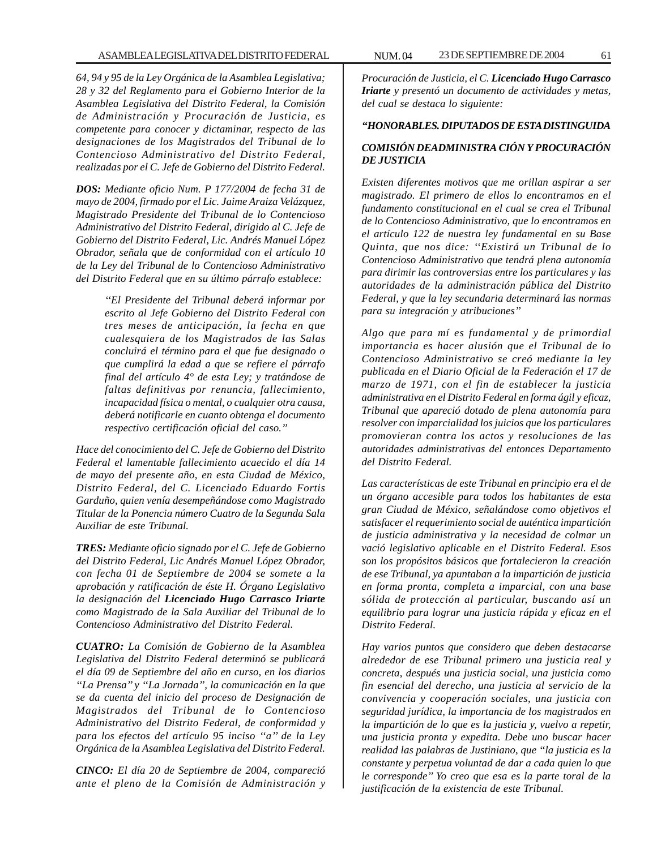*64, 94 y 95 de la Ley Orgánica de la Asamblea Legislativa; 28 y 32 del Reglamento para el Gobierno Interior de la Asamblea Legislativa del Distrito Federal, la Comisión de Administración y Procuración de Justicia, es competente para conocer y dictaminar, respecto de las designaciones de los Magistrados del Tribunal de lo Contencioso Administrativo del Distrito Federal, realizadas por el C. Jefe de Gobierno del Distrito Federal.*

*DOS: Mediante oficio Num. P 177/2004 de fecha 31 de mayo de 2004, firmado por el Lic. Jaime Araiza Velázquez, Magistrado Presidente del Tribunal de lo Contencioso Administrativo del Distrito Federal, dirigido al C. Jefe de Gobierno del Distrito Federal, Lic. Andrés Manuel López Obrador, señala que de conformidad con el artículo 10 de la Ley del Tribunal de lo Contencioso Administrativo del Distrito Federal que en su último párrafo establece:*

> *''El Presidente del Tribunal deberá informar por escrito al Jefe Gobierno del Distrito Federal con tres meses de anticipación, la fecha en que cualesquiera de los Magistrados de las Salas concluirá el término para el que fue designado o que cumplirá la edad a que se refiere el párrafo final del artículo 4° de esta Ley; y tratándose de faltas definitivas por renuncia, fallecimiento, incapacidad física o mental, o cualquier otra causa, deberá notificarle en cuanto obtenga el documento respectivo certificación oficial del caso.''*

*Hace del conocimiento del C. Jefe de Gobierno del Distrito Federal el lamentable fallecimiento acaecido el día 14 de mayo del presente año, en esta Ciudad de México, Distrito Federal, del C. Licenciado Eduardo Fortis Garduño, quien venía desempeñándose como Magistrado Titular de la Ponencia número Cuatro de la Segunda Sala Auxiliar de este Tribunal.*

*TRES: Mediante oficio signado por el C. Jefe de Gobierno del Distrito Federal, Lic Andrés Manuel López Obrador, con fecha 01 de Septiembre de 2004 se somete a la aprobación y ratificación de éste H. Órgano Legislativo la designación del Licenciado Hugo Carrasco Iriarte como Magistrado de la Sala Auxiliar del Tribunal de lo Contencioso Administrativo del Distrito Federal.*

*CUATRO: La Comisión de Gobierno de la Asamblea Legislativa del Distrito Federal determinó se publicará el día 09 de Septiembre del año en curso, en los diarios ''La Prensa'' y ''La Jornada'', la comunicación en la que se da cuenta del inicio del proceso de Designación de Magistrados del Tribunal de lo Contencioso Administrativo del Distrito Federal, de conformidad y para los efectos del artículo 95 inciso ''a'' de la Ley Orgánica de la Asamblea Legislativa del Distrito Federal.*

*CINCO: El día 20 de Septiembre de 2004, compareció ante el pleno de la Comisión de Administración y* *Procuración de Justicia, el C. Licenciado Hugo Carrasco Iriarte y presentó un documento de actividades y metas, del cual se destaca lo siguiente:*

## *''HONORABLES. DIPUTADOS DE ESTA DISTINGUIDA*

# *COMISIÓN DEADMINISTRA CIÓN Y PROCURACIÓN DE JUSTICIA*

*Existen diferentes motivos que me orillan aspirar a ser magistrado. El primero de ellos lo encontramos en el fundamento constitucional en el cual se crea el Tribunal de lo Contencioso Administrativo, que lo encontramos en el artículo 122 de nuestra ley fundamental en su Base Quinta, que nos dice: ''Existirá un Tribunal de lo Contencioso Administrativo que tendrá plena autonomía para dirimir las controversias entre los particulares y las autoridades de la administración pública del Distrito Federal, y que la ley secundaria determinará las normas para su integración y atribuciones''*

*Algo que para mí es fundamental y de primordial importancia es hacer alusión que el Tribunal de lo Contencioso Administrativo se creó mediante la ley publicada en el Diario Oficial de la Federación el 17 de marzo de 1971, con el fin de establecer la justicia administrativa en el Distrito Federal en forma ágil y eficaz, Tribunal que apareció dotado de plena autonomía para resolver con imparcialidad los juicios que los particulares promovieran contra los actos y resoluciones de las autoridades administrativas del entonces Departamento del Distrito Federal.*

*Las características de este Tribunal en principio era el de un órgano accesible para todos los habitantes de esta gran Ciudad de México, señalándose como objetivos el satisfacer el requerimiento social de auténtica impartición de justicia administrativa y la necesidad de colmar un vació legislativo aplicable en el Distrito Federal. Esos son los propósitos básicos que fortalecieron la creación de ese Tribunal, ya apuntaban a la impartición de justicia en forma pronta, completa a imparcial, con una base sólida de protección al particular, buscando así un equilibrio para lograr una justicia rápida y eficaz en el Distrito Federal.*

*Hay varios puntos que considero que deben destacarse alrededor de ese Tribunal primero una justicia real y concreta, después una justicia social, una justicia como fin esencial del derecho, una justicia al servicio de la convivencia y cooperación sociales, una justicia con seguridad jurídica, la importancia de los magistrados en la impartición de lo que es la justicia y, vuelvo a repetir, una justicia pronta y expedita. Debe uno buscar hacer realidad las palabras de Justiniano, que ''la justicia es la constante y perpetua voluntad de dar a cada quien lo que le corresponde'' Yo creo que esa es la parte toral de la justificación de la existencia de este Tribunal.*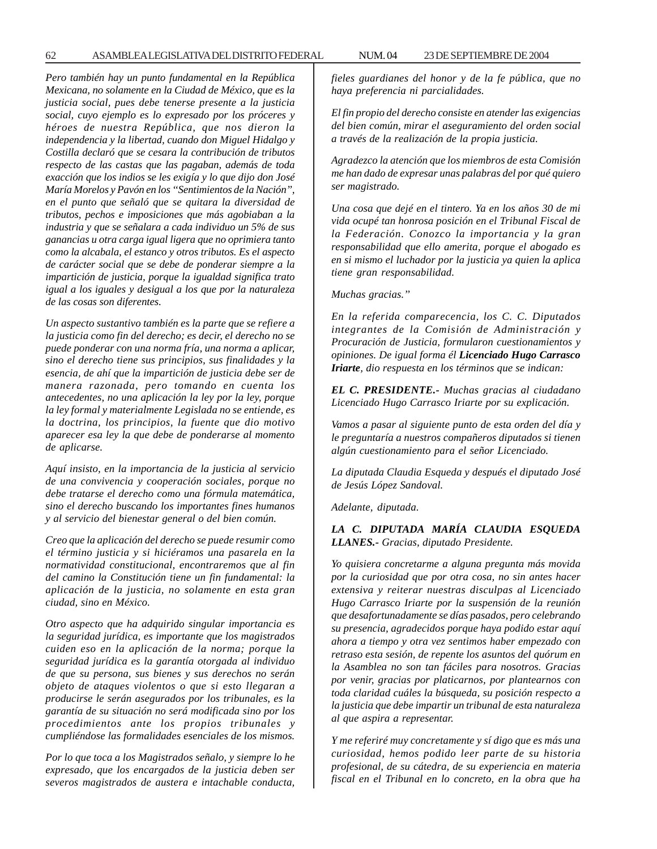62 ASAMBLEA LEGISLATIVA DEL DISTRITO FEDERAL NUM. 04 23 DE SEPTIEMBRE DE 2004

*Pero también hay un punto fundamental en la República Mexicana, no solamente en la Ciudad de México, que es la justicia social, pues debe tenerse presente a la justicia social, cuyo ejemplo es lo expresado por los próceres y héroes de nuestra República, que nos dieron la independencia y la libertad, cuando don Miguel Hidalgo y Costilla declaró que se cesara la contribución de tributos respecto de las castas que las pagaban, además de toda exacción que los indios se les exigía y lo que dijo don José María Morelos y Pavón en los ''Sentimientos de la Nación'', en el punto que señaló que se quitara la diversidad de tributos, pechos e imposiciones que más agobiaban a la industria y que se señalara a cada individuo un 5% de sus ganancias u otra carga igual ligera que no oprimiera tanto como la alcabala, el estanco y otros tributos. Es el aspecto de carácter social que se debe de ponderar siempre a la impartición de justicia, porque la igualdad significa trato igual a los iguales y desigual a los que por la naturaleza de las cosas son diferentes.*

*Un aspecto sustantivo también es la parte que se refiere a la justicia como fin del derecho; es decir, el derecho no se puede ponderar con una norma fría, una norma a aplicar, sino el derecho tiene sus principios, sus finalidades y la esencia, de ahí que la impartición de justicia debe ser de manera razonada, pero tomando en cuenta los antecedentes, no una aplicación la ley por la ley, porque la ley formal y materialmente Legislada no se entiende, es la doctrina, los principios, la fuente que dio motivo aparecer esa ley la que debe de ponderarse al momento de aplicarse.*

*Aquí insisto, en la importancia de la justicia al servicio de una convivencia y cooperación sociales, porque no debe tratarse el derecho como una fórmula matemática, sino el derecho buscando los importantes fines humanos y al servicio del bienestar general o del bien común.*

*Creo que la aplicación del derecho se puede resumir como el término justicia y si hiciéramos una pasarela en la normatividad constitucional, encontraremos que al fin del camino la Constitución tiene un fin fundamental: la aplicación de la justicia, no solamente en esta gran ciudad, sino en México.*

*Otro aspecto que ha adquirido singular importancia es la seguridad jurídica, es importante que los magistrados cuiden eso en la aplicación de la norma; porque la seguridad jurídica es la garantía otorgada al individuo de que su persona, sus bienes y sus derechos no serán objeto de ataques violentos o que si esto llegaran a producirse le serán asegurados por los tribunales, es la garantía de su situación no será modificada sino por los procedimientos ante los propios tribunales y cumpliéndose las formalidades esenciales de los mismos.*

*Por lo que toca a los Magistrados señalo, y siempre lo he expresado, que los encargados de la justicia deben ser severos magistrados de austera e intachable conducta,*

*fieles guardianes del honor y de la fe pública, que no haya preferencia ni parcialidades.*

*El fin propio del derecho consiste en atender las exigencias del bien común, mirar el aseguramiento del orden social a través de la realización de la propia justicia.*

*Agradezco la atención que los miembros de esta Comisión me han dado de expresar unas palabras del por qué quiero ser magistrado.*

*Una cosa que dejé en el tintero. Ya en los años 30 de mi vida ocupé tan honrosa posición en el Tribunal Fiscal de la Federación. Conozco la importancia y la gran responsabilidad que ello amerita, porque el abogado es en si mismo el luchador por la justicia ya quien la aplica tiene gran responsabilidad.*

*Muchas gracias.''*

*En la referida comparecencia, los C. C. Diputados integrantes de la Comisión de Administración y Procuración de Justicia, formularon cuestionamientos y opiniones. De igual forma él Licenciado Hugo Carrasco Iriarte, dio respuesta en los términos que se indican:*

*EL C. PRESIDENTE.- Muchas gracias al ciudadano Licenciado Hugo Carrasco Iriarte por su explicación.*

*Vamos a pasar al siguiente punto de esta orden del día y le preguntaría a nuestros compañeros diputados si tienen algún cuestionamiento para el señor Licenciado.*

*La diputada Claudia Esqueda y después el diputado José de Jesús López Sandoval.*

*Adelante, diputada.*

*LA C. DIPUTADA MARÍA CLAUDIA ESQUEDA LLANES.- Gracias, diputado Presidente.*

*Yo quisiera concretarme a alguna pregunta más movida por la curiosidad que por otra cosa, no sin antes hacer extensiva y reiterar nuestras disculpas al Licenciado Hugo Carrasco Iriarte por la suspensión de la reunión que desafortunadamente se días pasados, pero celebrando su presencia, agradecidos porque haya podido estar aquí ahora a tiempo y otra vez sentimos haber empezado con retraso esta sesión, de repente los asuntos del quórum en la Asamblea no son tan fáciles para nosotros. Gracias por venir, gracias por platicarnos, por plantearnos con toda claridad cuáles la búsqueda, su posición respecto a la justicia que debe impartir un tribunal de esta naturaleza al que aspira a representar.*

*Y me referiré muy concretamente y sí digo que es más una curiosidad, hemos podido leer parte de su historia profesional, de su cátedra, de su experiencia en materia fiscal en el Tribunal en lo concreto, en la obra que ha*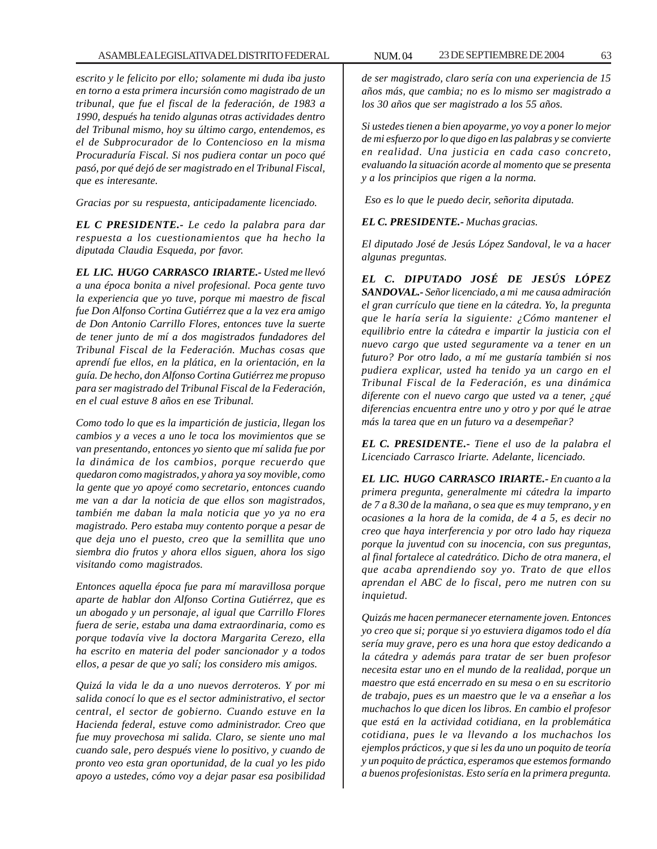*escrito y le felicito por ello; solamente mi duda iba justo en torno a esta primera incursión como magistrado de un tribunal, que fue el fiscal de la federación, de 1983 a 1990, después ha tenido algunas otras actividades dentro del Tribunal mismo, hoy su último cargo, entendemos, es el de Subprocurador de lo Contencioso en la misma Procuraduría Fiscal. Si nos pudiera contar un poco qué pasó, por qué dejó de ser magistrado en el Tribunal Fiscal, que es interesante.*

*Gracias por su respuesta, anticipadamente licenciado.*

*EL C PRESIDENTE.- Le cedo la palabra para dar respuesta a los cuestionamientos que ha hecho la diputada Claudia Esqueda, por favor.*

*EL LIC. HUGO CARRASCO IRIARTE.- Usted me llevó a una época bonita a nivel profesional. Poca gente tuvo la experiencia que yo tuve, porque mi maestro de fiscal fue Don Alfonso Cortina Gutiérrez que a la vez era amigo de Don Antonio Carrillo Flores, entonces tuve la suerte de tener junto de mí a dos magistrados fundadores del Tribunal Fiscal de la Federación. Muchas cosas que aprendí fue ellos, en la plática, en la orientación, en la guía. De hecho, don Alfonso Cortina Gutiérrez me propuso para ser magistrado del Tribunal Fiscal de la Federación, en el cual estuve 8 años en ese Tribunal.*

*Como todo lo que es la impartición de justicia, llegan los cambios y a veces a uno le toca los movimientos que se van presentando, entonces yo siento que mí salida fue por la dinámica de los cambios, porque recuerdo que quedaron como magistrados, y ahora ya soy movible, como la gente que yo apoyé como secretario, entonces cuando me van a dar la noticia de que ellos son magistrados, también me daban la mala noticia que yo ya no era magistrado. Pero estaba muy contento porque a pesar de que deja uno el puesto, creo que la semillita que uno siembra dio frutos y ahora ellos siguen, ahora los sigo visitando como magistrados.*

*Entonces aquella época fue para mí maravillosa porque aparte de hablar don Alfonso Cortina Gutiérrez, que es un abogado y un personaje, al igual que Carrillo Flores fuera de serie, estaba una dama extraordinaria, como es porque todavía vive la doctora Margarita Cerezo, ella ha escrito en materia del poder sancionador y a todos ellos, a pesar de que yo salí; los considero mis amigos.*

*Quizá la vida le da a uno nuevos derroteros. Y por mi salida conocí lo que es el sector administrativo, el sector central, el sector de gobierno. Cuando estuve en la Hacienda federal, estuve como administrador. Creo que fue muy provechosa mi salida. Claro, se siente uno mal cuando sale, pero después viene lo positivo, y cuando de pronto veo esta gran oportunidad, de la cual yo les pido apoyo a ustedes, cómo voy a dejar pasar esa posibilidad* *de ser magistrado, claro sería con una experiencia de 15 años más, que cambia; no es lo mismo ser magistrado a los 30 años que ser magistrado a los 55 años.*

*Si ustedes tienen a bien apoyarme, yo voy a poner lo mejor de mi esfuerzo por lo que digo en las palabras y se convierte en realidad. Una justicia en cada caso concreto, evaluando la situación acorde al momento que se presenta y a los principios que rigen a la norma.*

 *Eso es lo que le puedo decir, señorita diputada.*

*EL C. PRESIDENTE.- Muchas gracias.*

*El diputado José de Jesús López Sandoval, le va a hacer algunas preguntas.*

*EL C. DIPUTADO JOSÉ DE JESÚS LÓPEZ SANDOVAL.- Señor licenciado, a mi me causa admiración el gran currículo que tiene en la cátedra. Yo, la pregunta que le haría sería la siguiente: ¿Cómo mantener el equilibrio entre la cátedra e impartir la justicia con el nuevo cargo que usted seguramente va a tener en un futuro? Por otro lado, a mí me gustaría también si nos pudiera explicar, usted ha tenido ya un cargo en el Tribunal Fiscal de la Federación, es una dinámica diferente con el nuevo cargo que usted va a tener, ¿qué diferencias encuentra entre uno y otro y por qué le atrae más la tarea que en un futuro va a desempeñar?*

*EL C. PRESIDENTE.- Tiene el uso de la palabra el Licenciado Carrasco Iriarte. Adelante, licenciado.*

*EL LIC. HUGO CARRASCO IRIARTE.- En cuanto a la primera pregunta, generalmente mi cátedra la imparto de 7 a 8.30 de la mañana, o sea que es muy temprano, y en ocasiones a la hora de la comida, de 4 a 5, es decir no creo que haya interferencia y por otro lado hay riqueza porque la juventud con su inocencia, con sus preguntas, al final fortalece al catedrático. Dicho de otra manera, el que acaba aprendiendo soy yo. Trato de que ellos aprendan el ABC de lo fiscal, pero me nutren con su inquietud.*

*Quizás me hacen permanecer eternamente joven. Entonces yo creo que si; porque si yo estuviera digamos todo el día sería muy grave, pero es una hora que estoy dedicando a la cátedra y además para tratar de ser buen profesor necesita estar uno en el mundo de la realidad, porque un maestro que está encerrado en su mesa o en su escritorio de trabajo, pues es un maestro que le va a enseñar a los muchachos lo que dicen los libros. En cambio el profesor que está en la actividad cotidiana, en la problemática cotidiana, pues le va llevando a los muchachos los ejemplos prácticos, y que si les da uno un poquito de teoría y un poquito de práctica, esperamos que estemos formando a buenos profesionistas. Esto sería en la primera pregunta.*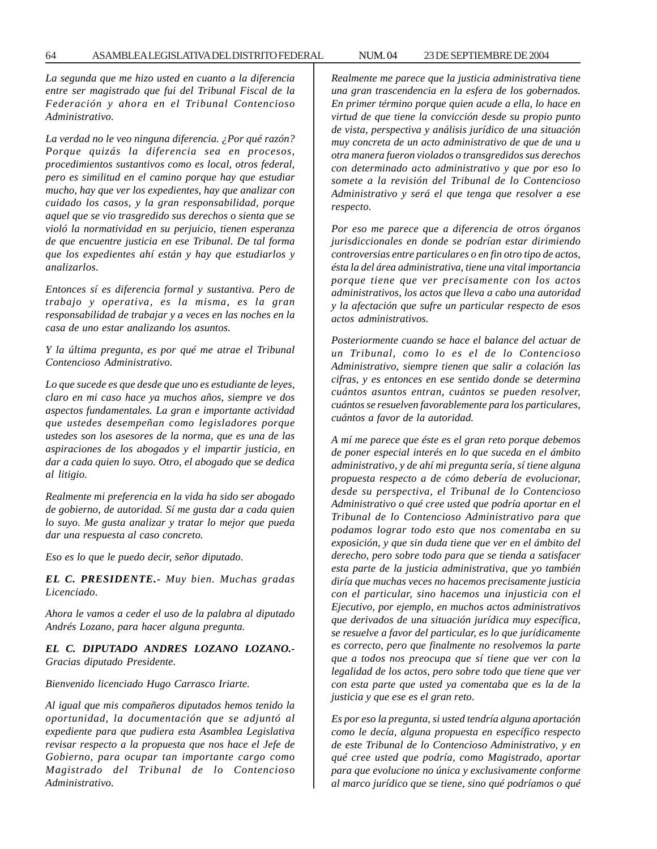*La segunda que me hizo usted en cuanto a la diferencia entre ser magistrado que fui del Tribunal Fiscal de la Federación y ahora en el Tribunal Contencioso Administrativo.*

*La verdad no le veo ninguna diferencia. ¿Por qué razón? Porque quizás la diferencia sea en procesos, procedimientos sustantivos como es local, otros federal, pero es similitud en el camino porque hay que estudiar mucho, hay que ver los expedientes, hay que analizar con cuidado los casos, y la gran responsabilidad, porque aquel que se vio trasgredido sus derechos o sienta que se violó la normatividad en su perjuicio, tienen esperanza de que encuentre justicia en ese Tribunal. De tal forma que los expedientes ahí están y hay que estudiarlos y analizarlos.*

*Entonces sí es diferencia formal y sustantiva. Pero de trabajo y operativa, es la misma, es la gran responsabilidad de trabajar y a veces en las noches en la casa de uno estar analizando los asuntos.*

*Y la última pregunta, es por qué me atrae el Tribunal Contencioso Administrativo.*

*Lo que sucede es que desde que uno es estudiante de leyes, claro en mi caso hace ya muchos años, siempre ve dos aspectos fundamentales. La gran e importante actividad que ustedes desempeñan como legisladores porque ustedes son los asesores de la norma, que es una de las aspiraciones de los abogados y el impartir justicia, en dar a cada quien lo suyo. Otro, el abogado que se dedica al litigio.*

*Realmente mi preferencia en la vida ha sido ser abogado de gobierno, de autoridad. Sí me gusta dar a cada quien lo suyo. Me gusta analizar y tratar lo mejor que pueda dar una respuesta al caso concreto.*

*Eso es lo que le puedo decir, señor diputado.*

*EL C. PRESIDENTE.- Muy bien. Muchas gradas Licenciado.*

*Ahora le vamos a ceder el uso de la palabra al diputado Andrés Lozano, para hacer alguna pregunta.*

*EL C. DIPUTADO ANDRES LOZANO LOZANO.- Gracias diputado Presidente.*

*Bienvenido licenciado Hugo Carrasco Iriarte.*

*Al igual que mis compañeros diputados hemos tenido la oportunidad, la documentación que se adjuntó al expediente para que pudiera esta Asamblea Legislativa revisar respecto a la propuesta que nos hace el Jefe de Gobierno, para ocupar tan importante cargo como Magistrado del Tribunal de lo Contencioso Administrativo.*

*Realmente me parece que la justicia administrativa tiene una gran trascendencia en la esfera de los gobernados. En primer término porque quien acude a ella, lo hace en virtud de que tiene la convicción desde su propio punto de vista, perspectiva y análisis jurídico de una situación muy concreta de un acto administrativo de que de una u otra manera fueron violados o transgredidos sus derechos con determinado acto administrativo y que por eso lo somete a la revisión del Tribunal de lo Contencioso Administrativo y será el que tenga que resolver a ese respecto.*

*Por eso me parece que a diferencia de otros órganos jurisdiccionales en donde se podrían estar dirimiendo controversias entre particulares o en fin otro tipo de actos, ésta la del área administrativa, tiene una vital importancia porque tiene que ver precisamente con los actos administrativos, los actos que lleva a cabo una autoridad y la afectación que sufre un particular respecto de esos actos administrativos.*

*Posteriormente cuando se hace el balance del actuar de un Tribunal, como lo es el de lo Contencioso Administrativo, siempre tienen que salir a colación las cifras, y es entonces en ese sentido donde se determina cuántos asuntos entran, cuántos se pueden resolver, cuántos se resuelven favorablemente para los particulares, cuántos a favor de la autoridad.*

*A mí me parece que éste es el gran reto porque debemos de poner especial interés en lo que suceda en el ámbito administrativo, y de ahí mi pregunta sería, sí tiene alguna propuesta respecto a de cómo debería de evolucionar, desde su perspectiva, el Tribunal de lo Contencioso Administrativo o qué cree usted que podría aportar en el Tribunal de lo Contencioso Administrativo para que podamos lograr todo esto que nos comentaba en su exposición, y que sin duda tiene que ver en el ámbito del derecho, pero sobre todo para que se tienda a satisfacer esta parte de la justicia administrativa, que yo también diría que muchas veces no hacemos precisamente justicia con el particular, sino hacemos una injusticia con el Ejecutivo, por ejemplo, en muchos actos administrativos que derivados de una situación jurídica muy específica, se resuelve a favor del particular, es lo que jurídicamente es correcto, pero que finalmente no resolvemos la parte que a todos nos preocupa que sí tiene que ver con la legalidad de los actos, pero sobre todo que tiene que ver con esta parte que usted ya comentaba que es la de la justicia y que ese es el gran reto.*

*Es por eso la pregunta, si usted tendría alguna aportación como le decía, alguna propuesta en específico respecto de este Tribunal de lo Contencioso Administrativo, y en qué cree usted que podría, como Magistrado, aportar para que evolucione no única y exclusivamente conforme al marco jurídico que se tiene, sino qué podríamos o qué*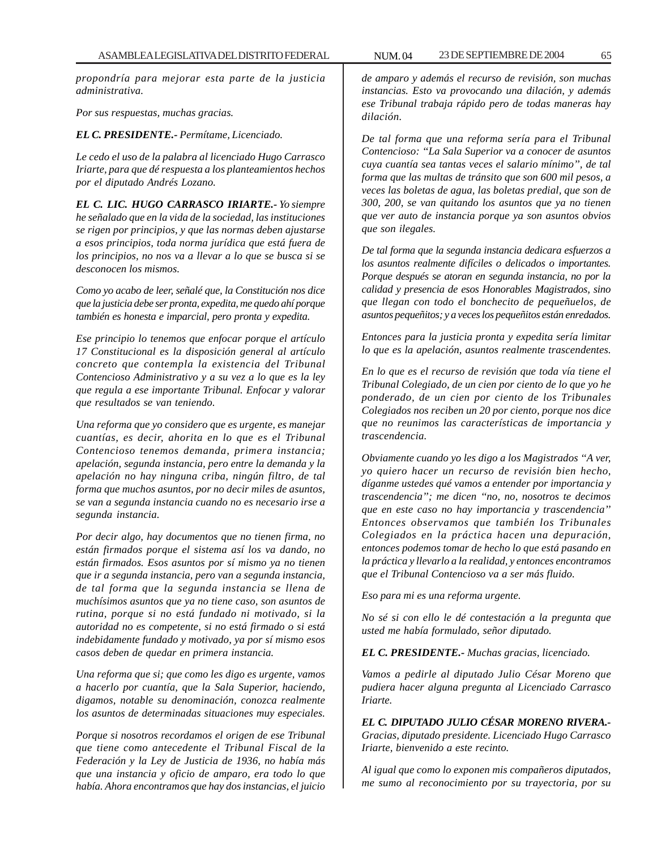*propondría para mejorar esta parte de la justicia administrativa.*

*Por sus respuestas, muchas gracias.*

### *EL C. PRESIDENTE.- Permítame, Licenciado.*

*Le cedo el uso de la palabra al licenciado Hugo Carrasco Iriarte, para que dé respuesta a los planteamientos hechos por el diputado Andrés Lozano.*

*EL C. LIC. HUGO CARRASCO IRIARTE.- Yo siempre he señalado que en la vida de la sociedad, las instituciones se rigen por principios, y que las normas deben ajustarse a esos principios, toda norma jurídica que está fuera de los principios, no nos va a llevar a lo que se busca si se desconocen los mismos.*

*Como yo acabo de leer, señalé que, la Constitución nos dice que la justicia debe ser pronta, expedita, me quedo ahí porque también es honesta e imparcial, pero pronta y expedita.*

*Ese principio lo tenemos que enfocar porque el artículo 17 Constitucional es la disposición general al artículo concreto que contempla la existencia del Tribunal Contencioso Administrativo y a su vez a lo que es la ley que regula a ese importante Tribunal. Enfocar y valorar que resultados se van teniendo.*

*Una reforma que yo considero que es urgente, es manejar cuantías, es decir, ahorita en lo que es el Tribunal Contencioso tenemos demanda, primera instancia; apelación, segunda instancia, pero entre la demanda y la apelación no hay ninguna criba, ningún filtro, de tal forma que muchos asuntos, por no decir miles de asuntos, se van a segunda instancia cuando no es necesario irse a segunda instancia.*

*Por decir algo, hay documentos que no tienen firma, no están firmados porque el sistema así los va dando, no están firmados. Esos asuntos por sí mismo ya no tienen que ir a segunda instancia, pero van a segunda instancia, de tal forma que la segunda instancia se llena de muchísimos asuntos que ya no tiene caso, son asuntos de rutina, porque si no está fundado ni motivado, si la autoridad no es competente, si no está firmado o si está indebidamente fundado y motivado, ya por sí mismo esos casos deben de quedar en primera instancia.*

*Una reforma que si; que como les digo es urgente, vamos a hacerlo por cuantía, que la Sala Superior, haciendo, digamos, notable su denominación, conozca realmente los asuntos de determinadas situaciones muy especiales.*

*Porque si nosotros recordamos el origen de ese Tribunal que tiene como antecedente el Tribunal Fiscal de la Federación y la Ley de Justicia de 1936, no había más que una instancia y oficio de amparo, era todo lo que había. Ahora encontramos que hay dos instancias, el juicio*

*de amparo y además el recurso de revisión, son muchas instancias. Esto va provocando una dilación, y además ese Tribunal trabaja rápido pero de todas maneras hay dilación.*

*De tal forma que una reforma sería para el Tribunal Contencioso: ''La Sala Superior va a conocer de asuntos cuya cuantía sea tantas veces el salario mínimo'', de tal forma que las multas de tránsito que son 600 mil pesos, a veces las boletas de agua, las boletas predial, que son de 300, 200, se van quitando los asuntos que ya no tienen que ver auto de instancia porque ya son asuntos obvios que son ilegales.*

*De tal forma que la segunda instancia dedicara esfuerzos a los asuntos realmente difíciles o delicados o importantes. Porque después se atoran en segunda instancia, no por la calidad y presencia de esos Honorables Magistrados, sino que llegan con todo el bonchecito de pequeñuelos, de asuntos pequeñitos; y a veces los pequeñitos están enredados.*

*Entonces para la justicia pronta y expedita sería limitar lo que es la apelación, asuntos realmente trascendentes.*

*En lo que es el recurso de revisión que toda vía tiene el Tribunal Colegiado, de un cien por ciento de lo que yo he ponderado, de un cien por ciento de los Tribunales Colegiados nos reciben un 20 por ciento, porque nos dice que no reunimos las características de importancia y trascendencia.*

*Obviamente cuando yo les digo a los Magistrados ''A ver, yo quiero hacer un recurso de revisión bien hecho, díganme ustedes qué vamos a entender por importancia y trascendencia''; me dicen ''no, no, nosotros te decimos que en este caso no hay importancia y trascendencia'' Entonces observamos que también los Tribunales Colegiados en la práctica hacen una depuración, entonces podemos tomar de hecho lo que está pasando en la práctica y llevarlo a la realidad, y entonces encontramos que el Tribunal Contencioso va a ser más fluido.*

*Eso para mi es una reforma urgente.*

*No sé si con ello le dé contestación a la pregunta que usted me había formulado, señor diputado.*

*EL C. PRESIDENTE.- Muchas gracias, licenciado.*

*Vamos a pedirle al diputado Julio César Moreno que pudiera hacer alguna pregunta al Licenciado Carrasco Iriarte.*

*EL C. DIPUTADO JULIO CÉSAR MORENO RIVERA.- Gracias, diputado presidente. Licenciado Hugo Carrasco Iriarte, bienvenido a este recinto.*

*Al igual que como lo exponen mis compañeros diputados, me sumo al reconocimiento por su trayectoria, por su*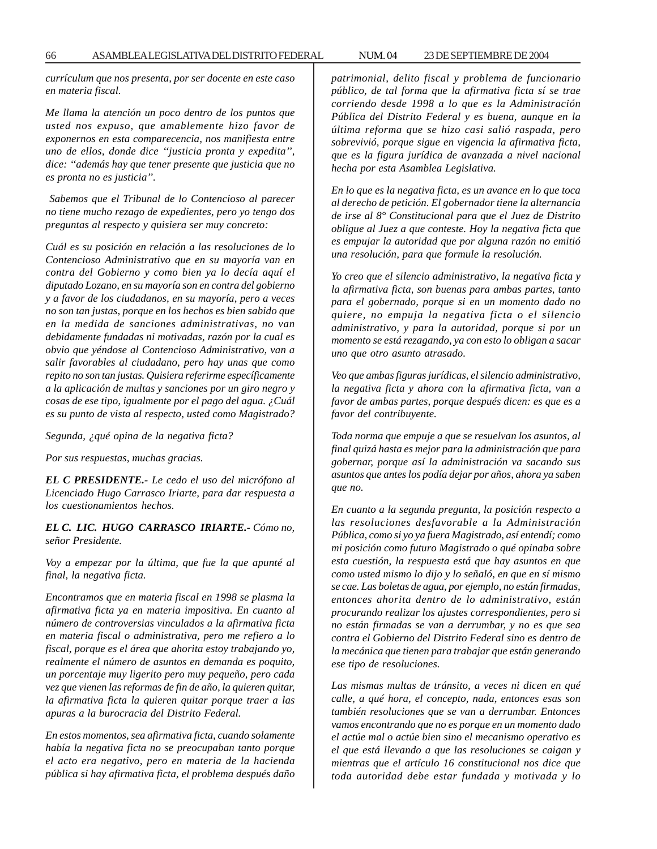*currículum que nos presenta, por ser docente en este caso en materia fiscal.*

*Me llama la atención un poco dentro de los puntos que usted nos expuso, que amablemente hizo favor de exponernos en esta comparecencia, nos manifiesta entre uno de ellos, donde dice ''justicia pronta y expedita'', dice: ''además hay que tener presente que justicia que no es pronta no es justicia''.*

 *Sabemos que el Tribunal de lo Contencioso al parecer no tiene mucho rezago de expedientes, pero yo tengo dos preguntas al respecto y quisiera ser muy concreto:*

*Cuál es su posición en relación a las resoluciones de lo Contencioso Administrativo que en su mayoría van en contra del Gobierno y como bien ya lo decía aquí el diputado Lozano, en su mayoría son en contra del gobierno y a favor de los ciudadanos, en su mayoría, pero a veces no son tan justas, porque en los hechos es bien sabido que en la medida de sanciones administrativas, no van debidamente fundadas ni motivadas, razón por la cual es obvio que yéndose al Contencioso Administrativo, van a salir favorables al ciudadano, pero hay unas que como repito no son tan justas. Quisiera referirme específicamente a la aplicación de multas y sanciones por un giro negro y cosas de ese tipo, igualmente por el pago del agua. ¿Cuál es su punto de vista al respecto, usted como Magistrado?*

*Segunda, ¿qué opina de la negativa ficta?*

*Por sus respuestas, muchas gracias.*

*EL C PRESIDENTE.- Le cedo el uso del micrófono al Licenciado Hugo Carrasco Iriarte, para dar respuesta a los cuestionamientos hechos.*

*EL C. LIC. HUGO CARRASCO IRIARTE.- Cómo no, señor Presidente.*

*Voy a empezar por la última, que fue la que apunté al final, la negativa ficta.*

*Encontramos que en materia fiscal en 1998 se plasma la afirmativa ficta ya en materia impositiva. En cuanto al número de controversias vinculados a la afirmativa ficta en materia fiscal o administrativa, pero me refiero a lo fiscal, porque es el área que ahorita estoy trabajando yo, realmente el número de asuntos en demanda es poquito, un porcentaje muy ligerito pero muy pequeño, pero cada vez que vienen las reformas de fin de año, la quieren quitar, la afirmativa ficta la quieren quitar porque traer a las apuras a la burocracia del Distrito Federal.*

*En estos momentos, sea afirmativa ficta, cuando solamente había la negativa ficta no se preocupaban tanto porque el acto era negativo, pero en materia de la hacienda pública si hay afirmativa ficta, el problema después daño* *patrimonial, delito fiscal y problema de funcionario público, de tal forma que la afirmativa ficta sí se trae corriendo desde 1998 a lo que es la Administración Pública del Distrito Federal y es buena, aunque en la última reforma que se hizo casi salió raspada, pero sobrevivió, porque sigue en vigencia la afirmativa ficta, que es la figura jurídica de avanzada a nivel nacional hecha por esta Asamblea Legislativa.*

*En lo que es la negativa ficta, es un avance en lo que toca al derecho de petición. El gobernador tiene la alternancia de irse al 8° Constitucional para que el Juez de Distrito obligue al Juez a que conteste. Hoy la negativa ficta que es empujar la autoridad que por alguna razón no emitió una resolución, para que formule la resolución.*

*Yo creo que el silencio administrativo, la negativa ficta y la afirmativa ficta, son buenas para ambas partes, tanto para el gobernado, porque si en un momento dado no quiere, no empuja la negativa ficta o el silencio administrativo, y para la autoridad, porque si por un momento se está rezagando, ya con esto lo obligan a sacar uno que otro asunto atrasado.*

*Veo que ambas figuras jurídicas, el silencio administrativo, la negativa ficta y ahora con la afirmativa ficta, van a favor de ambas partes, porque después dicen: es que es a favor del contribuyente.*

*Toda norma que empuje a que se resuelvan los asuntos, al final quizá hasta es mejor para la administración que para gobernar, porque así la administración va sacando sus asuntos que antes los podía dejar por años, ahora ya saben que no.*

*En cuanto a la segunda pregunta, la posición respecto a las resoluciones desfavorable a la Administración Pública, como si yo ya fuera Magistrado, así entendí; como mi posición como futuro Magistrado o qué opinaba sobre esta cuestión, la respuesta está que hay asuntos en que como usted mismo lo dijo y lo señaló, en que en sí mismo se cae. Las boletas de agua, por ejemplo, no están firmadas, entonces ahorita dentro de lo administrativo, están procurando realizar los ajustes correspondientes, pero si no están firmadas se van a derrumbar, y no es que sea contra el Gobierno del Distrito Federal sino es dentro de la mecánica que tienen para trabajar que están generando ese tipo de resoluciones.*

*Las mismas multas de tránsito, a veces ni dicen en qué calle, a qué hora, el concepto, nada, entonces esas son también resoluciones que se van a derrumbar. Entonces vamos encontrando que no es porque en un momento dado el actúe mal o actúe bien sino el mecanismo operativo es el que está llevando a que las resoluciones se caigan y mientras que el artículo 16 constitucional nos dice que toda autoridad debe estar fundada y motivada y lo*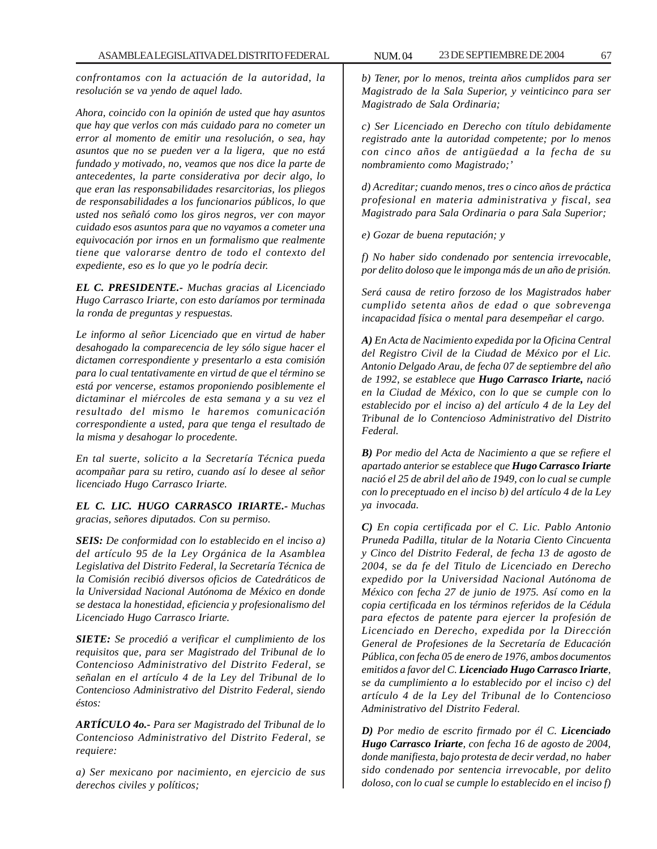*confrontamos con la actuación de la autoridad, la resolución se va yendo de aquel lado.*

*Ahora, coincido con la opinión de usted que hay asuntos que hay que verlos con más cuidado para no cometer un error al momento de emitir una resolución, o sea, hay asuntos que no se pueden ver a la ligera, que no está fundado y motivado, no, veamos que nos dice la parte de antecedentes, la parte considerativa por decir algo, lo que eran las responsabilidades resarcitorias, los pliegos de responsabilidades a los funcionarios públicos, lo que usted nos señaló como los giros negros, ver con mayor cuidado esos asuntos para que no vayamos a cometer una equivocación por irnos en un formalismo que realmente tiene que valorarse dentro de todo el contexto del expediente, eso es lo que yo le podría decir.*

*EL C. PRESIDENTE.- Muchas gracias al Licenciado Hugo Carrasco Iriarte, con esto daríamos por terminada la ronda de preguntas y respuestas.*

*Le informo al señor Licenciado que en virtud de haber desahogado la comparecencia de ley sólo sigue hacer el dictamen correspondiente y presentarlo a esta comisión para lo cual tentativamente en virtud de que el término se está por vencerse, estamos proponiendo posiblemente el dictaminar el miércoles de esta semana y a su vez el resultado del mismo le haremos comunicación correspondiente a usted, para que tenga el resultado de la misma y desahogar lo procedente.*

*En tal suerte, solicito a la Secretaría Técnica pueda acompañar para su retiro, cuando así lo desee al señor licenciado Hugo Carrasco Iriarte.*

*EL C. LIC. HUGO CARRASCO IRIARTE.- Muchas gracias, señores diputados. Con su permiso.*

*SEIS: De conformidad con lo establecido en el inciso a) del artículo 95 de la Ley Orgánica de la Asamblea Legislativa del Distrito Federal, la Secretaría Técnica de la Comisión recibió diversos oficios de Catedráticos de la Universidad Nacional Autónoma de México en donde se destaca la honestidad, eficiencia y profesionalismo del Licenciado Hugo Carrasco Iriarte.*

*SIETE: Se procedió a verificar el cumplimiento de los requisitos que, para ser Magistrado del Tribunal de lo Contencioso Administrativo del Distrito Federal, se señalan en el artículo 4 de la Ley del Tribunal de lo Contencioso Administrativo del Distrito Federal, siendo éstos:*

*ARTÍCULO 4o.- Para ser Magistrado del Tribunal de lo Contencioso Administrativo del Distrito Federal, se requiere:*

*a) Ser mexicano por nacimiento, en ejercicio de sus derechos civiles y políticos;*

*b) Tener, por lo menos, treinta años cumplidos para ser Magistrado de la Sala Superior, y veinticinco para ser Magistrado de Sala Ordinaria;*

*c) Ser Licenciado en Derecho con título debidamente registrado ante la autoridad competente; por lo menos con cinco años de antigüedad a la fecha de su nombramiento como Magistrado;'*

*d) Acreditar; cuando menos, tres o cinco años de práctica profesional en materia administrativa y fiscal, sea Magistrado para Sala Ordinaria o para Sala Superior;*

*e) Gozar de buena reputación; y*

*f) No haber sido condenado por sentencia irrevocable, por delito doloso que le imponga más de un año de prisión.*

*Será causa de retiro forzoso de los Magistrados haber cumplido setenta años de edad o que sobrevenga incapacidad física o mental para desempeñar el cargo.*

*A) En Acta de Nacimiento expedida por la Oficina Central del Registro Civil de la Ciudad de México por el Lic. Antonio Delgado Arau, de fecha 07 de septiembre del año de 1992, se establece que Hugo Carrasco Iriarte, nació en la Ciudad de México, con lo que se cumple con lo establecido por el inciso a) del artículo 4 de la Ley del Tribunal de lo Contencioso Administrativo del Distrito Federal.*

*B) Por medio del Acta de Nacimiento a que se refiere el apartado anterior se establece que Hugo Carrasco Iriarte nació el 25 de abril del año de 1949, con lo cual se cumple con lo preceptuado en el inciso b) del artículo 4 de la Ley ya invocada.*

*C) En copia certificada por el C. Lic. Pablo Antonio Pruneda Padilla, titular de la Notaria Ciento Cincuenta y Cinco del Distrito Federal, de fecha 13 de agosto de 2004, se da fe del Titulo de Licenciado en Derecho expedido por la Universidad Nacional Autónoma de México con fecha 27 de junio de 1975. Así como en la copia certificada en los términos referidos de la Cédula para efectos de patente para ejercer la profesión de Licenciado en Derecho, expedida por la Dirección General de Profesiones de la Secretaría de Educación Pública, con fecha 05 de enero de 1976, ambos documentos emitidos a favor del C. Licenciado Hugo Carrasco Iriarte, se da cumplimiento a lo establecido por el inciso c) del artículo 4 de la Ley del Tribunal de lo Contencioso Administrativo del Distrito Federal.*

*D) Por medio de escrito firmado por él C. Licenciado Hugo Carrasco Iriarte, con fecha 16 de agosto de 2004, donde manifiesta, bajo protesta de decir verdad, no haber sido condenado por sentencia irrevocable, por delito doloso, con lo cual se cumple lo establecido en el inciso f)*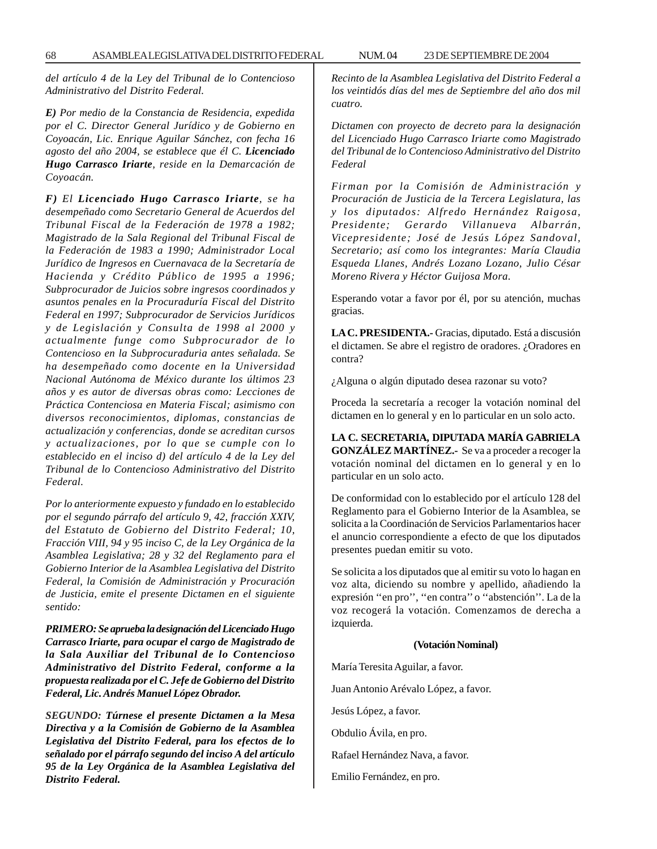*del artículo 4 de la Ley del Tribunal de lo Contencioso Administrativo del Distrito Federal.*

*E) Por medio de la Constancia de Residencia, expedida por el C. Director General Jurídico y de Gobierno en Coyoacán, Lic. Enrique Aguilar Sánchez, con fecha 16 agosto del año 2004, se establece que él C. Licenciado Hugo Carrasco Iriarte, reside en la Demarcación de Coyoacán.*

*F) El Licenciado Hugo Carrasco Iriarte, se ha desempeñado como Secretario General de Acuerdos del Tribunal Fiscal de la Federación de 1978 a 1982; Magistrado de la Sala Regional del Tribunal Fiscal de la Federación de 1983 a 1990; Administrador Local Jurídico de Ingresos en Cuernavaca de la Secretaría de Hacienda y Crédito Público de 1995 a 1996; Subprocurador de Juicios sobre ingresos coordinados y asuntos penales en la Procuraduría Fiscal del Distrito Federal en 1997; Subprocurador de Servicios Jurídicos y de Legislación y Consulta de 1998 al 2000 y actualmente funge como Subprocurador de lo Contencioso en la Subprocuraduria antes señalada. Se ha desempeñado como docente en la Universidad Nacional Autónoma de México durante los últimos 23 años y es autor de diversas obras como: Lecciones de Práctica Contenciosa en Materia Fiscal; asimismo con diversos reconocimientos, diplomas, constancias de actualización y conferencias, donde se acreditan cursos y actualizaciones, por lo que se cumple con lo establecido en el inciso d) del artículo 4 de la Ley del Tribunal de lo Contencioso Administrativo del Distrito Federal.*

*Por lo anteriormente expuesto y fundado en lo establecido por el segundo párrafo del artículo 9, 42, fracción XXIV, del Estatuto de Gobierno del Distrito Federal; 10, Fracción VIII, 94 y 95 inciso C, de la Ley Orgánica de la Asamblea Legislativa; 28 y 32 del Reglamento para el Gobierno Interior de la Asamblea Legislativa del Distrito Federal, la Comisión de Administración y Procuración de Justicia, emite el presente Dictamen en el siguiente sentido:*

*PRIMERO: Se aprueba la designación del Licenciado Hugo Carrasco Iriarte, para ocupar el cargo de Magistrado de la Sala Auxiliar del Tribunal de lo Contencioso Administrativo del Distrito Federal, conforme a la propuesta realizada por el C. Jefe de Gobierno del Distrito Federal, Lic. Andrés Manuel López Obrador.*

*SEGUNDO: Túrnese el presente Dictamen a la Mesa Directiva y a la Comisión de Gobierno de la Asamblea Legislativa del Distrito Federal, para los efectos de lo señalado por el párrafo segundo del inciso A del artículo 95 de la Ley Orgánica de la Asamblea Legislativa del Distrito Federal.*

*Recinto de la Asamblea Legislativa del Distrito Federal a los veintidós días del mes de Septiembre del año dos mil cuatro.*

*Dictamen con proyecto de decreto para la designación del Licenciado Hugo Carrasco Iriarte como Magistrado del Tribunal de lo Contencioso Administrativo del Distrito Federal*

*Firman por la Comisión de Administración y Procuración de Justicia de la Tercera Legislatura, las y los diputados: Alfredo Hernández Raigosa, Presidente; Gerardo Villanueva Albarrán, Vicepresidente; José de Jesús López Sandoval, Secretario; así como los integrantes: María Claudia Esqueda Llanes, Andrés Lozano Lozano, Julio César Moreno Rivera y Héctor Guijosa Mora.*

Esperando votar a favor por él, por su atención, muchas gracias.

**LA C. PRESIDENTA.-** Gracias, diputado. Está a discusión el dictamen. Se abre el registro de oradores. ¿Oradores en contra?

¿Alguna o algún diputado desea razonar su voto?

Proceda la secretaría a recoger la votación nominal del dictamen en lo general y en lo particular en un solo acto.

**LA C. SECRETARIA, DIPUTADA MARÍA GABRIELA GONZÁLEZ MARTÍNEZ.-** Se va a proceder a recoger la votación nominal del dictamen en lo general y en lo particular en un solo acto.

De conformidad con lo establecido por el artículo 128 del Reglamento para el Gobierno Interior de la Asamblea, se solicita a la Coordinación de Servicios Parlamentarios hacer el anuncio correspondiente a efecto de que los diputados presentes puedan emitir su voto.

Se solicita a los diputados que al emitir su voto lo hagan en voz alta, diciendo su nombre y apellido, añadiendo la expresión ''en pro'', ''en contra'' o ''abstención''. La de la voz recogerá la votación. Comenzamos de derecha a izquierda.

### **(Votación Nominal)**

María Teresita Aguilar, a favor. Juan Antonio Arévalo López, a favor. Jesús López, a favor. Obdulio Ávila, en pro. Rafael Hernández Nava, a favor.

Emilio Fernández, en pro.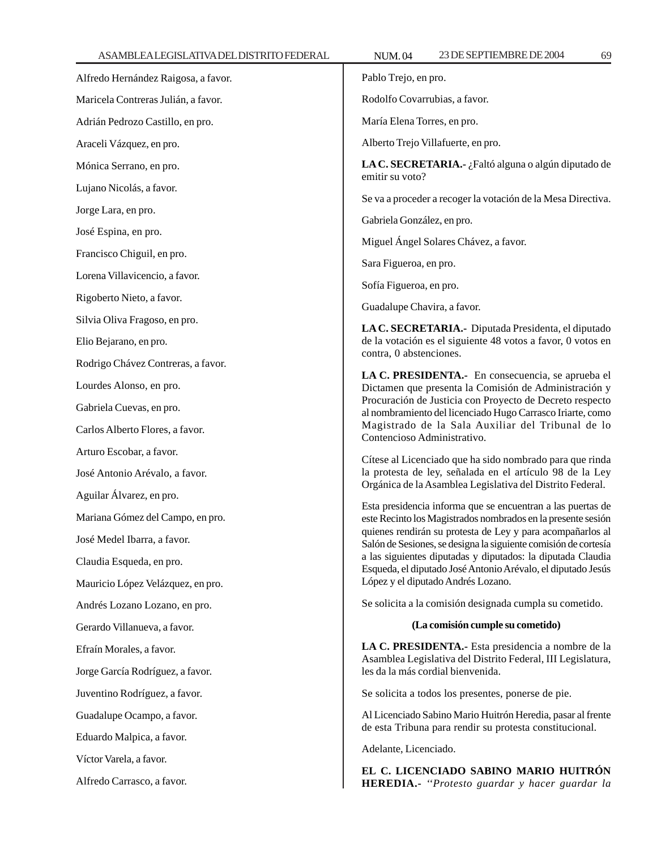| Alfredo Hernández Raigosa, a favor. | Pablo Trejo, en pro.                                                                                                                                                                                                                                                                                                                                                                                                                                                                                                                                                                                                   |
|-------------------------------------|------------------------------------------------------------------------------------------------------------------------------------------------------------------------------------------------------------------------------------------------------------------------------------------------------------------------------------------------------------------------------------------------------------------------------------------------------------------------------------------------------------------------------------------------------------------------------------------------------------------------|
| Maricela Contreras Julián, a favor. | Rodolfo Covarrubias, a favor.                                                                                                                                                                                                                                                                                                                                                                                                                                                                                                                                                                                          |
| Adrián Pedrozo Castillo, en pro.    | María Elena Torres, en pro.                                                                                                                                                                                                                                                                                                                                                                                                                                                                                                                                                                                            |
| Araceli Vázquez, en pro.            | Alberto Trejo Villafuerte, en pro.                                                                                                                                                                                                                                                                                                                                                                                                                                                                                                                                                                                     |
| Mónica Serrano, en pro.             | LA C. SECRETARIA.- ¿Faltó alguna o algún diputado de<br>emitir su voto?                                                                                                                                                                                                                                                                                                                                                                                                                                                                                                                                                |
| Lujano Nicolás, a favor.            | Se va a proceder a recoger la votación de la Mesa Directiva.                                                                                                                                                                                                                                                                                                                                                                                                                                                                                                                                                           |
| Jorge Lara, en pro.                 | Gabriela González, en pro.                                                                                                                                                                                                                                                                                                                                                                                                                                                                                                                                                                                             |
| José Espina, en pro.                | Miguel Ángel Solares Chávez, a favor.                                                                                                                                                                                                                                                                                                                                                                                                                                                                                                                                                                                  |
| Francisco Chiguil, en pro.          | Sara Figueroa, en pro.                                                                                                                                                                                                                                                                                                                                                                                                                                                                                                                                                                                                 |
| Lorena Villavicencio, a favor.      |                                                                                                                                                                                                                                                                                                                                                                                                                                                                                                                                                                                                                        |
| Rigoberto Nieto, a favor.           | Sofía Figueroa, en pro.                                                                                                                                                                                                                                                                                                                                                                                                                                                                                                                                                                                                |
| Silvia Oliva Fragoso, en pro.       | Guadalupe Chavira, a favor.                                                                                                                                                                                                                                                                                                                                                                                                                                                                                                                                                                                            |
| Elio Bejarano, en pro.              | LA C. SECRETARIA.- Diputada Presidenta, el diputado<br>de la votación es el siguiente 48 votos a favor, 0 votos en<br>contra, 0 abstenciones.                                                                                                                                                                                                                                                                                                                                                                                                                                                                          |
| Rodrigo Chávez Contreras, a favor.  |                                                                                                                                                                                                                                                                                                                                                                                                                                                                                                                                                                                                                        |
| Lourdes Alonso, en pro.             | LA C. PRESIDENTA.- En consecuencia, se aprueba el<br>Dictamen que presenta la Comisión de Administración y<br>Procuración de Justicia con Proyecto de Decreto respecto<br>al nombramiento del licenciado Hugo Carrasco Iriarte, como<br>Magistrado de la Sala Auxiliar del Tribunal de lo<br>Contencioso Administrativo.                                                                                                                                                                                                                                                                                               |
| Gabriela Cuevas, en pro.            |                                                                                                                                                                                                                                                                                                                                                                                                                                                                                                                                                                                                                        |
| Carlos Alberto Flores, a favor.     |                                                                                                                                                                                                                                                                                                                                                                                                                                                                                                                                                                                                                        |
| Arturo Escobar, a favor.            | Cítese al Licenciado que ha sido nombrado para que rinda<br>la protesta de ley, señalada en el artículo 98 de la Ley<br>Orgánica de la Asamblea Legislativa del Distrito Federal.<br>Esta presidencia informa que se encuentran a las puertas de<br>este Recinto los Magistrados nombrados en la presente sesión<br>quienes rendirán su protesta de Ley y para acompañarlos al<br>Salón de Sesiones, se designa la siguiente comisión de cortesía<br>a las siguientes diputadas y diputados: la diputada Claudia<br>Esqueda, el diputado José Antonio Arévalo, el diputado Jesús<br>López y el diputado Andrés Lozano. |
| José Antonio Arévalo, a favor.      |                                                                                                                                                                                                                                                                                                                                                                                                                                                                                                                                                                                                                        |
| Aguilar Álvarez, en pro.            |                                                                                                                                                                                                                                                                                                                                                                                                                                                                                                                                                                                                                        |
| Mariana Gómez del Campo, en pro.    |                                                                                                                                                                                                                                                                                                                                                                                                                                                                                                                                                                                                                        |
| José Medel Ibarra, a favor.         |                                                                                                                                                                                                                                                                                                                                                                                                                                                                                                                                                                                                                        |
| Claudia Esqueda, en pro.            |                                                                                                                                                                                                                                                                                                                                                                                                                                                                                                                                                                                                                        |
| Mauricio López Velázquez, en pro.   |                                                                                                                                                                                                                                                                                                                                                                                                                                                                                                                                                                                                                        |
| Andrés Lozano Lozano, en pro.       | Se solicita a la comisión designada cumpla su cometido.                                                                                                                                                                                                                                                                                                                                                                                                                                                                                                                                                                |
| Gerardo Villanueva, a favor.        | (La comisión cumple su cometido)                                                                                                                                                                                                                                                                                                                                                                                                                                                                                                                                                                                       |
| Efraín Morales, a favor.            | LA C. PRESIDENTA.- Esta presidencia a nombre de la<br>Asamblea Legislativa del Distrito Federal, III Legislatura,<br>les da la más cordial bienvenida.                                                                                                                                                                                                                                                                                                                                                                                                                                                                 |
| Jorge García Rodríguez, a favor.    |                                                                                                                                                                                                                                                                                                                                                                                                                                                                                                                                                                                                                        |
| Juventino Rodríguez, a favor.       | Se solicita a todos los presentes, ponerse de pie.                                                                                                                                                                                                                                                                                                                                                                                                                                                                                                                                                                     |
| Guadalupe Ocampo, a favor.          | Al Licenciado Sabino Mario Huitrón Heredia, pasar al frente                                                                                                                                                                                                                                                                                                                                                                                                                                                                                                                                                            |
| Eduardo Malpica, a favor.           | de esta Tribuna para rendir su protesta constitucional.                                                                                                                                                                                                                                                                                                                                                                                                                                                                                                                                                                |
| Víctor Varela, a favor.             | Adelante, Licenciado.                                                                                                                                                                                                                                                                                                                                                                                                                                                                                                                                                                                                  |
| Alfredo Carrasco, a favor.          | EL C. LICENCIADO SABINO MARIO HUITRÓN<br>HEREDIA.- "Protesto guardar y hacer guardar la                                                                                                                                                                                                                                                                                                                                                                                                                                                                                                                                |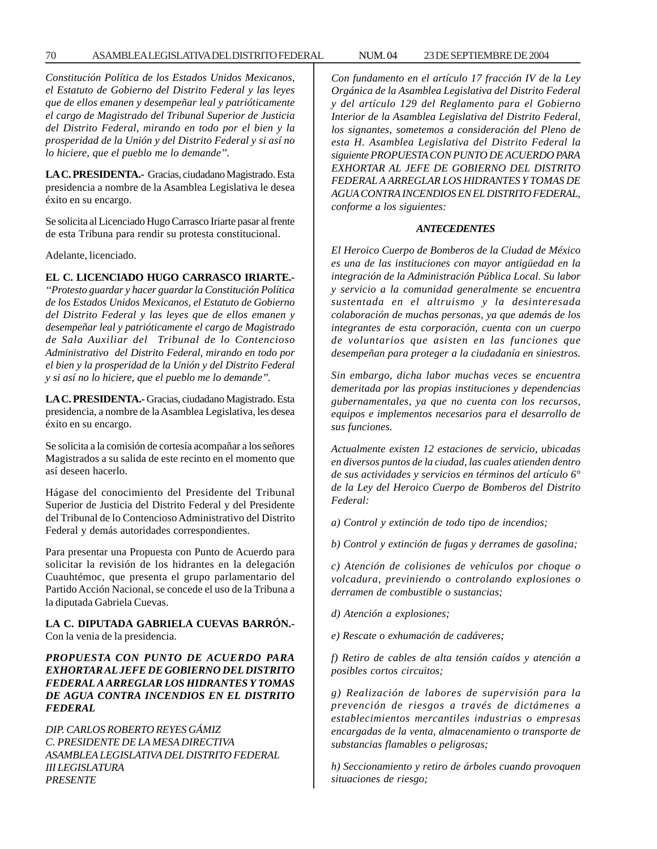*Constitución Política de los Estados Unidos Mexicanos, el Estatuto de Gobierno del Distrito Federal y las leyes que de ellos emanen y desempeñar leal y patrióticamente el cargo de Magistrado del Tribunal Superior de Justicia del Distrito Federal, mirando en todo por el bien y la prosperidad de la Unión y del Distrito Federal y si así no lo hiciere, que el pueblo me lo demande''.*

**LA C. PRESIDENTA.-** Gracias, ciudadano Magistrado. Esta presidencia a nombre de la Asamblea Legislativa le desea éxito en su encargo.

Se solicita al Licenciado Hugo Carrasco Iriarte pasar al frente de esta Tribuna para rendir su protesta constitucional.

Adelante, licenciado.

## **EL C. LICENCIADO HUGO CARRASCO IRIARTE.-**

*''Protesto guardar y hacer guardar la Constitución Política de los Estados Unidos Mexicanos, el Estatuto de Gobierno del Distrito Federal y las leyes que de ellos emanen y desempeñar leal y patrióticamente el cargo de Magistrado de Sala Auxiliar del Tribunal de lo Contencioso Administrativo del Distrito Federal, mirando en todo por el bien y la prosperidad de la Unión y del Distrito Federal y si así no lo hiciere, que el pueblo me lo demande''.*

**LA C. PRESIDENTA.-** Gracias, ciudadano Magistrado. Esta presidencia, a nombre de la Asamblea Legislativa, les desea éxito en su encargo.

Se solicita a la comisión de cortesía acompañar a los señores Magistrados a su salida de este recinto en el momento que así deseen hacerlo.

Hágase del conocimiento del Presidente del Tribunal Superior de Justicia del Distrito Federal y del Presidente del Tribunal de lo Contencioso Administrativo del Distrito Federal y demás autoridades correspondientes.

Para presentar una Propuesta con Punto de Acuerdo para solicitar la revisión de los hidrantes en la delegación Cuauhtémoc, que presenta el grupo parlamentario del Partido Acción Nacional, se concede el uso de la Tribuna a la diputada Gabriela Cuevas.

**LA C. DIPUTADA GABRIELA CUEVAS BARRÓN.-** Con la venia de la presidencia.

*PROPUESTA CON PUNTO DE ACUERDO PARA EXHORTAR AL JEFE DE GOBIERNO DEL DISTRITO FEDERAL A ARREGLAR LOS HIDRANTES Y TOMAS DE AGUA CONTRA INCENDIOS EN EL DISTRITO FEDERAL*

*DIP. CARLOS ROBERTO REYES GÁMIZ C. PRESIDENTE DE LA MESA DIRECTIVA ASAMBLEA LEGISLATIVA DEL DISTRITO FEDERAL III LEGISLATURA PRESENTE*

*Con fundamento en el artículo 17 fracción IV de la Ley Orgánica de la Asamblea Legislativa del Distrito Federal y del artículo 129 del Reglamento para el Gobierno Interior de la Asamblea Legislativa del Distrito Federal, los signantes, sometemos a consideración del Pleno de esta H. Asamblea Legislativa del Distrito Federal la siguiente PROPUESTA CON PUNTO DE ACUERDO PARA EXHORTAR AL JEFE DE GOBIERNO DEL DISTRITO FEDERAL A ARREGLAR LOS HIDRANTES Y TOMAS DE AGUA CONTRA INCENDIOS EN EL DISTRITO FEDERAL, conforme a los siguientes:*

#### *ANTECEDENTES*

*El Heroico Cuerpo de Bomberos de la Ciudad de México es una de las instituciones con mayor antigüedad en la integración de la Administración Pública Local. Su labor y servicio a la comunidad generalmente se encuentra sustentada en el altruismo y la desinteresada colaboración de muchas personas, ya que además de los integrantes de esta corporación, cuenta con un cuerpo de voluntarios que asisten en las funciones que desempeñan para proteger a la ciudadanía en siniestros.*

*Sin embargo, dicha labor muchas veces se encuentra demeritada por las propias instituciones y dependencias gubernamentales, ya que no cuenta con los recursos, equipos e implementos necesarios para el desarrollo de sus funciones.*

*Actualmente existen 12 estaciones de servicio, ubicadas en diversos puntos de la ciudad, las cuales atienden dentro de sus actividades y servicios en términos del artículo 6° de la Ley del Heroico Cuerpo de Bomberos del Distrito Federal:*

*a) Control y extinción de todo tipo de incendios;*

*b) Control y extinción de fugas y derrames de gasolina;*

*c) Atención de colisiones de vehículos por choque o volcadura, previniendo o controlando explosiones o derramen de combustible o sustancias;*

*d) Atención a explosiones;*

*e) Rescate o exhumación de cadáveres;*

*f) Retiro de cables de alta tensión caídos y atención a posibles cortos circuitos;*

*g) Realización de labores de supervisión para la prevención de riesgos a través de dictámenes a establecimientos mercantiles industrias o empresas encargadas de la venta, almacenamiento o transporte de substancias flamables o peligrosas;*

*h) Seccionamiento y retiro de árboles cuando provoquen situaciones de riesgo;*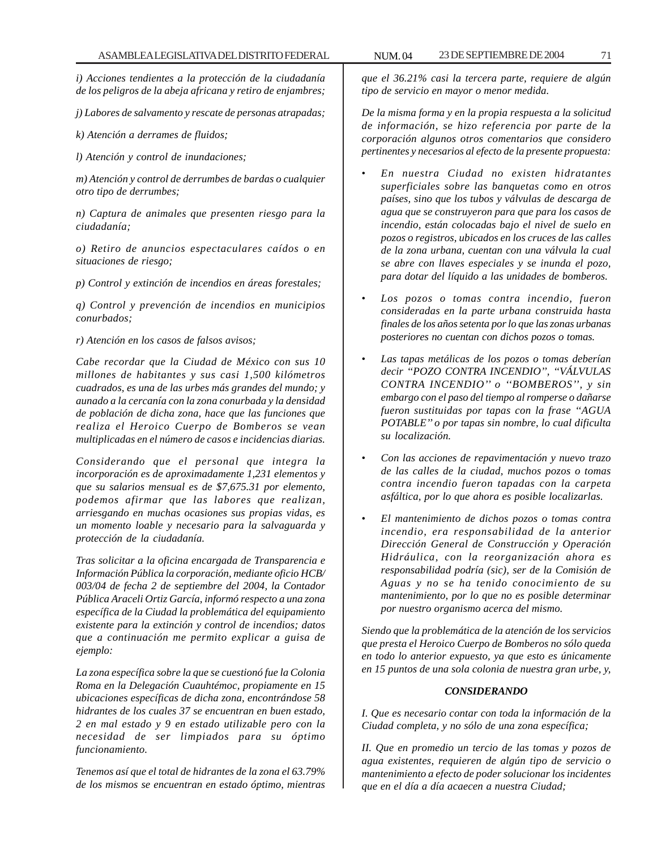*i) Acciones tendientes a la protección de la ciudadanía de los peligros de la abeja africana y retiro de enjambres;*

*j) Labores de salvamento y rescate de personas atrapadas;*

*k) Atención a derrames de fluidos;*

*l) Atención y control de inundaciones;*

*m) Atención y control de derrumbes de bardas o cualquier otro tipo de derrumbes;*

*n) Captura de animales que presenten riesgo para la ciudadanía;*

*o) Retiro de anuncios espectaculares caídos o en situaciones de riesgo;*

*p) Control y extinción de incendios en áreas forestales;*

*q) Control y prevención de incendios en municipios conurbados;*

*r) Atención en los casos de falsos avisos;*

*Cabe recordar que la Ciudad de México con sus 10 millones de habitantes y sus casi 1,500 kilómetros cuadrados, es una de las urbes más grandes del mundo; y aunado a la cercanía con la zona conurbada y la densidad de población de dicha zona, hace que las funciones que realiza el Heroico Cuerpo de Bomberos se vean multiplicadas en el número de casos e incidencias diarias.*

*Considerando que el personal que integra la incorporación es de aproximadamente 1,231 elementos y que su salarios mensual es de \$7,675.31 por elemento, podemos afirmar que las labores que realizan, arriesgando en muchas ocasiones sus propias vidas, es un momento loable y necesario para la salvaguarda y protección de la ciudadanía.*

*Tras solicitar a la oficina encargada de Transparencia e Información Pública la corporación, mediante oficio HCB/ 003/04 de fecha 2 de septiembre del 2004, la Contador Pública Araceli Ortiz García, informó respecto a una zona específica de la Ciudad la problemática del equipamiento existente para la extinción y control de incendios; datos que a continuación me permito explicar a guisa de ejemplo:*

*La zona específica sobre la que se cuestionó fue la Colonia Roma en la Delegación Cuauhtémoc, propiamente en 15 ubicaciones específicas de dicha zona, encontrándose 58 hidrantes de los cuales 37 se encuentran en buen estado, 2 en mal estado y 9 en estado utilizable pero con la necesidad de ser limpiados para su óptimo funcionamiento.*

*Tenemos así que el total de hidrantes de la zona el 63.79% de los mismos se encuentran en estado óptimo, mientras*

*que el 36.21% casi la tercera parte, requiere de algún tipo de servicio en mayor o menor medida.*

*De la misma forma y en la propia respuesta a la solicitud de información, se hizo referencia por parte de la corporación algunos otros comentarios que considero pertinentes y necesarios al efecto de la presente propuesta:*

- *En nuestra Ciudad no existen hidratantes superficiales sobre las banquetas como en otros países, sino que los tubos y válvulas de descarga de agua que se construyeron para que para los casos de incendio, están colocadas bajo el nivel de suelo en pozos o registros, ubicados en los cruces de las calles de la zona urbana, cuentan con una válvula la cual se abre con llaves especiales y se inunda el pozo, para dotar del líquido a las unidades de bomberos.*
- *Los pozos o tomas contra incendio, fueron consideradas en la parte urbana construida hasta finales de los años setenta por lo que las zonas urbanas posteriores no cuentan con dichos pozos o tomas.*
- *Las tapas metálicas de los pozos o tomas deberían decir ''POZO CONTRA INCENDIO'', ''VÁLVULAS CONTRA INCENDIO'' o ''BOMBEROS'', y sin embargo con el paso del tiempo al romperse o dañarse fueron sustituidas por tapas con la frase ''AGUA POTABLE'' o por tapas sin nombre, lo cual dificulta su localización.*
- *Con las acciones de repavimentación y nuevo trazo de las calles de la ciudad, muchos pozos o tomas contra incendio fueron tapadas con la carpeta asfáltica, por lo que ahora es posible localizarlas.*
- *El mantenimiento de dichos pozos o tomas contra incendio, era responsabilidad de la anterior Dirección General de Construcción y Operación Hidráulica, con la reorganización ahora es responsabilidad podría (sic), ser de la Comisión de Aguas y no se ha tenido conocimiento de su mantenimiento, por lo que no es posible determinar por nuestro organismo acerca del mismo.*

*Siendo que la problemática de la atención de los servicios que presta el Heroico Cuerpo de Bomberos no sólo queda en todo lo anterior expuesto, ya que esto es únicamente en 15 puntos de una sola colonia de nuestra gran urbe, y,*

#### *CONSIDERANDO*

*I. Que es necesario contar con toda la información de la Ciudad completa, y no sólo de una zona específica;*

*II. Que en promedio un tercio de las tomas y pozos de agua existentes, requieren de algún tipo de servicio o mantenimiento a efecto de poder solucionar los incidentes que en el día a día acaecen a nuestra Ciudad;*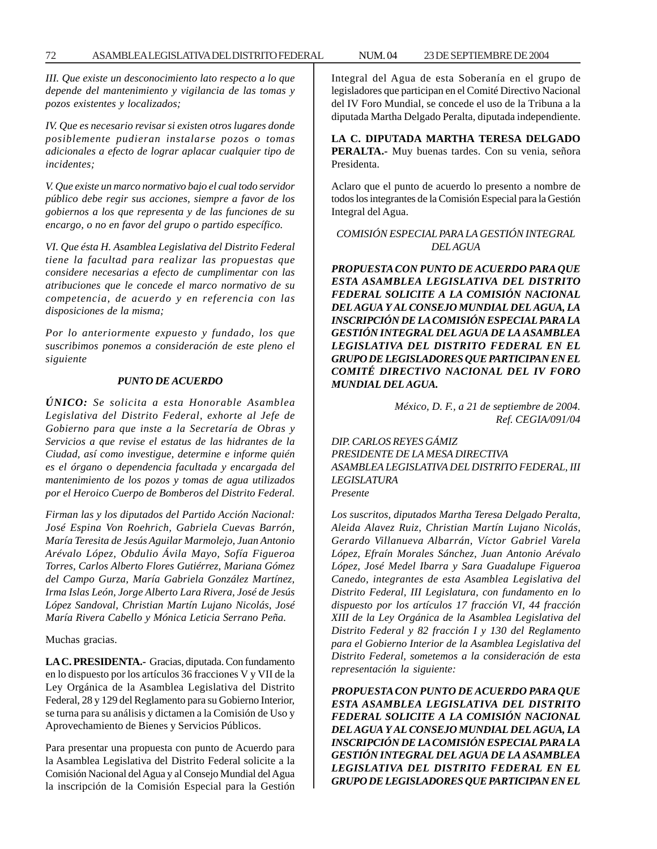*III. Que existe un desconocimiento lato respecto a lo que depende del mantenimiento y vigilancia de las tomas y pozos existentes y localizados;*

*IV. Que es necesario revisar si existen otros lugares donde posiblemente pudieran instalarse pozos o tomas adicionales a efecto de lograr aplacar cualquier tipo de incidentes;*

*V. Que existe un marco normativo bajo el cual todo servidor público debe regir sus acciones, siempre a favor de los gobiernos a los que representa y de las funciones de su encargo, o no en favor del grupo o partido específico.*

*VI. Que ésta H. Asamblea Legislativa del Distrito Federal tiene la facultad para realizar las propuestas que considere necesarias a efecto de cumplimentar con las atribuciones que le concede el marco normativo de su competencia, de acuerdo y en referencia con las disposiciones de la misma;*

*Por lo anteriormente expuesto y fundado, los que suscribimos ponemos a consideración de este pleno el siguiente*

### *PUNTO DE ACUERDO*

*ÚNICO: Se solicita a esta Honorable Asamblea Legislativa del Distrito Federal, exhorte al Jefe de Gobierno para que inste a la Secretaría de Obras y Servicios a que revise el estatus de las hidrantes de la Ciudad, así como investigue, determine e informe quién es el órgano o dependencia facultada y encargada del mantenimiento de los pozos y tomas de agua utilizados por el Heroico Cuerpo de Bomberos del Distrito Federal.*

*Firman las y los diputados del Partido Acción Nacional: José Espina Von Roehrich, Gabriela Cuevas Barrón, María Teresita de Jesús Aguilar Marmolejo, Juan Antonio Arévalo López, Obdulio Ávila Mayo, Sofía Figueroa Torres, Carlos Alberto Flores Gutiérrez, Mariana Gómez del Campo Gurza, María Gabriela González Martínez, Irma Islas León, Jorge Alberto Lara Rivera, José de Jesús López Sandoval, Christian Martín Lujano Nicolás, José María Rivera Cabello y Mónica Leticia Serrano Peña.*

Muchas gracias.

**LA C. PRESIDENTA.-** Gracias, diputada. Con fundamento en lo dispuesto por los artículos 36 fracciones V y VII de la Ley Orgánica de la Asamblea Legislativa del Distrito Federal, 28 y 129 del Reglamento para su Gobierno Interior, se turna para su análisis y dictamen a la Comisión de Uso y Aprovechamiento de Bienes y Servicios Públicos.

Para presentar una propuesta con punto de Acuerdo para la Asamblea Legislativa del Distrito Federal solicite a la Comisión Nacional del Agua y al Consejo Mundial del Agua la inscripción de la Comisión Especial para la Gestión Integral del Agua de esta Soberanía en el grupo de legisladores que participan en el Comité Directivo Nacional del IV Foro Mundial, se concede el uso de la Tribuna a la diputada Martha Delgado Peralta, diputada independiente.

**LA C. DIPUTADA MARTHA TERESA DELGADO PERALTA.-** Muy buenas tardes. Con su venia, señora Presidenta.

Aclaro que el punto de acuerdo lo presento a nombre de todos los integrantes de la Comisión Especial para la Gestión Integral del Agua.

# *COMISIÓN ESPECIAL PARA LA GESTIÓN INTEGRAL DEL AGUA*

*PROPUESTA CON PUNTO DE ACUERDO PARA QUE ESTA ASAMBLEA LEGISLATIVA DEL DISTRITO FEDERAL SOLICITE A LA COMISIÓN NACIONAL DEL AGUA Y AL CONSEJO MUNDIAL DEL AGUA, LA INSCRIPCIÓN DE LA COMISIÓN ESPECIAL PARA LA GESTIÓN INTEGRAL DEL AGUA DE LA ASAMBLEA LEGISLATIVA DEL DISTRITO FEDERAL EN EL GRUPO DE LEGISLADORES QUE PARTICIPAN EN EL COMITÉ DIRECTIVO NACIONAL DEL IV FORO MUNDIAL DEL AGUA.*

> *México, D. F., a 21 de septiembre de 2004. Ref. CEGIA/091/04*

*DIP. CARLOS REYES GÁMIZ PRESIDENTE DE LA MESA DIRECTIVA ASAMBLEA LEGISLATIVA DEL DISTRITO FEDERAL, III LEGISLATURA Presente*

*Los suscritos, diputados Martha Teresa Delgado Peralta, Aleida Alavez Ruiz, Christian Martín Lujano Nicolás, Gerardo Villanueva Albarrán, Víctor Gabriel Varela López, Efraín Morales Sánchez, Juan Antonio Arévalo López, José Medel Ibarra y Sara Guadalupe Figueroa Canedo, integrantes de esta Asamblea Legislativa del Distrito Federal, III Legislatura, con fundamento en lo dispuesto por los artículos 17 fracción VI, 44 fracción XIII de la Ley Orgánica de la Asamblea Legislativa del Distrito Federal y 82 fracción I y 130 del Reglamento para el Gobierno Interior de la Asamblea Legislativa del Distrito Federal, sometemos a la consideración de esta representación la siguiente:*

*PROPUESTA CON PUNTO DE ACUERDO PARA QUE ESTA ASAMBLEA LEGISLATIVA DEL DISTRITO FEDERAL SOLICITE A LA COMISIÓN NACIONAL DEL AGUA Y AL CONSEJO MUNDIAL DEL AGUA, LA INSCRIPCIÓN DE LA COMISIÓN ESPECIAL PARA LA GESTIÓN INTEGRAL DEL AGUA DE LA ASAMBLEA LEGISLATIVA DEL DISTRITO FEDERAL EN EL GRUPO DE LEGISLADORES QUE PARTICIPAN EN EL*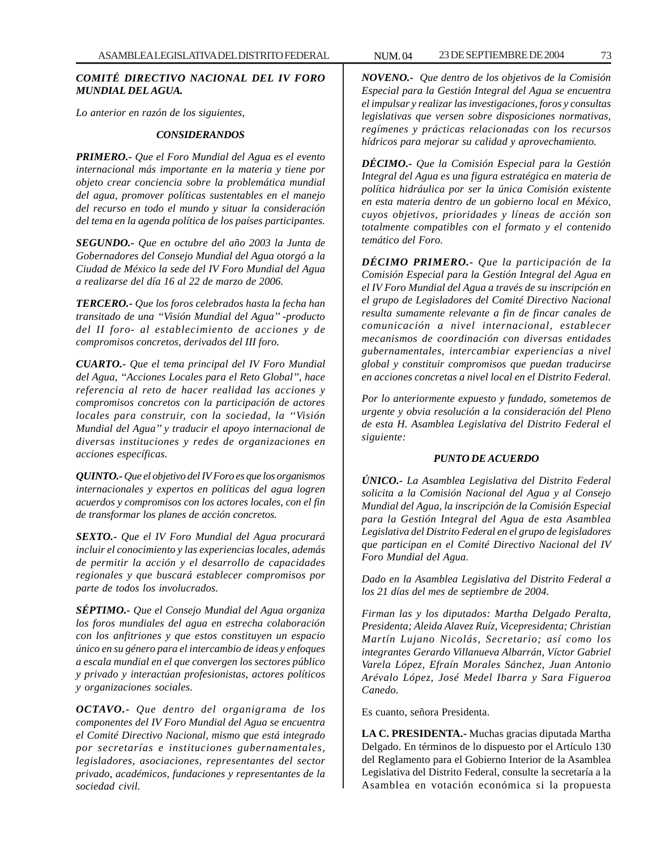### *COMITÉ DIRECTIVO NACIONAL DEL IV FORO MUNDIAL DEL AGUA.*

*Lo anterior en razón de los siguientes,*

### *CONSIDERANDOS*

*PRIMERO.- Que el Foro Mundial del Agua es el evento internacional más importante en la materia y tiene por objeto crear conciencia sobre la problemática mundial del agua, promover políticas sustentables en el manejo del recurso en todo el mundo y situar la consideración del tema en la agenda política de los países participantes.*

*SEGUNDO.- Que en octubre del año 2003 la Junta de Gobernadores del Consejo Mundial del Agua otorgó a la Ciudad de México la sede del IV Foro Mundial del Agua a realizarse del día 16 al 22 de marzo de 2006.*

*TERCERO.- Que los foros celebrados hasta la fecha han transitado de una ''Visión Mundial del Agua'' -producto del II foro- al establecimiento de acciones y de compromisos concretos, derivados del III foro.*

*CUARTO.- Que el tema principal del IV Foro Mundial del Agua, ''Acciones Locales para el Reto Global'', hace referencia al reto de hacer realidad las acciones y compromisos concretos con la participación de actores locales para construir, con la sociedad, la ''Visión Mundial del Agua'' y traducir el apoyo internacional de diversas instituciones y redes de organizaciones en acciones específicas.*

*QUINTO.- Que el objetivo del IV Foro es que los organismos internacionales y expertos en políticas del agua logren acuerdos y compromisos con los actores locales, con el fin de transformar los planes de acción concretos.*

*SEXTO.- Que el IV Foro Mundial del Agua procurará incluir el conocimiento y las experiencias locales, además de permitir la acción y el desarrollo de capacidades regionales y que buscará establecer compromisos por parte de todos los involucrados.*

*SÉPTIMO.- Que el Consejo Mundial del Agua organiza los foros mundiales del agua en estrecha colaboración con los anfitriones y que estos constituyen un espacio único en su género para el intercambio de ideas y enfoques a escala mundial en el que convergen los sectores público y privado y interactúan profesionistas, actores políticos y organizaciones sociales.*

*OCTAVO.- Que dentro del organigrama de los componentes del IV Foro Mundial del Agua se encuentra el Comité Directivo Nacional, mismo que está integrado por secretarías e instituciones gubernamentales, legisladores, asociaciones, representantes del sector privado, académicos, fundaciones y representantes de la sociedad civil.*

*NOVENO.- Que dentro de los objetivos de la Comisión Especial para la Gestión Integral del Agua se encuentra el impulsar y realizar las investigaciones, foros y consultas legislativas que versen sobre disposiciones normativas, regímenes y prácticas relacionadas con los recursos hídricos para mejorar su calidad y aprovechamiento.*

*DÉCIMO.- Que la Comisión Especial para la Gestión Integral del Agua es una figura estratégica en materia de política hidráulica por ser la única Comisión existente en esta materia dentro de un gobierno local en México, cuyos objetivos, prioridades y líneas de acción son totalmente compatibles con el formato y el contenido temático del Foro.*

*DÉCIMO PRIMERO.- Que la participación de la Comisión Especial para la Gestión Integral del Agua en el IV Foro Mundial del Agua a través de su inscripción en el grupo de Legisladores del Comité Directivo Nacional resulta sumamente relevante a fin de fincar canales de comunicación a nivel internacional, establecer mecanismos de coordinación con diversas entidades gubernamentales, intercambiar experiencias a nivel global y constituir compromisos que puedan traducirse en acciones concretas a nivel local en el Distrito Federal.*

*Por lo anteriormente expuesto y fundado, sometemos de urgente y obvia resolución a la consideración del Pleno de esta H. Asamblea Legislativa del Distrito Federal el siguiente:*

### *PUNTO DE ACUERDO*

*ÚNICO.- La Asamblea Legislativa del Distrito Federal solicita a la Comisión Nacional del Agua y al Consejo Mundial del Agua, la inscripción de la Comisión Especial para la Gestión Integral del Agua de esta Asamblea Legislativa del Distrito Federal en el grupo de legisladores que participan en el Comité Directivo Nacional del IV Foro Mundial del Agua.*

*Dado en la Asamblea Legislativa del Distrito Federal a los 21 días del mes de septiembre de 2004.*

*Firman las y los diputados: Martha Delgado Peralta, Presidenta; Aleida Alavez Ruíz, Vicepresidenta; Christian Martín Lujano Nicolás, Secretario; así como los integrantes Gerardo Villanueva Albarrán, Víctor Gabriel Varela López, Efraín Morales Sánchez, Juan Antonio Arévalo López, José Medel Ibarra y Sara Figueroa Canedo.*

Es cuanto, señora Presidenta.

**LA C. PRESIDENTA.-** Muchas gracias diputada Martha Delgado. En términos de lo dispuesto por el Artículo 130 del Reglamento para el Gobierno Interior de la Asamblea Legislativa del Distrito Federal, consulte la secretaría a la Asamblea en votación económica si la propuesta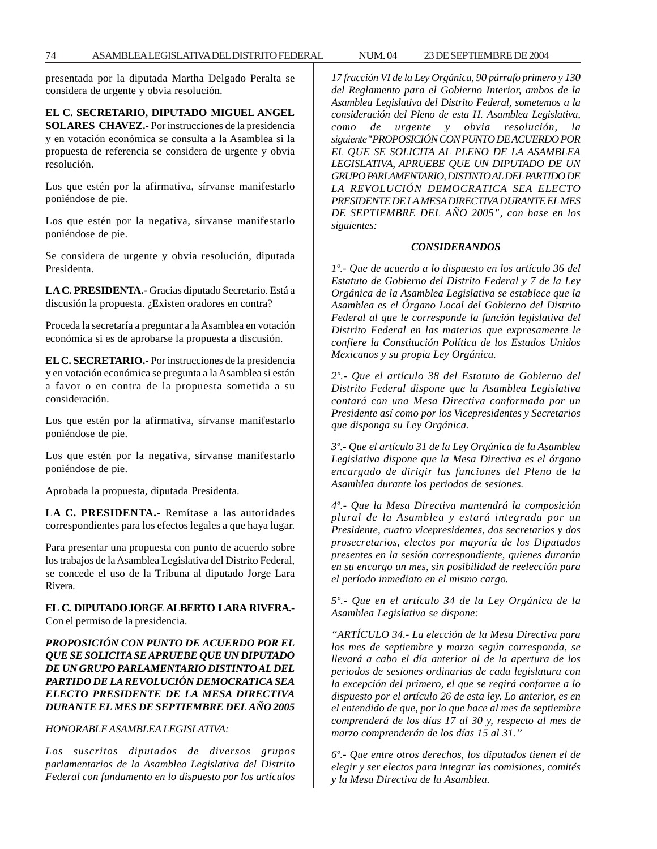presentada por la diputada Martha Delgado Peralta se considera de urgente y obvia resolución.

**EL C. SECRETARIO, DIPUTADO MIGUEL ANGEL SOLARES CHAVEZ.-** Por instrucciones de la presidencia y en votación económica se consulta a la Asamblea si la propuesta de referencia se considera de urgente y obvia resolución.

Los que estén por la afirmativa, sírvanse manifestarlo poniéndose de pie.

Los que estén por la negativa, sírvanse manifestarlo poniéndose de pie.

Se considera de urgente y obvia resolución, diputada Presidenta.

**LA C. PRESIDENTA.-** Gracias diputado Secretario. Está a discusión la propuesta. ¿Existen oradores en contra?

Proceda la secretaría a preguntar a la Asamblea en votación económica si es de aprobarse la propuesta a discusión.

**EL C. SECRETARIO.-** Por instrucciones de la presidencia y en votación económica se pregunta a la Asamblea si están a favor o en contra de la propuesta sometida a su consideración.

Los que estén por la afirmativa, sírvanse manifestarlo poniéndose de pie.

Los que estén por la negativa, sírvanse manifestarlo poniéndose de pie.

Aprobada la propuesta, diputada Presidenta.

**LA C. PRESIDENTA.-** Remítase a las autoridades correspondientes para los efectos legales a que haya lugar.

Para presentar una propuesta con punto de acuerdo sobre los trabajos de la Asamblea Legislativa del Distrito Federal, se concede el uso de la Tribuna al diputado Jorge Lara Rivera.

### **EL C. DIPUTADO JORGE ALBERTO LARA RIVERA.-** Con el permiso de la presidencia.

## *PROPOSICIÓN CON PUNTO DE ACUERDO POR EL QUE SE SOLICITA SE APRUEBE QUE UN DIPUTADO DE UN GRUPO PARLAMENTARIO DISTINTO AL DEL PARTIDO DE LA REVOLUCIÓN DEMOCRATICA SEA ELECTO PRESIDENTE DE LA MESA DIRECTIVA DURANTE EL MES DE SEPTIEMBRE DEL AÑO 2005*

### *HONORABLE ASAMBLEA LEGISLATIVA:*

*Los suscritos diputados de diversos grupos parlamentarios de la Asamblea Legislativa del Distrito Federal con fundamento en lo dispuesto por los artículos* *17 fracción VI de la Ley Orgánica, 90 párrafo primero y 130 del Reglamento para el Gobierno Interior, ambos de la Asamblea Legislativa del Distrito Federal, sometemos a la consideración del Pleno de esta H. Asamblea Legislativa, como de urgente y obvia resolución, la siguiente"PROPOSICIÓN CON PUNTO DE ACUERDO POR EL QUE SE SOLICITA AL PLENO DE LA ASAMBLEA LEGISLATIVA, APRUEBE QUE UN DIPUTADO DE UN GRUPO PARLAMENTARIO, DISTINTO AL DEL PARTIDO DE LA REVOLUCIÓN DEMOCRATICA SEA ELECTO PRESIDENTE DE LA MESA DIRECTIVA DURANTE EL MES DE SEPTIEMBRE DEL AÑO 2005", con base en los siguientes:*

### *CONSIDERANDOS*

*1º.- Que de acuerdo a lo dispuesto en los artículo 36 del Estatuto de Gobierno del Distrito Federal y 7 de la Ley Orgánica de la Asamblea Legislativa se establece que la Asamblea es el Órgano Local del Gobierno del Distrito Federal al que le corresponde la función legislativa del Distrito Federal en las materias que expresamente le confiere la Constitución Política de los Estados Unidos Mexicanos y su propia Ley Orgánica.*

*2º.- Que el artículo 38 del Estatuto de Gobierno del Distrito Federal dispone que la Asamblea Legislativa contará con una Mesa Directiva conformada por un Presidente así como por los Vicepresidentes y Secretarios que disponga su Ley Orgánica.*

*3º.- Que el artículo 31 de la Ley Orgánica de la Asamblea Legislativa dispone que la Mesa Directiva es el órgano encargado de dirigir las funciones del Pleno de la Asamblea durante los periodos de sesiones.*

*4º.- Que la Mesa Directiva mantendrá la composición plural de la Asamblea y estará integrada por un Presidente, cuatro vicepresidentes, dos secretarios y dos prosecretarios, electos por mayoría de los Diputados presentes en la sesión correspondiente, quienes durarán en su encargo un mes, sin posibilidad de reelección para el período inmediato en el mismo cargo.*

*5º.- Que en el artículo 34 de la Ley Orgánica de la Asamblea Legislativa se dispone:*

*''ARTÍCULO 34.- La elección de la Mesa Directiva para los mes de septiembre y marzo según corresponda, se llevará a cabo el día anterior al de la apertura de los periodos de sesiones ordinarias de cada legislatura con la excepción del primero, el que se regirá conforme a lo dispuesto por el artículo 26 de esta ley. Lo anterior, es en el entendido de que, por lo que hace al mes de septiembre comprenderá de los días 17 al 30 y, respecto al mes de marzo comprenderán de los días 15 al 31.''*

*6º.- Que entre otros derechos, los diputados tienen el de elegir y ser electos para integrar las comisiones, comités y la Mesa Directiva de la Asamblea.*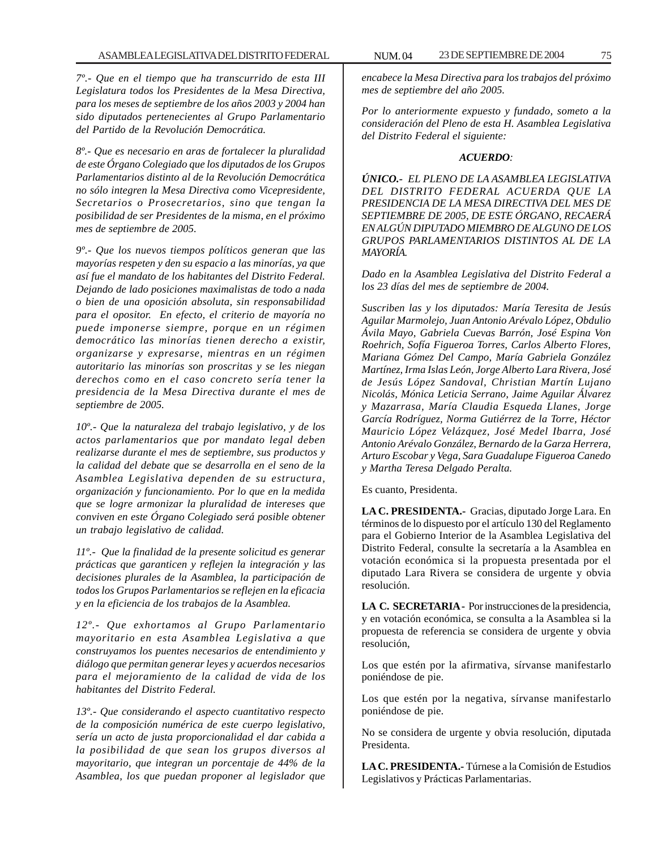*7º.- Que en el tiempo que ha transcurrido de esta III Legislatura todos los Presidentes de la Mesa Directiva, para los meses de septiembre de los años 2003 y 2004 han sido diputados pertenecientes al Grupo Parlamentario del Partido de la Revolución Democrática.*

*8º.- Que es necesario en aras de fortalecer la pluralidad de este Órgano Colegiado que los diputados de los Grupos Parlamentarios distinto al de la Revolución Democrática no sólo integren la Mesa Directiva como Vicepresidente, Secretarios o Prosecretarios, sino que tengan la posibilidad de ser Presidentes de la misma, en el próximo mes de septiembre de 2005.*

*9º.- Que los nuevos tiempos políticos generan que las mayorías respeten y den su espacio a las minorías, ya que así fue el mandato de los habitantes del Distrito Federal. Dejando de lado posiciones maximalistas de todo a nada o bien de una oposición absoluta, sin responsabilidad para el opositor. En efecto, el criterio de mayoría no puede imponerse siempre, porque en un régimen democrático las minorías tienen derecho a existir, organizarse y expresarse, mientras en un régimen autoritario las minorías son proscritas y se les niegan derechos como en el caso concreto sería tener la presidencia de la Mesa Directiva durante el mes de septiembre de 2005.*

*10º.- Que la naturaleza del trabajo legislativo, y de los actos parlamentarios que por mandato legal deben realizarse durante el mes de septiembre, sus productos y la calidad del debate que se desarrolla en el seno de la Asamblea Legislativa dependen de su estructura, organización y funcionamiento. Por lo que en la medida que se logre armonizar la pluralidad de intereses que conviven en este Órgano Colegiado será posible obtener un trabajo legislativo de calidad.*

*11º.- Que la finalidad de la presente solicitud es generar prácticas que garanticen y reflejen la integración y las decisiones plurales de la Asamblea, la participación de todos los Grupos Parlamentarios se reflejen en la eficacia y en la eficiencia de los trabajos de la Asamblea.*

*12º.- Que exhortamos al Grupo Parlamentario mayoritario en esta Asamblea Legislativa a que construyamos los puentes necesarios de entendimiento y diálogo que permitan generar leyes y acuerdos necesarios para el mejoramiento de la calidad de vida de los habitantes del Distrito Federal.*

*13º.- Que considerando el aspecto cuantitativo respecto de la composición numérica de este cuerpo legislativo, sería un acto de justa proporcionalidad el dar cabida a la posibilidad de que sean los grupos diversos al mayoritario, que integran un porcentaje de 44% de la Asamblea, los que puedan proponer al legislador que*

*encabece la Mesa Directiva para los trabajos del próximo mes de septiembre del año 2005.*

*Por lo anteriormente expuesto y fundado, someto a la consideración del Pleno de esta H. Asamblea Legislativa del Distrito Federal el siguiente:*

### *ACUERDO:*

*ÚNICO.- EL PLENO DE LA ASAMBLEA LEGISLATIVA DEL DISTRITO FEDERAL ACUERDA QUE LA PRESIDENCIA DE LA MESA DIRECTIVA DEL MES DE SEPTIEMBRE DE 2005, DE ESTE ÓRGANO, RECAERÁ EN ALGÚN DIPUTADO MIEMBRO DE ALGUNO DE LOS GRUPOS PARLAMENTARIOS DISTINTOS AL DE LA MAYORÍA.*

*Dado en la Asamblea Legislativa del Distrito Federal a los 23 días del mes de septiembre de 2004.*

*Suscriben las y los diputados: María Teresita de Jesús Aguilar Marmolejo, Juan Antonio Arévalo López, Obdulio Ávila Mayo, Gabriela Cuevas Barrón, José Espina Von Roehrich, Sofía Figueroa Torres, Carlos Alberto Flores, Mariana Gómez Del Campo, María Gabriela González Martínez, Irma Islas León, Jorge Alberto Lara Rivera, José de Jesús López Sandoval, Christian Martín Lujano Nicolás, Mónica Leticia Serrano, Jaime Aguilar Álvarez y Mazarrasa, María Claudia Esqueda Llanes, Jorge García Rodríguez, Norma Gutiérrez de la Torre, Héctor Mauricio López Velázquez, José Medel Ibarra, José Antonio Arévalo González, Bernardo de la Garza Herrera, Arturo Escobar y Vega, Sara Guadalupe Figueroa Canedo y Martha Teresa Delgado Peralta.*

Es cuanto, Presidenta.

**LA C. PRESIDENTA.-** Gracias, diputado Jorge Lara. En términos de lo dispuesto por el artículo 130 del Reglamento para el Gobierno Interior de la Asamblea Legislativa del Distrito Federal, consulte la secretaría a la Asamblea en votación económica si la propuesta presentada por el diputado Lara Rivera se considera de urgente y obvia resolución.

**LA C. SECRETARIA -** Por instrucciones de la presidencia, y en votación económica, se consulta a la Asamblea si la propuesta de referencia se considera de urgente y obvia resolución,

Los que estén por la afirmativa, sírvanse manifestarlo poniéndose de pie.

Los que estén por la negativa, sírvanse manifestarlo poniéndose de pie.

No se considera de urgente y obvia resolución, diputada Presidenta.

**LA C. PRESIDENTA.-** Túrnese a la Comisión de Estudios Legislativos y Prácticas Parlamentarias.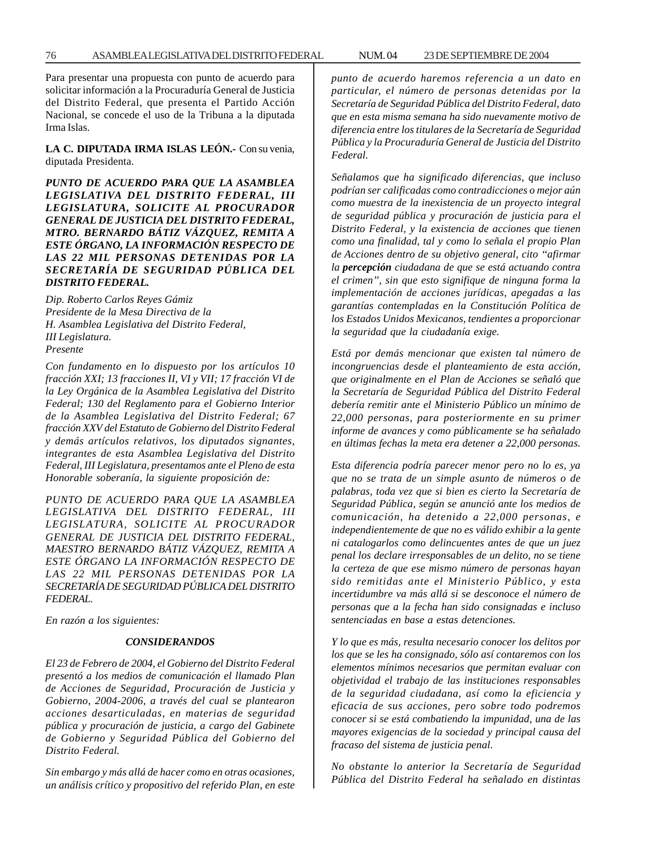Para presentar una propuesta con punto de acuerdo para solicitar información a la Procuraduría General de Justicia del Distrito Federal, que presenta el Partido Acción Nacional, se concede el uso de la Tribuna a la diputada Irma Islas.

**LA C. DIPUTADA IRMA ISLAS LEÓN.-** Con su venia, diputada Presidenta.

## *PUNTO DE ACUERDO PARA QUE LA ASAMBLEA LEGISLATIVA DEL DISTRITO FEDERAL, III LEGISLATURA, SOLICITE AL PROCURADOR GENERAL DE JUSTICIA DEL DISTRITO FEDERAL, MTRO. BERNARDO BÁTIZ VÁZQUEZ, REMITA A ESTE ÓRGANO, LA INFORMACIÓN RESPECTO DE LAS 22 MIL PERSONAS DETENIDAS POR LA SECRETARÍA DE SEGURIDAD PÚBLICA DEL DISTRITO FEDERAL.*

*Dip. Roberto Carlos Reyes Gámiz Presidente de la Mesa Directiva de la H. Asamblea Legislativa del Distrito Federal, III Legislatura. Presente*

*Con fundamento en lo dispuesto por los artículos 10 fracción XXI; 13 fracciones II, VI y VII; 17 fracción VI de la Ley Orgánica de la Asamblea Legislativa del Distrito Federal; 130 del Reglamento para el Gobierno Interior de la Asamblea Legislativa del Distrito Federal; 67 fracción XXV del Estatuto de Gobierno del Distrito Federal y demás artículos relativos, los diputados signantes, integrantes de esta Asamblea Legislativa del Distrito Federal, III Legislatura, presentamos ante el Pleno de esta Honorable soberanía, la siguiente proposición de:*

*PUNTO DE ACUERDO PARA QUE LA ASAMBLEA LEGISLATIVA DEL DISTRITO FEDERAL, III LEGISLATURA, SOLICITE AL PROCURADOR GENERAL DE JUSTICIA DEL DISTRITO FEDERAL, MAESTRO BERNARDO BÁTIZ VÁZQUEZ, REMITA A ESTE ÓRGANO LA INFORMACIÓN RESPECTO DE LAS 22 MIL PERSONAS DETENIDAS POR LA SECRETARÍA DE SEGURIDAD PÚBLICA DEL DISTRITO FEDERAL.*

*En razón a los siguientes:*

#### *CONSIDERANDOS*

*El 23 de Febrero de 2004, el Gobierno del Distrito Federal presentó a los medios de comunicación el llamado Plan de Acciones de Seguridad, Procuración de Justicia y Gobierno, 2004-2006, a través del cual se plantearon acciones desarticuladas, en materias de seguridad pública y procuración de justicia, a cargo del Gabinete de Gobierno y Seguridad Pública del Gobierno del Distrito Federal.*

*Sin embargo y más allá de hacer como en otras ocasiones, un análisis crítico y propositivo del referido Plan, en este* *punto de acuerdo haremos referencia a un dato en particular, el número de personas detenidas por la Secretaría de Seguridad Pública del Distrito Federal, dato que en esta misma semana ha sido nuevamente motivo de diferencia entre los titulares de la Secretaría de Seguridad Pública y la Procuraduría General de Justicia del Distrito Federal.*

*Señalamos que ha significado diferencias, que incluso podrían ser calificadas como contradicciones o mejor aún como muestra de la inexistencia de un proyecto integral de seguridad pública y procuración de justicia para el Distrito Federal, y la existencia de acciones que tienen como una finalidad, tal y como lo señala el propio Plan de Acciones dentro de su objetivo general, cito ''afirmar la percepción ciudadana de que se está actuando contra el crimen'', sin que esto signifique de ninguna forma la implementación de acciones jurídicas, apegadas a las garantías contempladas en la Constitución Política de los Estados Unidos Mexicanos, tendientes a proporcionar la seguridad que la ciudadanía exige.*

*Está por demás mencionar que existen tal número de incongruencias desde el planteamiento de esta acción, que originalmente en el Plan de Acciones se señaló que la Secretaría de Seguridad Pública del Distrito Federal debería remitir ante el Ministerio Público un mínimo de 22,000 personas, para posteriormente en su primer informe de avances y como públicamente se ha señalado en últimas fechas la meta era detener a 22,000 personas.*

*Esta diferencia podría parecer menor pero no lo es, ya que no se trata de un simple asunto de números o de palabras, toda vez que si bien es cierto la Secretaría de Seguridad Pública, según se anunció ante los medios de comunicación, ha detenido a 22,000 personas, e independientemente de que no es válido exhibir a la gente ni catalogarlos como delincuentes antes de que un juez penal los declare irresponsables de un delito, no se tiene la certeza de que ese mismo número de personas hayan sido remitidas ante el Ministerio Público, y esta incertidumbre va más allá si se desconoce el número de personas que a la fecha han sido consignadas e incluso sentenciadas en base a estas detenciones.*

*Y lo que es más, resulta necesario conocer los delitos por los que se les ha consignado, sólo así contaremos con los elementos mínimos necesarios que permitan evaluar con objetividad el trabajo de las instituciones responsables de la seguridad ciudadana, así como la eficiencia y eficacia de sus acciones, pero sobre todo podremos conocer si se está combatiendo la impunidad, una de las mayores exigencias de la sociedad y principal causa del fracaso del sistema de justicia penal.*

*No obstante lo anterior la Secretaría de Seguridad Pública del Distrito Federal ha señalado en distintas*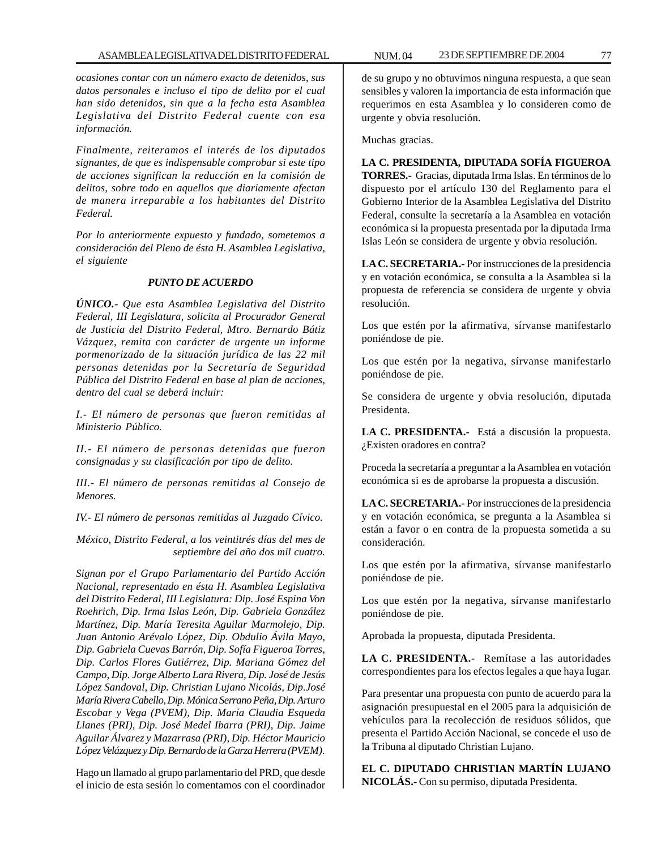*ocasiones contar con un número exacto de detenidos, sus datos personales e incluso el tipo de delito por el cual han sido detenidos, sin que a la fecha esta Asamblea Legislativa del Distrito Federal cuente con esa información.*

*Finalmente, reiteramos el interés de los diputados signantes, de que es indispensable comprobar si este tipo de acciones significan la reducción en la comisión de delitos, sobre todo en aquellos que diariamente afectan de manera irreparable a los habitantes del Distrito Federal.*

*Por lo anteriormente expuesto y fundado, sometemos a consideración del Pleno de ésta H. Asamblea Legislativa, el siguiente*

### *PUNTO DE ACUERDO*

*ÚNICO.- Que esta Asamblea Legislativa del Distrito Federal, III Legislatura, solicita al Procurador General de Justicia del Distrito Federal, Mtro. Bernardo Bátiz Vázquez, remita con carácter de urgente un informe pormenorizado de la situación jurídica de las 22 mil personas detenidas por la Secretaría de Seguridad Pública del Distrito Federal en base al plan de acciones, dentro del cual se deberá incluir:*

*I.- El número de personas que fueron remitidas al Ministerio Público.*

*II.- El número de personas detenidas que fueron consignadas y su clasificación por tipo de delito.*

*III.- El número de personas remitidas al Consejo de Menores.*

*IV.- El número de personas remitidas al Juzgado Cívico.*

*México, Distrito Federal, a los veintitrés días del mes de septiembre del año dos mil cuatro.*

*Signan por el Grupo Parlamentario del Partido Acción Nacional, representado en ésta H. Asamblea Legislativa del Distrito Federal, III Legislatura: Dip. José Espina Von Roehrich, Dip. Irma Islas León, Dip. Gabriela González Martínez, Dip. María Teresita Aguilar Marmolejo, Dip. Juan Antonio Arévalo López, Dip. Obdulio Ávila Mayo, Dip. Gabriela Cuevas Barrón, Dip. Sofía Figueroa Torres, Dip. Carlos Flores Gutiérrez, Dip. Mariana Gómez del Campo, Dip. Jorge Alberto Lara Rivera, Dip. José de Jesús López Sandoval, Dip. Christian Lujano Nicolás, Dip.José María Rivera Cabello, Dip. Mónica Serrano Peña, Dip. Arturo Escobar y Vega (PVEM), Dip. María Claudia Esqueda Llanes (PRI), Dip. José Medel Ibarra (PRI), Dip. Jaime Aguilar Álvarez y Mazarrasa (PRI), Dip. Héctor Mauricio López Velázquez y Dip. Bernardo de la Garza Herrera (PVEM).*

Hago un llamado al grupo parlamentario del PRD, que desde el inicio de esta sesión lo comentamos con el coordinador de su grupo y no obtuvimos ninguna respuesta, a que sean sensibles y valoren la importancia de esta información que requerimos en esta Asamblea y lo consideren como de urgente y obvia resolución.

Muchas gracias.

**LA C. PRESIDENTA, DIPUTADA SOFÍA FIGUEROA TORRES.-** Gracias, diputada Irma Islas. En términos de lo dispuesto por el artículo 130 del Reglamento para el Gobierno Interior de la Asamblea Legislativa del Distrito Federal, consulte la secretaría a la Asamblea en votación económica si la propuesta presentada por la diputada Irma Islas León se considera de urgente y obvia resolución.

**LA C. SECRETARIA.-** Por instrucciones de la presidencia y en votación económica, se consulta a la Asamblea si la propuesta de referencia se considera de urgente y obvia resolución.

Los que estén por la afirmativa, sírvanse manifestarlo poniéndose de pie.

Los que estén por la negativa, sírvanse manifestarlo poniéndose de pie.

Se considera de urgente y obvia resolución, diputada Presidenta.

**LA C. PRESIDENTA.-** Está a discusión la propuesta. ¿Existen oradores en contra?

Proceda la secretaría a preguntar a la Asamblea en votación económica si es de aprobarse la propuesta a discusión.

**LA C. SECRETARIA.-** Por instrucciones de la presidencia y en votación económica, se pregunta a la Asamblea si están a favor o en contra de la propuesta sometida a su consideración.

Los que estén por la afirmativa, sírvanse manifestarlo poniéndose de pie.

Los que estén por la negativa, sírvanse manifestarlo poniéndose de pie.

Aprobada la propuesta, diputada Presidenta.

**LA C. PRESIDENTA.-** Remítase a las autoridades correspondientes para los efectos legales a que haya lugar.

Para presentar una propuesta con punto de acuerdo para la asignación presupuestal en el 2005 para la adquisición de vehículos para la recolección de residuos sólidos, que presenta el Partido Acción Nacional, se concede el uso de la Tribuna al diputado Christian Lujano.

**EL C. DIPUTADO CHRISTIAN MARTÍN LUJANO NICOLÁS.-** Con su permiso, diputada Presidenta.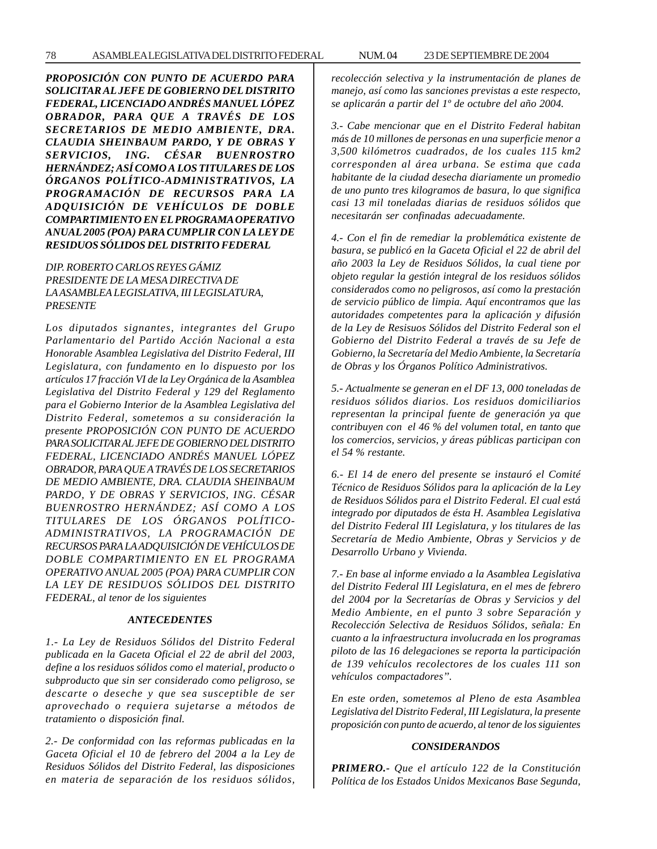*PROPOSICIÓN CON PUNTO DE ACUERDO PARA SOLICITAR AL JEFE DE GOBIERNO DEL DISTRITO FEDERAL, LICENCIADO ANDRÉS MANUEL LÓPEZ OBRADOR, PARA QUE A TRAVÉS DE LOS SECRETARIOS DE MEDIO AMBIENTE, DRA. CLAUDIA SHEINBAUM PARDO, Y DE OBRAS Y SERVICIOS, ING. CÉSAR BUENROSTRO HERNÁNDEZ; ASÍ COMO A LOS TITULARES DE LOS ÓRGANOS POLÍTICO-ADMINISTRATIVOS, LA PROGRAMACIÓN DE RECURSOS PARA LA ADQUISICIÓN DE VEHÍCULOS DE DOBLE COMPARTIMIENTO EN EL PROGRAMA OPERATIVO ANUAL 2005 (POA) PARA CUMPLIR CON LA LEY DE RESIDUOS SÓLIDOS DEL DISTRITO FEDERAL*

## *DIP. ROBERTO CARLOS REYES GÁMIZ PRESIDENTE DE LA MESA DIRECTIVA DE LA ASAMBLEA LEGISLATIVA, III LEGISLATURA, PRESENTE*

*Los diputados signantes, integrantes del Grupo Parlamentario del Partido Acción Nacional a esta Honorable Asamblea Legislativa del Distrito Federal, III Legislatura, con fundamento en lo dispuesto por los artículos 17 fracción VI de la Ley Orgánica de la Asamblea Legislativa del Distrito Federal y 129 del Reglamento para el Gobierno Interior de la Asamblea Legislativa del Distrito Federal, sometemos a su consideración la presente PROPOSICIÓN CON PUNTO DE ACUERDO PARA SOLICITAR AL JEFE DE GOBIERNO DEL DISTRITO FEDERAL, LICENCIADO ANDRÉS MANUEL LÓPEZ OBRADOR, PARA QUE A TRAVÉS DE LOS SECRETARIOS DE MEDIO AMBIENTE, DRA. CLAUDIA SHEINBAUM PARDO, Y DE OBRAS Y SERVICIOS, ING. CÉSAR BUENROSTRO HERNÁNDEZ; ASÍ COMO A LOS TITULARES DE LOS ÓRGANOS POLÍTICO-ADMINISTRATIVOS, LA PROGRAMACIÓN DE RECURSOS PARA LA ADQUISICIÓN DE VEHÍCULOS DE DOBLE COMPARTIMIENTO EN EL PROGRAMA OPERATIVO ANUAL 2005 (POA) PARA CUMPLIR CON LA LEY DE RESIDUOS SÓLIDOS DEL DISTRITO FEDERAL, al tenor de los siguientes*

#### *ANTECEDENTES*

*1.- La Ley de Residuos Sólidos del Distrito Federal publicada en la Gaceta Oficial el 22 de abril del 2003, define a los residuos sólidos como el material, producto o subproducto que sin ser considerado como peligroso, se descarte o deseche y que sea susceptible de ser aprovechado o requiera sujetarse a métodos de tratamiento o disposición final.*

*2.- De conformidad con las reformas publicadas en la Gaceta Oficial el 10 de febrero del 2004 a la Ley de Residuos Sólidos del Distrito Federal, las disposiciones en materia de separación de los residuos sólidos,*

*recolección selectiva y la instrumentación de planes de manejo, así como las sanciones previstas a este respecto, se aplicarán a partir del 1º de octubre del año 2004.*

*3.- Cabe mencionar que en el Distrito Federal habitan más de 10 millones de personas en una superficie menor a 3,500 kilómetros cuadrados, de los cuales 115 km2 corresponden al área urbana. Se estima que cada habitante de la ciudad desecha diariamente un promedio de uno punto tres kilogramos de basura, lo que significa casi 13 mil toneladas diarias de residuos sólidos que necesitarán ser confinadas adecuadamente.*

*4.- Con el fin de remediar la problemática existente de basura, se publicó en la Gaceta Oficial el 22 de abril del año 2003 la Ley de Residuos Sólidos, la cual tiene por objeto regular la gestión integral de los residuos sólidos considerados como no peligrosos, así como la prestación de servicio público de limpia. Aquí encontramos que las autoridades competentes para la aplicación y difusión de la Ley de Resisuos Sólidos del Distrito Federal son el Gobierno del Distrito Federal a través de su Jefe de Gobierno, la Secretaría del Medio Ambiente, la Secretaría de Obras y los Órganos Político Administrativos.*

*5.- Actualmente se generan en el DF 13, 000 toneladas de residuos sólidos diarios. Los residuos domiciliarios representan la principal fuente de generación ya que contribuyen con el 46 % del volumen total, en tanto que los comercios, servicios, y áreas públicas participan con el 54 % restante.*

*6.- El 14 de enero del presente se instauró el Comité Técnico de Residuos Sólidos para la aplicación de la Ley de Residuos Sólidos para el Distrito Federal. El cual está integrado por diputados de ésta H. Asamblea Legislativa del Distrito Federal III Legislatura, y los titulares de las Secretaría de Medio Ambiente, Obras y Servicios y de Desarrollo Urbano y Vivienda.*

*7.- En base al informe enviado a la Asamblea Legislativa del Distrito Federal III Legislatura, en el mes de febrero del 2004 por la Secretarías de Obras y Servicios y del Medio Ambiente, en el punto 3 sobre Separación y Recolección Selectiva de Residuos Sólidos, señala: En cuanto a la infraestructura involucrada en los programas piloto de las 16 delegaciones se reporta la participación de 139 vehículos recolectores de los cuales 111 son vehículos compactadores''.*

*En este orden, sometemos al Pleno de esta Asamblea Legislativa del Distrito Federal, III Legislatura, la presente proposición con punto de acuerdo, al tenor de los siguientes*

#### *CONSIDERANDOS*

*PRIMERO.- Que el artículo 122 de la Constitución Política de los Estados Unidos Mexicanos Base Segunda,*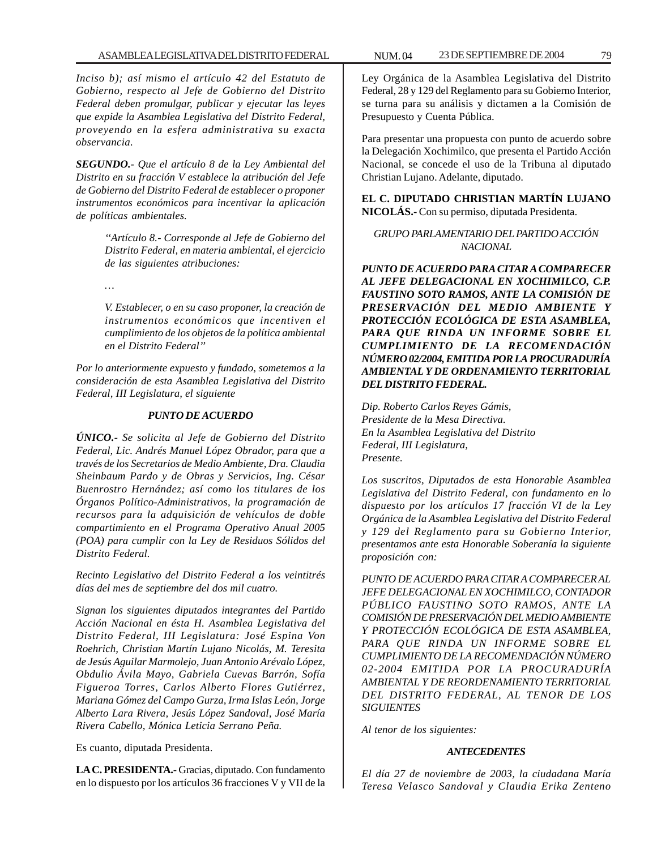*Inciso b); así mismo el artículo 42 del Estatuto de Gobierno, respecto al Jefe de Gobierno del Distrito Federal deben promulgar, publicar y ejecutar las leyes que expide la Asamblea Legislativa del Distrito Federal, proveyendo en la esfera administrativa su exacta observancia.*

*SEGUNDO.- Que el artículo 8 de la Ley Ambiental del Distrito en su fracción V establece la atribución del Jefe de Gobierno del Distrito Federal de establecer o proponer instrumentos económicos para incentivar la aplicación de políticas ambientales.*

> *''Artículo 8.- Corresponde al Jefe de Gobierno del Distrito Federal, en materia ambiental, el ejercicio de las siguientes atribuciones:*

*…*

*V. Establecer, o en su caso proponer, la creación de instrumentos económicos que incentiven el cumplimiento de los objetos de la política ambiental en el Distrito Federal''*

*Por lo anteriormente expuesto y fundado, sometemos a la consideración de esta Asamblea Legislativa del Distrito Federal, III Legislatura, el siguiente*

## *PUNTO DE ACUERDO*

*ÚNICO.- Se solicita al Jefe de Gobierno del Distrito Federal, Lic. Andrés Manuel López Obrador, para que a través de los Secretarios de Medio Ambiente, Dra. Claudia Sheinbaum Pardo y de Obras y Servicios, Ing. César Buenrostro Hernández; así como los titulares de los Órganos Político-Administrativos, la programación de recursos para la adquisición de vehículos de doble compartimiento en el Programa Operativo Anual 2005 (POA) para cumplir con la Ley de Residuos Sólidos del Distrito Federal.*

*Recinto Legislativo del Distrito Federal a los veintitrés días del mes de septiembre del dos mil cuatro.*

*Signan los siguientes diputados integrantes del Partido Acción Nacional en ésta H. Asamblea Legislativa del Distrito Federal, III Legislatura: José Espina Von Roehrich, Christian Martín Lujano Nicolás, M. Teresita de Jesús Aguilar Marmolejo, Juan Antonio Arévalo López, Obdulio Ávila Mayo, Gabriela Cuevas Barrón, Sofía Figueroa Torres, Carlos Alberto Flores Gutiérrez, Mariana Gómez del Campo Gurza, Irma Islas León, Jorge Alberto Lara Rivera, Jesús López Sandoval, José María Rivera Cabello, Mónica Leticia Serrano Peña.*

Es cuanto, diputada Presidenta.

**LA C. PRESIDENTA.-** Gracias, diputado. Con fundamento en lo dispuesto por los artículos 36 fracciones V y VII de la

Ley Orgánica de la Asamblea Legislativa del Distrito Federal, 28 y 129 del Reglamento para su Gobierno Interior, se turna para su análisis y dictamen a la Comisión de Presupuesto y Cuenta Pública.

Para presentar una propuesta con punto de acuerdo sobre la Delegación Xochimilco, que presenta el Partido Acción Nacional, se concede el uso de la Tribuna al diputado Christian Lujano. Adelante, diputado.

**EL C. DIPUTADO CHRISTIAN MARTÍN LUJANO NICOLÁS.-** Con su permiso, diputada Presidenta.

## *GRUPO PARLAMENTARIO DEL PARTIDO ACCIÓN NACIONAL*

*PUNTO DE ACUERDO PARA CITAR A COMPARECER AL JEFE DELEGACIONAL EN XOCHIMILCO, C.P. FAUSTINO SOTO RAMOS, ANTE LA COMISIÓN DE PRESERVACIÓN DEL MEDIO AMBIENTE Y PROTECCIÓN ECOLÓGICA DE ESTA ASAMBLEA, PARA QUE RINDA UN INFORME SOBRE EL CUMPLIMIENTO DE LA RECOMENDACIÓN NÚMERO 02/2004, EMITIDA POR LA PROCURADURÍA AMBIENTAL Y DE ORDENAMIENTO TERRITORIAL DEL DISTRITO FEDERAL.*

*Dip. Roberto Carlos Reyes Gámis, Presidente de la Mesa Directiva. En la Asamblea Legislativa del Distrito Federal, III Legislatura, Presente.*

*Los suscritos, Diputados de esta Honorable Asamblea Legislativa del Distrito Federal, con fundamento en lo dispuesto por los artículos 17 fracción VI de la Ley Orgánica de la Asamblea Legislativa del Distrito Federal y 129 del Reglamento para su Gobierno Interior, presentamos ante esta Honorable Soberanía la siguiente proposición con:*

*PUNTO DE ACUERDO PARA CITAR A COMPARECER AL JEFE DELEGACIONAL EN XOCHIMILCO, CONTADOR PÚBLICO FAUSTINO SOTO RAMOS, ANTE LA COMISIÓN DE PRESERVACIÓN DEL MEDIO AMBIENTE Y PROTECCIÓN ECOLÓGICA DE ESTA ASAMBLEA, PARA QUE RINDA UN INFORME SOBRE EL CUMPLIMIENTO DE LA RECOMENDACIÓN NÚMERO 02-2004 EMITIDA POR LA PROCURADURÍA AMBIENTAL Y DE REORDENAMIENTO TERRITORIAL DEL DISTRITO FEDERAL, AL TENOR DE LOS SIGUIENTES*

*Al tenor de los siguientes:*

## *ANTECEDENTES*

*El día 27 de noviembre de 2003, la ciudadana María Teresa Velasco Sandoval y Claudia Erika Zenteno*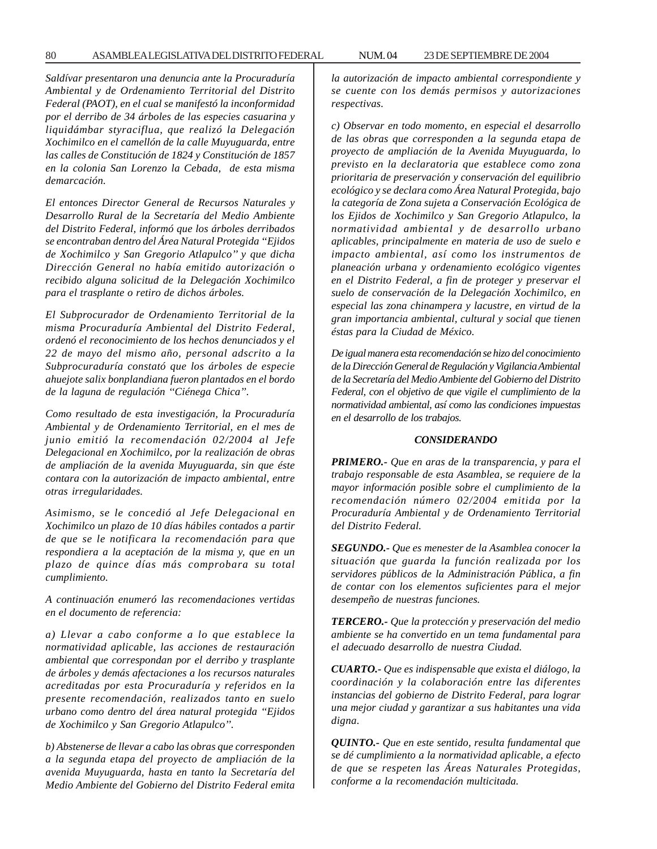*Saldívar presentaron una denuncia ante la Procuraduría Ambiental y de Ordenamiento Territorial del Distrito Federal (PAOT), en el cual se manifestó la inconformidad por el derribo de 34 árboles de las especies casuarina y liquidámbar styraciflua, que realizó la Delegación Xochimilco en el camellón de la calle Muyuguarda, entre las calles de Constitución de 1824 y Constitución de 1857 en la colonia San Lorenzo la Cebada, de esta misma demarcación.*

*El entonces Director General de Recursos Naturales y Desarrollo Rural de la Secretaría del Medio Ambiente del Distrito Federal, informó que los árboles derribados se encontraban dentro del Área Natural Protegida ''Ejidos de Xochimilco y San Gregorio Atlapulco'' y que dicha Dirección General no había emitido autorización o recibido alguna solicitud de la Delegación Xochimilco para el trasplante o retiro de dichos árboles.*

*El Subprocurador de Ordenamiento Territorial de la misma Procuraduría Ambiental del Distrito Federal, ordenó el reconocimiento de los hechos denunciados y el 22 de mayo del mismo año, personal adscrito a la Subprocuraduría constató que los árboles de especie ahuejote salix bonplandiana fueron plantados en el bordo de la laguna de regulación ''Ciénega Chica''.*

*Como resultado de esta investigación, la Procuraduría Ambiental y de Ordenamiento Territorial, en el mes de junio emitió la recomendación 02/2004 al Jefe Delegacional en Xochimilco, por la realización de obras de ampliación de la avenida Muyuguarda, sin que éste contara con la autorización de impacto ambiental, entre otras irregularidades.*

*Asimismo, se le concedió al Jefe Delegacional en Xochimilco un plazo de 10 días hábiles contados a partir de que se le notificara la recomendación para que respondiera a la aceptación de la misma y, que en un plazo de quince días más comprobara su total cumplimiento.*

*A continuación enumeró las recomendaciones vertidas en el documento de referencia:*

*a) Llevar a cabo conforme a lo que establece la normatividad aplicable, las acciones de restauración ambiental que correspondan por el derribo y trasplante de árboles y demás afectaciones a los recursos naturales acreditadas por esta Procuraduría y referidos en la presente recomendación, realizados tanto en suelo urbano como dentro del área natural protegida ''Ejidos de Xochimilco y San Gregorio Atlapulco''.*

*b) Abstenerse de llevar a cabo las obras que corresponden a la segunda etapa del proyecto de ampliación de la avenida Muyuguarda, hasta en tanto la Secretaría del Medio Ambiente del Gobierno del Distrito Federal emita* *la autorización de impacto ambiental correspondiente y se cuente con los demás permisos y autorizaciones respectivas.*

*c) Observar en todo momento, en especial el desarrollo de las obras que corresponden a la segunda etapa de proyecto de ampliación de la Avenida Muyuguarda, lo previsto en la declaratoria que establece como zona prioritaria de preservación y conservación del equilibrio ecológico y se declara como Área Natural Protegida, bajo la categoría de Zona sujeta a Conservación Ecológica de los Ejidos de Xochimilco y San Gregorio Atlapulco, la normatividad ambiental y de desarrollo urbano aplicables, principalmente en materia de uso de suelo e impacto ambiental, así como los instrumentos de planeación urbana y ordenamiento ecológico vigentes en el Distrito Federal, a fin de proteger y preservar el suelo de conservación de la Delegación Xochimilco, en especial las zona chinampera y lacustre, en virtud de la gran importancia ambiental, cultural y social que tienen éstas para la Ciudad de México.*

*De igual manera esta recomendación se hizo del conocimiento de la Dirección General de Regulación y Vigilancia Ambiental de la Secretaría del Medio Ambiente del Gobierno del Distrito Federal, con el objetivo de que vigile el cumplimiento de la normatividad ambiental, así como las condiciones impuestas en el desarrollo de los trabajos.*

#### *CONSIDERANDO*

*PRIMERO.- Que en aras de la transparencia, y para el trabajo responsable de esta Asamblea, se requiere de la mayor información posible sobre el cumplimiento de la recomendación número 02/2004 emitida por la Procuraduría Ambiental y de Ordenamiento Territorial del Distrito Federal.*

*SEGUNDO.- Que es menester de la Asamblea conocer la situación que guarda la función realizada por los servidores públicos de la Administración Pública, a fin de contar con los elementos suficientes para el mejor desempeño de nuestras funciones.*

*TERCERO.- Que la protección y preservación del medio ambiente se ha convertido en un tema fundamental para el adecuado desarrollo de nuestra Ciudad.*

*CUARTO.- Que es indispensable que exista el diálogo, la coordinación y la colaboración entre las diferentes instancias del gobierno de Distrito Federal, para lograr una mejor ciudad y garantizar a sus habitantes una vida digna.*

*QUINTO.- Que en este sentido, resulta fundamental que se dé cumplimiento a la normatividad aplicable, a efecto de que se respeten las Áreas Naturales Protegidas, conforme a la recomendación multicitada.*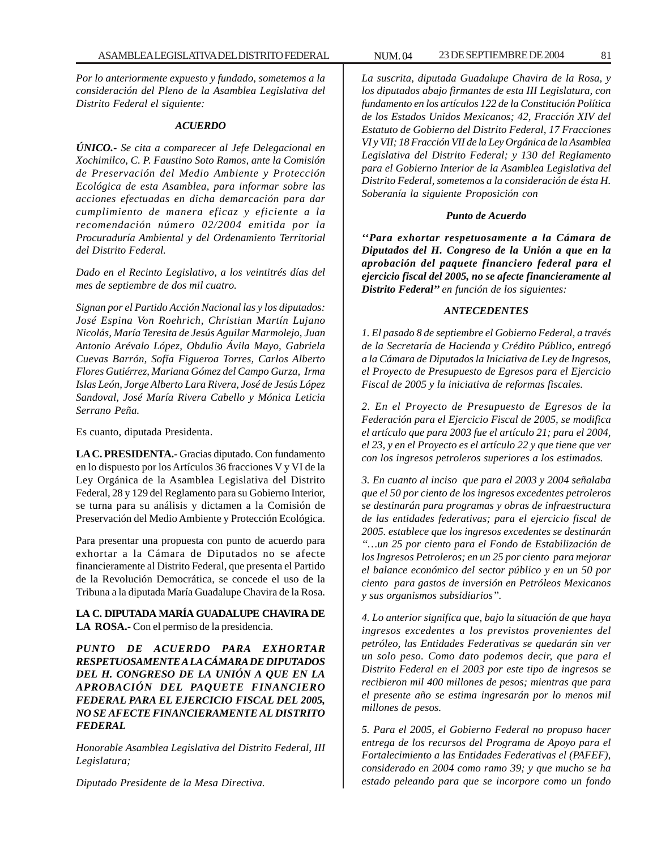*Por lo anteriormente expuesto y fundado, sometemos a la consideración del Pleno de la Asamblea Legislativa del Distrito Federal el siguiente:*

### *ACUERDO*

*ÚNICO.- Se cita a comparecer al Jefe Delegacional en Xochimilco, C. P. Faustino Soto Ramos, ante la Comisión de Preservación del Medio Ambiente y Protección Ecológica de esta Asamblea, para informar sobre las acciones efectuadas en dicha demarcación para dar cumplimiento de manera eficaz y eficiente a la recomendación número 02/2004 emitida por la Procuraduría Ambiental y del Ordenamiento Territorial del Distrito Federal.*

*Dado en el Recinto Legislativo, a los veintitrés días del mes de septiembre de dos mil cuatro.*

*Signan por el Partido Acción Nacional las y los diputados: José Espina Von Roehrich, Christian Martín Lujano Nicolás, María Teresita de Jesús Aguilar Marmolejo, Juan Antonio Arévalo López, Obdulio Ávila Mayo, Gabriela Cuevas Barrón, Sofía Figueroa Torres, Carlos Alberto Flores Gutiérrez, Mariana Gómez del Campo Gurza, Irma Islas León, Jorge Alberto Lara Rivera, José de Jesús López Sandoval, José María Rivera Cabello y Mónica Leticia Serrano Peña.*

Es cuanto, diputada Presidenta.

**LA C. PRESIDENTA.-** Gracias diputado. Con fundamento en lo dispuesto por los Artículos 36 fracciones V y VI de la Ley Orgánica de la Asamblea Legislativa del Distrito Federal, 28 y 129 del Reglamento para su Gobierno Interior, se turna para su análisis y dictamen a la Comisión de Preservación del Medio Ambiente y Protección Ecológica.

Para presentar una propuesta con punto de acuerdo para exhortar a la Cámara de Diputados no se afecte financieramente al Distrito Federal, que presenta el Partido de la Revolución Democrática, se concede el uso de la Tribuna a la diputada María Guadalupe Chavira de la Rosa.

**LA C. DIPUTADA MARÍA GUADALUPE CHAVIRA DE LA ROSA.-** Con el permiso de la presidencia.

*PUNTO DE ACUERDO PARA EXHORTAR RESPETUOSAMENTE A LA CÁMARA DE DIPUTADOS DEL H. CONGRESO DE LA UNIÓN A QUE EN LA APROBACIÓN DEL PAQUETE FINANCIERO FEDERAL PARA EL EJERCICIO FISCAL DEL 2005, NO SE AFECTE FINANCIERAMENTE AL DISTRITO FEDERAL*

*Honorable Asamblea Legislativa del Distrito Federal, III Legislatura;*

*Diputado Presidente de la Mesa Directiva.*

*La suscrita, diputada Guadalupe Chavira de la Rosa, y los diputados abajo firmantes de esta III Legislatura, con fundamento en los artículos 122 de la Constitución Política de los Estados Unidos Mexicanos; 42, Fracción XIV del Estatuto de Gobierno del Distrito Federal, 17 Fracciones VI y VII; 18 Fracción VII de la Ley Orgánica de la Asamblea Legislativa del Distrito Federal; y 130 del Reglamento para el Gobierno Interior de la Asamblea Legislativa del Distrito Federal, sometemos a la consideración de ésta H. Soberanía la siguiente Proposición con*

### *Punto de Acuerdo*

*''Para exhortar respetuosamente a la Cámara de Diputados del H. Congreso de la Unión a que en la aprobación del paquete financiero federal para el ejercicio fiscal del 2005, no se afecte financieramente al Distrito Federal'' en función de los siguientes:*

### *ANTECEDENTES*

*1. El pasado 8 de septiembre el Gobierno Federal, a través de la Secretaría de Hacienda y Crédito Público, entregó a la Cámara de Diputados la Iniciativa de Ley de Ingresos, el Proyecto de Presupuesto de Egresos para el Ejercicio Fiscal de 2005 y la iniciativa de reformas fiscales.*

*2. En el Proyecto de Presupuesto de Egresos de la Federación para el Ejercicio Fiscal de 2005, se modifica el artículo que para 2003 fue el artículo 21; para el 2004, el 23, y en el Proyecto es el artículo 22 y que tiene que ver con los ingresos petroleros superiores a los estimados.*

*3. En cuanto al inciso que para el 2003 y 2004 señalaba que el 50 por ciento de los ingresos excedentes petroleros se destinarán para programas y obras de infraestructura de las entidades federativas; para el ejercicio fiscal de 2005. establece que los ingresos excedentes se destinarán ''…un 25 por ciento para el Fondo de Estabilización de los Ingresos Petroleros; en un 25 por ciento para mejorar el balance económico del sector público y en un 50 por ciento para gastos de inversión en Petróleos Mexicanos y sus organismos subsidiarios''.*

*4. Lo anterior significa que, bajo la situación de que haya ingresos excedentes a los previstos provenientes del petróleo, las Entidades Federativas se quedarán sin ver un solo peso. Como dato podemos decir, que para el Distrito Federal en el 2003 por este tipo de ingresos se recibieron mil 400 millones de pesos; mientras que para el presente año se estima ingresarán por lo menos mil millones de pesos.*

*5. Para el 2005, el Gobierno Federal no propuso hacer entrega de los recursos del Programa de Apoyo para el Fortalecimiento a las Entidades Federativas el (PAFEF), considerado en 2004 como ramo 39; y que mucho se ha estado peleando para que se incorpore como un fondo*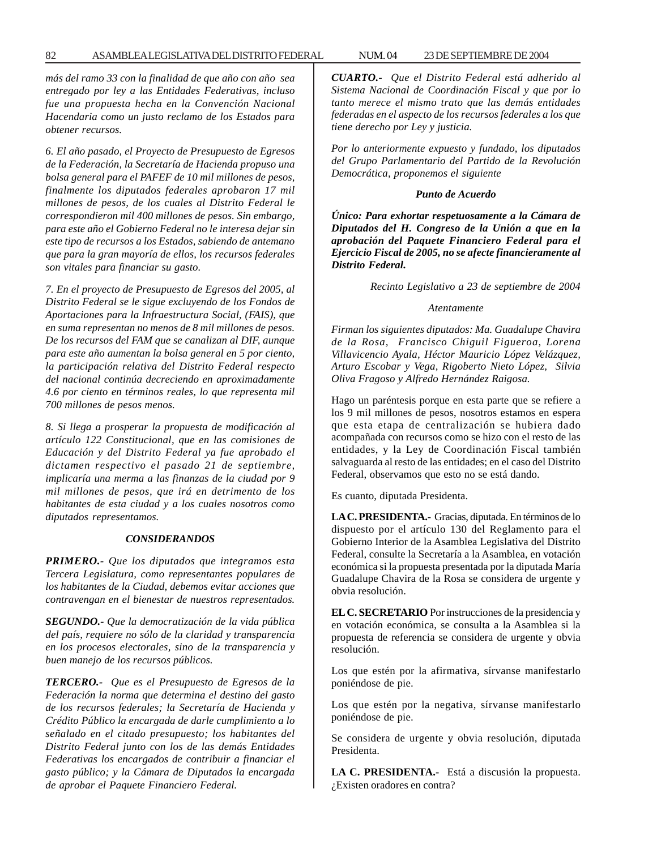*más del ramo 33 con la finalidad de que año con año sea entregado por ley a las Entidades Federativas, incluso fue una propuesta hecha en la Convención Nacional Hacendaria como un justo reclamo de los Estados para obtener recursos.*

*6. El año pasado, el Proyecto de Presupuesto de Egresos de la Federación, la Secretaría de Hacienda propuso una bolsa general para el PAFEF de 10 mil millones de pesos, finalmente los diputados federales aprobaron 17 mil millones de pesos, de los cuales al Distrito Federal le correspondieron mil 400 millones de pesos. Sin embargo, para este año el Gobierno Federal no le interesa dejar sin este tipo de recursos a los Estados, sabiendo de antemano que para la gran mayoría de ellos, los recursos federales son vitales para financiar su gasto.*

*7. En el proyecto de Presupuesto de Egresos del 2005, al Distrito Federal se le sigue excluyendo de los Fondos de Aportaciones para la Infraestructura Social, (FAIS), que en suma representan no menos de 8 mil millones de pesos. De los recursos del FAM que se canalizan al DIF, aunque para este año aumentan la bolsa general en 5 por ciento, la participación relativa del Distrito Federal respecto del nacional continúa decreciendo en aproximadamente 4.6 por ciento en términos reales, lo que representa mil 700 millones de pesos menos.*

*8. Si llega a prosperar la propuesta de modificación al artículo 122 Constitucional, que en las comisiones de Educación y del Distrito Federal ya fue aprobado el dictamen respectivo el pasado 21 de septiembre, implicaría una merma a las finanzas de la ciudad por 9 mil millones de pesos, que irá en detrimento de los habitantes de esta ciudad y a los cuales nosotros como diputados representamos.*

#### *CONSIDERANDOS*

*PRIMERO.- Que los diputados que integramos esta Tercera Legislatura, como representantes populares de los habitantes de la Ciudad, debemos evitar acciones que contravengan en el bienestar de nuestros representados.*

*SEGUNDO.- Que la democratización de la vida pública del país, requiere no sólo de la claridad y transparencia en los procesos electorales, sino de la transparencia y buen manejo de los recursos públicos.*

*TERCERO.- Que es el Presupuesto de Egresos de la Federación la norma que determina el destino del gasto de los recursos federales; la Secretaría de Hacienda y Crédito Público la encargada de darle cumplimiento a lo señalado en el citado presupuesto; los habitantes del Distrito Federal junto con los de las demás Entidades Federativas los encargados de contribuir a financiar el gasto público; y la Cámara de Diputados la encargada de aprobar el Paquete Financiero Federal.*

*CUARTO.- Que el Distrito Federal está adherido al Sistema Nacional de Coordinación Fiscal y que por lo tanto merece el mismo trato que las demás entidades federadas en el aspecto de los recursos federales a los que tiene derecho por Ley y justicia.*

*Por lo anteriormente expuesto y fundado, los diputados del Grupo Parlamentario del Partido de la Revolución Democrática, proponemos el siguiente*

#### *Punto de Acuerdo*

*Único: Para exhortar respetuosamente a la Cámara de Diputados del H. Congreso de la Unión a que en la aprobación del Paquete Financiero Federal para el Ejercicio Fiscal de 2005, no se afecte financieramente al Distrito Federal.*

*Recinto Legislativo a 23 de septiembre de 2004*

#### *Atentamente*

*Firman los siguientes diputados: Ma. Guadalupe Chavira de la Rosa, Francisco Chiguil Figueroa, Lorena Villavicencio Ayala, Héctor Mauricio López Velázquez, Arturo Escobar y Vega, Rigoberto Nieto López, Silvia Oliva Fragoso y Alfredo Hernández Raigosa.*

Hago un paréntesis porque en esta parte que se refiere a los 9 mil millones de pesos, nosotros estamos en espera que esta etapa de centralización se hubiera dado acompañada con recursos como se hizo con el resto de las entidades, y la Ley de Coordinación Fiscal también salvaguarda al resto de las entidades; en el caso del Distrito Federal, observamos que esto no se está dando.

Es cuanto, diputada Presidenta.

**LA C. PRESIDENTA.-** Gracias, diputada. En términos de lo dispuesto por el artículo 130 del Reglamento para el Gobierno Interior de la Asamblea Legislativa del Distrito Federal, consulte la Secretaría a la Asamblea, en votación económica si la propuesta presentada por la diputada María Guadalupe Chavira de la Rosa se considera de urgente y obvia resolución.

**EL C. SECRETARIO** Por instrucciones de la presidencia y en votación económica, se consulta a la Asamblea si la propuesta de referencia se considera de urgente y obvia resolución.

Los que estén por la afirmativa, sírvanse manifestarlo poniéndose de pie.

Los que estén por la negativa, sírvanse manifestarlo poniéndose de pie.

Se considera de urgente y obvia resolución, diputada Presidenta.

**LA C. PRESIDENTA.-** Está a discusión la propuesta. ¿Existen oradores en contra?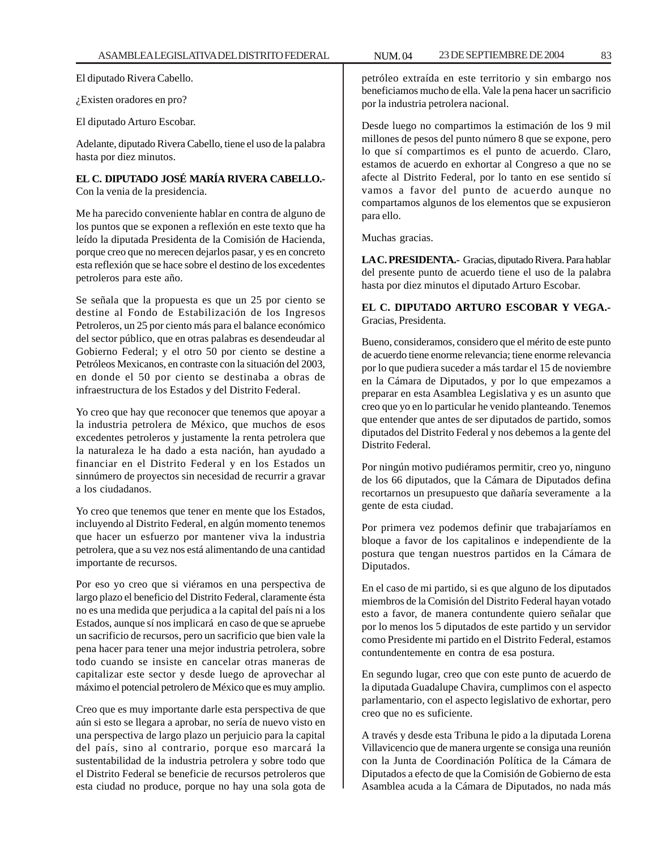El diputado Rivera Cabello.

¿Existen oradores en pro?

El diputado Arturo Escobar.

Adelante, diputado Rivera Cabello, tiene el uso de la palabra hasta por diez minutos.

**EL C. DIPUTADO JOSÉ MARÍA RIVERA CABELLO.-** Con la venia de la presidencia.

Me ha parecido conveniente hablar en contra de alguno de los puntos que se exponen a reflexión en este texto que ha leído la diputada Presidenta de la Comisión de Hacienda, porque creo que no merecen dejarlos pasar, y es en concreto esta reflexión que se hace sobre el destino de los excedentes petroleros para este año.

Se señala que la propuesta es que un 25 por ciento se destine al Fondo de Estabilización de los Ingresos Petroleros, un 25 por ciento más para el balance económico del sector público, que en otras palabras es desendeudar al Gobierno Federal; y el otro 50 por ciento se destine a Petróleos Mexicanos, en contraste con la situación del 2003, en donde el 50 por ciento se destinaba a obras de infraestructura de los Estados y del Distrito Federal.

Yo creo que hay que reconocer que tenemos que apoyar a la industria petrolera de México, que muchos de esos excedentes petroleros y justamente la renta petrolera que la naturaleza le ha dado a esta nación, han ayudado a financiar en el Distrito Federal y en los Estados un sinnúmero de proyectos sin necesidad de recurrir a gravar a los ciudadanos.

Yo creo que tenemos que tener en mente que los Estados, incluyendo al Distrito Federal, en algún momento tenemos que hacer un esfuerzo por mantener viva la industria petrolera, que a su vez nos está alimentando de una cantidad importante de recursos.

Por eso yo creo que si viéramos en una perspectiva de largo plazo el beneficio del Distrito Federal, claramente ésta no es una medida que perjudica a la capital del país ni a los Estados, aunque sí nos implicará en caso de que se apruebe un sacrificio de recursos, pero un sacrificio que bien vale la pena hacer para tener una mejor industria petrolera, sobre todo cuando se insiste en cancelar otras maneras de capitalizar este sector y desde luego de aprovechar al máximo el potencial petrolero de México que es muy amplio.

Creo que es muy importante darle esta perspectiva de que aún si esto se llegara a aprobar, no sería de nuevo visto en una perspectiva de largo plazo un perjuicio para la capital del país, sino al contrario, porque eso marcará la sustentabilidad de la industria petrolera y sobre todo que el Distrito Federal se beneficie de recursos petroleros que esta ciudad no produce, porque no hay una sola gota de

petróleo extraída en este territorio y sin embargo nos beneficiamos mucho de ella. Vale la pena hacer un sacrificio por la industria petrolera nacional.

Desde luego no compartimos la estimación de los 9 mil millones de pesos del punto número 8 que se expone, pero lo que sí compartimos es el punto de acuerdo. Claro, estamos de acuerdo en exhortar al Congreso a que no se afecte al Distrito Federal, por lo tanto en ese sentido sí vamos a favor del punto de acuerdo aunque no compartamos algunos de los elementos que se expusieron para ello.

Muchas gracias.

**LA C. PRESIDENTA.-** Gracias, diputado Rivera. Para hablar del presente punto de acuerdo tiene el uso de la palabra hasta por diez minutos el diputado Arturo Escobar.

## **EL C. DIPUTADO ARTURO ESCOBAR Y VEGA.-** Gracias, Presidenta.

Bueno, consideramos, considero que el mérito de este punto de acuerdo tiene enorme relevancia; tiene enorme relevancia por lo que pudiera suceder a más tardar el 15 de noviembre en la Cámara de Diputados, y por lo que empezamos a preparar en esta Asamblea Legislativa y es un asunto que creo que yo en lo particular he venido planteando. Tenemos que entender que antes de ser diputados de partido, somos diputados del Distrito Federal y nos debemos a la gente del Distrito Federal.

Por ningún motivo pudiéramos permitir, creo yo, ninguno de los 66 diputados, que la Cámara de Diputados defina recortarnos un presupuesto que dañaría severamente a la gente de esta ciudad.

Por primera vez podemos definir que trabajaríamos en bloque a favor de los capitalinos e independiente de la postura que tengan nuestros partidos en la Cámara de Diputados.

En el caso de mi partido, si es que alguno de los diputados miembros de la Comisión del Distrito Federal hayan votado esto a favor, de manera contundente quiero señalar que por lo menos los 5 diputados de este partido y un servidor como Presidente mi partido en el Distrito Federal, estamos contundentemente en contra de esa postura.

En segundo lugar, creo que con este punto de acuerdo de la diputada Guadalupe Chavira, cumplimos con el aspecto parlamentario, con el aspecto legislativo de exhortar, pero creo que no es suficiente.

A través y desde esta Tribuna le pido a la diputada Lorena Villavicencio que de manera urgente se consiga una reunión con la Junta de Coordinación Política de la Cámara de Diputados a efecto de que la Comisión de Gobierno de esta Asamblea acuda a la Cámara de Diputados, no nada más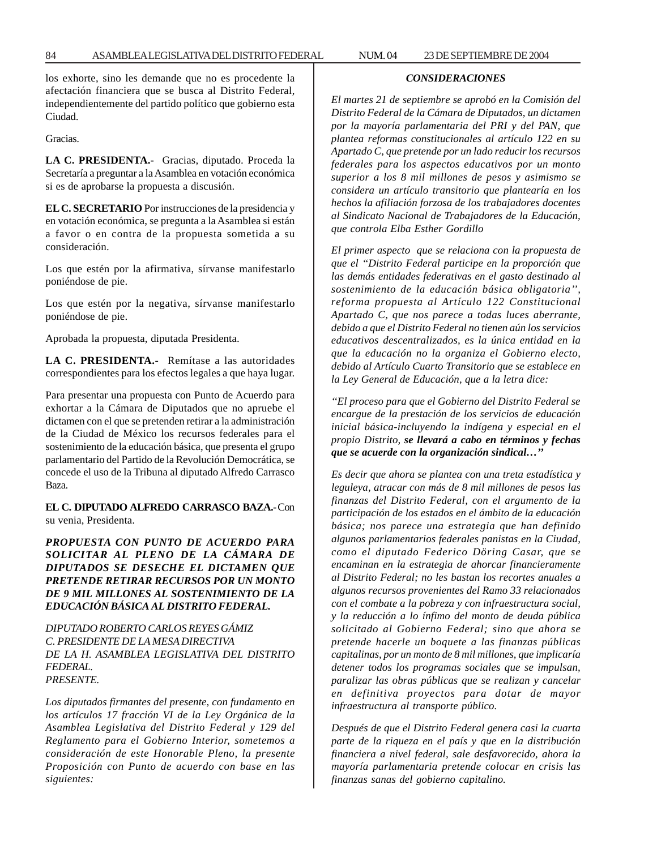los exhorte, sino les demande que no es procedente la afectación financiera que se busca al Distrito Federal, independientemente del partido político que gobierno esta Ciudad.

Gracias.

**LA C. PRESIDENTA.-** Gracias, diputado. Proceda la Secretaría a preguntar a la Asamblea en votación económica si es de aprobarse la propuesta a discusión.

**EL C. SECRETARIO** Por instrucciones de la presidencia y en votación económica, se pregunta a la Asamblea si están a favor o en contra de la propuesta sometida a su consideración.

Los que estén por la afirmativa, sírvanse manifestarlo poniéndose de pie.

Los que estén por la negativa, sírvanse manifestarlo poniéndose de pie.

Aprobada la propuesta, diputada Presidenta.

**LA C. PRESIDENTA.-** Remítase a las autoridades correspondientes para los efectos legales a que haya lugar.

Para presentar una propuesta con Punto de Acuerdo para exhortar a la Cámara de Diputados que no apruebe el dictamen con el que se pretenden retirar a la administración de la Ciudad de México los recursos federales para el sostenimiento de la educación básica, que presenta el grupo parlamentario del Partido de la Revolución Democrática, se concede el uso de la Tribuna al diputado Alfredo Carrasco Baza.

## **EL C. DIPUTADO ALFREDO CARRASCO BAZA.-** Con su venia, Presidenta.

*PROPUESTA CON PUNTO DE ACUERDO PARA SOLICITAR AL PLENO DE LA CÁMARA DE DIPUTADOS SE DESECHE EL DICTAMEN QUE PRETENDE RETIRAR RECURSOS POR UN MONTO DE 9 MIL MILLONES AL SOSTENIMIENTO DE LA EDUCACIÓN BÁSICA AL DISTRITO FEDERAL.*

*DIPUTADO ROBERTO CARLOS REYES GÁMIZ C. PRESIDENTE DE LA MESA DIRECTIVA DE LA H. ASAMBLEA LEGISLATIVA DEL DISTRITO FEDERAL. PRESENTE.*

*Los diputados firmantes del presente, con fundamento en los artículos 17 fracción VI de la Ley Orgánica de la Asamblea Legislativa del Distrito Federal y 129 del Reglamento para el Gobierno Interior, sometemos a consideración de este Honorable Pleno, la presente Proposición con Punto de acuerdo con base en las siguientes:*

### *CONSIDERACIONES*

*El martes 21 de septiembre se aprobó en la Comisión del Distrito Federal de la Cámara de Diputados, un dictamen por la mayoría parlamentaria del PRI y del PAN, que plantea reformas constitucionales al artículo 122 en su Apartado C, que pretende por un lado reducir los recursos federales para los aspectos educativos por un monto superior a los 8 mil millones de pesos y asimismo se considera un artículo transitorio que plantearía en los hechos la afiliación forzosa de los trabajadores docentes al Sindicato Nacional de Trabajadores de la Educación, que controla Elba Esther Gordillo*

*El primer aspecto que se relaciona con la propuesta de que el ''Distrito Federal participe en la proporción que las demás entidades federativas en el gasto destinado al sostenimiento de la educación básica obligatoria'', reforma propuesta al Artículo 122 Constitucional Apartado C, que nos parece a todas luces aberrante, debido a que el Distrito Federal no tienen aún los servicios educativos descentralizados, es la única entidad en la que la educación no la organiza el Gobierno electo, debido al Artículo Cuarto Transitorio que se establece en la Ley General de Educación, que a la letra dice:*

*''El proceso para que el Gobierno del Distrito Federal se encargue de la prestación de los servicios de educación inicial básica-incluyendo la indígena y especial en el propio Distrito, se llevará a cabo en términos y fechas que se acuerde con la organización sindical…''*

*Es decir que ahora se plantea con una treta estadística y leguleya, atracar con más de 8 mil millones de pesos las finanzas del Distrito Federal, con el argumento de la participación de los estados en el ámbito de la educación básica; nos parece una estrategia que han definido algunos parlamentarios federales panistas en la Ciudad, como el diputado Federico Döring Casar, que se encaminan en la estrategia de ahorcar financieramente al Distrito Federal; no les bastan los recortes anuales a algunos recursos provenientes del Ramo 33 relacionados con el combate a la pobreza y con infraestructura social, y la reducción a lo ínfimo del monto de deuda pública solicitado al Gobierno Federal; sino que ahora se pretende hacerle un boquete a las finanzas públicas capitalinas, por un monto de 8 mil millones, que implicaría detener todos los programas sociales que se impulsan, paralizar las obras públicas que se realizan y cancelar en definitiva proyectos para dotar de mayor infraestructura al transporte público.*

*Después de que el Distrito Federal genera casi la cuarta parte de la riqueza en el país y que en la distribución financiera a nivel federal, sale desfavorecido, ahora la mayoría parlamentaria pretende colocar en crisis las finanzas sanas del gobierno capitalino.*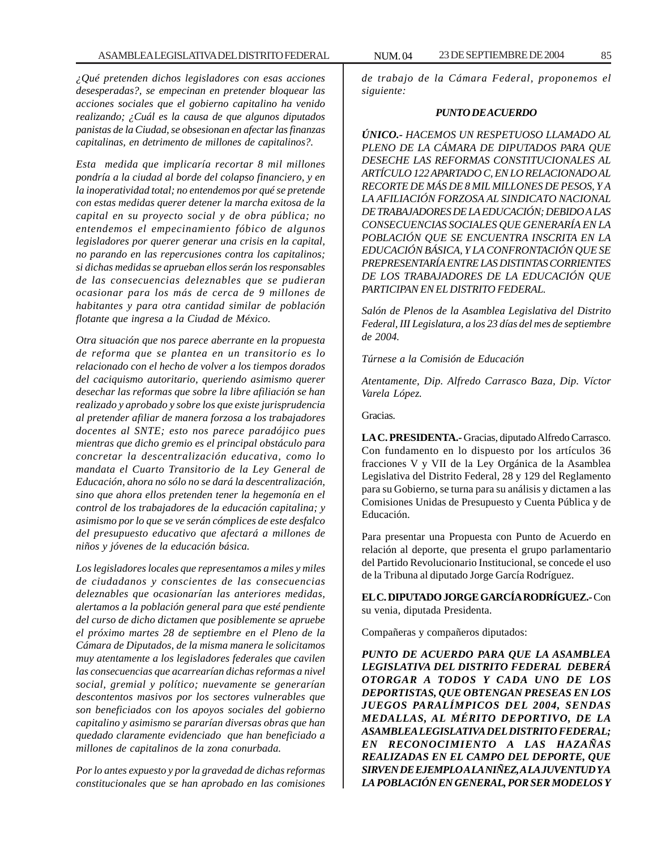*¿Qué pretenden dichos legisladores con esas acciones desesperadas?, se empecinan en pretender bloquear las acciones sociales que el gobierno capitalino ha venido realizando; ¿Cuál es la causa de que algunos diputados panistas de la Ciudad, se obsesionan en afectar las finanzas capitalinas, en detrimento de millones de capitalinos?.*

*Esta medida que implicaría recortar 8 mil millones pondría a la ciudad al borde del colapso financiero, y en la inoperatividad total; no entendemos por qué se pretende con estas medidas querer detener la marcha exitosa de la capital en su proyecto social y de obra pública; no entendemos el empecinamiento fóbico de algunos legisladores por querer generar una crisis en la capital, no parando en las repercusiones contra los capitalinos; si dichas medidas se aprueban ellos serán los responsables de las consecuencias deleznables que se pudieran ocasionar para los más de cerca de 9 millones de habitantes y para otra cantidad similar de población flotante que ingresa a la Ciudad de México.*

*Otra situación que nos parece aberrante en la propuesta de reforma que se plantea en un transitorio es lo relacionado con el hecho de volver a los tiempos dorados del caciquismo autoritario, queriendo asimismo querer desechar las reformas que sobre la libre afiliación se han realizado y aprobado y sobre los que existe jurisprudencia al pretender afiliar de manera forzosa a los trabajadores docentes al SNTE; esto nos parece paradójico pues mientras que dicho gremio es el principal obstáculo para concretar la descentralización educativa, como lo mandata el Cuarto Transitorio de la Ley General de Educación, ahora no sólo no se dará la descentralización, sino que ahora ellos pretenden tener la hegemonía en el control de los trabajadores de la educación capitalina; y asimismo por lo que se ve serán cómplices de este desfalco del presupuesto educativo que afectará a millones de niños y jóvenes de la educación básica.*

*Los legisladores locales que representamos a miles y miles de ciudadanos y conscientes de las consecuencias deleznables que ocasionarían las anteriores medidas, alertamos a la población general para que esté pendiente del curso de dicho dictamen que posiblemente se apruebe el próximo martes 28 de septiembre en el Pleno de la Cámara de Diputados, de la misma manera le solicitamos muy atentamente a los legisladores federales que cavilen las consecuencias que acarrearían dichas reformas a nivel social, gremial y político; nuevamente se generarían descontentos masivos por los sectores vulnerables que son beneficiados con los apoyos sociales del gobierno capitalino y asimismo se pararían diversas obras que han quedado claramente evidenciado que han beneficiado a millones de capitalinos de la zona conurbada.*

*Por lo antes expuesto y por la gravedad de dichas reformas constitucionales que se han aprobado en las comisiones*

*de trabajo de la Cámara Federal, proponemos el siguiente:*

#### *PUNTO DE ACUERDO*

*ÚNICO.- HACEMOS UN RESPETUOSO LLAMADO AL PLENO DE LA CÁMARA DE DIPUTADOS PARA QUE DESECHE LAS REFORMAS CONSTITUCIONALES AL ARTÍCULO 122 APARTADO C, EN LO RELACIONADO AL RECORTE DE MÁS DE 8 MIL MILLONES DE PESOS, Y A LA AFILIACIÓN FORZOSA AL SINDICATO NACIONAL DE TRABAJADORES DE LA EDUCACIÓN; DEBIDO A LAS CONSECUENCIAS SOCIALES QUE GENERARÍA EN LA POBLACIÓN QUE SE ENCUENTRA INSCRITA EN LA EDUCACIÓN BÁSICA, Y LA CONFRONTACIÓN QUE SE PREPRESENTARÍA ENTRE LAS DISTINTAS CORRIENTES DE LOS TRABAJADORES DE LA EDUCACIÓN QUE PARTICIPAN EN EL DISTRITO FEDERAL.*

*Salón de Plenos de la Asamblea Legislativa del Distrito Federal, III Legislatura, a los 23 días del mes de septiembre de 2004.*

*Túrnese a la Comisión de Educación*

*Atentamente, Dip. Alfredo Carrasco Baza, Dip. Víctor Varela López.*

Gracias.

**LA C. PRESIDENTA.-** Gracias, diputado Alfredo Carrasco. Con fundamento en lo dispuesto por los artículos 36 fracciones V y VII de la Ley Orgánica de la Asamblea Legislativa del Distrito Federal, 28 y 129 del Reglamento para su Gobierno, se turna para su análisis y dictamen a las Comisiones Unidas de Presupuesto y Cuenta Pública y de Educación.

Para presentar una Propuesta con Punto de Acuerdo en relación al deporte, que presenta el grupo parlamentario del Partido Revolucionario Institucional, se concede el uso de la Tribuna al diputado Jorge García Rodríguez.

**EL C. DIPUTADO JORGE GARCÍA RODRÍGUEZ.-** Con su venia, diputada Presidenta.

Compañeras y compañeros diputados:

*PUNTO DE ACUERDO PARA QUE LA ASAMBLEA LEGISLATIVA DEL DISTRITO FEDERAL DEBERÁ OTORGAR A TODOS Y CADA UNO DE LOS DEPORTISTAS, QUE OBTENGAN PRESEAS EN LOS JUEGOS PARALÍMPICOS DEL 2004, SENDAS MEDALLAS, AL MÉRITO DEPORTIVO, DE LA ASAMBLEA LEGISLATIVA DEL DISTRITO FEDERAL; EN RECONOCIMIENTO A LAS HAZAÑAS REALIZADAS EN EL CAMPO DEL DEPORTE, QUE SIRVEN DE EJEMPLO A LA NIÑEZ, A LA JUVENTUD Y A LA POBLACIÓN EN GENERAL, POR SER MODELOS Y*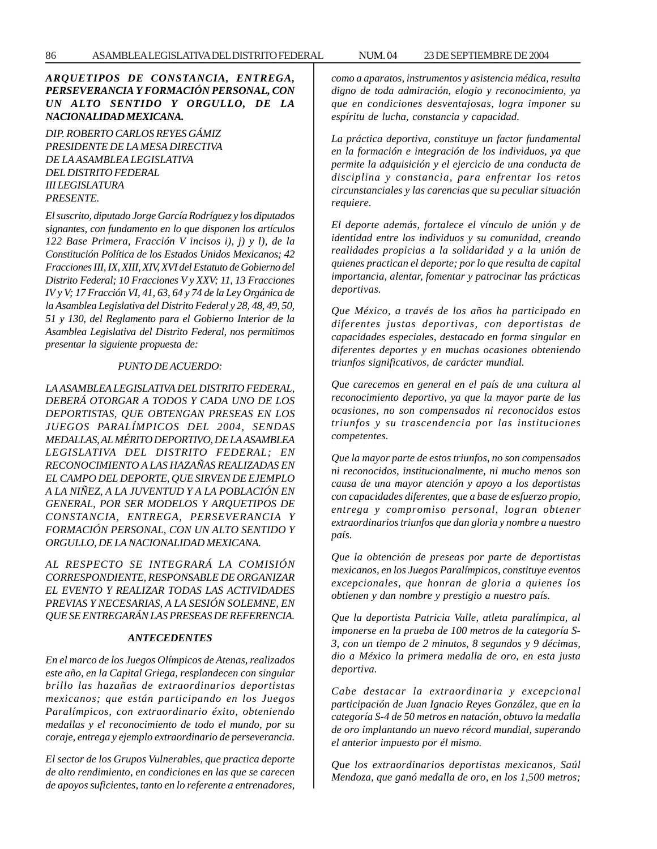## *ARQUETIPOS DE CONSTANCIA, ENTREGA, PERSEVERANCIA Y FORMACIÓN PERSONAL, CON UN ALTO SENTIDO Y ORGULLO, DE LA NACIONALIDAD MEXICANA.*

*DIP. ROBERTO CARLOS REYES GÁMIZ PRESIDENTE DE LA MESA DIRECTIVA DE LA ASAMBLEA LEGISLATIVA DEL DISTRITO FEDERAL III LEGISLATURA PRESENTE.*

*El suscrito, diputado Jorge García Rodríguez y los diputados signantes, con fundamento en lo que disponen los artículos 122 Base Primera, Fracción V incisos i), j) y l), de la Constitución Política de los Estados Unidos Mexicanos; 42 Fracciones III, IX, XIII, XIV, XVI del Estatuto de Gobierno del Distrito Federal; 10 Fracciones V y XXV; 11, 13 Fracciones IV y V; 17 Fracción VI, 41, 63, 64 y 74 de la Ley Orgánica de la Asamblea Legislativa del Distrito Federal y 28, 48, 49, 50, 51 y 130, del Reglamento para el Gobierno Interior de la Asamblea Legislativa del Distrito Federal, nos permitimos presentar la siguiente propuesta de:*

## *PUNTO DE ACUERDO:*

*LA ASAMBLEA LEGISLATIVA DEL DISTRITO FEDERAL, DEBERÁ OTORGAR A TODOS Y CADA UNO DE LOS DEPORTISTAS, QUE OBTENGAN PRESEAS EN LOS JUEGOS PARALÍMPICOS DEL 2004, SENDAS MEDALLAS, AL MÉRITO DEPORTIVO, DE LA ASAMBLEA LEGISLATIVA DEL DISTRITO FEDERAL; EN RECONOCIMIENTO A LAS HAZAÑAS REALIZADAS EN EL CAMPO DEL DEPORTE, QUE SIRVEN DE EJEMPLO A LA NIÑEZ, A LA JUVENTUD Y A LA POBLACIÓN EN GENERAL, POR SER MODELOS Y ARQUETIPOS DE CONSTANCIA, ENTREGA, PERSEVERANCIA Y FORMACIÓN PERSONAL, CON UN ALTO SENTIDO Y ORGULLO, DE LA NACIONALIDAD MEXICANA.*

*AL RESPECTO SE INTEGRARÁ LA COMISIÓN CORRESPONDIENTE, RESPONSABLE DE ORGANIZAR EL EVENTO Y REALIZAR TODAS LAS ACTIVIDADES PREVIAS Y NECESARIAS, A LA SESIÓN SOLEMNE, EN QUE SE ENTREGARÁN LAS PRESEAS DE REFERENCIA.*

## *ANTECEDENTES*

*En el marco de los Juegos Olímpicos de Atenas, realizados este año, en la Capital Griega, resplandecen con singular brillo las hazañas de extraordinarios deportistas mexicanos; que están participando en los Juegos Paralímpicos, con extraordinario éxito, obteniendo medallas y el reconocimiento de todo el mundo, por su coraje, entrega y ejemplo extraordinario de perseverancia.*

*El sector de los Grupos Vulnerables, que practica deporte de alto rendimiento, en condiciones en las que se carecen de apoyos suficientes, tanto en lo referente a entrenadores,*

*como a aparatos, instrumentos y asistencia médica, resulta digno de toda admiración, elogio y reconocimiento, ya que en condiciones desventajosas, logra imponer su espíritu de lucha, constancia y capacidad.*

*La práctica deportiva, constituye un factor fundamental en la formación e integración de los individuos, ya que permite la adquisición y el ejercicio de una conducta de disciplina y constancia, para enfrentar los retos circunstanciales y las carencias que su peculiar situación requiere.*

*El deporte además, fortalece el vínculo de unión y de identidad entre los individuos y su comunidad, creando realidades propicias a la solidaridad y a la unión de quienes practican el deporte; por lo que resulta de capital importancia, alentar, fomentar y patrocinar las prácticas deportivas.*

*Que México, a través de los años ha participado en diferentes justas deportivas, con deportistas de capacidades especiales, destacado en forma singular en diferentes deportes y en muchas ocasiones obteniendo triunfos significativos, de carácter mundial.*

*Que carecemos en general en el país de una cultura al reconocimiento deportivo, ya que la mayor parte de las ocasiones, no son compensados ni reconocidos estos triunfos y su trascendencia por las instituciones competentes.*

*Que la mayor parte de estos triunfos, no son compensados ni reconocidos, institucionalmente, ni mucho menos son causa de una mayor atención y apoyo a los deportistas con capacidades diferentes, que a base de esfuerzo propio, entrega y compromiso personal, logran obtener extraordinarios triunfos que dan gloria y nombre a nuestro país.*

*Que la obtención de preseas por parte de deportistas mexicanos, en los Juegos Paralímpicos, constituye eventos excepcionales, que honran de gloria a quienes los obtienen y dan nombre y prestigio a nuestro país.*

*Que la deportista Patricia Valle, atleta paralímpica, al imponerse en la prueba de 100 metros de la categoría S-3, con un tiempo de 2 minutos, 8 segundos y 9 décimas, dio a México la primera medalla de oro, en esta justa deportiva.*

*Cabe destacar la extraordinaria y excepcional participación de Juan Ignacio Reyes González, que en la categoría S-4 de 50 metros en natación, obtuvo la medalla de oro implantando un nuevo récord mundial, superando el anterior impuesto por él mismo.*

*Que los extraordinarios deportistas mexicanos, Saúl Mendoza, que ganó medalla de oro, en los 1,500 metros;*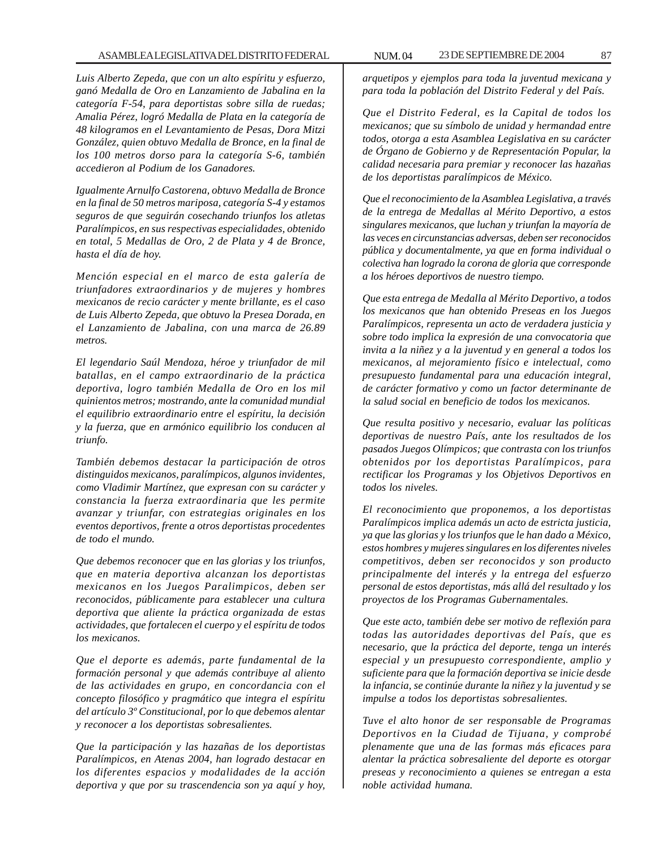*Luis Alberto Zepeda, que con un alto espíritu y esfuerzo, ganó Medalla de Oro en Lanzamiento de Jabalina en la categoría F-54, para deportistas sobre silla de ruedas; Amalia Pérez, logró Medalla de Plata en la categoría de 48 kilogramos en el Levantamiento de Pesas, Dora Mitzi González, quien obtuvo Medalla de Bronce, en la final de los 100 metros dorso para la categoría S-6, también accedieron al Podium de los Ganadores.*

*Igualmente Arnulfo Castorena, obtuvo Medalla de Bronce en la final de 50 metros mariposa, categoría S-4 y estamos seguros de que seguirán cosechando triunfos los atletas Paralímpicos, en sus respectivas especialidades, obtenido en total, 5 Medallas de Oro, 2 de Plata y 4 de Bronce, hasta el día de hoy.*

*Mención especial en el marco de esta galería de triunfadores extraordinarios y de mujeres y hombres mexicanos de recio carácter y mente brillante, es el caso de Luis Alberto Zepeda, que obtuvo la Presea Dorada, en el Lanzamiento de Jabalina, con una marca de 26.89 metros.*

*El legendario Saúl Mendoza, héroe y triunfador de mil batallas, en el campo extraordinario de la práctica deportiva, logro también Medalla de Oro en los mil quinientos metros; mostrando, ante la comunidad mundial el equilibrio extraordinario entre el espíritu, la decisión y la fuerza, que en armónico equilibrio los conducen al triunfo.*

*También debemos destacar la participación de otros distinguidos mexicanos, paralímpicos, algunos invidentes, como Vladimir Martínez, que expresan con su carácter y constancia la fuerza extraordinaria que les permite avanzar y triunfar, con estrategias originales en los eventos deportivos, frente a otros deportistas procedentes de todo el mundo.*

*Que debemos reconocer que en las glorias y los triunfos, que en materia deportiva alcanzan los deportistas mexicanos en los Juegos Paralimpicos, deben ser reconocidos, públicamente para establecer una cultura deportiva que aliente la práctica organizada de estas actividades, que fortalecen el cuerpo y el espíritu de todos los mexicanos.*

*Que el deporte es además, parte fundamental de la formación personal y que además contribuye al aliento de las actividades en grupo, en concordancia con el concepto filosófico y pragmático que integra el espíritu del artículo 3º Constitucional, por lo que debemos alentar y reconocer a los deportistas sobresalientes.*

*Que la participación y las hazañas de los deportistas Paralímpicos, en Atenas 2004, han logrado destacar en los diferentes espacios y modalidades de la acción deportiva y que por su trascendencia son ya aquí y hoy,*

*arquetipos y ejemplos para toda la juventud mexicana y para toda la población del Distrito Federal y del País.*

*Que el Distrito Federal, es la Capital de todos los mexicanos; que su símbolo de unidad y hermandad entre todos, otorga a esta Asamblea Legislativa en su carácter de Órgano de Gobierno y de Representación Popular, la calidad necesaria para premiar y reconocer las hazañas de los deportistas paralímpicos de México.*

*Que el reconocimiento de la Asamblea Legislativa, a través de la entrega de Medallas al Mérito Deportivo, a estos singulares mexicanos, que luchan y triunfan la mayoría de las veces en circunstancias adversas, deben ser reconocidos pública y documentalmente, ya que en forma individual o colectiva han logrado la corona de gloria que corresponde a los héroes deportivos de nuestro tiempo.*

*Que esta entrega de Medalla al Mérito Deportivo, a todos los mexicanos que han obtenido Preseas en los Juegos Paralímpicos, representa un acto de verdadera justicia y sobre todo implica la expresión de una convocatoria que invita a la niñez y a la juventud y en general a todos los mexicanos, al mejoramiento físico e intelectual, como presupuesto fundamental para una educación integral, de carácter formativo y como un factor determinante de la salud social en beneficio de todos los mexicanos.*

*Que resulta positivo y necesario, evaluar las políticas deportivas de nuestro País, ante los resultados de los pasados Juegos Olímpicos; que contrasta con los triunfos obtenidos por los deportistas Paralímpicos, para rectificar los Programas y los Objetivos Deportivos en todos los niveles.*

*El reconocimiento que proponemos, a los deportistas Paralímpicos implica además un acto de estricta justicia, ya que las glorias y los triunfos que le han dado a México, estos hombres y mujeres singulares en los diferentes niveles competitivos, deben ser reconocidos y son producto principalmente del interés y la entrega del esfuerzo personal de estos deportistas, más allá del resultado y los proyectos de los Programas Gubernamentales.*

*Que este acto, también debe ser motivo de reflexión para todas las autoridades deportivas del País, que es necesario, que la práctica del deporte, tenga un interés especial y un presupuesto correspondiente, amplio y suficiente para que la formación deportiva se inicie desde la infancia, se continúe durante la niñez y la juventud y se impulse a todos los deportistas sobresalientes.*

*Tuve el alto honor de ser responsable de Programas Deportivos en la Ciudad de Tijuana, y comprobé plenamente que una de las formas más eficaces para alentar la práctica sobresaliente del deporte es otorgar preseas y reconocimiento a quienes se entregan a esta noble actividad humana.*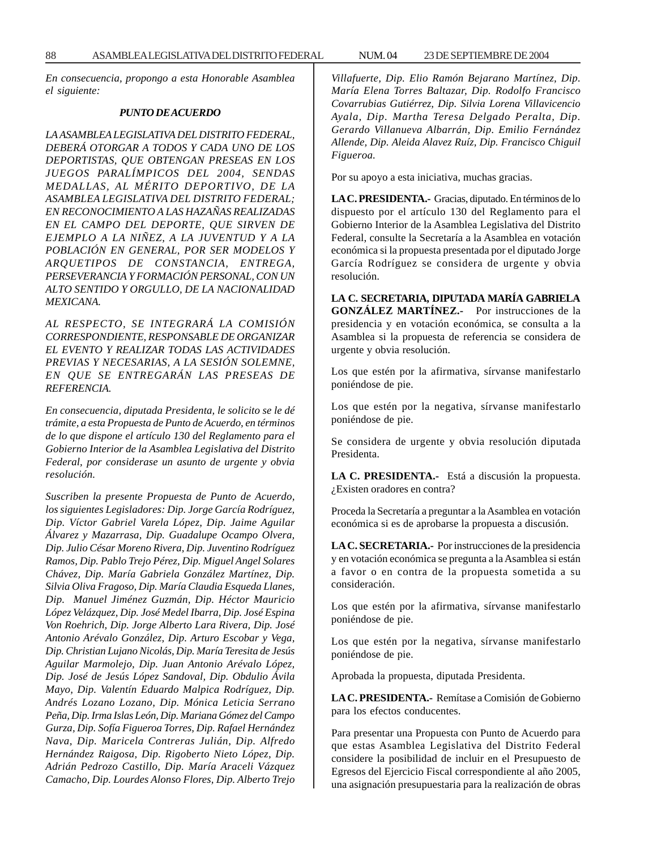*En consecuencia, propongo a esta Honorable Asamblea el siguiente:*

#### *PUNTO DE ACUERDO*

*LA ASAMBLEA LEGISLATIVA DEL DISTRITO FEDERAL, DEBERÁ OTORGAR A TODOS Y CADA UNO DE LOS DEPORTISTAS, QUE OBTENGAN PRESEAS EN LOS JUEGOS PARALÍMPICOS DEL 2004, SENDAS MEDALLAS, AL MÉRITO DEPORTIVO, DE LA ASAMBLEA LEGISLATIVA DEL DISTRITO FEDERAL; EN RECONOCIMIENTO A LAS HAZAÑAS REALIZADAS EN EL CAMPO DEL DEPORTE, QUE SIRVEN DE EJEMPLO A LA NIÑEZ, A LA JUVENTUD Y A LA POBLACIÓN EN GENERAL, POR SER MODELOS Y ARQUETIPOS DE CONSTANCIA, ENTREGA, PERSEVERANCIA Y FORMACIÓN PERSONAL, CON UN ALTO SENTIDO Y ORGULLO, DE LA NACIONALIDAD MEXICANA.*

*AL RESPECTO, SE INTEGRARÁ LA COMISIÓN CORRESPONDIENTE, RESPONSABLE DE ORGANIZAR EL EVENTO Y REALIZAR TODAS LAS ACTIVIDADES PREVIAS Y NECESARIAS, A LA SESIÓN SOLEMNE, EN QUE SE ENTREGARÁN LAS PRESEAS DE REFERENCIA.*

*En consecuencia, diputada Presidenta, le solicito se le dé trámite, a esta Propuesta de Punto de Acuerdo, en términos de lo que dispone el artículo 130 del Reglamento para el Gobierno Interior de la Asamblea Legislativa del Distrito Federal, por considerase un asunto de urgente y obvia resolución.*

*Suscriben la presente Propuesta de Punto de Acuerdo, los siguientes Legisladores: Dip. Jorge García Rodríguez, Dip. Víctor Gabriel Varela López, Dip. Jaime Aguilar Álvarez y Mazarrasa, Dip. Guadalupe Ocampo Olvera, Dip. Julio César Moreno Rivera, Dip. Juventino Rodríguez Ramos, Dip. Pablo Trejo Pérez, Dip. Miguel Angel Solares Chávez, Dip. María Gabriela González Martínez, Dip. Silvia Oliva Fragoso, Dip. María Claudia Esqueda Llanes, Dip. Manuel Jiménez Guzmán, Dip. Héctor Mauricio López Velázquez, Dip. José Medel Ibarra, Dip. José Espina Von Roehrich, Dip. Jorge Alberto Lara Rivera, Dip. José Antonio Arévalo González, Dip. Arturo Escobar y Vega, Dip. Christian Lujano Nicolás, Dip. María Teresita de Jesús Aguilar Marmolejo, Dip. Juan Antonio Arévalo López, Dip. José de Jesús López Sandoval, Dip. Obdulio Ávila Mayo, Dip. Valentín Eduardo Malpica Rodríguez, Dip. Andrés Lozano Lozano, Dip. Mónica Leticia Serrano Peña, Dip. Irma Islas León, Dip. Mariana Gómez del Campo Gurza, Dip. Sofía Figueroa Torres, Dip. Rafael Hernández Nava, Dip. Maricela Contreras Julián, Dip. Alfredo Hernández Raigosa, Dip. Rigoberto Nieto López, Dip. Adrián Pedrozo Castillo, Dip. María Araceli Vázquez Camacho, Dip. Lourdes Alonso Flores, Dip. Alberto Trejo*

*Villafuerte, Dip. Elio Ramón Bejarano Martínez, Dip. María Elena Torres Baltazar, Dip. Rodolfo Francisco Covarrubias Gutiérrez, Dip. Silvia Lorena Villavicencio Ayala, Dip. Martha Teresa Delgado Peralta, Dip. Gerardo Villanueva Albarrán, Dip. Emilio Fernández Allende, Dip. Aleida Alavez Ruíz, Dip. Francisco Chiguil Figueroa.*

Por su apoyo a esta iniciativa, muchas gracias.

**LA C. PRESIDENTA.-** Gracias, diputado. En términos de lo dispuesto por el artículo 130 del Reglamento para el Gobierno Interior de la Asamblea Legislativa del Distrito Federal, consulte la Secretaría a la Asamblea en votación económica si la propuesta presentada por el diputado Jorge García Rodríguez se considera de urgente y obvia resolución.

**LA C. SECRETARIA, DIPUTADA MARÍA GABRIELA GONZÁLEZ MARTÍNEZ.-** Por instrucciones de la presidencia y en votación económica, se consulta a la Asamblea si la propuesta de referencia se considera de urgente y obvia resolución.

Los que estén por la afirmativa, sírvanse manifestarlo poniéndose de pie.

Los que estén por la negativa, sírvanse manifestarlo poniéndose de pie.

Se considera de urgente y obvia resolución diputada Presidenta.

**LA C. PRESIDENTA.-** Está a discusión la propuesta. ¿Existen oradores en contra?

Proceda la Secretaría a preguntar a la Asamblea en votación económica si es de aprobarse la propuesta a discusión.

**LA C. SECRETARIA.-** Por instrucciones de la presidencia y en votación económica se pregunta a la Asamblea si están a favor o en contra de la propuesta sometida a su consideración.

Los que estén por la afirmativa, sírvanse manifestarlo poniéndose de pie.

Los que estén por la negativa, sírvanse manifestarlo poniéndose de pie.

Aprobada la propuesta, diputada Presidenta.

**LA C. PRESIDENTA.-** Remítase a Comisión de Gobierno para los efectos conducentes.

Para presentar una Propuesta con Punto de Acuerdo para que estas Asamblea Legislativa del Distrito Federal considere la posibilidad de incluir en el Presupuesto de Egresos del Ejercicio Fiscal correspondiente al año 2005, una asignación presupuestaria para la realización de obras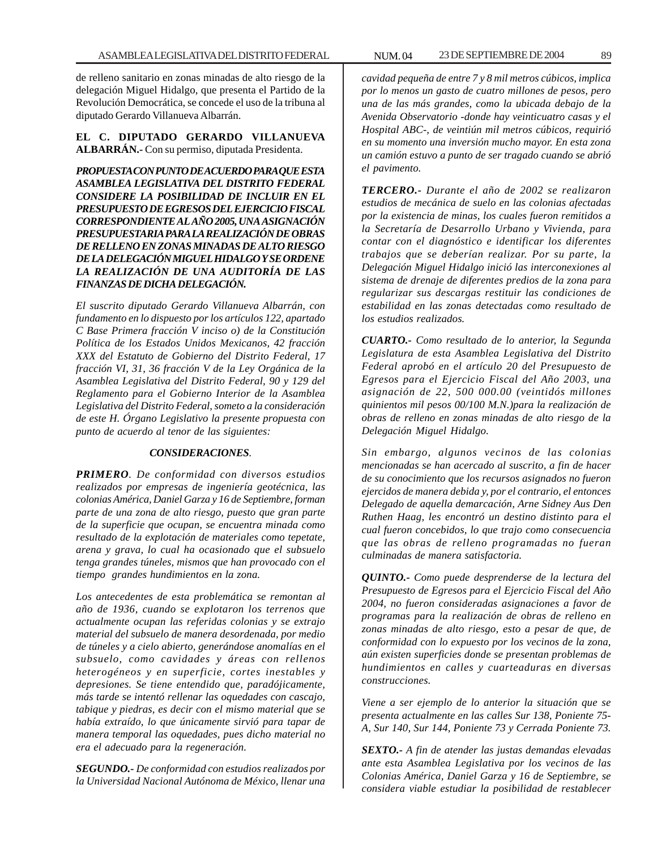de relleno sanitario en zonas minadas de alto riesgo de la delegación Miguel Hidalgo, que presenta el Partido de la Revolución Democrática, se concede el uso de la tribuna al diputado Gerardo Villanueva Albarrán.

**EL C. DIPUTADO GERARDO VILLANUEVA ALBARRÁN.-** Con su permiso, diputada Presidenta.

*PROPUESTA CON PUNTO DE ACUERDO PARA QUE ESTA ASAMBLEA LEGISLATIVA DEL DISTRITO FEDERAL CONSIDERE LA POSIBILIDAD DE INCLUIR EN EL PRESUPUESTO DE EGRESOS DEL EJERCICIO FISCAL CORRESPONDIENTE AL AÑO 2005, UNA ASIGNACIÓN PRESUPUESTARIA PARA LA REALIZACIÓN DE OBRAS DE RELLENO EN ZONAS MINADAS DE ALTO RIESGO DE LA DELEGACIÓN MIGUEL HIDALGO Y SE ORDENE LA REALIZACIÓN DE UNA AUDITORÍA DE LAS FINANZAS DE DICHA DELEGACIÓN.*

*El suscrito diputado Gerardo Villanueva Albarrán, con fundamento en lo dispuesto por los artículos 122, apartado C Base Primera fracción V inciso o) de la Constitución Política de los Estados Unidos Mexicanos, 42 fracción XXX del Estatuto de Gobierno del Distrito Federal, 17 fracción VI, 31, 36 fracción V de la Ley Orgánica de la Asamblea Legislativa del Distrito Federal, 90 y 129 del Reglamento para el Gobierno Interior de la Asamblea Legislativa del Distrito Federal, someto a la consideración de este H. Órgano Legislativo la presente propuesta con punto de acuerdo al tenor de las siguientes:*

### *CONSIDERACIONES.*

*PRIMERO. De conformidad con diversos estudios realizados por empresas de ingeniería geotécnica, las colonias América, Daniel Garza y 16 de Septiembre, forman parte de una zona de alto riesgo, puesto que gran parte de la superficie que ocupan, se encuentra minada como resultado de la explotación de materiales como tepetate, arena y grava, lo cual ha ocasionado que el subsuelo tenga grandes túneles, mismos que han provocado con el tiempo grandes hundimientos en la zona.*

*Los antecedentes de esta problemática se remontan al año de 1936, cuando se explotaron los terrenos que actualmente ocupan las referidas colonias y se extrajo material del subsuelo de manera desordenada, por medio de túneles y a cielo abierto, generándose anomalías en el subsuelo, como cavidades y áreas con rellenos heterogéneos y en superficie, cortes inestables y depresiones. Se tiene entendido que, paradójicamente, más tarde se intentó rellenar las oquedades con cascajo, tabique y piedras, es decir con el mismo material que se había extraído, lo que únicamente sirvió para tapar de manera temporal las oquedades, pues dicho material no era el adecuado para la regeneración.*

*SEGUNDO.- De conformidad con estudios realizados por la Universidad Nacional Autónoma de México, llenar una* *cavidad pequeña de entre 7 y 8 mil metros cúbicos, implica por lo menos un gasto de cuatro millones de pesos, pero una de las más grandes, como la ubicada debajo de la Avenida Observatorio -donde hay veinticuatro casas y el Hospital ABC-, de veintiún mil metros cúbicos, requirió en su momento una inversión mucho mayor. En esta zona un camión estuvo a punto de ser tragado cuando se abrió el pavimento.*

*TERCERO.- Durante el año de 2002 se realizaron estudios de mecánica de suelo en las colonias afectadas por la existencia de minas, los cuales fueron remitidos a la Secretaría de Desarrollo Urbano y Vivienda, para contar con el diagnóstico e identificar los diferentes trabajos que se deberían realizar. Por su parte, la Delegación Miguel Hidalgo inició las interconexiones al sistema de drenaje de diferentes predios de la zona para regularizar sus descargas restituir las condiciones de estabilidad en las zonas detectadas como resultado de los estudios realizados.*

*CUARTO.- Como resultado de lo anterior, la Segunda Legislatura de esta Asamblea Legislativa del Distrito Federal aprobó en el artículo 20 del Presupuesto de Egresos para el Ejercicio Fiscal del Año 2003, una asignación de 22, 500 000.00 (veintidós millones quinientos mil pesos 00/100 M.N.)para la realización de obras de relleno en zonas minadas de alto riesgo de la Delegación Miguel Hidalgo.*

*Sin embargo, algunos vecinos de las colonias mencionadas se han acercado al suscrito, a fin de hacer de su conocimiento que los recursos asignados no fueron ejercidos de manera debida y, por el contrario, el entonces Delegado de aquella demarcación, Arne Sidney Aus Den Ruthen Haag, les encontró un destino distinto para el cual fueron concebidos, lo que trajo como consecuencia que las obras de relleno programadas no fueran culminadas de manera satisfactoria.*

*QUINTO.- Como puede desprenderse de la lectura del Presupuesto de Egresos para el Ejercicio Fiscal del Año 2004, no fueron consideradas asignaciones a favor de programas para la realización de obras de relleno en zonas minadas de alto riesgo, esto a pesar de que, de conformidad con lo expuesto por los vecinos de la zona, aún existen superficies donde se presentan problemas de hundimientos en calles y cuarteaduras en diversas construcciones.*

*Viene a ser ejemplo de lo anterior la situación que se presenta actualmente en las calles Sur 138, Poniente 75- A, Sur 140, Sur 144, Poniente 73 y Cerrada Poniente 73.*

*SEXTO.- A fin de atender las justas demandas elevadas ante esta Asamblea Legislativa por los vecinos de las Colonias América, Daniel Garza y 16 de Septiembre, se considera viable estudiar la posibilidad de restablecer*